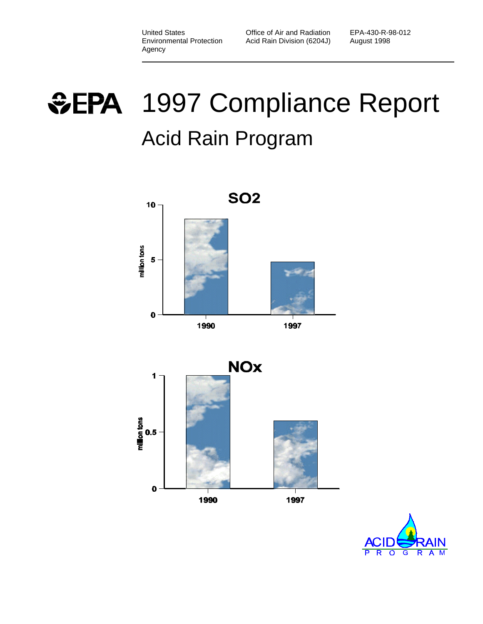EPA-430-R-98-012 August 1998

# *SEPA* 1997 Compliance Report Acid Rain Program



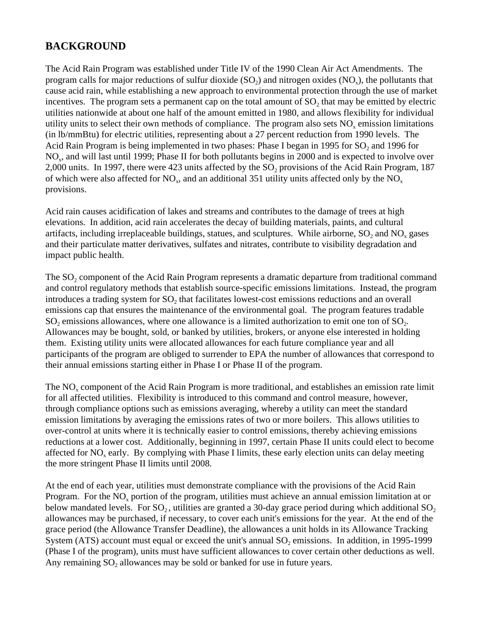# **BACKGROUND**

The Acid Rain Program was established under Title IV of the 1990 Clean Air Act Amendments. The program calls for major reductions of sulfur dioxide (SO<sub>2</sub>) and nitrogen oxides (NO<sub>x</sub>), the pollutants that cause acid rain, while establishing a new approach to environmental protection through the use of market incentives. The program sets a permanent cap on the total amount of  $SO_2$  that may be emitted by electric utilities nationwide at about one half of the amount emitted in 1980, and allows flexibility for individual utility units to select their own methods of compliance. The program also sets  $NO<sub>x</sub>$  emission limitations (in lb/mmBtu) for electric utilities, representing about a 27 percent reduction from 1990 levels. The Acid Rain Program is being implemented in two phases: Phase I began in 1995 for  $SO_2$  and 1996 for NO<sub>x</sub>, and will last until 1999; Phase II for both pollutants begins in 2000 and is expected to involve over 2,000 units. In 1997, there were 423 units affected by the  $SO_2$  provisions of the Acid Rain Program, 187 of which were also affected for  $NO_x$ , and an additional 351 utility units affected only by the  $NO_x$ provisions.

Acid rain causes acidification of lakes and streams and contributes to the damage of trees at high elevations. In addition, acid rain accelerates the decay of building materials, paints, and cultural artifacts, including irreplaceable buildings, statues, and sculptures. While airborne,  $SO_2$  and  $NO_x$  gases and their particulate matter derivatives, sulfates and nitrates, contribute to visibility degradation and impact public health.

The  $SO_2$  component of the Acid Rain Program represents a dramatic departure from traditional command and control regulatory methods that establish source-specific emissions limitations. Instead, the program introduces a trading system for  ${SO_2}$  that facilitates lowest-cost emissions reductions and an overall emissions cap that ensures the maintenance of the environmental goal. The program features tradable  $SO_2$  emissions allowances, where one allowance is a limited authorization to emit one ton of  $SO_2$ . Allowances may be bought, sold, or banked by utilities, brokers, or anyone else interested in holding them. Existing utility units were allocated allowances for each future compliance year and all participants of the program are obliged to surrender to EPA the number of allowances that correspond to their annual emissions starting either in Phase I or Phase II of the program.

The  $NO<sub>x</sub>$  component of the Acid Rain Program is more traditional, and establishes an emission rate limit for all affected utilities. Flexibility is introduced to this command and control measure, however, through compliance options such as emissions averaging, whereby a utility can meet the standard emission limitations by averaging the emissions rates of two or more boilers. This allows utilities to over-control at units where it is technically easier to control emissions, thereby achieving emissions reductions at a lower cost. Additionally, beginning in 1997, certain Phase II units could elect to become affected for  $NO<sub>x</sub>$  early. By complying with Phase I limits, these early election units can delay meeting the more stringent Phase II limits until 2008.

At the end of each year, utilities must demonstrate compliance with the provisions of the Acid Rain Program. For the  $NO_x$  portion of the program, utilities must achieve an annual emission limitation at or below mandated levels. For  $SO_2$ , utilities are granted a 30-day grace period during which additional  $SO_2$ allowances may be purchased, if necessary, to cover each unit's emissions for the year. At the end of the grace period (the Allowance Transfer Deadline), the allowances a unit holds in its Allowance Tracking System (ATS) account must equal or exceed the unit's annual  $SO_2$  emissions. In addition, in 1995-1999 (Phase I of the program), units must have sufficient allowances to cover certain other deductions as well. Any remaining  $SO_2$  allowances may be sold or banked for use in future years.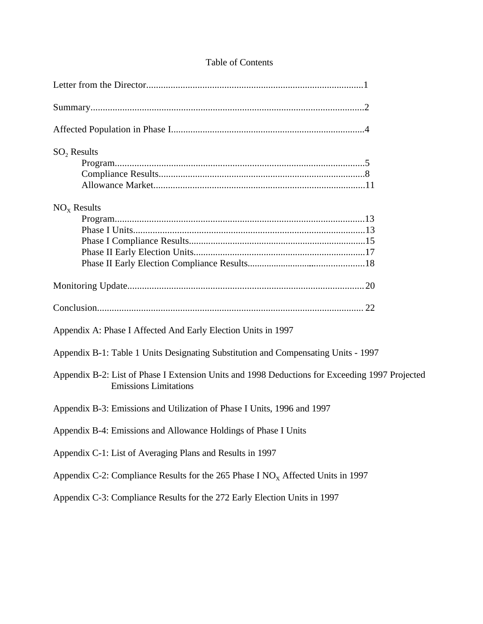# Table of Contents

| $SO2$ Results                                                                                                                  |  |
|--------------------------------------------------------------------------------------------------------------------------------|--|
|                                                                                                                                |  |
|                                                                                                                                |  |
|                                                                                                                                |  |
| $NOx$ Results                                                                                                                  |  |
|                                                                                                                                |  |
|                                                                                                                                |  |
|                                                                                                                                |  |
|                                                                                                                                |  |
|                                                                                                                                |  |
|                                                                                                                                |  |
|                                                                                                                                |  |
| Appendix A: Phase I Affected And Early Election Units in 1997                                                                  |  |
| Appendix B-1: Table 1 Units Designating Substitution and Compensating Units - 1997                                             |  |
| Appendix B-2: List of Phase I Extension Units and 1998 Deductions for Exceeding 1997 Projected<br><b>Emissions Limitations</b> |  |
| Appendix B-3: Emissions and Utilization of Phase I Units, 1996 and 1997                                                        |  |
| Appendix B-4: Emissions and Allowance Holdings of Phase I Units                                                                |  |
| Appendix C-1: List of Averaging Plans and Results in 1997                                                                      |  |
| Appendix C-2: Compliance Results for the 265 Phase I $NOx$ Affected Units in 1997                                              |  |
| Appendix C-3: Compliance Results for the 272 Early Election Units in 1997                                                      |  |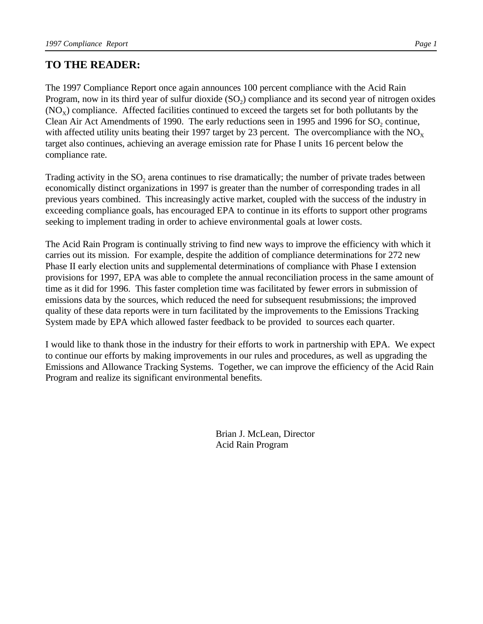# **TO THE READER:**

The 1997 Compliance Report once again announces 100 percent compliance with the Acid Rain Program, now in its third year of sulfur dioxide  $(SO_2)$  compliance and its second year of nitrogen oxides  $(NO<sub>x</sub>)$  compliance. Affected facilities continued to exceed the targets set for both pollutants by the Clean Air Act Amendments of 1990. The early reductions seen in 1995 and 1996 for  $SO_2$  continue, with affected utility units beating their 1997 target by 23 percent. The overcompliance with the  $NO<sub>x</sub>$ target also continues, achieving an average emission rate for Phase I units 16 percent below the compliance rate.

Trading activity in the  $SO_2$  arena continues to rise dramatically; the number of private trades between economically distinct organizations in 1997 is greater than the number of corresponding trades in all previous years combined. This increasingly active market, coupled with the success of the industry in exceeding compliance goals, has encouraged EPA to continue in its efforts to support other programs seeking to implement trading in order to achieve environmental goals at lower costs.

The Acid Rain Program is continually striving to find new ways to improve the efficiency with which it carries out its mission. For example, despite the addition of compliance determinations for 272 new Phase II early election units and supplemental determinations of compliance with Phase I extension provisions for 1997, EPA was able to complete the annual reconciliation process in the same amount of time as it did for 1996. This faster completion time was facilitated by fewer errors in submission of emissions data by the sources, which reduced the need for subsequent resubmissions; the improved quality of these data reports were in turn facilitated by the improvements to the Emissions Tracking System made by EPA which allowed faster feedback to be provided to sources each quarter.

I would like to thank those in the industry for their efforts to work in partnership with EPA. We expect to continue our efforts by making improvements in our rules and procedures, as well as upgrading the Emissions and Allowance Tracking Systems. Together, we can improve the efficiency of the Acid Rain Program and realize its significant environmental benefits.

> Brian J. McLean, Director Acid Rain Program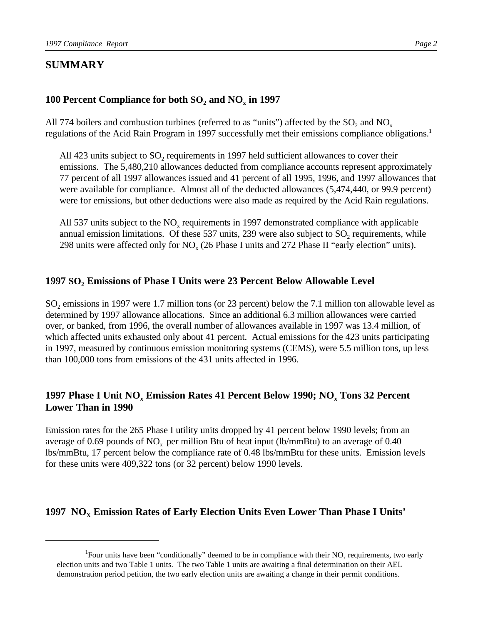# **SUMMARY**

# **100 Percent Compliance for both SO<sup>2</sup> and NO<sup>x</sup> in 1997**

All 774 boilers and combustion turbines (referred to as "units") affected by the  $SO_2$  and  $NO_x$ regulations of the Acid Rain Program in 1997 successfully met their emissions compliance obligations.<sup>1</sup>

All 423 units subject to  $SO_2$  requirements in 1997 held sufficient allowances to cover their emissions. The 5,480,210 allowances deducted from compliance accounts represent approximately 77 percent of all 1997 allowances issued and 41 percent of all 1995, 1996, and 1997 allowances that were available for compliance. Almost all of the deducted allowances (5,474,440, or 99.9 percent) were for emissions, but other deductions were also made as required by the Acid Rain regulations.

All 537 units subject to the  $NO<sub>x</sub>$  requirements in 1997 demonstrated compliance with applicable annual emission limitations. Of these 537 units, 239 were also subject to  $SO_2$  requirements, while 298 units were affected only for  $NO<sub>x</sub>$  (26 Phase I units and 272 Phase II "early election" units).

# **1997 SO<sup>2</sup> Emissions of Phase I Units were 23 Percent Below Allowable Level**

 $SO_2$  emissions in 1997 were 1.7 million tons (or 23 percent) below the 7.1 million ton allowable level as determined by 1997 allowance allocations. Since an additional 6.3 million allowances were carried over, or banked, from 1996, the overall number of allowances available in 1997 was 13.4 million, of which affected units exhausted only about 41 percent. Actual emissions for the 423 units participating in 1997, measured by continuous emission monitoring systems (CEMS), were 5.5 million tons, up less than 100,000 tons from emissions of the 431 units affected in 1996.

# **1997 Phase I Unit NO<sup>x</sup> Emission Rates 41 Percent Below 1990; NO<sup>x</sup> Tons 32 Percent Lower Than in 1990**

Emission rates for the 265 Phase I utility units dropped by 41 percent below 1990 levels; from an average of 0.69 pounds of  $NO<sub>x</sub>$  per million Btu of heat input (lb/mmBtu) to an average of 0.40 lbs/mmBtu, 17 percent below the compliance rate of 0.48 lbs/mmBtu for these units. Emission levels for these units were 409,322 tons (or 32 percent) below 1990 levels.

# **1997 NOX Emission Rates of Early Election Units Even Lower Than Phase I Units'**

<sup>&</sup>lt;sup>1</sup>Four units have been "conditionally" deemed to be in compliance with their  $NO<sub>x</sub>$  requirements, two early election units and two Table 1 units. The two Table 1 units are awaiting a final determination on their AEL demonstration period petition, the two early election units are awaiting a change in their permit conditions.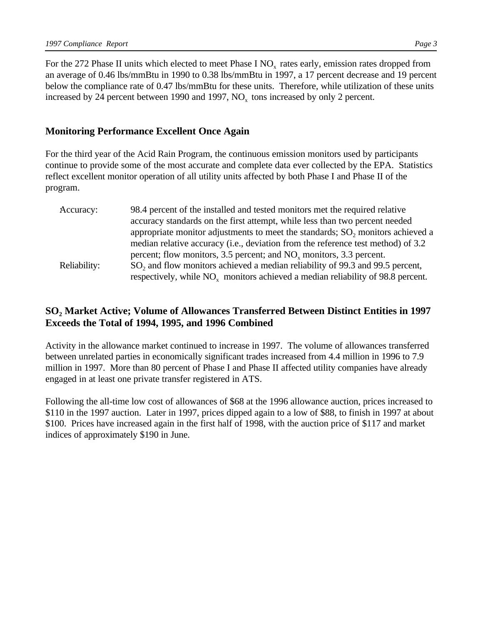For the 272 Phase II units which elected to meet Phase I  $NO<sub>x</sub>$  rates early, emission rates dropped from an average of 0.46 lbs/mmBtu in 1990 to 0.38 lbs/mmBtu in 1997, a 17 percent decrease and 19 percent below the compliance rate of 0.47 lbs/mmBtu for these units. Therefore, while utilization of these units increased by 24 percent between 1990 and 1997,  $NO<sub>x</sub>$  tons increased by only 2 percent.

#### **Monitoring Performance Excellent Once Again**

For the third year of the Acid Rain Program, the continuous emission monitors used by participants continue to provide some of the most accurate and complete data ever collected by the EPA. Statistics reflect excellent monitor operation of all utility units affected by both Phase I and Phase II of the program.

| Accuracy:    | 98.4 percent of the installed and tested monitors met the required relative               |
|--------------|-------------------------------------------------------------------------------------------|
|              | accuracy standards on the first attempt, while less than two percent needed               |
|              | appropriate monitor adjustments to meet the standards; SO, monitors achieved a            |
|              | median relative accuracy (i.e., deviation from the reference test method) of 3.2          |
|              | percent; flow monitors, 3.5 percent; and NO <sub>y</sub> monitors, 3.3 percent.           |
| Reliability: | SO <sub>2</sub> and flow monitors achieved a median reliability of 99.3 and 99.5 percent, |
|              | respectively, while $NO_x$ monitors achieved a median reliability of 98.8 percent.        |

## **SO<sup>2</sup> Market Active; Volume of Allowances Transferred Between Distinct Entities in 1997 Exceeds the Total of 1994, 1995, and 1996 Combined**

Activity in the allowance market continued to increase in 1997. The volume of allowances transferred between unrelated parties in economically significant trades increased from 4.4 million in 1996 to 7.9 million in 1997. More than 80 percent of Phase I and Phase II affected utility companies have already engaged in at least one private transfer registered in ATS.

Following the all-time low cost of allowances of \$68 at the 1996 allowance auction, prices increased to \$110 in the 1997 auction. Later in 1997, prices dipped again to a low of \$88, to finish in 1997 at about \$100. Prices have increased again in the first half of 1998, with the auction price of \$117 and market indices of approximately \$190 in June.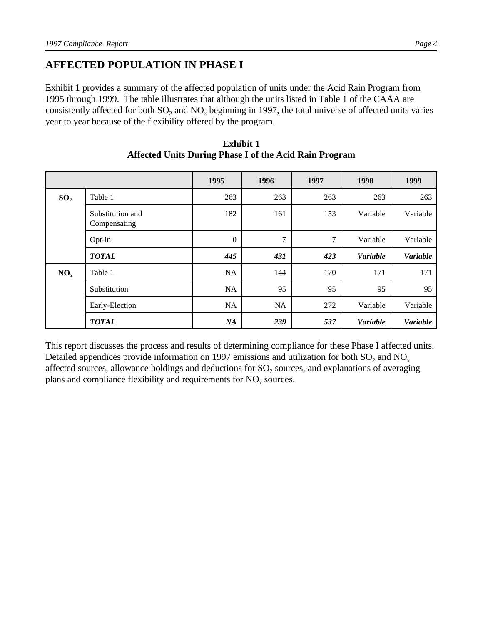# **AFFECTED POPULATION IN PHASE I**

Exhibit 1 provides a summary of the affected population of units under the Acid Rain Program from 1995 through 1999. The table illustrates that although the units listed in Table 1 of the CAAA are consistently affected for both  $SO_2$  and  $NO_x$  beginning in 1997, the total universe of affected units varies year to year because of the flexibility offered by the program.

|                 |                                  | 1995           | 1996      | 1997   | 1998            | 1999            |
|-----------------|----------------------------------|----------------|-----------|--------|-----------------|-----------------|
| SO <sub>2</sub> | Table 1                          | 263            | 263       | 263    | 263             | 263             |
|                 | Substitution and<br>Compensating | 182            | 161       | 153    | Variable        | Variable        |
|                 | Opt-in                           | $\overline{0}$ | 7         | $\tau$ | Variable        | Variable        |
|                 | <b>TOTAL</b>                     | 445            | 431       | 423    | <b>Variable</b> | <b>Variable</b> |
| $NO_x$          | Table 1                          | NA             | 144       | 170    | 171             | 171             |
|                 | Substitution                     | NA             | 95        | 95     | 95              | 95              |
|                 | Early-Election                   | NA             | <b>NA</b> | 272    | Variable        | Variable        |
|                 | <b>TOTAL</b>                     | NA             | 239       | 537    | Variable        | <b>Variable</b> |

**Exhibit 1 Affected Units During Phase I of the Acid Rain Program**

This report discusses the process and results of determining compliance for these Phase I affected units. Detailed appendices provide information on 1997 emissions and utilization for both  $SO_2$  and  $NO_x$ affected sources, allowance holdings and deductions for  $SO_2$  sources, and explanations of averaging plans and compliance flexibility and requirements for  $NO<sub>x</sub>$  sources.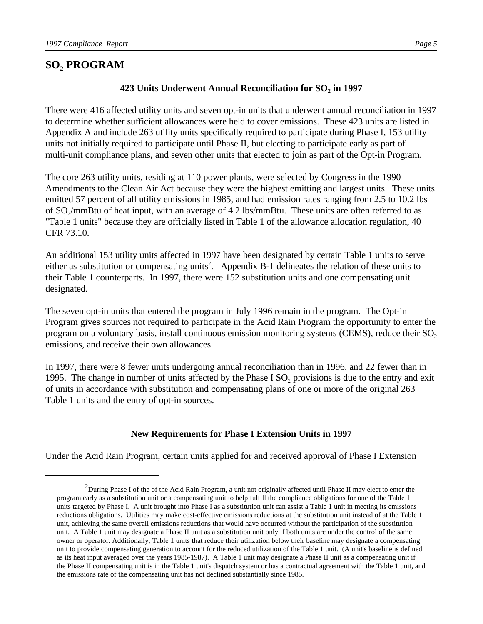# **SO<sup>2</sup> PROGRAM**

There were 416 affected utility units and seven opt-in units that underwent annual reconciliation in 1997 to determine whether sufficient allowances were held to cover emissions. These 423 units are listed in Appendix A and include 263 utility units specifically required to participate during Phase I, 153 utility units not initially required to participate until Phase II, but electing to participate early as part of multi-unit compliance plans, and seven other units that elected to join as part of the Opt-in Program.

The core 263 utility units, residing at 110 power plants, were selected by Congress in the 1990 Amendments to the Clean Air Act because they were the highest emitting and largest units. These units emitted 57 percent of all utility emissions in 1985, and had emission rates ranging from 2.5 to 10.2 lbs of  $SO_2/mm$ Btu of heat input, with an average of 4.2 lbs/mmBtu. These units are often referred to as "Table 1 units" because they are officially listed in Table 1 of the allowance allocation regulation, 40 CFR 73.10.

An additional 153 utility units affected in 1997 have been designated by certain Table 1 units to serve either as substitution or compensating units<sup>2</sup>. Appendix B-1 delineates the relation of these units to their Table 1 counterparts. In 1997, there were 152 substitution units and one compensating unit designated.

The seven opt-in units that entered the program in July 1996 remain in the program. The Opt-in Program gives sources not required to participate in the Acid Rain Program the opportunity to enter the program on a voluntary basis, install continuous emission monitoring systems (CEMS), reduce their  $SO<sub>2</sub>$ emissions, and receive their own allowances.

In 1997, there were 8 fewer units undergoing annual reconciliation than in 1996, and 22 fewer than in 1995. The change in number of units affected by the Phase I  $SO_2$  provisions is due to the entry and exit of units in accordance with substitution and compensating plans of one or more of the original 263 Table 1 units and the entry of opt-in sources.

#### **New Requirements for Phase I Extension Units in 1997**

Under the Acid Rain Program, certain units applied for and received approval of Phase I Extension

 $2$ During Phase I of the of the Acid Rain Program, a unit not originally affected until Phase II may elect to enter the program early as a substitution unit or a compensating unit to help fulfill the compliance obligations for one of the Table 1 units targeted by Phase I. A unit brought into Phase I as a substitution unit can assist a Table 1 unit in meeting its emissions reductions obligations. Utilities may make cost-effective emissions reductions at the substitution unit instead of at the Table 1 unit, achieving the same overall emissions reductions that would have occurred without the participation of the substitution unit. A Table 1 unit may designate a Phase II unit as a substitution unit only if both units are under the control of the same owner or operator. Additionally, Table 1 units that reduce their utilization below their baseline may designate a compensating unit to provide compensating generation to account for the reduced utilization of the Table 1 unit. (A unit's baseline is defined as its heat input averaged over the years 1985-1987). A Table 1 unit may designate a Phase II unit as a compensating unit if the Phase II compensating unit is in the Table 1 unit's dispatch system or has a contractual agreement with the Table 1 unit, and the emissions rate of the compensating unit has not declined substantially since 1985.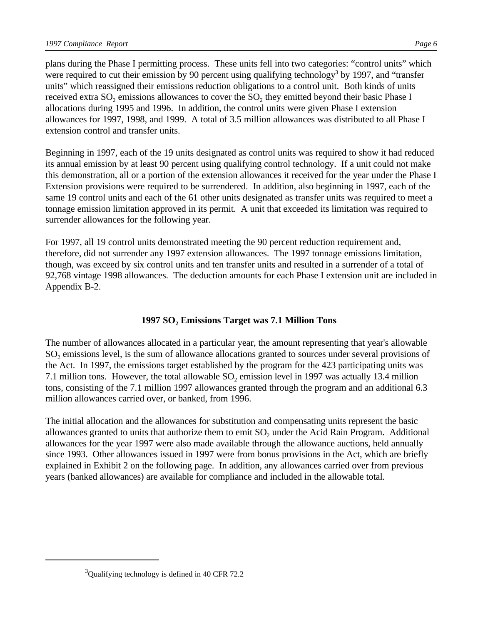plans during the Phase I permitting process. These units fell into two categories: "control units" which were required to cut their emission by 90 percent using qualifying technology<sup>3</sup> by 1997, and "transfer units" which reassigned their emissions reduction obligations to a control unit. Both kinds of units received extra  $\text{SO}_2$  emissions allowances to cover the  $\text{SO}_2$  they emitted beyond their basic Phase I allocations during 1995 and 1996. In addition, the control units were given Phase I extension allowances for 1997, 1998, and 1999. A total of 3.5 million allowances was distributed to all Phase I extension control and transfer units.

Beginning in 1997, each of the 19 units designated as control units was required to show it had reduced its annual emission by at least 90 percent using qualifying control technology. If a unit could not make this demonstration, all or a portion of the extension allowances it received for the year under the Phase I Extension provisions were required to be surrendered. In addition, also beginning in 1997, each of the same 19 control units and each of the 61 other units designated as transfer units was required to meet a tonnage emission limitation approved in its permit. A unit that exceeded its limitation was required to surrender allowances for the following year.

For 1997, all 19 control units demonstrated meeting the 90 percent reduction requirement and, therefore, did not surrender any 1997 extension allowances. The 1997 tonnage emissions limitation, though, was exceed by six control units and ten transfer units and resulted in a surrender of a total of 92,768 vintage 1998 allowances. The deduction amounts for each Phase I extension unit are included in Appendix B-2.

# **1997 SO<sup>2</sup> Emissions Target was 7.1 Million Tons**

The number of allowances allocated in a particular year, the amount representing that year's allowable SO<sub>2</sub> emissions level, is the sum of allowance allocations granted to sources under several provisions of the Act. In 1997, the emissions target established by the program for the 423 participating units was 7.1 million tons. However, the total allowable  $SO_2$  emission level in 1997 was actually 13.4 million tons, consisting of the 7.1 million 1997 allowances granted through the program and an additional 6.3 million allowances carried over, or banked, from 1996.

The initial allocation and the allowances for substitution and compensating units represent the basic allowances granted to units that authorize them to emit  $SO_2$  under the Acid Rain Program. Additional allowances for the year 1997 were also made available through the allowance auctions, held annually since 1993. Other allowances issued in 1997 were from bonus provisions in the Act, which are briefly explained in Exhibit 2 on the following page. In addition, any allowances carried over from previous years (banked allowances) are available for compliance and included in the allowable total.

 $3$ Qualifying technology is defined in 40 CFR 72.2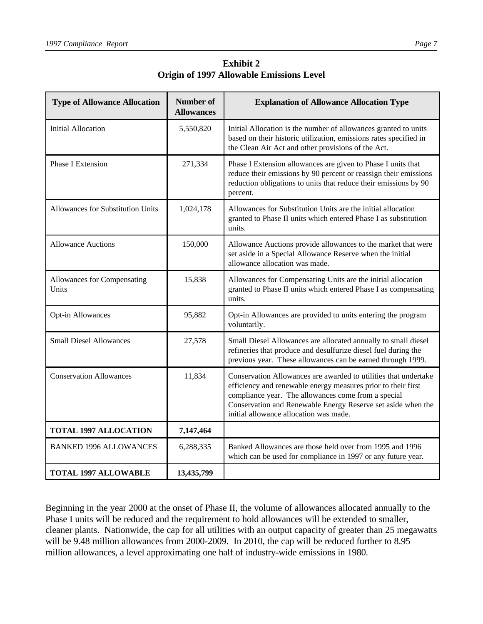| <b>Type of Allowance Allocation</b>      | <b>Number of</b><br><b>Allowances</b> | <b>Explanation of Allowance Allocation Type</b>                                                                                                                                                                                                                                                   |
|------------------------------------------|---------------------------------------|---------------------------------------------------------------------------------------------------------------------------------------------------------------------------------------------------------------------------------------------------------------------------------------------------|
| <b>Initial Allocation</b>                | 5,550,820                             | Initial Allocation is the number of allowances granted to units<br>based on their historic utilization, emissions rates specified in<br>the Clean Air Act and other provisions of the Act.                                                                                                        |
| <b>Phase I Extension</b>                 | 271,334                               | Phase I Extension allowances are given to Phase I units that<br>reduce their emissions by 90 percent or reassign their emissions<br>reduction obligations to units that reduce their emissions by 90<br>percent.                                                                                  |
| <b>Allowances for Substitution Units</b> | 1,024,178                             | Allowances for Substitution Units are the initial allocation<br>granted to Phase II units which entered Phase I as substitution<br>units.                                                                                                                                                         |
| <b>Allowance Auctions</b>                | 150,000                               | Allowance Auctions provide allowances to the market that were<br>set aside in a Special Allowance Reserve when the initial<br>allowance allocation was made.                                                                                                                                      |
| Allowances for Compensating<br>Units     | 15,838                                | Allowances for Compensating Units are the initial allocation<br>granted to Phase II units which entered Phase I as compensating<br>units.                                                                                                                                                         |
| <b>Opt-in Allowances</b>                 | 95,882                                | Opt-in Allowances are provided to units entering the program<br>voluntarily.                                                                                                                                                                                                                      |
| <b>Small Diesel Allowances</b>           | 27,578                                | Small Diesel Allowances are allocated annually to small diesel<br>refineries that produce and desulfurize diesel fuel during the<br>previous year. These allowances can be earned through 1999.                                                                                                   |
| <b>Conservation Allowances</b>           | 11,834                                | Conservation Allowances are awarded to utilities that undertake<br>efficiency and renewable energy measures prior to their first<br>compliance year. The allowances come from a special<br>Conservation and Renewable Energy Reserve set aside when the<br>initial allowance allocation was made. |
| <b>TOTAL 1997 ALLOCATION</b>             | 7,147,464                             |                                                                                                                                                                                                                                                                                                   |
| <b>BANKED 1996 ALLOWANCES</b>            | 6,288,335                             | Banked Allowances are those held over from 1995 and 1996<br>which can be used for compliance in 1997 or any future year.                                                                                                                                                                          |
| <b>TOTAL 1997 ALLOWABLE</b>              | 13,435,799                            |                                                                                                                                                                                                                                                                                                   |

**Exhibit 2 Origin of 1997 Allowable Emissions Level**

Beginning in the year 2000 at the onset of Phase II, the volume of allowances allocated annually to the Phase I units will be reduced and the requirement to hold allowances will be extended to smaller, cleaner plants. Nationwide, the cap for all utilities with an output capacity of greater than 25 megawatts will be 9.48 million allowances from 2000-2009. In 2010, the cap will be reduced further to 8.95 million allowances, a level approximating one half of industry-wide emissions in 1980.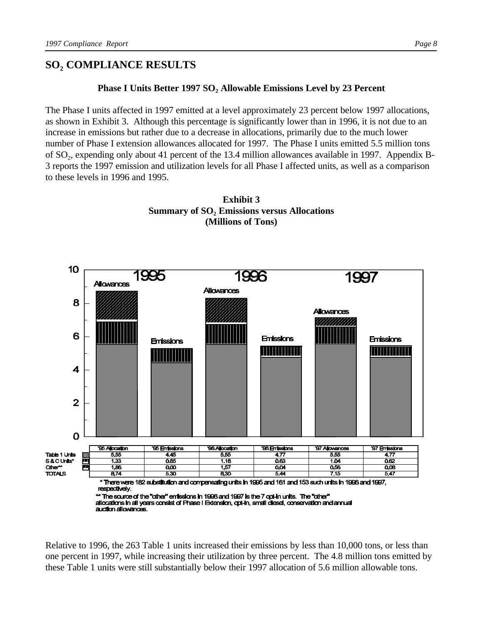# **SO<sup>2</sup> COMPLIANCE RESULTS**

#### **Phase I Units Better 1997 SO<sup>2</sup> Allowable Emissions Level by 23 Percent**

The Phase I units affected in 1997 emitted at a level approximately 23 percent below 1997 allocations, as shown in Exhibit 3. Although this percentage is significantly lower than in 1996, it is not due to an increase in emissions but rather due to a decrease in allocations, primarily due to the much lower number of Phase I extension allowances allocated for 1997. The Phase I units emitted 5.5 million tons of SO<sub>2</sub>, expending only about 41 percent of the 13.4 million allowances available in 1997. Appendix B-3 reports the 1997 emission and utilization levels for all Phase I affected units, as well as a comparison to these levels in 1996 and 1995.

> **Exhibit 3 Summary of SO<sup>2</sup> Emissions versus Allocations (Millions of Tons)**



Relative to 1996, the 263 Table 1 units increased their emissions by less than 10,000 tons, or less than one percent in 1997, while increasing their utilization by three percent. The 4.8 million tons emitted by these Table 1 units were still substantially below their 1997 allocation of 5.6 million allowable tons.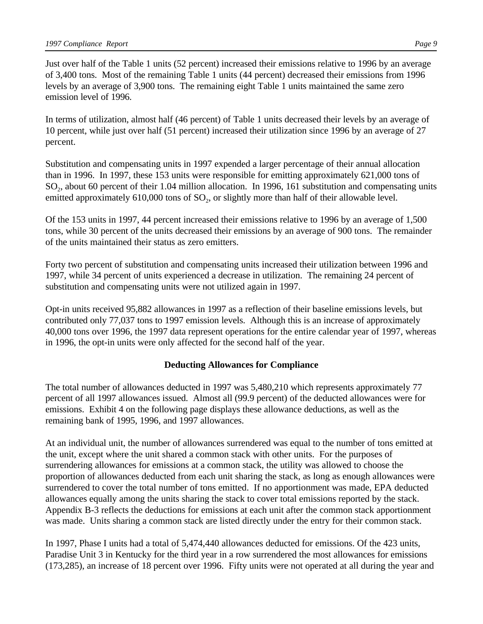Just over half of the Table 1 units (52 percent) increased their emissions relative to 1996 by an average of 3,400 tons. Most of the remaining Table 1 units (44 percent) decreased their emissions from 1996 levels by an average of 3,900 tons. The remaining eight Table 1 units maintained the same zero emission level of 1996.

In terms of utilization, almost half (46 percent) of Table 1 units decreased their levels by an average of 10 percent, while just over half (51 percent) increased their utilization since 1996 by an average of 27 percent.

Substitution and compensating units in 1997 expended a larger percentage of their annual allocation than in 1996. In 1997, these 153 units were responsible for emitting approximately 621,000 tons of SO<sub>2</sub>, about 60 percent of their 1.04 million allocation. In 1996, 161 substitution and compensating units emitted approximately  $610,000$  tons of  $SO_2$ , or slightly more than half of their allowable level.

Of the 153 units in 1997, 44 percent increased their emissions relative to 1996 by an average of 1,500 tons, while 30 percent of the units decreased their emissions by an average of 900 tons. The remainder of the units maintained their status as zero emitters.

Forty two percent of substitution and compensating units increased their utilization between 1996 and 1997, while 34 percent of units experienced a decrease in utilization. The remaining 24 percent of substitution and compensating units were not utilized again in 1997.

Opt-in units received 95,882 allowances in 1997 as a reflection of their baseline emissions levels, but contributed only 77,037 tons to 1997 emission levels. Although this is an increase of approximately 40,000 tons over 1996, the 1997 data represent operations for the entire calendar year of 1997, whereas in 1996, the opt-in units were only affected for the second half of the year.

#### **Deducting Allowances for Compliance**

The total number of allowances deducted in 1997 was 5,480,210 which represents approximately 77 percent of all 1997 allowances issued. Almost all (99.9 percent) of the deducted allowances were for emissions. Exhibit 4 on the following page displays these allowance deductions, as well as the remaining bank of 1995, 1996, and 1997 allowances.

At an individual unit, the number of allowances surrendered was equal to the number of tons emitted at the unit, except where the unit shared a common stack with other units. For the purposes of surrendering allowances for emissions at a common stack, the utility was allowed to choose the proportion of allowances deducted from each unit sharing the stack, as long as enough allowances were surrendered to cover the total number of tons emitted. If no apportionment was made, EPA deducted allowances equally among the units sharing the stack to cover total emissions reported by the stack. Appendix B-3 reflects the deductions for emissions at each unit after the common stack apportionment was made. Units sharing a common stack are listed directly under the entry for their common stack.

In 1997, Phase I units had a total of 5,474,440 allowances deducted for emissions. Of the 423 units, Paradise Unit 3 in Kentucky for the third year in a row surrendered the most allowances for emissions (173,285), an increase of 18 percent over 1996. Fifty units were not operated at all during the year and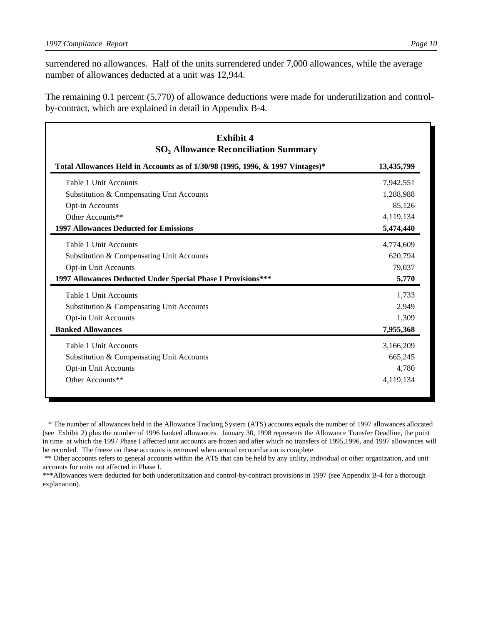surrendered no allowances. Half of the units surrendered under 7,000 allowances, while the average number of allowances deducted at a unit was 12,944.

The remaining 0.1 percent (5,770) of allowance deductions were made for underutilization and controlby-contract, which are explained in detail in Appendix B-4.

| <b>Exhibit 4</b><br><b>SO<sub>2</sub> Allowance Reconciliation Summary</b>     |            |
|--------------------------------------------------------------------------------|------------|
| Total Allowances Held in Accounts as of 1/30/98 (1995, 1996, & 1997 Vintages)* | 13,435,799 |
| Table 1 Unit Accounts                                                          | 7,942,551  |
| Substitution & Compensating Unit Accounts                                      | 1,288,988  |
| Opt-in Accounts                                                                | 85,126     |
| Other Accounts**                                                               | 4,119,134  |
| <b>1997 Allowances Deducted for Emissions</b>                                  | 5,474,440  |
| Table 1 Unit Accounts                                                          | 4,774,609  |
| Substitution & Compensating Unit Accounts                                      | 620,794    |
| Opt-in Unit Accounts                                                           | 79,037     |
| 1997 Allowances Deducted Under Special Phase I Provisions***                   | 5,770      |
| Table 1 Unit Accounts                                                          | 1,733      |
| Substitution & Compensating Unit Accounts                                      | 2,949      |
| Opt-in Unit Accounts                                                           | 1,309      |
| <b>Banked Allowances</b>                                                       | 7,955,368  |
| Table 1 Unit Accounts                                                          | 3,166,209  |
| Substitution & Compensating Unit Accounts                                      | 665,245    |
| <b>Opt-in Unit Accounts</b>                                                    | 4,780      |
| Other Accounts**                                                               | 4,119,134  |

 \* The number of allowances held in the Allowance Tracking System (ATS) accounts equals the number of 1997 allowances allocated (see Exhibit 2) plus the number of 1996 banked allowances. January 30, 1998 represents the Allowance Transfer Deadline, the point in time at which the 1997 Phase I affected unit accounts are frozen and after which no transfers of 1995,1996, and 1997 allowances will be recorded. The freeze on these accounts is removed when annual reconciliation is complete.

 \*\* Other accounts refers to general accounts within the ATS that can be held by any utility, individual or other organization, and unit accounts for units not affected in Phase I.

\*\*\*Allowances were deducted for both underutilization and control-by-contract provisions in 1997 (see Appendix B-4 for a thorough explanation).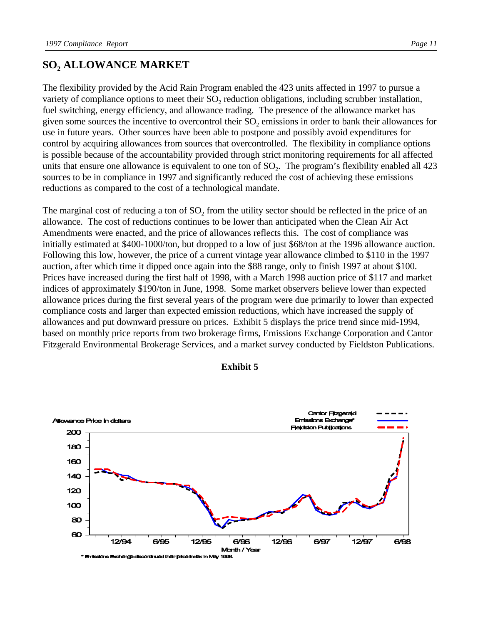# **SO<sup>2</sup> ALLOWANCE MARKET**

The flexibility provided by the Acid Rain Program enabled the 423 units affected in 1997 to pursue a variety of compliance options to meet their  $SO_2$  reduction obligations, including scrubber installation, fuel switching, energy efficiency, and allowance trading. The presence of the allowance market has given some sources the incentive to overcontrol their  $SO_2$  emissions in order to bank their allowances for use in future years. Other sources have been able to postpone and possibly avoid expenditures for control by acquiring allowances from sources that overcontrolled. The flexibility in compliance options is possible because of the accountability provided through strict monitoring requirements for all affected units that ensure one allowance is equivalent to one ton of  $SO_2$ . The program's flexibility enabled all 423 sources to be in compliance in 1997 and significantly reduced the cost of achieving these emissions reductions as compared to the cost of a technological mandate.

The marginal cost of reducing a ton of  $SO_2$  from the utility sector should be reflected in the price of an allowance. The cost of reductions continues to be lower than anticipated when the Clean Air Act Amendments were enacted, and the price of allowances reflects this. The cost of compliance was initially estimated at \$400-1000/ton, but dropped to a low of just \$68/ton at the 1996 allowance auction. Following this low, however, the price of a current vintage year allowance climbed to \$110 in the 1997 auction, after which time it dipped once again into the \$88 range, only to finish 1997 at about \$100. Prices have increased during the first half of 1998, with a March 1998 auction price of \$117 and market indices of approximately \$190/ton in June, 1998. Some market observers believe lower than expected allowance prices during the first several years of the program were due primarily to lower than expected compliance costs and larger than expected emission reductions, which have increased the supply of allowances and put downward pressure on prices. Exhibit 5 displays the price trend since mid-1994, based on monthly price reports from two brokerage firms, Emissions Exchange Corporation and Cantor Fitzgerald Environmental Brokerage Services, and a market survey conducted by Fieldston Publications.



#### **Exhibit 5**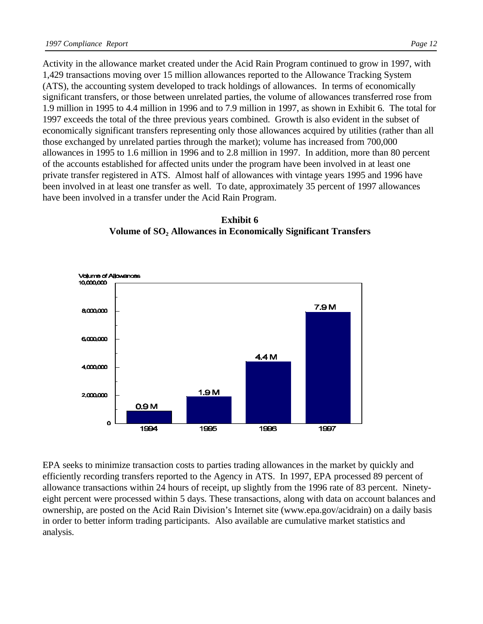Activity in the allowance market created under the Acid Rain Program continued to grow in 1997, with 1,429 transactions moving over 15 million allowances reported to the Allowance Tracking System (ATS), the accounting system developed to track holdings of allowances. In terms of economically significant transfers, or those between unrelated parties, the volume of allowances transferred rose from 1.9 million in 1995 to 4.4 million in 1996 and to 7.9 million in 1997, as shown in Exhibit 6. The total for 1997 exceeds the total of the three previous years combined. Growth is also evident in the subset of economically significant transfers representing only those allowances acquired by utilities (rather than all those exchanged by unrelated parties through the market); volume has increased from 700,000 allowances in 1995 to 1.6 million in 1996 and to 2.8 million in 1997. In addition, more than 80 percent of the accounts established for affected units under the program have been involved in at least one private transfer registered in ATS. Almost half of allowances with vintage years 1995 and 1996 have been involved in at least one transfer as well. To date, approximately 35 percent of 1997 allowances have been involved in a transfer under the Acid Rain Program.

**Exhibit 6 Volume of SO<sup>2</sup> Allowances in Economically Significant Transfers**



EPA seeks to minimize transaction costs to parties trading allowances in the market by quickly and efficiently recording transfers reported to the Agency in ATS. In 1997, EPA processed 89 percent of allowance transactions within 24 hours of receipt, up slightly from the 1996 rate of 83 percent. Ninetyeight percent were processed within 5 days. These transactions, along with data on account balances and ownership, are posted on the Acid Rain Division's Internet site (www.epa.gov/acidrain) on a daily basis in order to better inform trading participants. Also available are cumulative market statistics and analysis.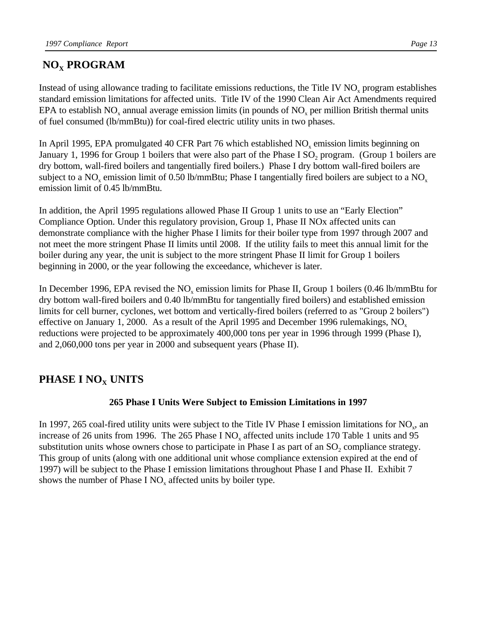# **NOX PROGRAM**

Instead of using allowance trading to facilitate emissions reductions, the Title IV  $NO<sub>x</sub>$  program establishes standard emission limitations for affected units. Title IV of the 1990 Clean Air Act Amendments required EPA to establish NO<sub>x</sub> annual average emission limits (in pounds of NO<sub>x</sub> per million British thermal units of fuel consumed (lb/mmBtu)) for coal-fired electric utility units in two phases.

In April 1995, EPA promulgated 40 CFR Part 76 which established  $NO<sub>x</sub>$  emission limits beginning on January 1, 1996 for Group 1 boilers that were also part of the Phase I SO<sub>2</sub> program. (Group 1 boilers are dry bottom, wall-fired boilers and tangentially fired boilers.) Phase I dry bottom wall-fired boilers are subject to a NO<sub>x</sub> emission limit of 0.50 lb/mmBtu; Phase I tangentially fired boilers are subject to a NO<sub>x</sub> emission limit of 0.45 lb/mmBtu.

In addition, the April 1995 regulations allowed Phase II Group 1 units to use an "Early Election" Compliance Option. Under this regulatory provision, Group 1, Phase II NOx affected units can demonstrate compliance with the higher Phase I limits for their boiler type from 1997 through 2007 and not meet the more stringent Phase II limits until 2008. If the utility fails to meet this annual limit for the boiler during any year, the unit is subject to the more stringent Phase II limit for Group 1 boilers beginning in 2000, or the year following the exceedance, whichever is later.

In December 1996, EPA revised the  $NO<sub>x</sub>$  emission limits for Phase II, Group 1 boilers (0.46 lb/mmBtu for dry bottom wall-fired boilers and 0.40 lb/mmBtu for tangentially fired boilers) and established emission limits for cell burner, cyclones, wet bottom and vertically-fired boilers (referred to as "Group 2 boilers") effective on January 1, 2000. As a result of the April 1995 and December 1996 rulemakings,  $NO<sub>x</sub>$ reductions were projected to be approximately 400,000 tons per year in 1996 through 1999 (Phase I), and 2,060,000 tons per year in 2000 and subsequent years (Phase II).

# **PHASE I NOX UNITS**

# **265 Phase I Units Were Subject to Emission Limitations in 1997**

In 1997, 265 coal-fired utility units were subject to the Title IV Phase I emission limitations for  $NO_x$ , and increase of 26 units from 1996. The 265 Phase I NO<sub>x</sub> affected units include 170 Table 1 units and 95 substitution units whose owners chose to participate in Phase I as part of an  $SO_2$  compliance strategy. This group of units (along with one additional unit whose compliance extension expired at the end of 1997) will be subject to the Phase I emission limitations throughout Phase I and Phase II. Exhibit 7 shows the number of Phase I  $NO<sub>x</sub>$  affected units by boiler type.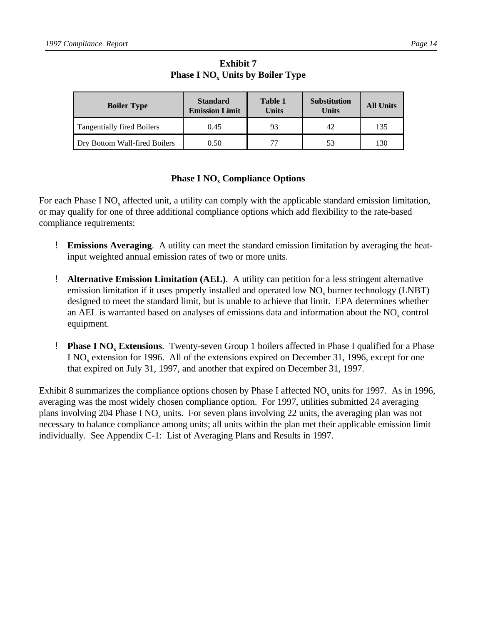| <b>Boiler Type</b>                | <b>Standard</b><br><b>Emission Limit</b> | Table 1<br><b>Units</b> | <b>Substitution</b><br><b>Units</b> | <b>All Units</b> |
|-----------------------------------|------------------------------------------|-------------------------|-------------------------------------|------------------|
| <b>Tangentially fired Boilers</b> | 0.45                                     | 93                      | 42                                  | 135              |
| Dry Bottom Wall-fired Boilers     | 0.50                                     |                         | 53                                  | 130              |

**Exhibit 7 Phase I NO<sup>x</sup> Units by Boiler Type**

## **Phase I NO<sup>x</sup> Compliance Options**

For each Phase I  $NO<sub>x</sub>$  affected unit, a utility can comply with the applicable standard emission limitation, or may qualify for one of three additional compliance options which add flexibility to the rate-based compliance requirements:

- ! **Emissions Averaging**. A utility can meet the standard emission limitation by averaging the heatinput weighted annual emission rates of two or more units.
- ! **Alternative Emission Limitation (AEL)**. A utility can petition for a less stringent alternative emission limitation if it uses properly installed and operated low  $NO_x$  burner technology (LNBT) designed to meet the standard limit, but is unable to achieve that limit. EPA determines whether an AEL is warranted based on analyses of emissions data and information about the  $NO<sub>x</sub>$  control equipment.
- **Phase I NO<sub>x</sub>** Extensions. Twenty-seven Group 1 boilers affected in Phase I qualified for a Phase I NO<sub>x</sub> extension for 1996. All of the extensions expired on December 31, 1996, except for one that expired on July 31, 1997, and another that expired on December 31, 1997.

Exhibit 8 summarizes the compliance options chosen by Phase I affected  $NO_x$  units for 1997. As in 1996, averaging was the most widely chosen compliance option. For 1997, utilities submitted 24 averaging plans involving 204 Phase I NO<sub>x</sub> units. For seven plans involving 22 units, the averaging plan was not necessary to balance compliance among units; all units within the plan met their applicable emission limit individually. See Appendix C-1: List of Averaging Plans and Results in 1997.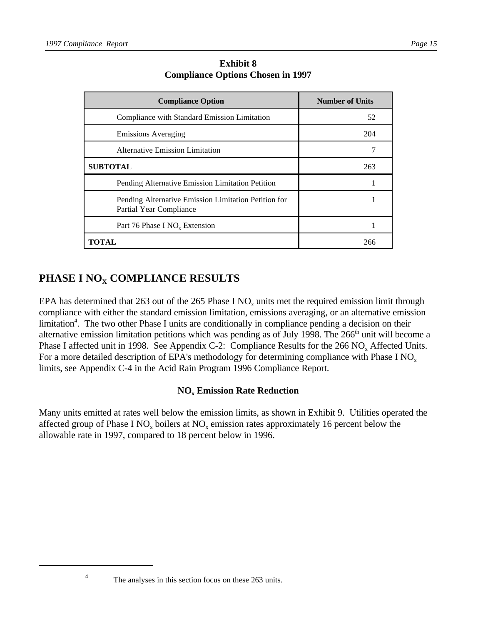| <b>Compliance Option</b>                                                        | <b>Number of Units</b> |
|---------------------------------------------------------------------------------|------------------------|
| Compliance with Standard Emission Limitation                                    | 52                     |
| <b>Emissions Averaging</b>                                                      | 204                    |
| Alternative Emission Limitation                                                 |                        |
| <b>SUBTOTAL</b>                                                                 | 263                    |
| Pending Alternative Emission Limitation Petition                                |                        |
| Pending Alternative Emission Limitation Petition for<br>Partial Year Compliance |                        |
| Part 76 Phase I NO <sub>v</sub> Extension                                       |                        |
| TOTAL                                                                           | 266                    |

**Exhibit 8 Compliance Options Chosen in 1997**

# **PHASE I NOX COMPLIANCE RESULTS**

EPA has determined that 263 out of the 265 Phase I NO<sub>x</sub> units met the required emission limit through compliance with either the standard emission limitation, emissions averaging, or an alternative emission limitation<sup>4</sup>. The two other Phase I units are conditionally in compliance pending a decision on their alternative emission limitation petitions which was pending as of July 1998. The 266<sup>th</sup> unit will become a Phase I affected unit in 1998. See Appendix C-2: Compliance Results for the  $266 \text{ NO}_x$  Affected Units. For a more detailed description of EPA's methodology for determining compliance with Phase I NO<sub>x</sub> limits, see Appendix C-4 in the Acid Rain Program 1996 Compliance Report.

# **NO<sup>x</sup> Emission Rate Reduction**

Many units emitted at rates well below the emission limits, as shown in Exhibit 9. Utilities operated the affected group of Phase I NO<sub>x</sub> boilers at NO<sub>x</sub> emission rates approximately 16 percent below the allowable rate in 1997, compared to 18 percent below in 1996.

4

The analyses in this section focus on these 263 units.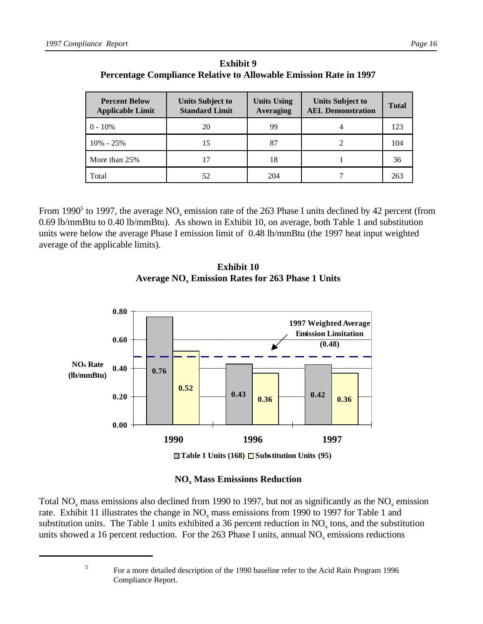| <b>Percent Below</b><br><b>Applicable Limit</b> | <b>Units Subject to</b><br><b>Standard Limit</b> | <b>Units Using</b><br><b>Averaging</b> | <b>Units Subject to</b><br><b>AEL Demonstration</b> | <b>Total</b> |
|-------------------------------------------------|--------------------------------------------------|----------------------------------------|-----------------------------------------------------|--------------|
| $0 - 10\%$                                      | 20                                               | 99                                     |                                                     | 123          |
| $10\% - 25\%$                                   | 15                                               | 87                                     |                                                     | 104          |
| More than 25%                                   |                                                  | 18                                     |                                                     | 36           |
| Total                                           | 52                                               | 204                                    |                                                     | 263          |

**Exhibit 9 Percentage Compliance Relative to Allowable Emission Rate in 1997**

From 1990<sup>5</sup> to 1997, the average  $NO_x$  emission rate of the 263 Phase I units declined by 42 percent (from 0.69 lb/mmBtu to 0.40 lb/mmBtu). As shown in Exhibit 10, on average, both Table 1 and substitution units were below the average Phase I emission limit of 0.48 lb/mmBtu (the 1997 heat input weighted average of the applicable limits).





# **NO<sup>x</sup> Mass Emissions Reduction**

Total NO<sub>x</sub> mass emissions also declined from 1990 to 1997, but not as significantly as the NO<sub>x</sub> emission rate. Exhibit 11 illustrates the change in  $NO_x$  mass emissions from 1990 to 1997 for Table 1 and substitution units. The Table 1 units exhibited a 36 percent reduction in  $NO<sub>x</sub>$  tons, and the substitution units showed a 16 percent reduction. For the 263 Phase I units, annual  $NO<sub>x</sub>$  emissions reductions

5

For a more detailed description of the 1990 baseline refer to the Acid Rain Program 1996 Compliance Report.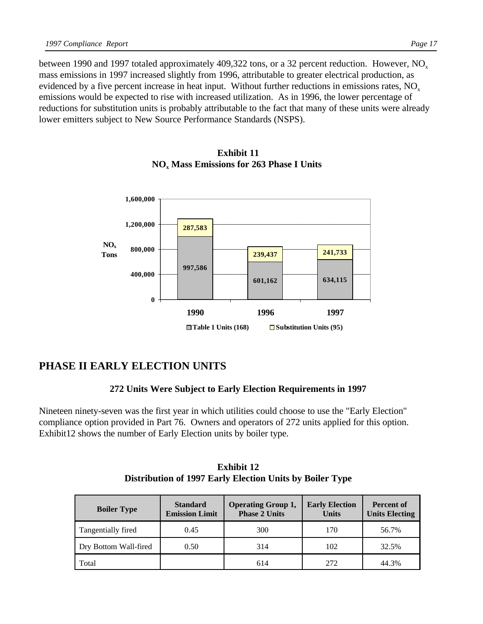between 1990 and 1997 totaled approximately 409,322 tons, or a 32 percent reduction. However,  $NO<sub>x</sub>$ mass emissions in 1997 increased slightly from 1996, attributable to greater electrical production, as evidenced by a five percent increase in heat input. Without further reductions in emissions rates,  $NO<sub>x</sub>$ emissions would be expected to rise with increased utilization. As in 1996, the lower percentage of reductions for substitution units is probably attributable to the fact that many of these units were already lower emitters subject to New Source Performance Standards (NSPS).



#### **Exhibit 11 NO<sup>x</sup> Mass Emissions for 263 Phase I Units**

# **PHASE II EARLY ELECTION UNITS**

#### **272 Units Were Subject to Early Election Requirements in 1997**

Nineteen ninety-seven was the first year in which utilities could choose to use the "Early Election" compliance option provided in Part 76. Owners and operators of 272 units applied for this option. Exhibit12 shows the number of Early Election units by boiler type.

| <b>Boiler Type</b>    | <b>Standard</b><br><b>Emission Limit</b> | <b>Operating Group 1,</b><br><b>Phase 2 Units</b> | <b>Early Election</b><br><b>Units</b> | <b>Percent of</b><br><b>Units Electing</b> |
|-----------------------|------------------------------------------|---------------------------------------------------|---------------------------------------|--------------------------------------------|
| Tangentially fired    | 0.45                                     | 300                                               | 170                                   | 56.7%                                      |
| Dry Bottom Wall-fired | 0.50                                     | 314                                               | 102                                   | 32.5%                                      |
| Total                 |                                          | 614                                               | 272                                   | 44.3%                                      |

**Exhibit 12 Distribution of 1997 Early Election Units by Boiler Type**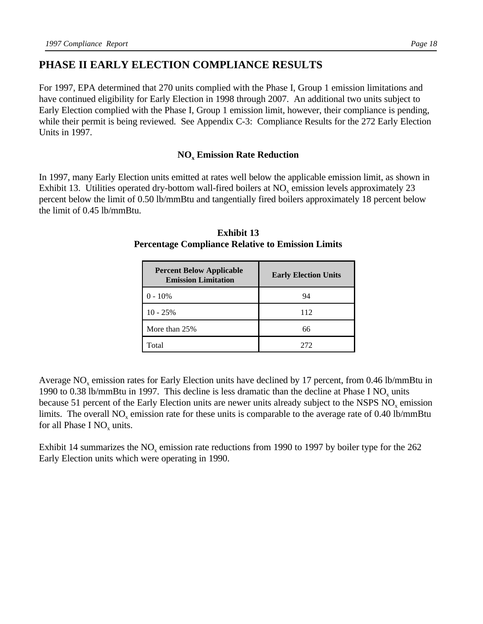# **PHASE II EARLY ELECTION COMPLIANCE RESULTS**

For 1997, EPA determined that 270 units complied with the Phase I, Group 1 emission limitations and have continued eligibility for Early Election in 1998 through 2007. An additional two units subject to Early Election complied with the Phase I, Group 1 emission limit, however, their compliance is pending, while their permit is being reviewed. See Appendix C-3: Compliance Results for the 272 Early Election Units in 1997.

## **NO<sup>x</sup> Emission Rate Reduction**

In 1997, many Early Election units emitted at rates well below the applicable emission limit, as shown in Exhibit 13. Utilities operated dry-bottom wall-fired boilers at  $NO<sub>x</sub>$  emission levels approximately 23 percent below the limit of 0.50 lb/mmBtu and tangentially fired boilers approximately 18 percent below the limit of 0.45 lb/mmBtu.

| <b>Percent Below Applicable</b><br><b>Emission Limitation</b> | <b>Early Election Units</b> |
|---------------------------------------------------------------|-----------------------------|
| $0 - 10\%$                                                    | 94                          |
| $10 - 25%$                                                    | 112                         |
| More than 25%                                                 | 66                          |
| Total                                                         | 272                         |

**Exhibit 13 Percentage Compliance Relative to Emission Limits**

Average NO<sub>x</sub> emission rates for Early Election units have declined by 17 percent, from 0.46 lb/mmBtu in 1990 to 0.38 lb/mmBtu in 1997. This decline is less dramatic than the decline at Phase I NO<sub>x</sub> units because 51 percent of the Early Election units are newer units already subject to the NSPS  $NO<sub>x</sub>$  emission limits. The overall  $NO<sub>x</sub>$  emission rate for these units is comparable to the average rate of 0.40 lb/mmBtu for all Phase I  $NO_x$  units.

Exhibit 14 summarizes the  $NO<sub>x</sub>$  emission rate reductions from 1990 to 1997 by boiler type for the 262 Early Election units which were operating in 1990.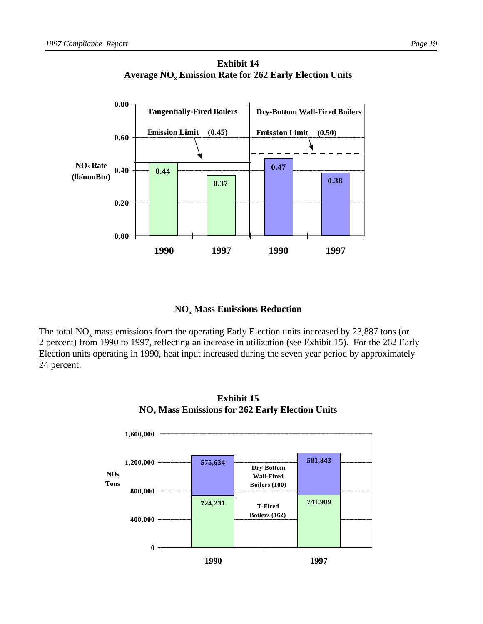



## **NO<sup>x</sup> Mass Emissions Reduction**

The total  $NO<sub>x</sub>$  mass emissions from the operating Early Election units increased by 23,887 tons (or 2 percent) from 1990 to 1997, reflecting an increase in utilization (see Exhibit 15). For the 262 Early Election units operating in 1990, heat input increased during the seven year period by approximately 24 percent.



**Exhibit 15 NO<sup>x</sup> Mass Emissions for 262 Early Election Units**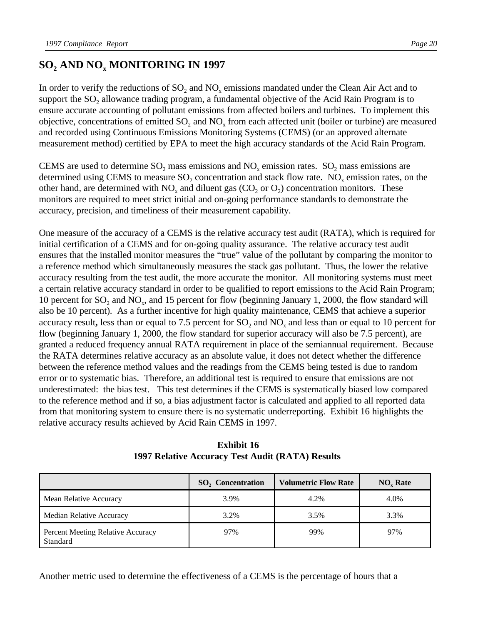# **SO<sup>2</sup> AND NO<sup>x</sup> MONITORING IN 1997**

In order to verify the reductions of  $SO_2$  and  $NO_x$  emissions mandated under the Clean Air Act and to support the  $SO_2$  allowance trading program, a fundamental objective of the Acid Rain Program is to ensure accurate accounting of pollutant emissions from affected boilers and turbines. To implement this objective, concentrations of emitted  $SO_2$  and  $NO_x$  from each affected unit (boiler or turbine) are measured and recorded using Continuous Emissions Monitoring Systems (CEMS) (or an approved alternate measurement method) certified by EPA to meet the high accuracy standards of the Acid Rain Program.

CEMS are used to determine  $SO_2$  mass emissions and  $NO_x$  emission rates.  $SO_2$  mass emissions are determined using CEMS to measure  $SO_2$  concentration and stack flow rate. NO<sub>x</sub> emission rates, on the other hand, are determined with  $NO_x$  and diluent gas ( $CO_2$  or  $O_2$ ) concentration monitors. These monitors are required to meet strict initial and on-going performance standards to demonstrate the accuracy, precision, and timeliness of their measurement capability.

One measure of the accuracy of a CEMS is the relative accuracy test audit (RATA), which is required for initial certification of a CEMS and for on-going quality assurance. The relative accuracy test audit ensures that the installed monitor measures the "true" value of the pollutant by comparing the monitor to a reference method which simultaneously measures the stack gas pollutant. Thus, the lower the relative accuracy resulting from the test audit, the more accurate the monitor. All monitoring systems must meet a certain relative accuracy standard in order to be qualified to report emissions to the Acid Rain Program; 10 percent for  $SO_2$  and  $NO_x$ , and 15 percent for flow (beginning January 1, 2000, the flow standard will also be 10 percent). As a further incentive for high quality maintenance, CEMS that achieve a superior accuracy result, less than or equal to 7.5 percent for  $SO_2$  and  $NO_x$  and less than or equal to 10 percent for flow (beginning January 1, 2000, the flow standard for superior accuracy will also be 7.5 percent), are granted a reduced frequency annual RATA requirement in place of the semiannual requirement. Because the RATA determines relative accuracy as an absolute value, it does not detect whether the difference between the reference method values and the readings from the CEMS being tested is due to random error or to systematic bias. Therefore, an additional test is required to ensure that emissions are not underestimated: the bias test. This test determines if the CEMS is systematically biased low compared to the reference method and if so, a bias adjustment factor is calculated and applied to all reported data from that monitoring system to ensure there is no systematic underreporting. Exhibit 16 highlights the relative accuracy results achieved by Acid Rain CEMS in 1997.

**Exhibit 16 1997 Relative Accuracy Test Audit (RATA) Results**

|                                               | $SO2$ Concentration | <b>Volumetric Flow Rate</b> | $NOx$ Rate |
|-----------------------------------------------|---------------------|-----------------------------|------------|
| Mean Relative Accuracy                        | 3.9%                | 4.2%                        | 4.0%       |
| Median Relative Accuracy                      | 3.2%                | 3.5%                        | 3.3%       |
| Percent Meeting Relative Accuracy<br>Standard | 97%                 | 99%                         | 97%        |

Another metric used to determine the effectiveness of a CEMS is the percentage of hours that a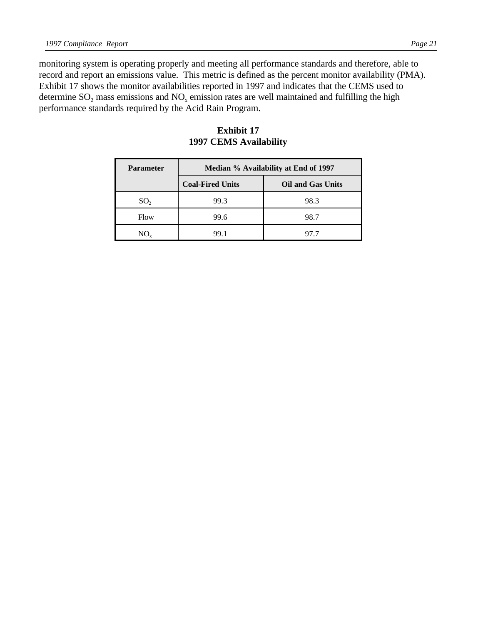monitoring system is operating properly and meeting all performance standards and therefore, able to record and report an emissions value. This metric is defined as the percent monitor availability (PMA). Exhibit 17 shows the monitor availabilities reported in 1997 and indicates that the CEMS used to determine  $SO_2$  mass emissions and  $NO_x$  emission rates are well maintained and fulfilling the high performance standards required by the Acid Rain Program.

| <b>Parameter</b> | Median % Availability at End of 1997 |                          |  |
|------------------|--------------------------------------|--------------------------|--|
|                  | <b>Coal-Fired Units</b>              | <b>Oil and Gas Units</b> |  |
| SO <sub>2</sub>  | 99.3                                 | 98.3                     |  |
| Flow             | 99.6                                 | 98.7                     |  |
| NO.              | 99 I                                 | 97.7                     |  |

#### **Exhibit 17 1997 CEMS Availability**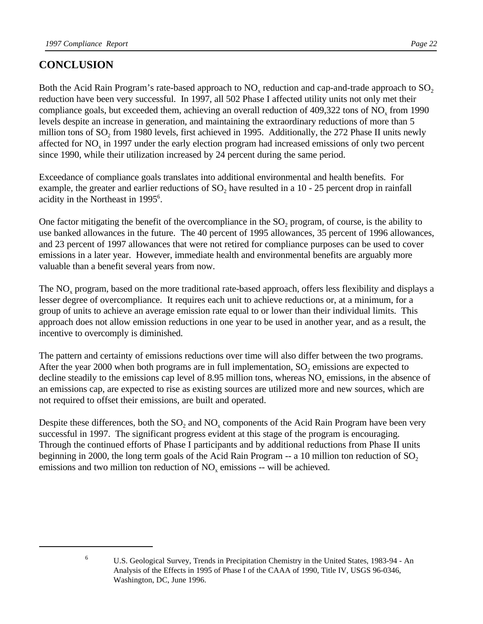# **CONCLUSION**

Both the Acid Rain Program's rate-based approach to  $NO_x$  reduction and cap-and-trade approach to  $SO_2$ reduction have been very successful. In 1997, all 502 Phase I affected utility units not only met their compliance goals, but exceeded them, achieving an overall reduction of  $409,322$  tons of  $NO<sub>x</sub>$  from 1990 levels despite an increase in generation, and maintaining the extraordinary reductions of more than 5 million tons of  $SO_2$  from 1980 levels, first achieved in 1995. Additionally, the 272 Phase II units newly affected for  $NO<sub>x</sub>$  in 1997 under the early election program had increased emissions of only two percent since 1990, while their utilization increased by 24 percent during the same period.

Exceedance of compliance goals translates into additional environmental and health benefits. For example, the greater and earlier reductions of  $SO_2$  have resulted in a 10 - 25 percent drop in rainfall acidity in the Northeast in 1995<sup>6</sup>.

One factor mitigating the benefit of the overcompliance in the  $SO_2$  program, of course, is the ability to use banked allowances in the future. The 40 percent of 1995 allowances, 35 percent of 1996 allowances, and 23 percent of 1997 allowances that were not retired for compliance purposes can be used to cover emissions in a later year. However, immediate health and environmental benefits are arguably more valuable than a benefit several years from now.

The  $NO<sub>x</sub>$  program, based on the more traditional rate-based approach, offers less flexibility and displays a lesser degree of overcompliance. It requires each unit to achieve reductions or, at a minimum, for a group of units to achieve an average emission rate equal to or lower than their individual limits. This approach does not allow emission reductions in one year to be used in another year, and as a result, the incentive to overcomply is diminished.

The pattern and certainty of emissions reductions over time will also differ between the two programs. After the year 2000 when both programs are in full implementation,  $SO_2$  emissions are expected to decline steadily to the emissions cap level of 8.95 million tons, whereas  $NO<sub>x</sub>$  emissions, in the absence of an emissions cap, are expected to rise as existing sources are utilized more and new sources, which are not required to offset their emissions, are built and operated.

Despite these differences, both the  $SO_2$  and  $NO_x$  components of the Acid Rain Program have been very successful in 1997. The significant progress evident at this stage of the program is encouraging. Through the continued efforts of Phase I participants and by additional reductions from Phase II units beginning in 2000, the long term goals of the Acid Rain Program  $-$  a 10 million ton reduction of  $SO<sub>2</sub>$ emissions and two million ton reduction of  $NO_x$  emissions -- will be achieved.

<sup>6</sup> U.S. Geological Survey, Trends in Precipitation Chemistry in the United States, 1983-94 - An Analysis of the Effects in 1995 of Phase I of the CAAA of 1990, Title IV, USGS 96-0346, Washington, DC, June 1996.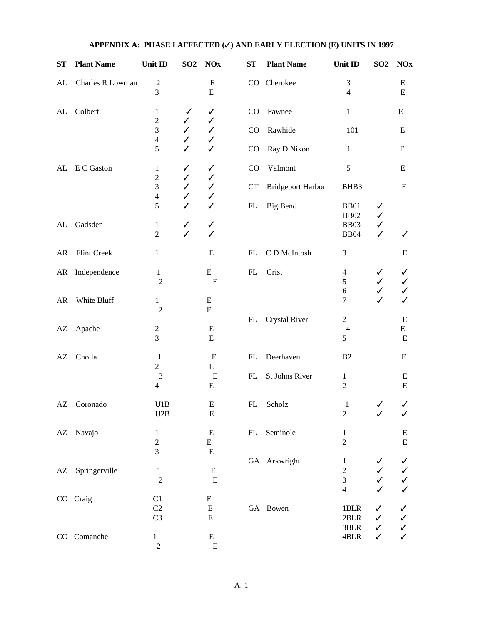| $S_{\mathbf{T}}$ | <b>Plant Name</b> | Unit ID                                      | $\underline{SO2}$                 | $NOx$                       | $S_{\mathbf{T}}$ | <b>Plant Name</b>        | Unit ID                                                                 | $\underline{SO2}$            | $\overline{\text{N0x}}$                                                               |
|------------------|-------------------|----------------------------------------------|-----------------------------------|-----------------------------|------------------|--------------------------|-------------------------------------------------------------------------|------------------------------|---------------------------------------------------------------------------------------|
| AL               | Charles R Lowman  | $\overline{\mathbf{c}}$<br>3                 |                                   | E<br>${\bf E}$              | $\rm CO$         | Cherokee                 | $\mathfrak 3$<br>$\overline{4}$                                         |                              | E<br>${\bf E}$                                                                        |
| ${\rm AL}$       | Colbert           | 1<br>$\sqrt{2}$                              | $\checkmark$                      | $\checkmark$                | CO               | Pawnee                   | $\mathbf{1}$                                                            |                              | E                                                                                     |
|                  |                   | 3<br>$\overline{\mathbf{4}}$                 | ✓<br>$\checkmark$<br>$\checkmark$ | ✓<br>$\checkmark$<br>✓      | CO               | Rawhide                  | 101                                                                     |                              | E                                                                                     |
|                  |                   | 5                                            | $\checkmark$                      | $\checkmark$                | CO               | Ray D Nixon              | $\mathbf{1}$                                                            |                              | E                                                                                     |
| AL               | E C Gaston        | $\mathbf{1}$<br>$\mathbf{2}$                 | $\checkmark$<br>$\checkmark$      | $\checkmark$<br>✓           | CO               | Valmont                  | $\sqrt{5}$                                                              |                              | ${\bf E}$                                                                             |
|                  |                   | 3<br>$\overline{\mathbf{4}}$                 | $\checkmark$<br>$\checkmark$      | $\checkmark$<br>✓           | <b>CT</b>        | <b>Bridgeport Harbor</b> | BHB3                                                                    |                              | E                                                                                     |
|                  |                   | 5                                            | $\checkmark$                      | $\checkmark$                | FL               | <b>Big Bend</b>          | <b>BB01</b><br><b>BB02</b>                                              | ✓<br>$\checkmark$            |                                                                                       |
| AL               | Gadsden           | $\mathbf{1}$<br>$\overline{2}$               | $\checkmark$<br>$\checkmark$      | $\checkmark$<br>✓           |                  |                          | <b>BB03</b><br><b>BB04</b>                                              | $\checkmark$<br>$\checkmark$ | ✓                                                                                     |
| AR               | Flint Creek       | 1                                            |                                   | ${\bf E}$                   | FL               | C D McIntosh             | $\mathfrak{Z}$                                                          |                              | Ε                                                                                     |
| AR               | Independence      | $\,1\,$<br>$\overline{c}$                    |                                   | ${\bf E}$<br>${\bf E}$      | FL               | Crist                    | 4<br>5<br>6                                                             | ✓<br>✓<br>$\checkmark$       | ✓<br>✓<br>✓                                                                           |
| AR               | White Bluff       | $\mathbf{1}$<br>$\overline{2}$               |                                   | E<br>${\bf E}$              |                  |                          | $\tau$                                                                  | ✓                            | ✓                                                                                     |
| AZ               | Apache            | $\sqrt{2}$<br>3                              |                                   | ${\bf E}$<br>E              | FL               | Crystal River            | $\overline{c}$<br>$\overline{4}$<br>5                                   |                              | E<br>E<br>E                                                                           |
| AZ               | Cholla            | $\mathbf{1}$                                 |                                   | E                           | FL               | Deerhaven                | B <sub>2</sub>                                                          |                              | E                                                                                     |
|                  |                   | $\overline{c}$<br>3<br>4                     |                                   | E<br>${\bf E}$<br>E         | FL               | St Johns River           | $\mathbf{1}$<br>$\overline{2}$                                          |                              | E<br>${\bf E}$                                                                        |
| AZ               | Coronado          | U1B<br>U2B                                   |                                   | E<br>${\bf E}$              | FL               | Scholz                   | $\mathbf{1}$<br>$\boldsymbol{2}$                                        | ✓                            | ✓<br>$\checkmark$                                                                     |
|                  | AZ Navajo         | $\mathbf{1}$<br>$\sqrt{2}$<br>$\overline{3}$ |                                   | ${\bf E}$<br>E<br>${\bf E}$ | FL               | Seminole                 | $\mathbf{1}$<br>$\sqrt{2}$                                              |                              | E<br>${\bf E}$                                                                        |
| AZ               | Springerville     | $\mathbf{1}$<br>$\overline{c}$               |                                   | ${\bf E}$<br>$\mathbf E$    |                  | GA Arkwright             | $\mathbf{1}$<br>$\sqrt{2}$<br>$\overline{\mathbf{3}}$<br>$\overline{4}$ |                              | $\checkmark$<br>$\checkmark$<br>$\checkmark$                                          |
|                  | CO Craig          | C1<br>C <sub>2</sub><br>C <sub>3</sub>       |                                   | E<br>${\bf E}$<br>${\bf E}$ |                  | GA Bowen                 | $1{\rm BLR}$<br>$2{\rm BLR}$<br>3BLR                                    | ✓<br>✓                       | $\checkmark$<br>$\begin{array}{c} \checkmark \\ \checkmark \\ \checkmark \end{array}$ |
|                  | CO Comanche       | $\mathbf{1}$<br>$\overline{c}$               |                                   | ${\bf E}$<br>${\bf E}$      |                  |                          | 4BLR                                                                    | ✓<br>✓                       |                                                                                       |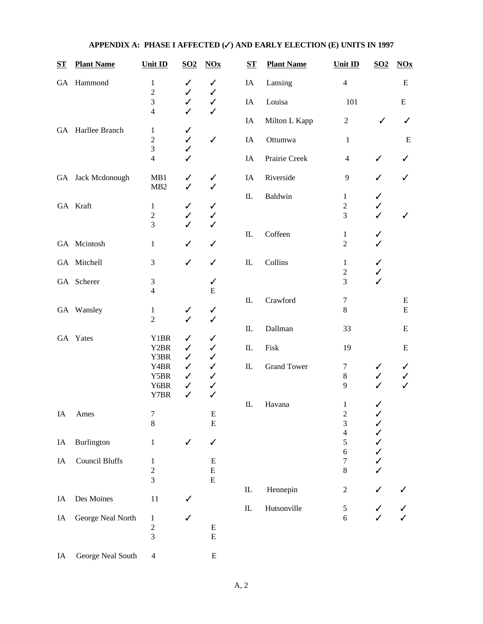| $S_{\mathbf{T}}$ | <b>Plant Name</b>     | Unit ID                                   | $\underline{SO2}$ | $NOx$             | $S_{1}$                         | <b>Plant Name</b>  | Unit ID                  | $\underline{SO2}$ | $\underline{NOx}$ |
|------------------|-----------------------|-------------------------------------------|-------------------|-------------------|---------------------------------|--------------------|--------------------------|-------------------|-------------------|
|                  | GA Hammond            | $\mathbf{1}$                              | ✓                 | ✓                 | IA                              | Lansing            | $\overline{4}$           |                   | ${\bf E}$         |
|                  |                       | $\overline{c}$                            | ✓                 | ✓                 |                                 |                    |                          |                   |                   |
|                  |                       | $\overline{\mathbf{3}}$<br>$\overline{4}$ | ✓<br>✓            | $\checkmark$<br>✓ | IA                              | Louisa             | 101                      |                   | E                 |
|                  |                       |                                           |                   |                   | IA                              | Milton L Kapp      | $\overline{c}$           | ✓                 | ✓                 |
|                  | GA Harllee Branch     | 1                                         | ✓                 |                   |                                 |                    |                          |                   |                   |
|                  |                       | $\overline{c}$                            | ✓                 | $\checkmark$      | IA                              | Ottumwa            | $\mathbf{1}$             |                   | E                 |
|                  |                       | $\overline{3}$                            | ✓                 |                   |                                 |                    |                          |                   |                   |
|                  |                       | $\overline{4}$                            |                   |                   | IA                              | Prairie Creek      | $\overline{4}$           | $\checkmark$      | ✓                 |
|                  | GA Jack Mcdonough     | MB1                                       | ✓                 | ✓                 | IA                              | Riverside          | 9                        | ✓                 | ✓                 |
|                  |                       | MB2                                       | ✓                 | ✓                 |                                 |                    |                          |                   |                   |
|                  |                       |                                           |                   |                   | $\mathbf{I}$                    | Baldwin            | $\mathbf{1}$             | ✓                 |                   |
|                  | GA Kraft              | $\mathbf{1}$                              | ✓                 | ✓                 |                                 |                    | $\overline{c}$           | ✓                 |                   |
|                  |                       | $\boldsymbol{2}$                          | ✓                 | ✓                 |                                 |                    | $\overline{3}$           | $\checkmark$      | ✓                 |
|                  |                       | $\overline{3}$                            | ✓                 | ✓                 |                                 |                    |                          |                   |                   |
|                  |                       |                                           |                   |                   | $\mathbf{I}$                    | Coffeen            | $\mathbf{1}$             | ✓                 |                   |
|                  | GA Mcintosh           | $\,1$                                     | ✓                 | $\checkmark$      |                                 |                    | $\overline{2}$           | ✓                 |                   |
|                  | GA Mitchell           | 3                                         | ✓                 | $\checkmark$      | ${\rm IL}$                      | Collins            | $\mathbf{1}$             | ✓                 |                   |
|                  |                       |                                           |                   |                   |                                 |                    | $\overline{c}$           | $\checkmark$      |                   |
|                  | GA Scherer            | $\mathfrak{Z}$                            |                   | $\checkmark$      |                                 |                    | $\overline{3}$           | $\checkmark$      |                   |
|                  |                       | $\overline{4}$                            |                   | ${\bf E}$         |                                 |                    |                          |                   |                   |
|                  |                       |                                           |                   |                   | $\mathop{\mathrm{IL}}\nolimits$ | Crawford           | $\boldsymbol{7}$         |                   | E                 |
|                  | GA Wansley            | $\mathbf{1}$                              | ✓                 | ✓                 |                                 |                    | $8\,$                    |                   | ${\bf E}$         |
|                  |                       | $\overline{c}$                            | $\checkmark$      | ✓                 |                                 |                    |                          |                   |                   |
|                  |                       |                                           |                   |                   | $\mathop{\mathrm{IL}}\nolimits$ | Dallman            | 33                       |                   | ${\bf E}$         |
|                  | GA Yates              | Y1BR                                      | ✓                 | ✓                 |                                 |                    |                          |                   |                   |
|                  |                       | Y2BR                                      | ✓                 | ✓                 | $\mathbf{I}$                    | Fisk               | 19                       |                   | E                 |
|                  |                       | Y3BR                                      | ✓                 | ✓                 |                                 |                    |                          |                   |                   |
|                  |                       | Y4BR                                      | ✓                 | $\checkmark$      | $\mathop{\mathrm{IL}}\nolimits$ | <b>Grand Tower</b> | 7                        | ✓                 | ✓                 |
|                  |                       | Y5BR                                      | ✓                 | $\checkmark$      |                                 |                    | $8\,$                    | ✓                 | ✓                 |
|                  |                       | Y6BR                                      | ✓                 | $\checkmark$      |                                 |                    | 9                        | ✓                 | $\checkmark$      |
|                  |                       | Y7BR                                      | ✓                 | ✓                 |                                 |                    |                          |                   |                   |
|                  |                       |                                           |                   |                   | $\mathbf{I}$                    | Havana             | $\mathbf{1}$             | ✓                 |                   |
| IA               | Ames                  | 7                                         |                   |                   |                                 |                    |                          |                   |                   |
|                  |                       | $8\,$                                     |                   | E<br>${\bf E}$    |                                 |                    | $\overline{c}$<br>3      | ✓                 |                   |
|                  |                       |                                           |                   |                   |                                 |                    | $\overline{\mathcal{L}}$ |                   |                   |
|                  |                       |                                           |                   |                   |                                 |                    |                          | ✓                 |                   |
| IA               | <b>Burlington</b>     | $\mathbf 1$                               | ✓                 | ✓                 |                                 |                    | 5                        | ✓                 |                   |
|                  |                       |                                           |                   |                   |                                 |                    | 6                        | ✓                 |                   |
| IA               | <b>Council Bluffs</b> | $\mathbf{1}$                              |                   | ${\bf E}$         |                                 |                    | $\boldsymbol{7}$         | ✓                 |                   |
|                  |                       | $\overline{c}$<br>$\overline{3}$          |                   | ${\bf E}$         |                                 |                    | $\,8\,$                  |                   |                   |
|                  |                       |                                           |                   | ${\bf E}$         |                                 |                    |                          |                   |                   |
|                  |                       |                                           |                   |                   | $\hbox{I\!L}$                   | Hennepin           | $\sqrt{2}$               | ✓                 |                   |
| IA               | Des Moines            | 11                                        |                   |                   |                                 |                    |                          |                   |                   |
|                  |                       |                                           |                   |                   | $\hbox{I\!L}$                   | Hutsonville        | 5                        | $\checkmark$      |                   |
| IA               | George Neal North     | $\mathbf{1}$                              |                   |                   |                                 |                    | $\sqrt{6}$               |                   |                   |
|                  |                       | $\frac{2}{3}$                             |                   | ${\bf E}$         |                                 |                    |                          |                   |                   |
|                  |                       |                                           |                   | E                 |                                 |                    |                          |                   |                   |
| IA               | George Neal South     | $\overline{4}$                            |                   | E                 |                                 |                    |                          |                   |                   |
|                  |                       |                                           |                   |                   |                                 |                    |                          |                   |                   |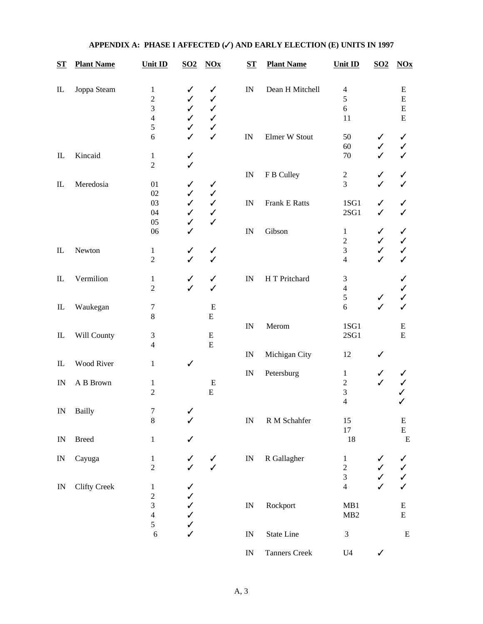| $S_{\mathbf{T}}$           | <b>Plant Name</b>   | <b>Unit ID</b>                                      | $\underline{\mathbf{SO2}}$ | $NOx$                                             | $S_{\mathbf{T}}$         | <b>Plant Name</b>    | <b>Unit ID</b>                                      | S <sub>02</sub>   | $\overline{\text{N0x}}$                          |
|----------------------------|---------------------|-----------------------------------------------------|----------------------------|---------------------------------------------------|--------------------------|----------------------|-----------------------------------------------------|-------------------|--------------------------------------------------|
| $\rm IL$                   | Joppa Steam         | $\mathbf{1}$<br>$\mathbf{2}$<br>$\mathfrak{Z}$<br>4 | ✓<br>✓<br>✓<br>✓           | ✓<br>$\checkmark$<br>$\checkmark$<br>$\checkmark$ | IN                       | Dean H Mitchell      | $\overline{4}$<br>5<br>6<br>11                      |                   | ${\bf E}$<br>${\bf E}$<br>${\bf E}$<br>${\bf E}$ |
|                            |                     | $\sqrt{5}$<br>6                                     | ✓<br>✓                     | $\checkmark$<br>$\checkmark$                      | IN                       | Elmer W Stout        | 50<br>60                                            | ✓<br>✓            | ✓<br>✓                                           |
| $\rm IL$                   | Kincaid             | $\mathbf{1}$<br>$\overline{2}$                      | ✓<br>✓                     |                                                   |                          |                      | 70                                                  | ✓                 | ✓                                                |
| $\mathop{\rm IL}\nolimits$ | Meredosia           | 01<br>02                                            | ✓<br>✓                     | $\checkmark$<br>$\checkmark$                      | $\ensuremath{\text{IN}}$ | F B Culley           | $\boldsymbol{2}$<br>3                               | ✓                 | ✓<br>✓                                           |
|                            |                     | 03<br>04                                            | $\checkmark$<br>✓          | $\checkmark$<br>$\checkmark$                      | $\mathbb{I}\mathcal{N}$  | Frank E Ratts        | 1SG1<br>$2SG1$                                      | ✓<br>✓            | ✓<br>✓                                           |
|                            |                     | 05<br>06                                            | ✓<br>✓                     | $\checkmark$                                      | IN                       | Gibson               | $\mathbf{1}$<br>$\boldsymbol{2}$                    | ✓<br>✓            | ✓<br>✓                                           |
| $\hbox{I\!L}$              | Newton              | $\mathbf{1}$<br>$\overline{2}$                      | ✓<br>✓                     | ✓<br>$\checkmark$                                 |                          |                      | 3<br>$\overline{4}$                                 | ✓<br>✓            | ✓<br>✓                                           |
| $\mathop{\rm IL}\nolimits$ | Vermilion           | $\mathbf{1}$<br>$\overline{2}$                      | ✓<br>✓                     | $\checkmark$<br>✓                                 | $\mathbb{I}\mathcal{N}$  | H T Pritchard        | 3<br>$\overline{\mathcal{L}}$<br>$\mathfrak s$      | ✓                 | ✓<br>✓<br>✓                                      |
| $\hbox{I\!L}$              | Waukegan            | 7<br>8                                              |                            | ${\bf E}$<br>${\bf E}$                            |                          |                      | 6                                                   | ✓                 | ✓                                                |
| $\rm IL$                   | Will County         | $\mathfrak 3$<br>$\overline{\mathcal{L}}$           |                            | ${\bf E}$<br>${\bf E}$                            | IN                       | Merom                | 1SG1<br>2SG1                                        |                   | E<br>${\bf E}$                                   |
| $\rm IL$                   | Wood River          | $\mathbf{1}$                                        | ✓                          |                                                   | IN                       | Michigan City        | 12                                                  | ✓                 |                                                  |
| IN                         | A B Brown           | $\mathbf{1}$<br>$\overline{2}$                      |                            | ${\bf E}$<br>${\bf E}$                            | IN                       | Petersburg           | $\mathbf{1}$<br>$\mathbf{2}$<br>$\mathfrak{Z}$<br>4 | ✓<br>✓            | ✓                                                |
| IN                         | Bailly              | 7<br>$\,8\,$                                        | ✓<br>✓                     |                                                   | $\ensuremath{\text{IN}}$ | R M Schahfer         | 15<br>$17\,$                                        |                   | ${\bf E}$<br>E                                   |
| IN                         | <b>Breed</b>        | $\mathbf{1}$                                        | ✓                          |                                                   |                          |                      | 18                                                  |                   | ${\bf E}$                                        |
| IN                         | Cayuga              | $\mathbf{1}$<br>$\overline{2}$                      | ✓                          | $\checkmark$<br>$\checkmark$                      | IN                       | R Gallagher          | $\mathbf{1}$<br>$\overline{c}$<br>3                 | ✓<br>$\checkmark$ | ✓<br>✓<br>✓                                      |
| IN                         | <b>Clifty Creek</b> | $\mathbf{1}$<br>$\overline{c}$                      | ✓<br>✓                     |                                                   |                          |                      | $\overline{4}$                                      |                   | $\checkmark$                                     |
|                            |                     | $\mathfrak{Z}$<br>$\overline{\mathcal{L}}$<br>5     | ✓<br>✓<br>✓                |                                                   | IN                       | Rockport             | MB1<br>MB2                                          |                   | E<br>${\bf E}$                                   |
|                            |                     | 6                                                   | ✓                          |                                                   | IN                       | State Line           | $\ensuremath{\mathfrak{Z}}$                         |                   | ${\bf E}$                                        |
|                            |                     |                                                     |                            |                                                   | $\mathbb{I}\mathcal{N}$  | <b>Tanners Creek</b> | U <sub>4</sub>                                      | ✓                 |                                                  |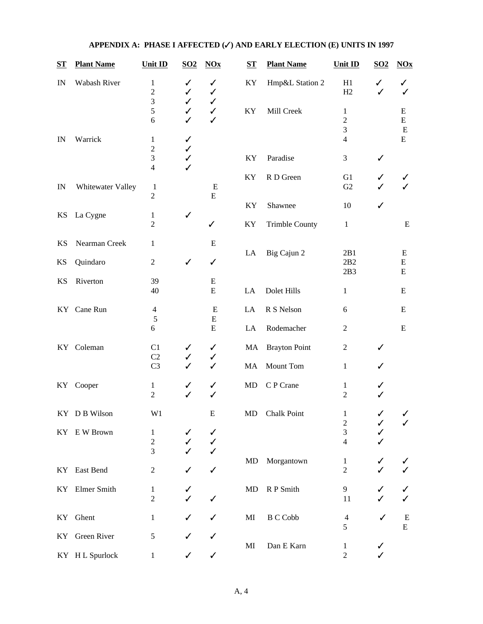| <u>ST</u> | <b>Plant Name</b> | Unit ID                             | SO <sub>2</sub>        | $NOx$                        | $S_{\mathbf{T}}$ | <b>Plant Name</b>     | Unit ID                             | $\underline{SO2}$ | $NOx$                       |
|-----------|-------------------|-------------------------------------|------------------------|------------------------------|------------------|-----------------------|-------------------------------------|-------------------|-----------------------------|
| IN        | Wabash River      | 1<br>$\overline{c}$<br>3            | ✓<br>✓<br>$\checkmark$ | ✓<br>✓<br>✓                  | KY               | Hmp&L Station 2       | H1<br>H2                            | ✓<br>✓            | ✓                           |
|           |                   | 5<br>6                              | ✓<br>✓                 | $\checkmark$<br>$\checkmark$ | KY               | Mill Creek            | 1<br>$\mathbf{2}$<br>$\overline{3}$ |                   | Ε<br>E<br>${\bf E}$         |
| IN        | Warrick           | 1                                   | ✓                      |                              |                  |                       | $\overline{4}$                      |                   | ${\bf E}$                   |
|           |                   | $\mathbf{2}$<br>3<br>$\overline{4}$ | ✓<br>✓<br>✓            |                              | KY               | Paradise              | 3                                   | ✓                 |                             |
| IN        | Whitewater Valley | $\mathbf{1}$                        |                        | E                            | KY               | R D Green             | G1<br>G2                            | ✓                 |                             |
|           |                   | $\overline{2}$                      |                        | ${\bf E}$                    | KY               | Shawnee               | 10                                  | ✓                 |                             |
| KS        | La Cygne          | 1<br>$\overline{2}$                 | ✓                      | $\checkmark$                 | KY               | <b>Trimble County</b> | $\mathbf{1}$                        |                   | E                           |
| <b>KS</b> | Nearman Creek     | $\mathbf{1}$                        |                        | E                            |                  |                       |                                     |                   |                             |
| KS        | Quindaro          | $\mathbf{2}$                        | ✓                      | ✓                            | LA               | Big Cajun 2           | 2B1<br>2B2<br>2B3                   |                   | E<br>${\bf E}$<br>${\bf E}$ |
| <b>KS</b> | Riverton          | 39<br>40                            |                        | E<br>E                       | LA               | Dolet Hills           | $\mathbf{1}$                        |                   | E                           |
|           | KY Cane Run       | $\overline{4}$                      |                        | E                            | LA               | R S Nelson            | 6                                   |                   | E                           |
|           |                   | $\sqrt{5}$<br>6                     |                        | ${\bf E}$<br>${\bf E}$       | LA               | Rodemacher            | $\overline{2}$                      |                   | E                           |
|           | KY Coleman        | C1<br>C2                            | ✓<br>✓                 | ✓<br>✓                       | MA               | <b>Brayton Point</b>  | $\overline{2}$                      |                   |                             |
|           |                   | C <sub>3</sub>                      | ✓                      | $\checkmark$                 | MA               | Mount Tom             | $\mathbf{1}$                        |                   |                             |
| KY        | Cooper            | $\mathbf{1}$<br>$\overline{2}$      | ✓<br>✓                 | ✓<br>✓                       | MD               | C P Crane             | $\mathbf{1}$<br>$\overline{2}$      |                   |                             |
|           | KY DB Wilson      | W1                                  |                        | E                            | MD               | <b>Chalk Point</b>    | $\mathbf{1}$                        | ✓                 | ✓                           |
|           | KY EW Brown       | 1                                   |                        | ✓                            |                  |                       | $\overline{c}$<br>$\overline{3}$    |                   |                             |
|           |                   | $\overline{c}$<br>3                 |                        | ✓<br>✓                       |                  |                       | $\overline{\mathcal{L}}$            |                   |                             |
|           | KY East Bend      | $\mathbf{2}$                        |                        | ✓                            | <b>MD</b>        | Morgantown            | $\mathbf{1}$<br>$\boldsymbol{2}$    |                   |                             |
|           | KY Elmer Smith    | 1                                   |                        |                              | MD               | R P Smith             | $\overline{9}$                      |                   |                             |
|           |                   | $\boldsymbol{2}$                    |                        |                              |                  |                       | 11                                  |                   |                             |
| KY        | Ghent             | $\mathbf{1}$                        |                        |                              | MI               | <b>B</b> C Cobb       | $\overline{4}$<br>5                 | ✓                 | E<br>${\bf E}$              |
| KY        | Green River       | 5                                   |                        |                              | MI               | Dan E Karn            | $\mathbf{1}$                        |                   |                             |
|           | KY H L Spurlock   | $\mathbf{1}$                        | ✓                      | $\checkmark$                 |                  |                       | $\overline{2}$                      |                   |                             |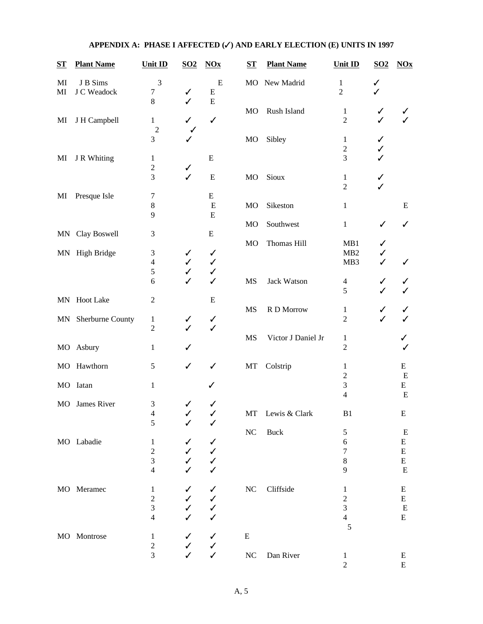| ST       | <b>Plant Name</b>       | Unit ID                            | $\underline{SO2}$ | $NOx$                          | $S_{\mathbf{T}}$ | <b>Plant Name</b>  | Unit ID                        | $\underline{SO2}$ | $NOx$          |
|----------|-------------------------|------------------------------------|-------------------|--------------------------------|------------------|--------------------|--------------------------------|-------------------|----------------|
| MI<br>MI | J B Sims<br>J C Weadock | $\mathfrak{Z}$<br>$\boldsymbol{7}$ | ✓                 | ${\bf E}$<br>${\bf E}$         | <b>MO</b>        | New Madrid         | $\,1\,$<br>$\overline{2}$      | ✓                 |                |
| MI       | J H Campbell            | $\,8\,$<br>$\mathbf{1}$            | $\checkmark$      | $\overline{E}$<br>$\checkmark$ | MO               | Rush Island        | $\mathbf{1}$<br>$\overline{2}$ | ✓<br>$\checkmark$ | ✓              |
|          |                         | $\overline{2}$<br>3                |                   |                                | MO               | Sibley             | $\mathbf{1}$<br>$\sqrt{2}$     | ✓                 |                |
| MI       | J R Whiting             | $\mathbf{1}$<br>$\sqrt{2}$         | ✓                 | ${\bf E}$                      |                  |                    | 3                              |                   |                |
|          |                         | 3                                  | $\checkmark$      | ${\bf E}$                      | MO               | Sioux              | $\mathbf{1}$<br>$\overline{2}$ | ✓                 |                |
| MI       | Presque Isle            | $\boldsymbol{7}$                   |                   | ${\bf E}$                      |                  |                    |                                |                   |                |
|          |                         | $\bf 8$                            |                   | $\mathbf E$                    | <b>MO</b>        | Sikeston           | $\,1$                          |                   | E              |
|          |                         | 9                                  |                   | E                              |                  |                    |                                |                   |                |
|          |                         | $\mathfrak{Z}$                     |                   | ${\bf E}$                      | <b>MO</b>        | Southwest          | $\,1$                          | ✓                 | ✓              |
|          | MN Clay Boswell         |                                    |                   |                                | <b>MO</b>        | Thomas Hill        | MB1                            | ✓                 |                |
|          | MN High Bridge          | $\mathfrak{Z}$                     | ✓                 | $\checkmark$                   |                  |                    | MB <sub>2</sub>                | $\checkmark$      |                |
|          |                         | $\overline{4}$                     | ✓                 | $\checkmark$                   |                  |                    | MB3                            | $\checkmark$      |                |
|          |                         | 5                                  | ✓                 | $\checkmark$                   |                  |                    |                                |                   |                |
|          |                         | 6                                  | J                 | $\checkmark$                   | <b>MS</b>        | Jack Watson        | $\overline{4}$<br>5            |                   | ✓              |
|          | MN Hoot Lake            | $\boldsymbol{2}$                   |                   | E                              |                  |                    |                                |                   |                |
|          |                         |                                    |                   |                                | <b>MS</b>        | R D Morrow         | $\mathbf{1}$                   | ✓                 | ✓              |
| MN       | Sherburne County        | $\mathbf{1}$                       | ✓<br>$\checkmark$ | $\checkmark$<br>$\checkmark$   |                  |                    | $\overline{2}$                 | $\checkmark$      |                |
|          |                         | $\sqrt{2}$                         |                   |                                | <b>MS</b>        | Victor J Daniel Jr | $\mathbf{1}$                   |                   |                |
| MO       | Asbury                  | $\mathbf{1}$                       |                   |                                |                  |                    | $\overline{2}$                 |                   |                |
| MO       | Hawthorn                | $\mathfrak{S}$                     | ✓                 | ✓                              | MT               | Colstrip           | 1<br>$\overline{2}$            |                   | E<br>E         |
| MO       | Iatan                   | $\mathbf{1}$                       |                   |                                |                  |                    | 3                              |                   | E              |
|          |                         |                                    |                   |                                |                  |                    | $\overline{4}$                 |                   | E              |
| MO       | James River             | $\mathfrak 3$                      |                   |                                |                  |                    |                                |                   |                |
|          |                         | $\overline{\mathcal{L}}$           |                   | ✓                              | $\rm{MT}$        | Lewis & Clark      | B1                             |                   | E              |
|          |                         | 5                                  |                   |                                |                  |                    |                                |                   |                |
|          | MO Labadie              |                                    |                   |                                | $\rm NC$         | Buck               | 5                              |                   | E              |
|          |                         | $\mathbf{1}$<br>$\overline{c}$     |                   | $\checkmark$<br>$\checkmark$   |                  |                    | 6<br>$\boldsymbol{7}$          |                   | E<br>${\bf E}$ |
|          |                         | 3                                  |                   | $\checkmark$                   |                  |                    | $\,$ 8 $\,$                    |                   | ${\bf E}$      |
|          |                         | $\overline{4}$                     |                   | ✓                              |                  |                    | 9                              |                   | ${\bf E}$      |
|          |                         |                                    |                   |                                |                  |                    |                                |                   |                |
|          | MO Meramec              | $\mathbf{1}$                       |                   | $\checkmark$                   | $\rm NC$         | Cliffside          | $\mathbf{1}$                   |                   | ${\bf E}$      |
|          |                         | $\overline{c}$                     |                   | $\checkmark$                   |                  |                    | $\overline{c}$                 |                   | E              |
|          |                         | 3                                  |                   | $\checkmark$                   |                  |                    | 3                              |                   | E              |
|          |                         | $\overline{4}$                     |                   | ✓                              |                  |                    | $\overline{4}$<br>5            |                   | ${\bf E}$      |
|          | MO Montrose             | $\mathbf{1}$                       |                   | $\checkmark$                   | ${\bf E}$        |                    |                                |                   |                |
|          |                         | $\overline{c}$                     |                   | $\checkmark$                   |                  |                    |                                |                   |                |
|          |                         | $\overline{3}$                     |                   | $\checkmark$                   | ${\rm NC}$       | Dan River          | $\mathbf{1}$                   |                   | ${\bf E}$      |
|          |                         |                                    |                   |                                |                  |                    | $\overline{c}$                 |                   | ${\bf E}$      |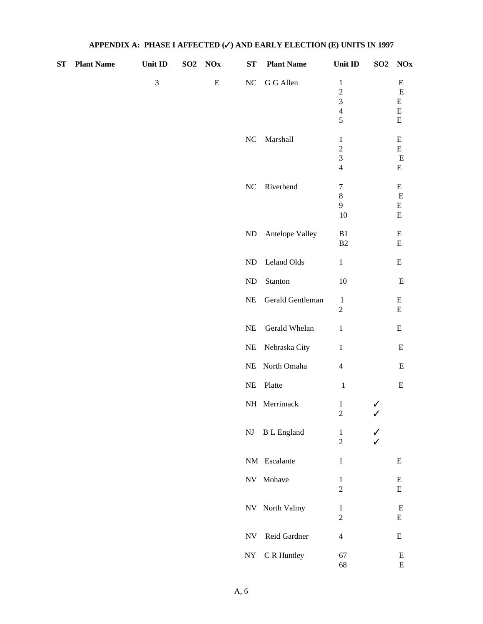| $S_{\rm T}$ | <b>Plant Name</b> | <b>Unit ID</b> | <u>SO2</u> | $NOx$     | $S_{\mathbf{T}}$       | <b>Plant Name</b>  | <b>Unit ID</b>                                                  | $\underline{SO2}$ | $NOx$                                            |
|-------------|-------------------|----------------|------------|-----------|------------------------|--------------------|-----------------------------------------------------------------|-------------------|--------------------------------------------------|
|             |                   | 3              |            | ${\bf E}$ | $\rm NC$               | G G Allen          | $\,1$<br>$\overline{c}$<br>3<br>$\overline{4}$<br>5             |                   | E<br>E<br>${\bf E}$<br>${\bf E}$<br>${\bf E}$    |
|             |                   |                |            |           | $\rm NC$               | Marshall           | $\mathbf{1}$<br>$\overline{c}$<br>3<br>$\overline{\mathcal{L}}$ |                   | ${\bf E}$<br>${\bf E}$<br>${\bf E}$<br>${\bf E}$ |
|             |                   |                |            |           | $\rm NC$               | Riverbend          | $\boldsymbol{7}$<br>$\,8$<br>9<br>10                            |                   | ${\bf E}$<br>${\bf E}$<br>${\bf E}$<br>${\bf E}$ |
|             |                   |                |            |           | $\rm ND$               | Antelope Valley    | ${\bf B1}$<br>B2                                                |                   | ${\bf E}$<br>${\bf E}$                           |
|             |                   |                |            |           | $\rm ND$               | Leland Olds        | $\,1$                                                           |                   | ${\bf E}$                                        |
|             |                   |                |            |           | $\rm ND$               | Stanton            | 10                                                              |                   | ${\bf E}$                                        |
|             |                   |                |            |           | $\rm NE$               | Gerald Gentleman   | $\mathbf{1}$<br>$\mathbf{2}$                                    |                   | ${\bf E}$<br>${\bf E}$                           |
|             |                   |                |            |           | $\rm NE$               | Gerald Whelan      | $\,1$                                                           |                   | ${\bf E}$                                        |
|             |                   |                |            |           | $\rm NE$               | Nebraska City      | $\,1$                                                           |                   | ${\bf E}$                                        |
|             |                   |                |            |           | $\rm NE$               | North Omaha        | $\overline{4}$                                                  |                   | ${\bf E}$                                        |
|             |                   |                |            |           | $\rm NE$               | Platte             | $\,1\,$                                                         |                   | ${\bf E}$                                        |
|             |                   |                |            |           |                        | NH Merrimack       | $\mathbf{1}$<br>$\overline{c}$                                  | ✓<br>$\checkmark$ |                                                  |
|             |                   |                |            |           | $\mathbf{N}\mathbf{J}$ | <b>B</b> L England | $\mathbf{1}$<br>$\overline{c}$                                  | ✓                 |                                                  |
|             |                   |                |            |           |                        | NM Escalante       | $\mathbf{1}$                                                    |                   | ${\bf E}$                                        |
|             |                   |                |            |           |                        | NV Mohave          | $\mathbf{1}$<br>$\overline{c}$                                  |                   | ${\bf E}$<br>${\bf E}$                           |
|             |                   |                |            |           |                        | NV North Valmy     | $\mathbf{1}$<br>$\overline{c}$                                  |                   | E<br>${\bf E}$                                   |
|             |                   |                |            |           | <b>NV</b>              | Reid Gardner       | $\overline{4}$                                                  |                   | ${\bf E}$                                        |
|             |                   |                |            |           | $\bold{NY}$            | C R Huntley        | 67<br>68                                                        |                   | ${\bf E}$<br>${\bf E}$                           |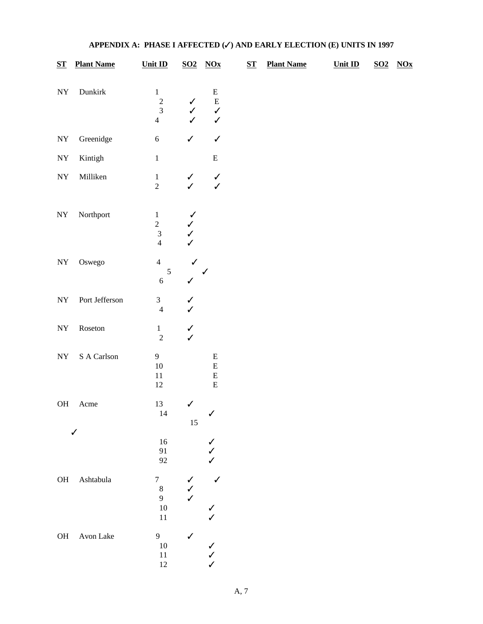| $S_{\mathbf{T}}$ | <b>Plant Name</b>        | Unit ID                                                                 |                                                   | $S$ O2 $N$ Ox                                          | $S_{\mathbf{T}}$ | <b>Plant Name</b> | Unit ID | $\overline{\textbf{SO2}}$ | $\underline{N}$ Ox |
|------------------|--------------------------|-------------------------------------------------------------------------|---------------------------------------------------|--------------------------------------------------------|------------------|-------------------|---------|---------------------------|--------------------|
| ${\rm NY}$       | Dunkirk                  | $\mathbf{1}$<br>$\begin{array}{c} 2 \\ 3 \end{array}$<br>$\overline{4}$ | $\checkmark$<br>$\checkmark$<br>$\checkmark$      | ${\bf E}$<br>${\bf E}$<br>$\checkmark$<br>$\checkmark$ |                  |                   |         |                           |                    |
| ${\rm NY}$       | Greenidge                | $\sqrt{6}$                                                              | $\checkmark$                                      | $\checkmark$                                           |                  |                   |         |                           |                    |
| ${\rm NY}$       | Kintigh                  | $\,1\,$                                                                 |                                                   | ${\bf E}$                                              |                  |                   |         |                           |                    |
| ${\rm NY}$       | Milliken                 | $\,1\,$<br>$\overline{2}$                                               | $\checkmark$                                      | $\checkmark$                                           |                  |                   |         |                           |                    |
| ${\rm NY}$       | Northport                | $\,1\,$<br>$\overline{c}$<br>$\overline{\mathbf{3}}$<br>$\overline{4}$  | $\checkmark$<br>$\checkmark$<br>$\checkmark$<br>✓ |                                                        |                  |                   |         |                           |                    |
| ${\rm NY}$       | Oswego                   | $\overline{4}$<br>$\sqrt{5}$<br>$\sqrt{6}$                              | $\checkmark$<br>$\checkmark$                      | $\checkmark$                                           |                  |                   |         |                           |                    |
| ${\rm NY}$       | Port Jefferson           | $\mathfrak{Z}$<br>$\overline{4}$                                        | $\checkmark$<br>$\checkmark$                      |                                                        |                  |                   |         |                           |                    |
| ${\rm NY}$       | $\operatorname{Roseton}$ | $\mathbf{1}$<br>$\overline{c}$                                          | $\checkmark$                                      |                                                        |                  |                   |         |                           |                    |
| ${\rm NY}$       | $\mathbf S$ A Carlson    | $\overline{9}$<br>$10\,$<br>$11\,$<br>$12\,$                            |                                                   | ${\bf E}$<br>${\bf E}$<br>${\bf E}$<br>${\bf E}$       |                  |                   |         |                           |                    |
| <b>OH</b>        | Acme                     | 13<br>14                                                                | $\checkmark$<br>$15\,$                            | ✓                                                      |                  |                   |         |                           |                    |
|                  | ✓                        | $16\,$<br>91<br>92                                                      |                                                   | $\checkmark$<br>$\checkmark$<br>✓                      |                  |                   |         |                           |                    |
| $\rm OH$         | $\quad$ Ashtabula        | $\boldsymbol{7}$<br>$\,8\,$<br>$\overline{9}$<br>$10\,$<br>$11\,$       | $\checkmark$<br>$\checkmark$                      | $\checkmark$<br>$\checkmark$                           |                  |                   |         |                           |                    |
| $\rm OH$         | Avon Lake                | $\overline{9}$<br>$10\,$<br>$11\,$<br>$12\,$                            | $\checkmark$                                      | $\checkmark$<br>$\checkmark$<br>$\checkmark$           |                  |                   |         |                           |                    |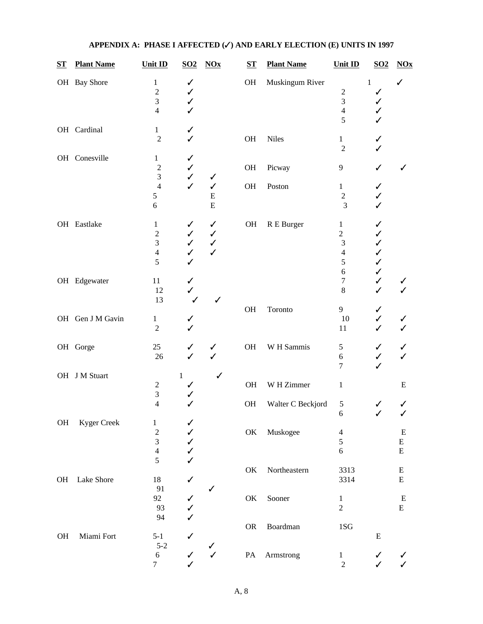| $S_{\mathbf{T}}$ | <b>Plant Name</b>  | Unit ID                                                            | $\underline{SO2}$                                            | $\overline{N}$                                               | $S_{1}$       | <b>Plant Name</b> | Unit ID                                                                  | $\underline{SO2}$                                           | $NOx$                               |
|------------------|--------------------|--------------------------------------------------------------------|--------------------------------------------------------------|--------------------------------------------------------------|---------------|-------------------|--------------------------------------------------------------------------|-------------------------------------------------------------|-------------------------------------|
|                  | OH Bay Shore       | $\mathbf 1$<br>$\overline{c}$<br>3<br>$\overline{4}$               | ✓<br>✓<br>$\checkmark$                                       |                                                              | OH            | Muskingum River   | $\overline{\mathbf{c}}$<br>3<br>$\overline{4}$<br>5                      | $\,1$<br>✓<br>✓<br>✓                                        |                                     |
|                  | OH Cardinal        | $\mathbf{1}$<br>$\overline{2}$                                     | ✓<br>$\checkmark$                                            |                                                              | OH            | <b>Niles</b>      | $\mathbf{1}$<br>$\overline{2}$                                           | ✓                                                           |                                     |
|                  | OH Conesville      | $\mathbf{1}$<br>$\overline{2}$<br>$\overline{3}$                   | $\checkmark$<br>$\checkmark$<br>$\checkmark$                 | ✓                                                            | OH            | Picway            | 9                                                                        | $\checkmark$                                                | ✓                                   |
|                  |                    | $\overline{4}$<br>5<br>6                                           | $\checkmark$                                                 | $\checkmark$<br>${\bf E}$<br>$\overline{E}$                  | OH            | Poston            | $\mathbf{1}$<br>$\sqrt{2}$<br>3                                          | ✓<br>✓<br>$\checkmark$                                      |                                     |
|                  | OH Eastlake        | $\mathbf{1}$<br>$\overline{c}$<br>3<br>$\overline{4}$<br>5         | $\checkmark$<br>$\checkmark$<br>$\checkmark$<br>$\checkmark$ | $\checkmark$<br>$\checkmark$<br>$\checkmark$<br>$\checkmark$ | $\rm OH$      | R E Burger        | $\mathbf{1}$<br>$\sqrt{2}$<br>$\mathfrak{Z}$<br>$\overline{4}$<br>5<br>6 | ✓<br>✓<br>✓<br>$\checkmark$<br>$\checkmark$<br>$\checkmark$ |                                     |
|                  | OH Edgewater       | 11<br>12<br>13                                                     | $\checkmark$<br>$\checkmark$                                 | ✓                                                            |               |                   | $\boldsymbol{7}$<br>$\bf 8$                                              | $\checkmark$<br>$\checkmark$                                |                                     |
|                  | OH Gen J M Gavin   | $\mathbf{1}$<br>$\overline{2}$                                     | $\checkmark$                                                 |                                                              | OH            | Toronto           | 9<br>$10\,$<br>11                                                        | ✓<br>$\checkmark$<br>$\checkmark$                           |                                     |
|                  | OH Gorge           | 25<br>26                                                           | $\checkmark$<br>$\checkmark$                                 | ✓<br>$\checkmark$                                            | OH            | W H Sammis        | $\sqrt{5}$<br>$\boldsymbol{6}$<br>7                                      | ✓<br>$\checkmark$<br>$\checkmark$                           | ✓                                   |
|                  | OH J M Stuart      | $\boldsymbol{2}$<br>3                                              | $\mathbf{1}$                                                 | ✓                                                            | OH            | W H Zimmer        | $\mathbf{1}$                                                             |                                                             | ${\bf E}$                           |
|                  |                    | $\overline{4}$                                                     | $\checkmark$                                                 |                                                              | OH            | Walter C Beckjord | 5<br>$\boldsymbol{6}$                                                    | ✓<br>✓                                                      | ✓<br>$\checkmark$                   |
| OH               | <b>Kyger Creek</b> | $\mathbf{1}$<br>$\overline{c}$<br>$\mathfrak{Z}$<br>$\overline{4}$ | ✓<br>$\checkmark$<br>$\checkmark$<br>$\checkmark$            |                                                              | $\mathrm{OK}$ | Muskogee          | $\overline{4}$<br>5<br>6                                                 |                                                             | ${\bf E}$<br>${\bf E}$<br>${\bf E}$ |
| <b>OH</b>        | Lake Shore         | 5<br>18                                                            | $\checkmark$                                                 |                                                              | $\mathrm{OK}$ | Northeastern      | 3313<br>3314                                                             |                                                             | E<br>${\bf E}$                      |
|                  |                    | 91<br>92<br>93<br>94                                               | ✓<br>✓                                                       | ✓                                                            | $\mathrm{OK}$ | Sooner            | $\mathbf{1}$<br>$\overline{2}$                                           |                                                             | E<br>${\bf E}$                      |
| OH               | Miami Fort         | $5 - 1$                                                            | ✓                                                            |                                                              | ${\sf OR}$    | Boardman          | 1SG                                                                      | E                                                           |                                     |
|                  |                    | $5 - 2$<br>$\sqrt{6}$<br>$\tau$                                    | $\checkmark$<br>$\checkmark$                                 | $\checkmark$                                                 | $\mathbf{PA}$ | Armstrong         | $\mathbf{1}$<br>$\sqrt{2}$                                               | $\checkmark$<br>$\checkmark$                                | $\checkmark$                        |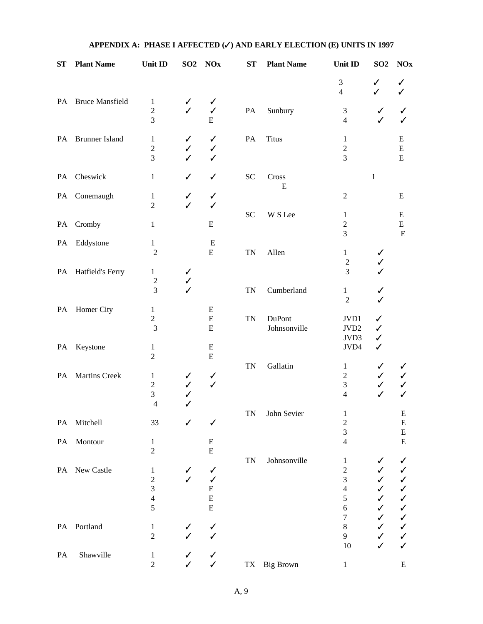| ${\bf ST}$ | <b>Plant Name</b>      | Unit ID                                                                           | $\underline{\mathbf{SO2}}$   | NOx                                                      | $S_{\mathbf{T}}$ | <b>Plant Name</b>      | Unit ID                                                     | $S O 2$                                                                           | $\overline{N}Ox$                                             |
|------------|------------------------|-----------------------------------------------------------------------------------|------------------------------|----------------------------------------------------------|------------------|------------------------|-------------------------------------------------------------|-----------------------------------------------------------------------------------|--------------------------------------------------------------|
|            |                        |                                                                                   |                              |                                                          |                  |                        | $\mathfrak 3$<br>$\overline{4}$                             | ✓<br>✓                                                                            | ✓                                                            |
| PA         | <b>Bruce Mansfield</b> | $\mathbf{1}$<br>$\overline{\mathbf{c}}$<br>3                                      | ✓<br>✓                       | ✓<br>$\checkmark$<br>${\bf E}$                           | PA               | Sunbury                | 3<br>$\overline{4}$                                         | ✓<br>$\checkmark$                                                                 | $\checkmark$                                                 |
| PA         | <b>Brunner Island</b>  | 1<br>$\boldsymbol{2}$<br>3                                                        | ✓<br>✓<br>✓                  | $\checkmark$<br>✓<br>$\checkmark$                        | PA               | <b>Titus</b>           | $\mathbf{1}$<br>$\overline{c}$<br>3                         |                                                                                   | ${\bf E}$<br>${\bf E}$<br>${\bf E}$                          |
| PA         | Cheswick               | $\mathbf{1}$                                                                      | ✓                            | $\checkmark$                                             | <b>SC</b>        | Cross<br>E             |                                                             | $\mathbf{1}$                                                                      |                                                              |
|            | PA Conemaugh           | $\mathbf{1}$<br>$\overline{2}$                                                    | ✓<br>✓                       | $\checkmark$<br>$\checkmark$                             |                  |                        | $\overline{2}$                                              |                                                                                   | ${\bf E}$                                                    |
| PA         | Cromby                 | $\mathbf{1}$                                                                      |                              | ${\bf E}$                                                | <b>SC</b>        | W S Lee                | $\mathbf{1}$<br>$\overline{\mathbf{c}}$<br>3                |                                                                                   | ${\bf E}$<br>${\bf E}$<br>E                                  |
| PA         | Eddystone              | 1<br>$\overline{2}$                                                               |                              | E<br>${\bf E}$                                           | <b>TN</b>        | Allen                  | $\mathbf{1}$<br>$\sqrt{2}$                                  | ✓<br>✓                                                                            |                                                              |
|            | PA Hatfield's Ferry    | 1<br>$\overline{c}$<br>3                                                          | ✓<br>✓<br>✓                  |                                                          | <b>TN</b>        | Cumberland             | 3<br>$\mathbf{1}$                                           | ✓<br>✓                                                                            |                                                              |
| PA         | Homer City             | $\mathbf{1}$<br>$\sqrt{2}$<br>3                                                   |                              | ${\bf E}$<br>${\bf E}$<br>${\bf E}$                      | <b>TN</b>        | DuPont<br>Johnsonville | $\sqrt{2}$<br>JVD1<br>JVD <sub>2</sub>                      | ✓<br>✓<br>✓                                                                       |                                                              |
| PA         | Keystone               | $\mathbf{1}$<br>$\overline{2}$                                                    |                              | E<br>E                                                   |                  |                        | JVD3<br>JVD4                                                | $\checkmark$<br>$\checkmark$                                                      |                                                              |
| PA         | Martins Creek          | 1<br>$\sqrt{2}$<br>3<br>$\overline{4}$                                            | ✓<br>✓<br>✓<br>✓             | $\checkmark$<br>$\checkmark$                             | <b>TN</b>        | Gallatin               | $\mathbf{1}$<br>$\overline{c}$<br>3<br>$\overline{4}$       | ✓<br>✓<br>✓<br>✓                                                                  | ✓<br>✓<br>✓                                                  |
| PA         | Mitchell               | 33                                                                                | ✓                            | ✓                                                        | TN               | John Sevier            | $\mathbf{1}$<br>$\sqrt{2}$                                  |                                                                                   | E<br>${\bf E}$                                               |
| PA         | Montour                | $\mathbf{1}$<br>$\sqrt{2}$                                                        |                              | ${\bf E}$<br>${\bf E}$                                   |                  |                        | 3<br>$\overline{4}$                                         |                                                                                   | ${\bf E}$<br>${\bf E}$                                       |
|            | PA New Castle          | $\mathbf{1}$<br>$\overline{c}$<br>$\mathfrak{Z}$<br>$\overline{\mathcal{L}}$<br>5 | ✓<br>✓                       | ✓<br>$\checkmark$<br>${\bf E}$<br>${\bf E}$<br>${\bf E}$ | <b>TN</b>        | Johnsonville           | $\mathbf{1}$<br>$\sqrt{2}$<br>3<br>$\overline{4}$<br>5<br>6 | ✓<br>$\checkmark$<br>$\checkmark$<br>$\checkmark$<br>$\checkmark$<br>$\checkmark$ | $\checkmark$<br>$\checkmark$<br>ノノノノ                         |
|            | PA Portland            | $\mathbf{1}$<br>$\overline{2}$                                                    | ✓                            | $\checkmark$<br>✓                                        |                  |                        | 7<br>$\,$ 8 $\,$<br>9<br>10                                 | $\checkmark$<br>$\checkmark$<br>$\checkmark$<br>$\checkmark$                      | $\checkmark$<br>$\checkmark$<br>$\checkmark$<br>$\checkmark$ |
| PA         | Shawville              | $\mathbf{1}$<br>$\overline{c}$                                                    | $\checkmark$<br>$\checkmark$ | $\checkmark$<br>$\checkmark$                             | TX               | <b>Big Brown</b>       | $\mathbf{1}$                                                |                                                                                   | E                                                            |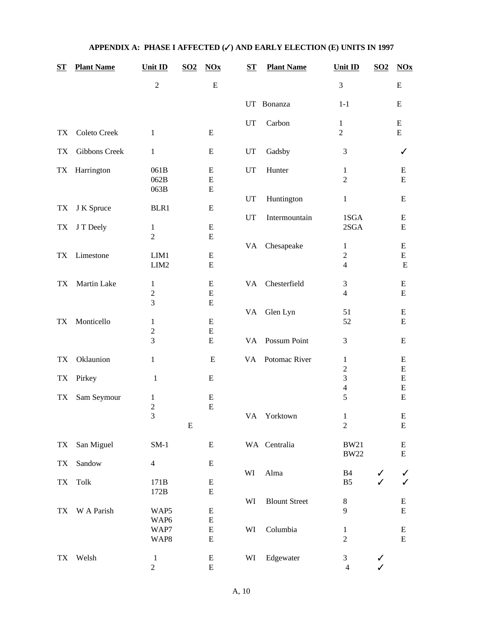| $S_{\mathbf{T}}$ | <b>Plant Name</b>    | <b>Unit ID</b>                 | $\underline{SO2}$ | $NOx$                  | $S_{\mathbf{T}}$ | <b>Plant Name</b>    | Unit ID                          | $\underline{SO2}$ | $NOx$                  |
|------------------|----------------------|--------------------------------|-------------------|------------------------|------------------|----------------------|----------------------------------|-------------------|------------------------|
|                  |                      | $\overline{2}$                 |                   | E                      |                  |                      | 3                                |                   | E                      |
|                  |                      |                                |                   |                        |                  | UT Bonanza           | $1 - 1$                          |                   | E                      |
|                  |                      |                                |                   |                        | UT               | Carbon               | $\mathbf{1}$                     |                   | ${\bf E}$              |
| <b>TX</b>        | Coleto Creek         | 1                              |                   | E                      |                  |                      | $\overline{2}$                   |                   | ${\bf E}$              |
| <b>TX</b>        | <b>Gibbons Creek</b> | $\mathbf{1}$                   |                   | E                      | UT               | Gadsby               | 3                                |                   | ✓                      |
| TX               | Harrington           | 061B                           |                   | E                      | UT               | Hunter               | $\mathbf{1}$                     |                   | E                      |
|                  |                      | 062B                           |                   | $\mathbf E$            |                  |                      | $\overline{2}$                   |                   | E                      |
|                  |                      | 063B                           |                   | ${\bf E}$              |                  |                      |                                  |                   |                        |
|                  |                      |                                |                   |                        | UT               | Huntington           | $\mathbf{1}$                     |                   | Ε                      |
| TX               | J K Spruce           | BLR1                           |                   | E                      |                  |                      |                                  |                   |                        |
|                  |                      |                                |                   |                        | UT               | Intermountain        | 1SGA                             |                   | E                      |
| TX               | J T Deely            | $\mathbf{1}$                   |                   | ${\bf E}$              |                  |                      | 2SGA                             |                   | ${\bf E}$              |
|                  |                      | $\overline{2}$                 |                   | E                      |                  |                      |                                  |                   |                        |
|                  |                      |                                |                   |                        | VA               | Chesapeake           | 1                                |                   | E                      |
| TX               | Limestone            | LIM1                           |                   | ${\bf E}$              |                  |                      | $\mathbf{2}$<br>$\overline{4}$   |                   | $\mathbf E$            |
|                  |                      | LIM2                           |                   | E                      |                  |                      |                                  |                   | E                      |
| TX               | Martin Lake          | 1                              |                   | E                      | VA               | Chesterfield         | 3                                |                   | E                      |
|                  |                      | $\boldsymbol{2}$               |                   | $\mathbf E$            |                  |                      | $\overline{4}$                   |                   | ${\bf E}$              |
|                  |                      | 3                              |                   | E                      |                  |                      |                                  |                   |                        |
|                  |                      |                                |                   |                        | VA               | Glen Lyn             | 51                               |                   | E                      |
| TX               | Monticello           | 1                              |                   | ${\bf E}$              |                  |                      | 52                               |                   | ${\bf E}$              |
|                  |                      | $\mathbf{2}$                   |                   | ${\bf E}$              |                  |                      |                                  |                   |                        |
|                  |                      | 3                              |                   | ${\bf E}$              | VA               | Possum Point         | 3                                |                   | E                      |
| TX               | Oklaunion            | $\mathbf{1}$                   |                   | Е                      | VA               | Potomac River        | 1                                |                   | Ε                      |
|                  |                      |                                |                   |                        |                  |                      | $\mathbf{2}$                     |                   | ${\bf E}$              |
| TX               | Pirkey               | 1                              |                   | E                      |                  |                      | 3                                |                   | ${\bf E}$              |
|                  |                      |                                |                   |                        |                  |                      | $\overline{\mathcal{L}}$         |                   | ${\bf E}$              |
| TX               | Sam Seymour          | 1                              |                   | ${\bf E}$              |                  |                      | 5                                |                   | ${\bf E}$              |
|                  |                      | $\boldsymbol{2}$               |                   | ${\bf E}$              |                  |                      |                                  |                   |                        |
|                  |                      | 3                              | ${\bf E}$         |                        |                  | VA Yorktown          | $\mathbf{1}$<br>$\sqrt{2}$       |                   | ${\bf E}$<br>${\bf E}$ |
|                  |                      |                                |                   |                        |                  |                      |                                  |                   |                        |
| TX               | San Miguel           | $SM-1$                         |                   | ${\bf E}$              |                  | WA Centralia         | <b>BW21</b><br><b>BW22</b>       |                   | ${\bf E}$<br>${\bf E}$ |
| ${\rm TX}$       | Sandow               | $\overline{4}$                 |                   | ${\bf E}$              |                  |                      |                                  |                   |                        |
|                  |                      |                                |                   |                        | WI               | $\rm Alma$           | B4                               |                   | ✓                      |
| TX               | Tolk                 | 171B                           |                   | ${\bf E}$              |                  |                      | B <sub>5</sub>                   |                   | $\checkmark$           |
|                  |                      | 172B                           |                   | E                      |                  |                      |                                  |                   |                        |
|                  |                      |                                |                   |                        | WI               | <b>Blount Street</b> | $\,8\,$                          |                   | ${\bf E}$              |
| TX               | W A Parish           | WAP5                           |                   | ${\bf E}$              |                  |                      | 9                                |                   | ${\bf E}$              |
|                  |                      | WAP6                           |                   | ${\bf E}$              |                  |                      |                                  |                   |                        |
|                  |                      | WAP7                           |                   | ${\bf E}$              | WI               | Columbia             | $\mathbf{1}$                     |                   | E                      |
|                  |                      | WAP8                           |                   | ${\bf E}$              |                  |                      | $\overline{2}$                   |                   | ${\bf E}$              |
|                  |                      |                                |                   |                        |                  |                      |                                  |                   |                        |
| TX               | Welsh                | $\mathbf{1}$<br>$\overline{c}$ |                   | ${\bf E}$<br>${\bf E}$ | WI               | Edgewater            | $\mathfrak{Z}$<br>$\overline{4}$ | ✓<br>$\checkmark$ |                        |
|                  |                      |                                |                   |                        |                  |                      |                                  |                   |                        |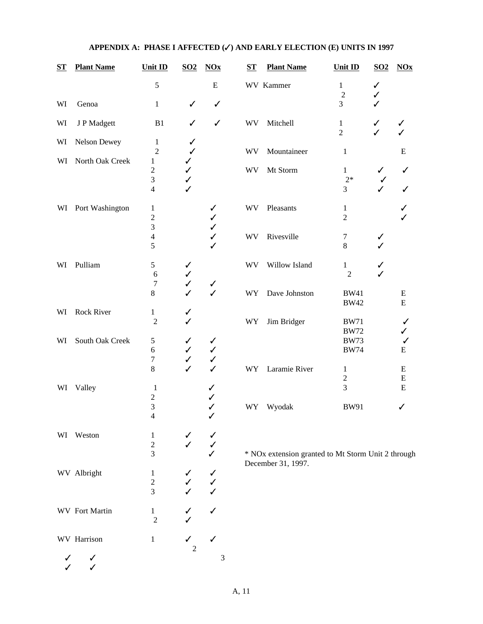| $S_{\mathbf{T}}$ | <b>Plant Name</b>     | Unit ID                                            | $\underline{SO2}$                 | $NOx$                                        | ST        | <b>Plant Name</b>                                  | Unit ID                        | S <sub>02</sub>     | $NOx$                  |
|------------------|-----------------------|----------------------------------------------------|-----------------------------------|----------------------------------------------|-----------|----------------------------------------------------|--------------------------------|---------------------|------------------------|
|                  |                       | $\sqrt{5}$                                         |                                   | ${\bf E}$                                    |           | WV Kammer                                          | $\mathbf{1}$<br>$\overline{2}$ | ✓<br>✓              |                        |
| WI               | Genoa                 | $\mathbf{1}$                                       | $\checkmark$                      | $\checkmark$                                 |           |                                                    | 3                              |                     |                        |
| WI               | J P Madgett           | B1                                                 | ✓                                 | $\checkmark$                                 | <b>WV</b> | Mitchell                                           | $\mathbf{1}$<br>$\overline{2}$ | ✓<br>$\overline{1}$ |                        |
| WI               | Nelson Dewey          | $\mathbf{1}$<br>$\overline{2}$                     | ✓<br>✓                            |                                              | <b>WV</b> | Mountaineer                                        | $\mathbf{1}$                   |                     | ${\bf E}$              |
| WI               | North Oak Creek       | 1                                                  | ✓                                 |                                              |           |                                                    |                                |                     |                        |
|                  |                       | $\overline{c}$<br>$\mathfrak{Z}$<br>$\overline{4}$ | ✓<br>✓<br>✓                       |                                              | <b>WV</b> | Mt Storm                                           | $\mathbf{1}$<br>$2*$<br>3      | ✓                   | ✓<br>✓                 |
| WI               | Port Washington       | 1<br>$\sqrt{2}$                                    |                                   | ✓<br>✓                                       | <b>WV</b> | Pleasants                                          | $\mathbf{1}$<br>$\overline{2}$ |                     |                        |
|                  |                       | 3<br>$\overline{4}$<br>5                           |                                   | ✓<br>$\checkmark$<br>✓                       | WV        | Rivesville                                         | 7<br>8                         | ✓                   |                        |
| WI               | Pulliam               | $\sqrt{5}$<br>6                                    | ✓<br>$\checkmark$                 |                                              | <b>WV</b> | Willow Island                                      | $\mathbf{1}$<br>$\overline{c}$ | ✓                   |                        |
|                  |                       | 7<br>$\,8\,$                                       | $\checkmark$<br>$\checkmark$      | $\checkmark$<br>$\checkmark$                 | WY        | Dave Johnston                                      | <b>BW41</b><br><b>BW42</b>     |                     | ${\bf E}$<br>${\bf E}$ |
| WI               | Rock River            | $\mathbf{1}$<br>$\overline{2}$                     | ✓                                 |                                              | WY        | Jim Bridger                                        | <b>BW71</b><br><b>BW72</b>     |                     | ✓<br>✓                 |
| WI               | South Oak Creek       | $\mathfrak s$<br>6<br>$\boldsymbol{7}$             | ✓<br>$\checkmark$<br>$\checkmark$ | $\checkmark$<br>$\checkmark$<br>$\checkmark$ |           |                                                    | <b>BW73</b><br><b>BW74</b>     |                     | $\checkmark$<br>E      |
|                  |                       | $\,8\,$                                            | $\checkmark$                      | $\checkmark$                                 | WY        | Laramie River                                      | $\mathbf{1}$<br>$\overline{2}$ |                     | E<br>$\mathbf E$       |
| WI               | Valley                | 1<br>$\overline{2}$                                |                                   | ✓<br>✓                                       |           |                                                    | 3                              |                     | ${\bf E}$              |
|                  |                       | 3<br>$\overline{4}$                                |                                   | ✓<br>✓                                       | <b>WY</b> | Wyodak                                             | <b>BW91</b>                    |                     | ✓                      |
|                  | WI Weston             | 1<br>$\boldsymbol{2}$<br>3                         |                                   | ✓                                            |           | * NOx extension granted to Mt Storm Unit 2 through |                                |                     |                        |
|                  | WV Albright           | $\mathbf{1}$<br>$\boldsymbol{2}$<br>3              |                                   | $\checkmark$<br>$\checkmark$<br>$\checkmark$ |           | December 31, 1997.                                 |                                |                     |                        |
|                  | <b>WV</b> Fort Martin | $\mathbf{1}$<br>$\overline{2}$                     |                                   | ✓                                            |           |                                                    |                                |                     |                        |
|                  | WV Harrison           | 1                                                  | ✓                                 | $\checkmark$                                 |           |                                                    |                                |                     |                        |

 $\checkmark$   $\checkmark$  3  $\checkmark$ 

A, 11

2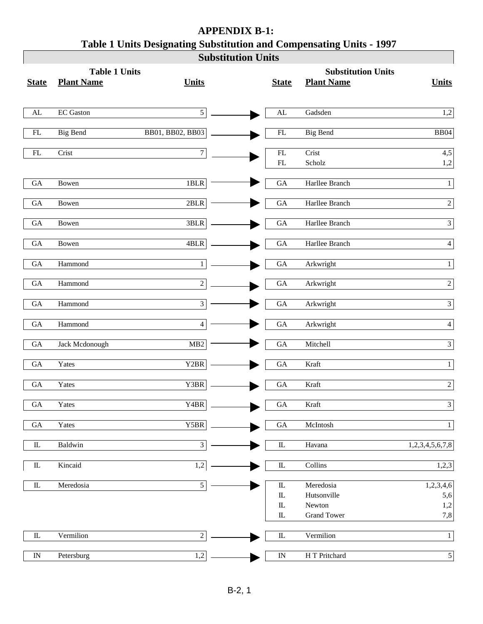| <b>Substitution Units</b><br><b>Table 1 Units</b><br><b>Substitution Units</b><br><b>Plant Name</b><br><b>Plant Name</b><br><b>State</b><br><b>State</b><br><b>Units</b><br>EC Gaston<br>$\overline{5}$<br>Gadsden<br>${\rm AL}$<br>$\mathbf{AL}$<br>BB01, BB02, BB03<br>${\rm FL}$<br><b>Big Bend</b><br>${\rm FL}$<br><b>Big Bend</b><br>$\overline{7}$<br>Crist<br>${\rm FL}$<br>Crist<br>$\mathop{\rm FL}\nolimits$<br>$\mathbf{FL}$<br>Scholz<br>$1{\rm BLR}$<br>Harllee Branch<br>${\rm GA}$<br>Bowen<br>GA<br>Harllee Branch<br>$\rm GA$<br>$2{\rm BLR}$<br>$\rm GA$<br>Bowen<br>$3{\rm BLR}$<br>Harllee Branch<br>${\rm GA}$<br>Bowen<br>${\rm GA}$<br>$4{\rm BLR}$<br>Harllee Branch<br>${\rm GA}$<br>GA<br>Bowen<br>Arkwright<br>Hammond<br>$\rm GA$<br>$\mathbf{1}$<br>GA<br>Hammond<br>$\sqrt{2}$<br>${\rm GA}$<br>${\rm GA}$<br>Arkwright<br>$\overline{3}$<br>${\rm GA}$<br>Hammond<br>${\rm GA}$<br>Arkwright<br>GA<br>$\overline{4}$<br>$\rm GA$<br>Hammond<br>Arkwright<br>Jack Mcdonough<br>GA<br>Mitchell<br>${\rm GA}$<br>MB2 |                  |
|---------------------------------------------------------------------------------------------------------------------------------------------------------------------------------------------------------------------------------------------------------------------------------------------------------------------------------------------------------------------------------------------------------------------------------------------------------------------------------------------------------------------------------------------------------------------------------------------------------------------------------------------------------------------------------------------------------------------------------------------------------------------------------------------------------------------------------------------------------------------------------------------------------------------------------------------------------------------------------------------------------------------------------------------------|------------------|
|                                                                                                                                                                                                                                                                                                                                                                                                                                                                                                                                                                                                                                                                                                                                                                                                                                                                                                                                                                                                                                                   |                  |
|                                                                                                                                                                                                                                                                                                                                                                                                                                                                                                                                                                                                                                                                                                                                                                                                                                                                                                                                                                                                                                                   | <b>Units</b>     |
|                                                                                                                                                                                                                                                                                                                                                                                                                                                                                                                                                                                                                                                                                                                                                                                                                                                                                                                                                                                                                                                   | 1,2              |
|                                                                                                                                                                                                                                                                                                                                                                                                                                                                                                                                                                                                                                                                                                                                                                                                                                                                                                                                                                                                                                                   |                  |
|                                                                                                                                                                                                                                                                                                                                                                                                                                                                                                                                                                                                                                                                                                                                                                                                                                                                                                                                                                                                                                                   | $\rm BB04$       |
|                                                                                                                                                                                                                                                                                                                                                                                                                                                                                                                                                                                                                                                                                                                                                                                                                                                                                                                                                                                                                                                   | 4,5              |
|                                                                                                                                                                                                                                                                                                                                                                                                                                                                                                                                                                                                                                                                                                                                                                                                                                                                                                                                                                                                                                                   | 1,2              |
|                                                                                                                                                                                                                                                                                                                                                                                                                                                                                                                                                                                                                                                                                                                                                                                                                                                                                                                                                                                                                                                   | $\mathbf{1}$     |
|                                                                                                                                                                                                                                                                                                                                                                                                                                                                                                                                                                                                                                                                                                                                                                                                                                                                                                                                                                                                                                                   | $\sqrt{2}$       |
|                                                                                                                                                                                                                                                                                                                                                                                                                                                                                                                                                                                                                                                                                                                                                                                                                                                                                                                                                                                                                                                   | $\overline{3}$   |
|                                                                                                                                                                                                                                                                                                                                                                                                                                                                                                                                                                                                                                                                                                                                                                                                                                                                                                                                                                                                                                                   | $\overline{4}$   |
|                                                                                                                                                                                                                                                                                                                                                                                                                                                                                                                                                                                                                                                                                                                                                                                                                                                                                                                                                                                                                                                   | $\mathbf{1}$     |
|                                                                                                                                                                                                                                                                                                                                                                                                                                                                                                                                                                                                                                                                                                                                                                                                                                                                                                                                                                                                                                                   |                  |
|                                                                                                                                                                                                                                                                                                                                                                                                                                                                                                                                                                                                                                                                                                                                                                                                                                                                                                                                                                                                                                                   | $\overline{2}$   |
|                                                                                                                                                                                                                                                                                                                                                                                                                                                                                                                                                                                                                                                                                                                                                                                                                                                                                                                                                                                                                                                   | $\mathfrak{Z}$   |
|                                                                                                                                                                                                                                                                                                                                                                                                                                                                                                                                                                                                                                                                                                                                                                                                                                                                                                                                                                                                                                                   | $\overline{4}$   |
|                                                                                                                                                                                                                                                                                                                                                                                                                                                                                                                                                                                                                                                                                                                                                                                                                                                                                                                                                                                                                                                   | $\mathfrak{Z}$   |
| $\ensuremath{\mathsf{Y2BR}}\xspace$<br>$\rm GA$<br>${\rm GA}$<br>Yates<br>Kraft                                                                                                                                                                                                                                                                                                                                                                                                                                                                                                                                                                                                                                                                                                                                                                                                                                                                                                                                                                   | $\mathbf{1}$     |
| ${\rm GA}$<br>Yates<br>Y3BR<br>${\rm GA}$<br>Kraft                                                                                                                                                                                                                                                                                                                                                                                                                                                                                                                                                                                                                                                                                                                                                                                                                                                                                                                                                                                                | $\boldsymbol{2}$ |
| Y4BR<br>$\rm GA$<br>Yates<br>GA<br>Kraft                                                                                                                                                                                                                                                                                                                                                                                                                                                                                                                                                                                                                                                                                                                                                                                                                                                                                                                                                                                                          | $\mathfrak{Z}$   |
| Yates<br>${\tt Y5BR}$<br>${\rm GA}$<br>McIntosh<br>$\rm GA$                                                                                                                                                                                                                                                                                                                                                                                                                                                                                                                                                                                                                                                                                                                                                                                                                                                                                                                                                                                       | $\mathbf{1}$     |
| $\overline{3}$<br>${\rm I\!L}$<br>${\rm I\!L}$<br>Baldwin<br>Havana                                                                                                                                                                                                                                                                                                                                                                                                                                                                                                                                                                                                                                                                                                                                                                                                                                                                                                                                                                               | 1,2,3,4,5,6,7,8  |
|                                                                                                                                                                                                                                                                                                                                                                                                                                                                                                                                                                                                                                                                                                                                                                                                                                                                                                                                                                                                                                                   |                  |
| Kincaid<br>1,2<br>${\rm I\!L}$<br>Collins<br>${\rm I\!L}$                                                                                                                                                                                                                                                                                                                                                                                                                                                                                                                                                                                                                                                                                                                                                                                                                                                                                                                                                                                         | 1,2,3            |
| $\mathfrak{S}$<br>Meredosia<br>${\rm I\!L}$<br>${\rm I\!L}$<br>Meredosia                                                                                                                                                                                                                                                                                                                                                                                                                                                                                                                                                                                                                                                                                                                                                                                                                                                                                                                                                                          | 1,2,3,4,6        |
| ${\rm I\!L}$<br>Hutsonville                                                                                                                                                                                                                                                                                                                                                                                                                                                                                                                                                                                                                                                                                                                                                                                                                                                                                                                                                                                                                       | 5,6              |
| ${\rm I\!L}$<br>Newton                                                                                                                                                                                                                                                                                                                                                                                                                                                                                                                                                                                                                                                                                                                                                                                                                                                                                                                                                                                                                            | 1,2              |
| ${\rm I\!L}$<br><b>Grand Tower</b>                                                                                                                                                                                                                                                                                                                                                                                                                                                                                                                                                                                                                                                                                                                                                                                                                                                                                                                                                                                                                | 7,8              |
| $\overline{2}$<br>Vermilion<br>Vermilion<br>${\rm I\!L}$<br>$\rm I\!L$                                                                                                                                                                                                                                                                                                                                                                                                                                                                                                                                                                                                                                                                                                                                                                                                                                                                                                                                                                            | $\mathbf{1}$     |
| 1,2<br>H T Pritchard<br>${\rm IN}$<br>Petersburg<br>${\rm IN}$                                                                                                                                                                                                                                                                                                                                                                                                                                                                                                                                                                                                                                                                                                                                                                                                                                                                                                                                                                                    | $\vert 5 \vert$  |

# **APPENDIX B-1: Table 1 Units Designating Substitution and Compensating Units - 1997**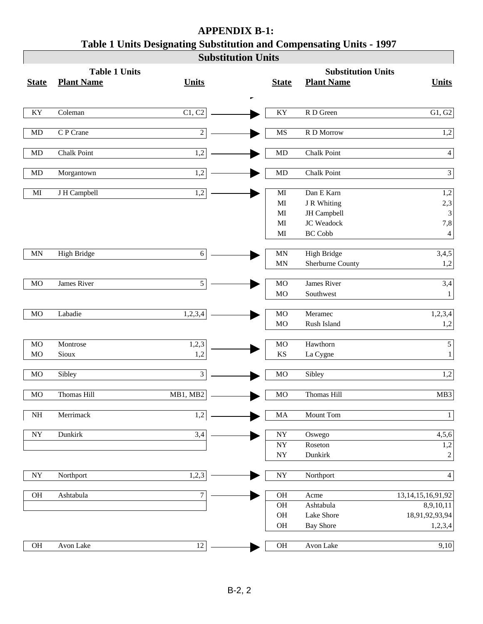|                          |                      |                  | <b>Substitution Units</b> |                                                        |                                             |                                     |
|--------------------------|----------------------|------------------|---------------------------|--------------------------------------------------------|---------------------------------------------|-------------------------------------|
|                          | <b>Table 1 Units</b> |                  |                           |                                                        | <b>Substitution Units</b>                   |                                     |
| <b>State</b>             | <b>Plant Name</b>    | <b>Units</b>     |                           | <b>State</b>                                           | <b>Plant Name</b>                           | <b>Units</b>                        |
|                          |                      |                  |                           |                                                        |                                             |                                     |
| KY                       | Coleman              | C1, C2           |                           | KY                                                     | R D Green                                   | G1, G2                              |
| $\rm MD$                 | C P Crane            | $\sqrt{2}$       |                           | MS                                                     | R D Morrow                                  | 1,2                                 |
| $\rm MD$                 | <b>Chalk Point</b>   | 1,2              |                           | <b>MD</b>                                              | Chalk Point                                 | $4\vert$                            |
| $\rm MD$                 | Morgantown           | 1,2              |                           | MD                                                     | Chalk Point                                 | $\overline{3}$                      |
| $\mathbf{M}\mathbf{I}$   | J H Campbell         | 1,2              |                           | $\mathbf{M}\mathbf{I}$<br>$\mathbf{M}\mathbf{I}$       | Dan E Karn<br>J R Whiting                   | 1,2<br>2,3                          |
|                          |                      |                  |                           | $\mathbf{M}\mathbf{I}$<br>$\mathbf{M}\mathbf{I}$<br>MI | JH Campbell<br>JC Weadock<br><b>BC Cobb</b> | 3<br>7,8<br>$\overline{4}$          |
| MN                       | <b>High Bridge</b>   | $\sqrt{6}$       |                           | $\ensuremath{\text{MN}}$<br><b>MN</b>                  | High Bridge<br>Sherburne County             | 3,4,5<br>1,2                        |
| $_{\rm MO}$              | James River          | $\overline{5}$   |                           | MO<br><b>MO</b>                                        | James River<br>Southwest                    | 3,4<br>$1\vert$                     |
| MO                       | Labadie              | 1,2,3,4          |                           | MO<br><b>MO</b>                                        | Meramec<br>Rush Island                      | 1,2,3,4<br>1,2                      |
| MO<br>MO                 | Montrose<br>Sioux    | 1,2,3<br>1,2     |                           | MO<br>$\mathbf{K}\mathbf{S}$                           | Hawthorn<br>La Cygne                        | 5 <sup>1</sup><br>$1\vert$          |
| $_{\rm MO}$              | Sibley               | $\mathfrak{Z}$   |                           | MO                                                     | Sibley                                      | 1,2                                 |
| MO                       | Thomas Hill          | MB1, MB2         |                           | MO                                                     | Thomas Hill                                 | MB3                                 |
| $\rm{NH}$                | Merrimack            | $\overline{1,2}$ |                           | $\rm MA$                                               | Mount Tom                                   | $1\vert$                            |
| $\ensuremath{\text{NY}}$ | Dunkirk              | 3,4              |                           | <b>NY</b><br><b>NY</b>                                 | Oswego<br>Roseton                           | 4,5,6<br>1,2                        |
|                          |                      |                  |                           | <b>NY</b>                                              | Dunkirk                                     | $\overline{c}$                      |
| ${\rm NY}$               | Northport            | 1,2,3            |                           | $\ensuremath{\text{NY}}$                               | Northport                                   | $4\vert$                            |
| OH                       | Ashtabula            | $\boldsymbol{7}$ |                           | OH<br>OH                                               | Acme<br>Ashtabula                           | 13, 14, 15, 16, 91, 92<br>8,9,10,11 |
|                          |                      |                  |                           | OH<br>OH                                               | Lake Shore<br><b>Bay Shore</b>              | 18,91,92,93,94<br>1,2,3,4           |
| $\rm OH$                 | Avon Lake            | 12               |                           | OH                                                     | Avon Lake                                   | 9,10                                |

# **APPENDIX B-1: Table 1 Units Designating Substitution and Compensating Units - 1997**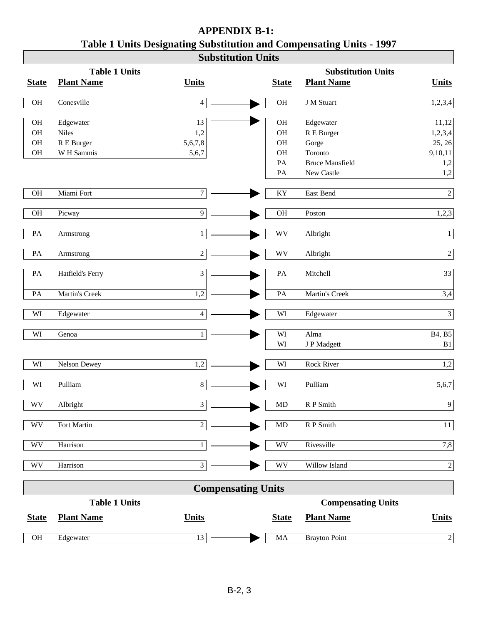| <b>APPENDIX B-1:</b>                                                 |
|----------------------------------------------------------------------|
| Table 1 Units Designating Substitution and Compensating Units - 1997 |
| Substitution Units                                                   |

 $\overline{\phantom{a}}$ 

|                        |                      |                | dudətitutlul Ullitə       |                        |                           |                |
|------------------------|----------------------|----------------|---------------------------|------------------------|---------------------------|----------------|
|                        | <b>Table 1 Units</b> |                |                           |                        | <b>Substitution Units</b> |                |
| <b>State</b>           | <b>Plant Name</b>    | <b>Units</b>   |                           | <b>State</b>           | <b>Plant Name</b>         | <b>Units</b>   |
| OH                     | Conesville           | $\overline{4}$ |                           | OH                     | J M Stuart                | 1,2,3,4        |
|                        |                      |                |                           |                        |                           |                |
| OH                     | Edgewater            | 13             |                           | OH                     | Edgewater                 | 11,12          |
| OH                     | <b>Niles</b>         | 1,2            |                           | OH                     | R E Burger                | 1,2,3,4        |
| $\rm OH$               | R E Burger           | 5,6,7,8        |                           | <b>OH</b>              | Gorge                     | 25, 26         |
| $\rm OH$               | W H Sammis           | 5,6,7          |                           | <b>OH</b>              | Toronto                   | 9,10,11        |
|                        |                      |                |                           | PA                     | <b>Bruce Mansfield</b>    | 1,2            |
|                        |                      |                |                           | $\mathbf{PA}$          | New Castle                | 1,2            |
| OH                     | Miami Fort           | $\tau$         |                           | KY                     | East Bend                 | $\overline{2}$ |
| OH                     | Picway               | 9              |                           | <b>OH</b>              | Poston                    | 1,2,3          |
|                        |                      |                |                           |                        |                           |                |
| PA                     | Armstrong            | $\mathbf{1}$   |                           | WV                     | Albright                  | $\mathbf{1}$   |
|                        |                      |                |                           |                        |                           |                |
| PA                     | Armstrong            | $\overline{c}$ |                           | WV                     | Albright                  | $\sqrt{2}$     |
| PA                     | Hatfield's Ferry     | 3              |                           | $\mathbf{PA}$          | Mitchell                  | 33             |
| PA                     | Martin's Creek       | 1,2            |                           | PA                     | Martin's Creek            | 3,4            |
|                        |                      |                |                           |                        |                           |                |
| WI                     | Edgewater            | $\overline{4}$ |                           | WI                     | Edgewater                 | $\overline{3}$ |
| WI                     | Genoa                | $\mathbf{1}$   |                           | WI                     | Alma                      | B4, B5         |
|                        |                      |                |                           | WI                     | J P Madgett               | B1             |
|                        |                      |                |                           |                        |                           |                |
| WI                     | Nelson Dewey         | 1,2            |                           | WI                     | Rock River                | 1,2            |
|                        |                      |                |                           |                        |                           |                |
| WI                     | Pulliam              | $8\,$          |                           | WI                     | Pulliam                   | 5,6,7          |
| <b>WV</b>              | Albright             | 3              |                           | <b>MD</b>              | R P Smith                 | $\overline{9}$ |
|                        |                      |                |                           |                        |                           |                |
| WV                     | Fort Martin          | $\overline{2}$ |                           | MD                     | R P Smith                 | 11             |
| $\mathbf{W}\mathbf{V}$ | Harrison             | $\mathbf{1}$   |                           | $\mathbf{W}\mathbf{V}$ | Rivesville                | 7,8            |
|                        |                      |                |                           |                        |                           |                |
| $\mathbf{W}\mathbf{V}$ | Harrison             | 3              |                           | WV                     | Willow Island             | $\sqrt{2}$     |
|                        |                      |                | <b>Compensating Units</b> |                        |                           |                |
|                        | <b>Table 1 Units</b> |                |                           |                        | <b>Compensating Units</b> |                |
|                        |                      |                |                           |                        |                           |                |
| <b>State</b>           | <b>Plant Name</b>    | <b>Units</b>   |                           | <b>State</b>           | <b>Plant Name</b>         | <b>Units</b>   |
| $\rm OH$               | Edgewater            | 13             |                           | MA                     | <b>Brayton Point</b>      | $\overline{2}$ |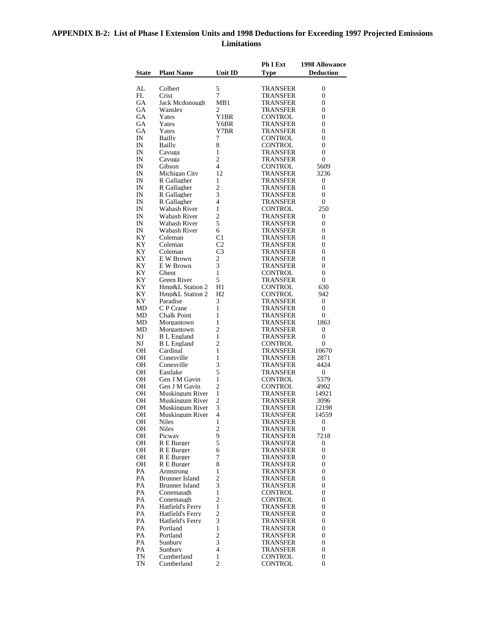## **APPENDIX B-2: List of Phase I Extension Units and 1998 Deductions for Exceeding 1997 Projected Emissions Limitations**

|              |                                      |                      | Ph I Ext                    | 1998 Allowance      |
|--------------|--------------------------------------|----------------------|-----------------------------|---------------------|
| <b>State</b> | <b>Plant Name</b>                    | Unit ID              | <b>Type</b>                 | <b>Deduction</b>    |
|              |                                      |                      |                             |                     |
| AL           | Colbert                              | 5                    | TRANSFER                    | 0                   |
| FL           | Crist                                | $\overline{7}$       | TRANSFER                    | 0                   |
| GА<br>GA     | Jack Mcdonough<br>Wansley            | MB1<br>2             | TRANSFER<br>TRANSFER        | 0<br>0              |
| GA           | Yates                                | Y1BR                 | CONTROL                     | 0                   |
| GA           | Yates                                | Y6BR                 | TRANSFER                    | 0                   |
| GА           | Yates                                | Y7BR                 | TRANSFER                    | 0                   |
| IN           | Bailly                               | 7                    | CONTROL                     | 0                   |
| IN           | Bailly                               | 8                    | CONTROL                     | 0                   |
| IN           | Cayuga                               | $\mathbf{1}$         | TRANSFER                    | 0                   |
| IN           | Cayuga                               | $\overline{c}$       | <b>TRANSFER</b>             | 0                   |
| IN           | Gibson                               | 4<br>12              | CONTROL                     | 5609                |
| IN<br>IN     | Michigan City<br>R Gallagher         | 1                    | TRANSFER<br>TRANSFER        | 3236<br>0           |
| IN           | R Gallagher                          | 2                    | TRANSFER                    | 0                   |
| IN           | R Gallagher                          | 3                    | TRANSFER                    | 0                   |
| IN           | R Gallagher                          | 4                    | TRANSFER                    | 0                   |
| IN           | Wabash River                         | $\mathbf{1}$         | CONTROL                     | 250                 |
| IN           | Wabash River                         | 2                    | TRANSFER                    | 0                   |
| IN           | Wabash River                         | 5                    | <b>TRANSFER</b>             | 0                   |
| IN           | Wabash River                         | 6                    | TRANSFER                    | 0                   |
| ΚY           | Coleman                              | C1<br>C <sub>2</sub> | TRANSFER                    | 0<br>0              |
| KΥ<br>KΥ     | Coleman<br>Coleman                   | C <sub>3</sub>       | TRANSFER<br><b>TRANSFER</b> | 0                   |
| ΚY           | E W Brown                            | 2                    | TRANSFER                    | 0                   |
| KΥ           | E W Brown                            | 3                    | <b>TRANSFER</b>             | 0                   |
| KΥ           | Ghent                                | 1                    | CONTROL                     | 0                   |
| ΚY           | Green River                          | 5                    | TRANSFER                    | 0                   |
| ΚY           | Hmp&L Station 2                      | H1                   | CONTROL                     | 630                 |
| ΚY           | Hmp&L Station 2                      | H <sub>2</sub>       | CONTROL                     | 942                 |
| ΚY           | Paradise                             | 3                    | TRANSFER                    | 0                   |
| MD           | C P Crane                            | 1                    | TRANSFER                    | 0                   |
| MD<br>MD     | Chalk Point<br>Morgantown            | $\mathbf{1}$<br>1    | TRANSFER<br>TRANSFER        | 0<br>1863           |
| MD           | Morgantown                           | 2                    | TRANSFER                    | 0                   |
| NJ           | <b>B</b> L England                   | 1                    | TRANSFER                    | 0                   |
| NJ           | <b>B</b> L England                   | 2                    | CONTROL                     | 0                   |
| OН           | Cardinal                             | $\mathbf{1}$         | TRANSFER                    | 10670               |
| OН           | Conesville                           | 1                    | TRANSFER                    | 2871                |
| OН           | Conesville                           | 3                    | TRANSFER                    | 4424                |
| OН           | Eastlake                             | 5<br>$\mathbf{1}$    | TRANSFER                    | 0                   |
| OН<br>OН     | Gen J M Gavin<br>Gen J M Gavin       | 2                    | CONTROL<br>CONTROL          | 5379<br>4902        |
| OН           | Muskingum River                      | 1                    | TRANSFER                    | 14921               |
| OН           | Muskingum River                      | 2                    | TRANSFER                    | 3096                |
| OН           | Muskingum River                      | 3                    | TRANSFER                    | 12198               |
| OН           | Muskingum River                      | 4                    | TRANSFER                    | 14559               |
| OН           | <b>Niles</b>                         | 1                    | TRANSFER                    | 0                   |
| OН           | <b>Niles</b>                         | $\overline{c}$       | TRANSFER                    | $\overline{0}$      |
| OН           | Picway                               | 9                    | TRANSFER                    | 7218                |
| OН<br>OН     | R E Burger<br>R E Burger             | 5<br>6               | TRANSFER<br>TRANSFER        | 0<br>$\overline{0}$ |
| OН           | R E Burger                           | 7                    | TRANSFER                    | 0                   |
| OН           | R E Burger                           | 8                    | TRANSFER                    | $\overline{0}$      |
| PA           | Armstrong                            | 1                    | TRANSFER                    | 0                   |
| PA           | Brunner Island                       | 2                    | TRANSFER                    | 0                   |
| PA           | Brunner Island                       | 3                    | TRANSFER                    | 0                   |
| PA           | Conemaugh                            | 1                    | CONTROL                     | 0                   |
| PA           | Conemaugh                            | 2                    | CONTROL                     | 0                   |
| PA           | Hatfield's Ferry                     | 1                    | TRANSFER                    | 0                   |
| PA<br>PA     | Hatfield's Ferry<br>Hatfield's Ferry | 2<br>3               | TRANSFER<br>TRANSFER        | 0<br>0              |
| PA           | Portland                             | 1                    | TRANSFER                    | 0                   |
| PA           | Portland                             | 2                    | TRANSFER                    | 0                   |
| PA           | Sunbury                              | 3                    | TRANSFER                    | 0                   |
| PA           | Sunbury                              | 4                    | TRANSFER                    | 0                   |
| TN           | Cumberland                           | 1                    | CONTROL                     | 0                   |
| TN           | Cumberland                           | $\overline{c}$       | CONTROL                     | $\overline{0}$      |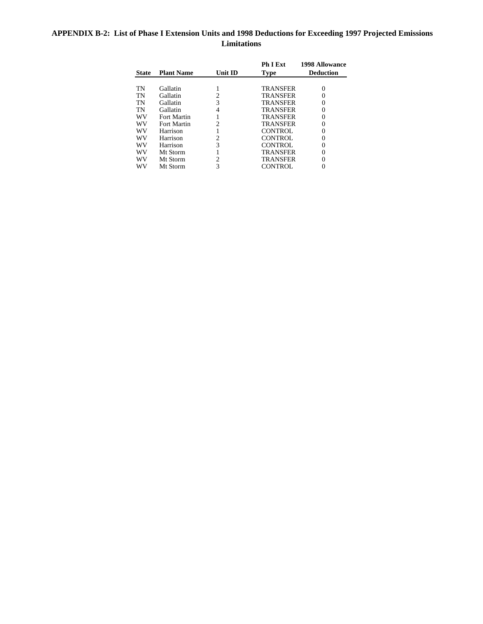## **APPENDIX B-2: List of Phase I Extension Units and 1998 Deductions for Exceeding 1997 Projected Emissions Limitations**

|              |                   |                | <b>Ph I Ext</b> | <b>1998 Allowance</b> |
|--------------|-------------------|----------------|-----------------|-----------------------|
| <b>State</b> | <b>Plant Name</b> | <b>Unit ID</b> | <b>Type</b>     | <b>Deduction</b>      |
|              |                   |                |                 |                       |
| TN           | Gallatin          |                | <b>TRANSFER</b> |                       |
| TN           | Gallatin          | 2              | <b>TRANSFER</b> |                       |
| TN           | Gallatin          | 3              | <b>TRANSFER</b> |                       |
| TN           | Gallatin          | 4              | <b>TRANSFER</b> |                       |
| <b>WV</b>    | Fort Martin       |                | TRANSFER        |                       |
| WV           | Fort Martin       | $\mathfrak{D}$ | <b>TRANSFER</b> |                       |
| WV           | Harrison          |                | CONTROL.        |                       |
| WV           | Harrison          | $\overline{c}$ | <b>CONTROL</b>  |                       |
| WV           | Harrison          | 3              | CONTROL         |                       |
| WV           | Mt Storm          |                | <b>TRANSFER</b> |                       |
| WV           | Mt Storm          | $\overline{c}$ | <b>TRANSFER</b> |                       |
| WV           | Mt Storm          | 3              | CONTROL         |                       |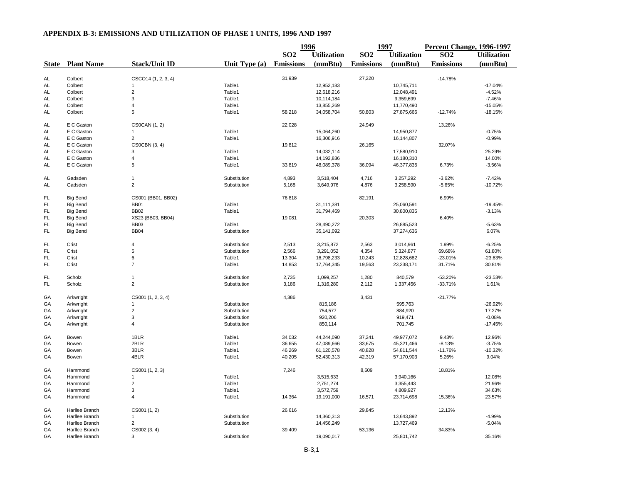|           |                         |                         |                 | 1996             |                    | 1997             |                    | Percent Change, 1996-1997 |                    |
|-----------|-------------------------|-------------------------|-----------------|------------------|--------------------|------------------|--------------------|---------------------------|--------------------|
|           |                         |                         |                 | SO <sub>2</sub>  | <b>Utilization</b> | SO <sub>2</sub>  | <b>Utilization</b> | SO <sub>2</sub>           | <b>Utilization</b> |
|           | <b>State</b> Plant Name | <b>Stack/Unit ID</b>    | Unit Type $(a)$ | <b>Emissions</b> | (mmBtu)            | <b>Emissions</b> | (mmBtu)            | <b>Emissions</b>          | (mmBtu)            |
| <b>AL</b> | Colbert                 | CSCO14 (1, 2, 3, 4)     |                 | 31,939           |                    | 27,220           |                    | $-14.78%$                 |                    |
| AL        | Colbert                 | 1                       | Table1          |                  | 12,952,183         |                  | 10,745,711         |                           | $-17.04%$          |
|           | Colbert                 | $\overline{\mathbf{c}}$ | Table1          |                  |                    |                  |                    |                           | $-4.52%$           |
| AL        |                         |                         |                 |                  | 12,618,216         |                  | 12,048,491         |                           |                    |
| AL        | Colbert                 | 3                       | Table1          |                  | 10,114,184         |                  | 9,359,699          |                           | $-7.46%$           |
| AL        | Colbert                 | 4                       | Table1          |                  | 13,855,269         |                  | 11,770,490         |                           | $-15.05%$          |
| AL        | Colbert                 | 5                       | Table1          | 58,218           | 34,058,704         | 50,803           | 27,875,666         | $-12.74%$                 | $-18.15%$          |
| AL        | E C Gaston              | CS0CAN (1, 2)           |                 | 22,028           |                    | 24,949           |                    | 13.26%                    |                    |
| AL        | E C Gaston              | $\mathbf{1}$            | Table1          |                  | 15,064,260         |                  | 14,950,877         |                           | $-0.75%$           |
| AL        | E C Gaston              | $\overline{\mathbf{c}}$ | Table1          |                  | 16,306,916         |                  | 16,144,807         |                           | $-0.99%$           |
| <b>AL</b> | E C Gaston              | CS0CBN (3, 4)           |                 | 19,812           |                    | 26,165           |                    | 32.07%                    |                    |
| AL        | E C Gaston              | 3                       | Table1          |                  | 14,032,114         |                  | 17,580,910         |                           | 25.29%             |
| AL        | E C Gaston              | 4                       | Table1          |                  | 14,192,836         |                  | 16,180,310         |                           | 14.00%             |
| AL        | E C Gaston              | 5                       | Table1          | 33,819           | 48,089,378         | 36,094           | 46,377,835         | 6.73%                     | $-3.56%$           |
| AL        | Gadsden                 | $\mathbf{1}$            | Substitution    | 4,893            | 3,518,404          | 4,716            | 3,257,292          | $-3.62%$                  | $-7.42%$           |
| AL        | Gadsden                 | $\overline{\mathbf{c}}$ | Substitution    | 5,168            | 3,649,976          | 4,876            | 3,258,590          | $-5.65%$                  | $-10.72%$          |
| <b>FL</b> | <b>Big Bend</b>         | CS001 (BB01, BB02)      |                 | 76,818           |                    | 82,191           |                    | 6.99%                     |                    |
| FL        | <b>Big Bend</b>         | <b>BB01</b>             | Table1          |                  | 31,111,381         |                  | 25,060,591         |                           | $-19.45%$          |
| FL        | <b>Big Bend</b>         | <b>BB02</b>             | Table1          |                  | 31,794,469         |                  | 30,800,835         |                           | $-3.13%$           |
| FL        | <b>Big Bend</b>         | XS23 (BB03, BB04)       |                 | 19,081           |                    | 20,303           |                    | 6.40%                     |                    |
| FL        | <b>Big Bend</b>         | <b>BB03</b>             | Table1          |                  | 28,490,272         |                  | 26,885,523         |                           | $-5.63%$           |
|           |                         |                         |                 |                  |                    |                  |                    |                           |                    |
| <b>FL</b> | <b>Big Bend</b>         | <b>BB04</b>             | Substitution    |                  | 35,141,092         |                  | 37,274,636         |                           | 6.07%              |
| <b>FL</b> | Crist                   | $\overline{4}$          | Substitution    | 2,513            | 3,215,872          | 2,563            | 3,014,961          | 1.99%                     | $-6.25%$           |
| <b>FL</b> | Crist                   | 5                       | Substitution    | 2,566            | 3,291,052          | 4,354            | 5,324,877          | 69.68%                    | 61.80%             |
| FL        | Crist                   | 6                       | Table1          | 13,304           | 16,798,233         | 10,243           | 12,828,682         | $-23.01%$                 | $-23.63%$          |
| <b>FL</b> | Crist                   | $\overline{7}$          | Table1          | 14,853           | 17,764,345         | 19,563           | 23,238,171         | 31.71%                    | 30.81%             |
| <b>FL</b> | Scholz                  | $\mathbf{1}$            | Substitution    | 2,735            | 1,099,257          | 1,280            | 840,579            | $-53.20%$                 | $-23.53%$          |
| FL        | Scholz                  | $\overline{2}$          | Substitution    | 3,186            | 1,316,280          | 2,112            | 1,337,456          | $-33.71%$                 | 1.61%              |
| GA        | Arkwright               | CS001 (1, 2, 3, 4)      |                 | 4,386            |                    | 3,431            |                    | $-21.77%$                 |                    |
| GA        | Arkwright               | 1                       | Substitution    |                  | 815,186            |                  | 595,763            |                           | $-26.92%$          |
| GA        | Arkwright               | $\overline{2}$          | Substitution    |                  | 754,577            |                  | 884,920            |                           | 17.27%             |
| GA        | Arkwright               | 3                       | Substitution    |                  | 920,206            |                  | 919,471            |                           | $-0.08%$           |
| GA        | Arkwright               | 4                       | Substitution    |                  | 850,114            |                  | 701,745            |                           | $-17.45%$          |
|           |                         |                         |                 |                  |                    |                  |                    |                           |                    |
| GA        | Bowen                   | 1BLR                    | Table1          | 34,032           | 44,244,090         | 37,241           | 49,977,072         | 9.43%                     | 12.96%             |
| GA        | Bowen                   | 2BLR                    | Table1          | 36,655           | 47,089,666         | 33,675           | 45,321,466         | $-8.13%$                  | $-3.75%$           |
| GA        | Bowen                   | 3BLR                    | Table1          | 46,269           | 61,120,578         | 40,828           | 54,811,544         | $-11.76%$                 | $-10.32%$          |
| GA        | Bowen                   | 4BLR                    | Table1          | 40,205           | 52,430,313         | 42,319           | 57,170,903         | 5.26%                     | 9.04%              |
| GA        | Hammond                 | CS001 (1, 2, 3)         |                 | 7,246            |                    | 8,609            |                    | 18.81%                    |                    |
| GA        | Hammond                 | 1                       | Table1          |                  | 3,515,633          |                  | 3,940,166          |                           | 12.08%             |
| GA        | Hammond                 | $\overline{\mathbf{c}}$ | Table1          |                  | 2,751,274          |                  | 3,355,443          |                           | 21.96%             |
| GA        | Hammond                 | 3                       | Table1          |                  | 3,572,759          |                  | 4,809,927          |                           | 34.63%             |
| GA        | Hammond                 | $\overline{4}$          | Table1          | 14,364           | 19,191,000         | 16,571           | 23,714,698         | 15.36%                    | 23.57%             |
| GA        | Harllee Branch          | CS001 (1, 2)            |                 | 26,616           |                    | 29,845           |                    | 12.13%                    |                    |
| GA        | Harllee Branch          | $\mathbf{1}$            | Substitution    |                  | 14,360,313         |                  | 13,643,892         |                           | $-4.99%$           |
| GA        | Harllee Branch          | $\overline{2}$          | Substitution    |                  | 14,456,249         |                  | 13,727,469         |                           | $-5.04%$           |
| GA        | Harllee Branch          | CS002 (3, 4)            |                 | 39,409           |                    | 53,136           |                    | 34.83%                    |                    |
| GA        | Harllee Branch          | 3                       | Substitution    |                  | 19,090,017         |                  | 25,801,742         |                           | 35.16%             |
|           |                         |                         |                 |                  |                    |                  |                    |                           |                    |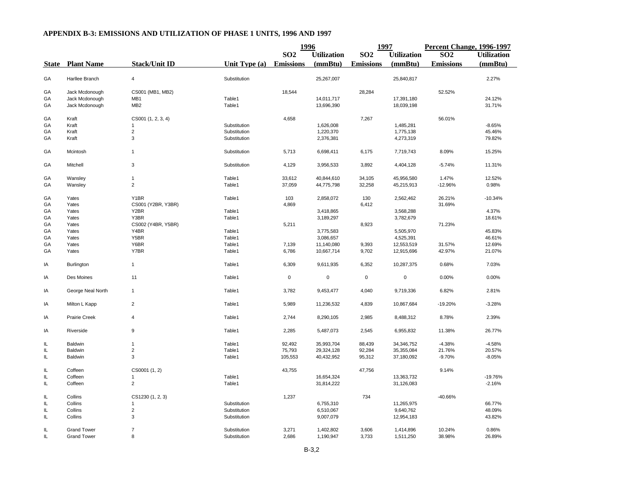|    |                         |                      |                  | 1996             |                    | 1997             |                    | Percent Change, 1996-1997 |                    |
|----|-------------------------|----------------------|------------------|------------------|--------------------|------------------|--------------------|---------------------------|--------------------|
|    |                         |                      |                  | SO <sub>2</sub>  | <b>Utilization</b> | <b>SO2</b>       | <b>Utilization</b> | SO <sub>2</sub>           | <b>Utilization</b> |
|    | <b>State</b> Plant Name | <b>Stack/Unit ID</b> | Unit Type (a)    | <b>Emissions</b> | (mmBtu)            | <b>Emissions</b> | (mmBtu)            | <b>Emissions</b>          | (mmBtu)            |
| GA | Harllee Branch          | $\overline{4}$       | Substitution     |                  | 25,267,007         |                  | 25,840,817         |                           | 2.27%              |
| GA | Jack Mcdonough          | CS001 (MB1, MB2)     |                  | 18,544           |                    | 28,284           |                    | 52.52%                    |                    |
|    |                         |                      |                  |                  |                    |                  |                    |                           |                    |
| GA | Jack Mcdonough          | MB1                  | Table1<br>Table1 |                  | 14,011,717         |                  | 17,391,180         |                           | 24.12%             |
| GA | Jack Mcdonough          | MB <sub>2</sub>      |                  |                  | 13,696,390         |                  | 18,039,198         |                           | 31.71%             |
| GA | Kraft                   | CS001 (1, 2, 3, 4)   |                  | 4,658            |                    | 7,267            |                    | 56.01%                    |                    |
| GA | Kraft                   | -1                   | Substitution     |                  | 1,626,008          |                  | 1,485,281          |                           | $-8.65%$           |
| GA | Kraft                   | $\overline{c}$       | Substitution     |                  | 1,220,370          |                  | 1,775,138          |                           | 45.46%             |
| GA | Kraft                   | 3                    | Substitution     |                  | 2,376,381          |                  | 4,273,319          |                           | 79.82%             |
| GA | Mcintosh                | $\mathbf{1}$         | Substitution     | 5,713            | 6,698,411          | 6,175            | 7,719,743          | 8.09%                     | 15.25%             |
| GA | Mitchell                | 3                    | Substitution     | 4,129            | 3,956,533          | 3,892            | 4,404,128          | $-5.74%$                  | 11.31%             |
|    |                         |                      |                  |                  |                    |                  |                    |                           |                    |
| GA | Wansley                 | $\mathbf{1}$         | Table1           | 33,612           | 40,844,610         | 34,105           | 45,956,580         | 1.47%                     | 12.52%             |
| GA | Wansley                 | $\overline{2}$       | Table1           | 37,059           | 44,775,798         | 32,258           | 45,215,913         | $-12.96%$                 | 0.98%              |
| GA | Yates                   | Y1BR                 | Table1           | 103              | 2,858,072          | 130              | 2,562,462          | 26.21%                    | $-10.34%$          |
| GA | Yates                   | CS001 (Y2BR, Y3BR)   |                  | 4,869            |                    | 6,412            |                    | 31.69%                    |                    |
| GA | Yates                   | Y2BR                 | Table1           |                  | 3,418,865          |                  | 3,568,288          |                           | 4.37%              |
| GA | Yates                   | Y3BR                 | Table1           |                  | 3,189,297          |                  | 3,782,679          |                           | 18.61%             |
| GA | Yates                   | CS002 (Y4BR, Y5BR)   |                  | 5,211            |                    | 8,923            |                    | 71.23%                    |                    |
| GA | Yates                   | Y4BR                 | Table1           |                  | 3,775,583          |                  | 5,505,970          |                           | 45.83%             |
| GA | Yates                   | Y5BR                 | Table1           |                  | 3,086,657          |                  | 4,525,391          |                           | 46.61%             |
| GA | Yates                   | Y6BR                 | Table1           | 7,139            | 11,140,080         | 9,393            | 12,553,519         | 31.57%                    | 12.69%             |
| GA | Yates                   | Y7BR                 | Table1           | 6,786            | 10,667,714         | 9,702            | 12,915,696         | 42.97%                    | 21.07%             |
|    |                         |                      |                  |                  |                    |                  |                    |                           |                    |
| IA | Burlington              | $\mathbf{1}$         | Table1           | 6,309            | 9,611,935          | 6,352            | 10,287,375         | 0.68%                     | 7.03%              |
| IA | Des Moines              | 11                   | Table1           | $\mathsf 0$      | $\mathbf 0$        | $\mathsf 0$      | $\mathsf 0$        | 0.00%                     | 0.00%              |
| IA | George Neal North       | $\mathbf{1}$         | Table1           | 3,782            | 9,453,477          | 4,040            | 9,719,336          | 6.82%                     | 2.81%              |
| IA | Milton L Kapp           | $\overline{2}$       | Table1           | 5,989            | 11,236,532         | 4,839            | 10,867,684         | -19.20%                   | $-3.28%$           |
| IA | Prairie Creek           | $\overline{4}$       | Table1           | 2,744            | 8,290,105          | 2,985            | 8,488,312          | 8.78%                     | 2.39%              |
| IA | Riverside               | 9                    | Table1           | 2,285            | 5,487,073          | 2,545            | 6,955,832          | 11.38%                    | 26.77%             |
|    |                         |                      |                  |                  |                    |                  |                    |                           |                    |
| IL | Baldwin                 | $\mathbf{1}$         | Table1           | 92,492           | 35,993,704         | 88,439           | 34,346,752         | $-4.38%$                  | $-4.58%$           |
| IL | Baldwin                 | $\overline{2}$       | Table1           | 75,793           | 29,324,128         | 92,284           | 35,355,084         | 21.76%                    | 20.57%             |
| IL | Baldwin                 | 3                    | Table1           | 105,553          | 40,432,952         | 95,312           | 37,180,092         | $-9.70%$                  | $-8.05%$           |
| IL | Coffeen                 | CS0001 (1, 2)        |                  | 43,755           |                    | 47,756           |                    | 9.14%                     |                    |
| IL | Coffeen                 | -1                   | Table1           |                  | 16,654,324         |                  | 13,363,732         |                           | $-19.76%$          |
| IL | Coffeen                 | $\overline{c}$       | Table1           |                  | 31,814,222         |                  | 31,126,083         |                           | $-2.16%$           |
| IL | Collins                 | CS1230 (1, 2, 3)     |                  | 1,237            |                    | 734              |                    | -40.66%                   |                    |
| IL | Collins                 | $\mathbf{1}$         | Substitution     |                  | 6,755,310          |                  | 11,265,975         |                           | 66.77%             |
| IL | Collins                 | $\overline{c}$       | Substitution     |                  | 6,510,067          |                  | 9,640,762          |                           | 48.09%             |
| IL | Collins                 | 3                    | Substitution     |                  | 9,007,079          |                  | 12,954,183         |                           | 43.82%             |
|    |                         |                      |                  |                  |                    |                  |                    |                           |                    |
| IL | <b>Grand Tower</b>      | $\overline{7}$       | Substitution     | 3,271            | 1,402,802          | 3,606            | 1,414,896          | 10.24%                    | 0.86%              |
| IL | <b>Grand Tower</b>      | 8                    | Substitution     | 2,686            | 1,190,947          | 3,733            | 1,511,250          | 38.98%                    | 26.89%             |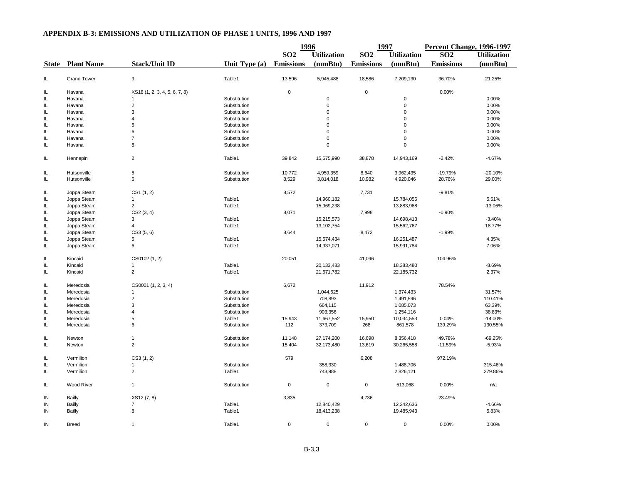|          |                         |                               |               | 1996             |                    | 1997             |                    | Percent Change, 1996-1997 |                    |
|----------|-------------------------|-------------------------------|---------------|------------------|--------------------|------------------|--------------------|---------------------------|--------------------|
|          |                         |                               |               | SO <sub>2</sub>  | <b>Utilization</b> | SO <sub>2</sub>  | <b>Utilization</b> | S <sub>02</sub>           | <b>Utilization</b> |
|          | <b>State</b> Plant Name | <b>Stack/Unit ID</b>          | Unit Type (a) | <b>Emissions</b> | (mmBtu)            | <b>Emissions</b> | (mmBtu)            | <b>Emissions</b>          | (mmBtu)            |
| IL       | <b>Grand Tower</b>      | 9                             | Table1        | 13,596           | 5,945,488          | 18,586           | 7,209,130          | 36.70%                    | 21.25%             |
| IL       | Havana                  | XS18 (1, 2, 3, 4, 5, 6, 7, 8) |               | $\pmb{0}$        |                    | $\mathsf 0$      |                    | 0.00%                     |                    |
|          |                         |                               | Substitution  |                  | $\mathbf 0$        |                  | $\mathsf 0$        |                           | 0.00%              |
| IL<br>IL | Havana<br>Havana        | $\overline{c}$                | Substitution  |                  | $\mathbf 0$        |                  | $\mathsf 0$        |                           | 0.00%              |
|          |                         |                               | Substitution  |                  | $\mathbf 0$        |                  | 0                  |                           |                    |
| IL       | Havana                  | 3<br>$\overline{4}$           |               |                  | $\mathbf 0$        |                  | $\mathbf 0$        |                           | 0.00%              |
| IL       | Havana                  |                               | Substitution  |                  | $\Omega$           |                  | $\mathbf 0$        |                           | 0.00%              |
| IL       | Havana                  | 5                             | Substitution  |                  |                    |                  |                    |                           | 0.00%              |
| IL       | Havana                  | 6                             | Substitution  |                  | $\mathbf 0$        |                  | 0                  |                           | 0.00%              |
| IL       | Havana                  | $\overline{7}$                | Substitution  |                  | $\mathbf 0$        |                  | 0                  |                           | 0.00%              |
| IL       | Havana                  | 8                             | Substitution  |                  | $\mathbf 0$        |                  | $\mathsf 0$        |                           | 0.00%              |
| IL       | Hennepin                | $\overline{2}$                | Table1        | 39,842           | 15,675,990         | 38,878           | 14,943,169         | $-2.42%$                  | $-4.67%$           |
| IL       | Hutsonville             | 5                             | Substitution  | 10,772           | 4,959,359          | 8,640            | 3,962,435          | -19.79%                   | $-20.10%$          |
| IL       | Hutsonville             | 6                             | Substitution  | 8,529            | 3,814,018          | 10,982           | 4,920,046          | 28.76%                    | 29.00%             |
|          |                         |                               |               |                  |                    |                  |                    |                           |                    |
| IL       | Joppa Steam             | CS1(1, 2)                     |               | 8,572            |                    | 7,731            |                    | $-9.81%$                  |                    |
| IL       | Joppa Steam             | 1                             | Table1        |                  | 14,960,182         |                  | 15,784,056         |                           | 5.51%              |
| IL       | Joppa Steam             | $\overline{2}$                | Table1        |                  | 15,969,238         |                  | 13,883,968         |                           | $-13.06%$          |
| IL       | Joppa Steam             | CS2 (3, 4)                    |               | 8,071            |                    | 7,998            |                    | $-0.90%$                  |                    |
| IL       | Joppa Steam             | 3                             | Table1        |                  | 15,215,573         |                  | 14,698,413         |                           | $-3.40%$           |
| IL       | Joppa Steam             | 4                             | Table1        |                  | 13,102,754         |                  | 15,562,767         |                           | 18.77%             |
| IL       | Joppa Steam             | CS3(5, 6)                     |               | 8,644            |                    | 8,472            |                    | $-1.99%$                  |                    |
| IL       | Joppa Steam             | 5                             | Table1        |                  | 15,574,434         |                  | 16,251,487         |                           | 4.35%              |
| IL       | Joppa Steam             | 6                             | Table1        |                  | 14,937,071         |                  | 15,991,784         |                           | 7.06%              |
| IL       | Kincaid                 | CS0102 (1, 2)                 |               | 20,051           |                    | 41,096           |                    | 104.96%                   |                    |
| IL       | Kincaid                 | $\mathbf{1}$                  | Table1        |                  | 20,133,483         |                  | 18,383,480         |                           | $-8.69%$           |
| IL       | Kincaid                 | $\overline{c}$                | Table1        |                  | 21,671,782         |                  | 22,185,732         |                           | 2.37%              |
| IL       | Meredosia               | CS0001 (1, 2, 3, 4)           |               | 6,672            |                    | 11,912           |                    | 78.54%                    |                    |
| IL       | Meredosia               |                               | Substitution  |                  | 1,044,625          |                  | 1,374,433          |                           | 31.57%             |
| IL       | Meredosia               | $\overline{c}$                | Substitution  |                  | 708,893            |                  | 1,491,596          |                           | 110.41%            |
| IL       | Meredosia               | 3                             | Substitution  |                  | 664,115            |                  | 1,085,073          |                           | 63.39%             |
| IL       | Meredosia               | $\overline{4}$                | Substitution  |                  | 903,356            |                  | 1,254,116          |                           | 38.83%             |
| IL       | Meredosia               | 5                             | Table1        | 15,943           | 11,667,552         | 15,950           | 10,034,553         | 0.04%                     | $-14.00%$          |
| IL       | Meredosia               | 6                             | Substitution  | 112              | 373,709            | 268              | 861,578            | 139.29%                   | 130.55%            |
| IL       | Newton                  | $\mathbf{1}$                  | Substitution  | 11,148           | 27,174,200         | 16,698           | 8,356,418          | 49.78%                    | $-69.25%$          |
| IL       | Newton                  | $\overline{a}$                | Substitution  | 15,404           | 32,173,480         | 13,619           | 30,265,558         | $-11.59%$                 | $-5.93%$           |
| IL       | Vermilion               | CS3(1, 2)                     |               | 579              |                    | 6,208            |                    | 972.19%                   |                    |
| IL       | Vermilion               | $\mathbf{1}$                  | Substitution  |                  | 358,330            |                  | 1,488,706          |                           | 315.46%            |
| IL       | Vermilion               | $\overline{2}$                | Table1        |                  | 743,988            |                  | 2,826,121          |                           | 279.86%            |
| $\sf IL$ | Wood River              | $\mathbf{1}$                  | Substitution  | $\pmb{0}$        | $\mathbf 0$        | $\pmb{0}$        | 513,068            | 0.00%                     | n/a                |
| IN       | Bailly                  | XS12 (7, 8)                   |               | 3,835            |                    | 4,736            |                    | 23.49%                    |                    |
| IN       | Bailly                  | $\overline{7}$                | Table1        |                  | 12,840,429         |                  | 12,242,636         |                           | $-4.66%$           |
| IN       | Bailly                  | 8                             | Table1        |                  | 18,413,238         |                  | 19,485,943         |                           | 5.83%              |
| IN       | <b>Breed</b>            | $\mathbf{1}$                  | Table1        | 0                | 0                  | $\mathsf 0$      | $\mathsf 0$        | 0.00%                     | 0.00%              |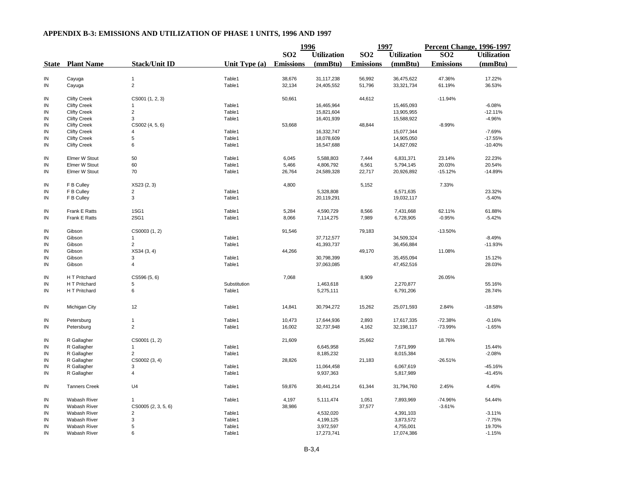|              |                      |                           |               | 1996             |                    | 1997             |                    | Percent Change, 1996-1997 |                    |
|--------------|----------------------|---------------------------|---------------|------------------|--------------------|------------------|--------------------|---------------------------|--------------------|
|              |                      |                           |               | SO <sub>2</sub>  | <b>Utilization</b> | <b>SO2</b>       | <b>Utilization</b> | SO <sub>2</sub>           | <b>Utilization</b> |
| <b>State</b> | <b>Plant Name</b>    | <b>Stack/Unit ID</b>      | Unit Type (a) | <b>Emissions</b> | (mmBtu)            | <b>Emissions</b> | (mmBtu)            | <b>Emissions</b>          | (mmBtu)            |
|              |                      |                           |               |                  |                    |                  |                    |                           |                    |
| IN           | Cayuga               | $\mathbf{1}$              | Table1        | 38,676           | 31,117,238         | 56,992           | 36,475,622         | 47.36%                    | 17.22%             |
| ${\sf IN}$   | Cayuga               | $\overline{a}$            | Table1        | 32,134           | 24,405,552         | 51,796           | 33,321,734         | 61.19%                    | 36.53%             |
| IN           | <b>Clifty Creek</b>  | CS001 (1, 2, 3)           |               | 50,661           |                    | 44,612           |                    | $-11.94%$                 |                    |
| IN           | <b>Clifty Creek</b>  | -1                        | Table1        |                  | 16,465,964         |                  | 15,465,093         |                           | $-6.08%$           |
| IN           | <b>Clifty Creek</b>  | $\overline{c}$            | Table1        |                  | 15,821,604         |                  | 13,905,955         |                           | $-12.11%$          |
| IN           | <b>Clifty Creek</b>  | 3                         | Table1        |                  | 16,401,939         |                  | 15,588,922         |                           | $-4.96%$           |
| IN           | <b>Clifty Creek</b>  | CS002 (4, 5, 6)           |               | 53,668           |                    | 48,844           |                    | $-8.99%$                  |                    |
| IN           | <b>Clifty Creek</b>  |                           | Table1        |                  | 16,332,747         |                  | 15,077,344         |                           | $-7.69%$           |
| IN           | <b>Clifty Creek</b>  | 5                         | Table1        |                  | 18,078,609         |                  | 14,905,050         |                           | $-17.55%$          |
| IN           | <b>Clifty Creek</b>  | 6                         | Table1        |                  | 16,547,688         |                  | 14,827,092         |                           | $-10.40%$          |
|              |                      |                           |               |                  |                    |                  |                    |                           |                    |
| IN           | <b>Elmer W Stout</b> | 50                        | Table1        | 6,045            | 5,588,803          | 7,444            | 6,831,371          | 23.14%                    | 22.23%             |
| IN           | Elmer W Stout        | 60                        | Table1        | 5,466            | 4,806,792          | 6,561            | 5,794,145          | 20.03%                    | 20.54%             |
| IN           | Elmer W Stout        | 70                        | Table1        | 26,764           | 24,589,328         | 22,717           | 20,926,892         | $-15.12%$                 | $-14.89%$          |
| IN           | F B Culley           | XS23 (2, 3)               |               | 4,800            |                    | 5,152            |                    | 7.33%                     |                    |
| IN           | F B Culley           | $\overline{\mathbf{c}}$   | Table1        |                  | 5,328,808          |                  | 6,571,635          |                           | 23.32%             |
| IN           | F B Culley           | 3                         | Table1        |                  | 20,119,291         |                  | 19,032,117         |                           | $-5.40%$           |
| IN           | Frank E Ratts        | 1SG1                      | Table1        | 5,284            | 4,590,729          | 8,566            | 7,431,668          | 62.11%                    | 61.88%             |
| ${\sf IN}$   | Frank E Ratts        | 2SG1                      | Table1        | 8,066            | 7,114,275          | 7,989            | 6,728,905          | $-0.95%$                  | $-5.42%$           |
| IN           | Gibson               |                           |               | 91,546           |                    | 79,183           |                    | $-13.50%$                 |                    |
|              |                      | CS0003 (1, 2)             |               |                  |                    |                  |                    |                           |                    |
| IN           | Gibson               |                           | Table1        |                  | 37,712,577         |                  | 34,509,324         |                           | $-8.49%$           |
| IN           | Gibson               | $\overline{2}$            | Table1        |                  | 41,393,737         |                  | 36,456,884         |                           | $-11.93%$          |
| IN           | Gibson               | XS34(3, 4)                |               | 44,266           |                    | 49,170           |                    | 11.08%                    |                    |
| IN           | Gibson               | 3                         | Table1        |                  | 30,798,399         |                  | 35,455,094         |                           | 15.12%             |
| IN           | Gibson               | 4                         | Table1        |                  | 37,063,085         |                  | 47,452,516         |                           | 28.03%             |
| IN           | H T Pritchard        | CS596 (5, 6)              |               | 7,068            |                    | 8,909            |                    | 26.05%                    |                    |
| IN           | H T Pritchard        | 5                         | Substitution  |                  | 1,463,618          |                  | 2,270,877          |                           | 55.16%             |
| IN           | H T Pritchard        | 6                         | Table1        |                  | 5,275,111          |                  | 6,791,206          |                           | 28.74%             |
|              |                      |                           |               |                  |                    |                  |                    |                           |                    |
| IN           | Michigan City        | 12                        | Table1        | 14,841           | 30,794,272         | 15,262           | 25,071,593         | 2.84%                     | $-18.58%$          |
| IN           | Petersburg           | $\mathbf{1}$              | Table1        | 10,473           | 17,644,936         | 2,893            | 17,617,335         | $-72.38%$                 | $-0.16%$           |
| IN           | Petersburg           | $\overline{c}$            | Table1        | 16,002           | 32,737,948         | 4,162            | 32,198,117         | -73.99%                   | $-1.65%$           |
| IN           | R Gallagher          | CS0001 (1, 2)             |               | 21,609           |                    | 25,662           |                    | 18.76%                    |                    |
| ${\sf IN}$   | R Gallagher          | $\mathbf{1}$              | Table1        |                  | 6,645,958          |                  | 7,671,999          |                           | 15.44%             |
| IN           | R Gallagher          | $\overline{c}$            | Table1        |                  | 8,185,232          |                  | 8,015,384          |                           | $-2.08%$           |
| IN           | R Gallagher          | CS0002 (3, 4)             |               | 28,826           |                    | 21,183           |                    | $-26.51%$                 |                    |
| IN           | R Gallagher          | 3                         | Table1        |                  | 11,064,458         |                  | 6,067,619          |                           | $-45.16%$          |
| ${\sf IN}$   | R Gallagher          | $\overline{4}$            | Table1        |                  | 9,937,363          |                  | 5,817,989          |                           | $-41.45%$          |
| IN           | <b>Tanners Creek</b> | U <sub>4</sub>            | Table1        | 59,876           | 30,441,214         | 61,344           | 31,794,760         | 2.45%                     | 4.45%              |
|              |                      |                           |               |                  |                    |                  |                    |                           |                    |
| IN           | Wabash River         | $\mathbf{1}$              | Table1        | 4,197            | 5,111,474          | 1,051            | 7,893,969          | -74.96%                   | 54.44%             |
| IN           | Wabash River         | CS0005 (2, 3, 5, 6)       |               | 38,986           |                    | 37,577           |                    | $-3.61%$                  |                    |
| IN           | Wabash River         | $\overline{2}$            | Table1        |                  | 4,532,020          |                  | 4,391,103          |                           | $-3.11%$           |
| IN           | <b>Wabash River</b>  | $\ensuremath{\mathsf{3}}$ | Table1        |                  | 4,199,125          |                  | 3,873,572          |                           | $-7.75%$           |
| IN           | <b>Wabash River</b>  | 5                         | Table1        |                  | 3,972,597          |                  | 4,755,001          |                           | 19.70%             |
| IN           | <b>Wabash River</b>  | 6                         | Table1        |                  | 17,273,741         |                  | 17,074,386         |                           | $-1.15%$           |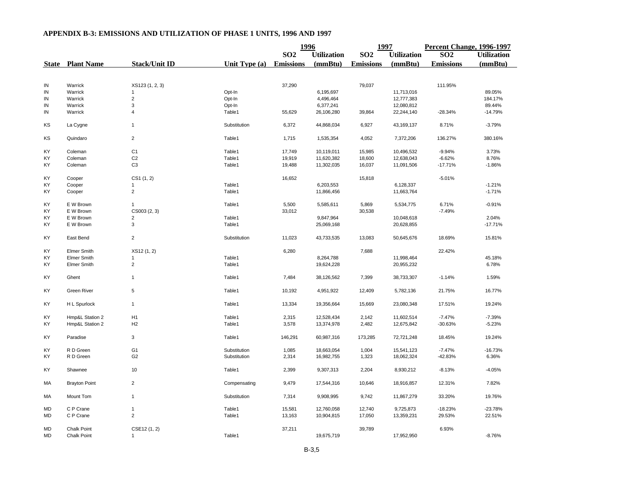## **1996 1997 Percent Change, 1996-1997 SO2 Utilization SO2 Utilization SO2 Utilization State Plant Name Stack/Unit ID Unit Type (a) Emissions (mmBtu) Emissions (mmBtu) Emissions (mmBtu)** IN Warrick XS123 (1, 2, 3) 37,290 79,037 111.95% IN Warrick 1 Opt-In 6,195,697 11,713,016 89.05% IN Warrick 2 Opt-In 4,496,464 12,777,383 184.17% IN Warrick 3 Opt-In 6,377,241 12,080,812 89.44% IN Warrick 4 Table1 55,629 26,106,280 39,864 22,244,140 -28.34% -14.79% KS La Cygne 1 Substitution 6,372 44,868,034 6,927 43,169,137 8.71% -3.79% KS Quindaro 2 Table1 1,715 1,535,354 4,052 7,372,206 136.27% 380.16% KY Coleman C1 Table1 17,749 10,119,011 15,985 10,496,532 -9.94% 3.73% KY Coleman C2 Table1 19,919 11,620,382 18,600 12,638,043 -6.62% 8.76% KY Coleman C3 Table1 19,488 11,302,035 16,037 11,091,506 -17.71% -1.86% KY Cooper CS1 (1, 2) 16,652 15,818 -5.01% KY Cooper 1 Table1 6,203,553 6,128,337 -1.21% KY Cooper 2 Table1 11,866,456 11,663,764 -1.71% KY E W Brown 1 Table1 5,500 5,585,611 5,869 5,534,775 6.71% -0.91% KY E W Brown CS003 (2, 3) 33,012 30,538 -7.49% KY E W Brown 2 Table1 9,847,964 10,048,618 2.04% KY E W Brown 3 Table1 25,069,168 20,628,855 -17.71% KY East Bend 2 Substitution 11,023 43,733,535 13,083 50,645,676 18.69% 15.81% KY Elmer Smith XS12 (1, 2) 6,280 7,688 22.42% KY Elmer Smith 1 Table1 8,264,788 11,998,464 45.18% KY Elmer Smith 2 Table1 19,624,228 20,955,232 6.78% KY Ghent 1 Table1 7,484 38,126,562 7,399 38,733,307 -1.14% 1.59% KY Green River 5 Table1 10,192 4,951,922 12,409 5,782,136 21.75% 16.77% KY H L Spurlock 1 Table1 13,334 19,356,664 15,669 23,080,348 17.51% 19.24% KY Hmp&L Station 2 H1 Table1 2,315 12,528,434 2,142 11,602,514 -7.47% -7.39% KY Hmp&L Station 2 H2 Table1 3,578 13,374,978 2,482 12,675,842 -30.63% -5.23% KY Paradise 3 Table1 146,291 60,987,316 173,285 72,721,248 18.45% 19.24% KY R D Green G1 Substitution 1,085 18,663,054 1,004 15,541,123 -7.47% -16.73% KY R D Green G2 Substitution 2,314 16,982,755 1,323 18,062,324 -42.83% 6.36% KY Shawnee 10 Table1 2,399 9,307,313 2,204 8,930,212 -8.13% -4.05% MA Brayton Point 2 2 Compensating 9,479 17,544,316 10,646 18,916,857 12.31% 7.82% MA Mount Tom 1 Substitution 7,314 9,908,995 9,742 11,867,279 33.20% 19.76% MD C P Crane 1 Table1 15,581 12,760,058 12,740 9,725,873 -18.23% -23.78% MD C P Crane 2 Table1 13,163 10,904,815 17,050 13,359,231 29.53% 22.51% MD Chalk Point CSE12 (1, 2) 37,211 39,789 6.93% MD Chalk Point 1 1 - 1.952,950 -8.76% من المسلم المسلم المسلم العام التي يتم المسلم التي يتم التي يتم التي يتم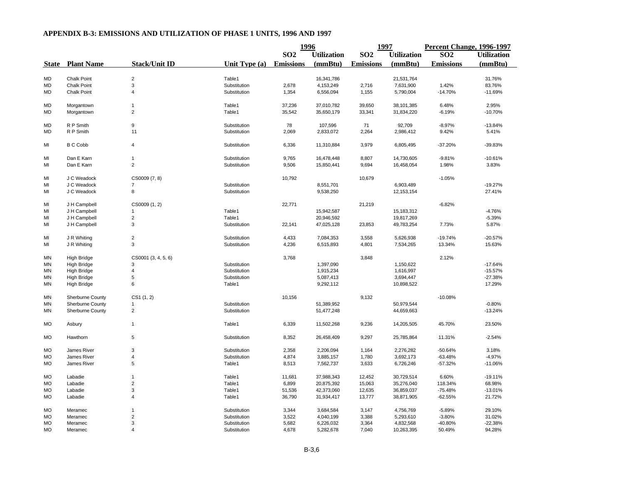|           |                         |                         |                 | 1996             |                    | 1997             |                    | <b>Percent Change, 1996-1997</b> |                    |
|-----------|-------------------------|-------------------------|-----------------|------------------|--------------------|------------------|--------------------|----------------------------------|--------------------|
|           |                         |                         |                 | SO <sub>2</sub>  | <b>Utilization</b> | SO <sub>2</sub>  | <b>Utilization</b> | SO <sub>2</sub>                  | <b>Utilization</b> |
|           | <b>State</b> Plant Name | <b>Stack/Unit ID</b>    | Unit Type $(a)$ | <b>Emissions</b> | (mmBtu)            | <b>Emissions</b> | (mmBtu)            | <b>Emissions</b>                 | (mmBtu)            |
|           |                         |                         |                 |                  |                    |                  |                    |                                  |                    |
| MD        | <b>Chalk Point</b>      | $\overline{2}$          | Table1          |                  | 16,341,786         |                  | 21,531,764         |                                  | 31.76%             |
| MD        | <b>Chalk Point</b>      | 3                       | Substitution    | 2,678            | 4,153,249          | 2,716            | 7,631,900          | 1.42%                            | 83.76%             |
| MD        | <b>Chalk Point</b>      | $\overline{4}$          | Substitution    | 1,354            | 6,556,094          | 1,155            | 5,790,004          | $-14.70%$                        | $-11.69%$          |
| MD        | Morgantown              | $\mathbf{1}$            | Table1          | 37,236           | 37,010,782         | 39,650           | 38,101,385         | 6.48%                            | 2.95%              |
| MD        | Morgantown              | $\overline{c}$          | Table1          | 35,542           | 35,650,179         | 33,341           | 31,834,220         | $-6.19%$                         | $-10.70%$          |
| MD        | R P Smith               | 9                       | Substitution    | 78               | 107,596            | 71               | 92,709             | $-8.97%$                         | $-13.84%$          |
| MD        | R P Smith               | 11                      | Substitution    | 2,069            | 2,833,072          | 2,264            | 2,986,412          | 9.42%                            | 5.41%              |
| MI        | <b>B C Cobb</b>         | 4                       | Substitution    | 6,336            | 11,310,884         | 3,979            | 6,805,495          | $-37.20%$                        | $-39.83%$          |
|           |                         |                         |                 |                  |                    |                  |                    |                                  |                    |
| MI        | Dan E Karn              | $\mathbf{1}$            | Substitution    | 9,765            | 16,478,448         | 8,807            | 14,730,605         | $-9.81%$                         | $-10.61%$          |
| MI        | Dan E Karn              | $\overline{2}$          | Substitution    | 9,506            | 15,850,441         | 9,694            | 16,458,054         | 1.98%                            | 3.83%              |
| MI        | J C Weadock             | CS0009 (7, 8)           |                 | 10,792           |                    | 10,679           |                    | $-1.05%$                         |                    |
| MI        | J C Weadock             | 7                       | Substitution    |                  | 8,551,701          |                  | 6,903,489          |                                  | $-19.27%$          |
| MI        | J C Weadock             | 8                       | Substitution    |                  | 9,538,250          |                  | 12, 153, 154       |                                  | 27.41%             |
| MI        | J H Campbell            | CS0009 (1, 2)           |                 | 22,771           |                    | 21,219           |                    | $-6.82%$                         |                    |
| MI        | J H Campbell            | $\overline{1}$          | Table1          |                  | 15,942,587         |                  | 15,183,312         |                                  | $-4.76%$           |
| MI        | J H Campbell            | $\overline{\mathbf{c}}$ | Table1          |                  | 20,946,592         |                  | 19,817,269         |                                  | $-5.39%$           |
| MI        | J H Campbell            | 3                       | Substitution    | 22,141           | 47,025,128         | 23,853           | 49,783,254         | 7.73%                            | 5.87%              |
|           |                         |                         |                 |                  |                    |                  |                    |                                  |                    |
| MI        | J R Whiting             | $\overline{c}$          | Substitution    | 4,433            | 7,084,353          | 3,558            | 5,626,938          | $-19.74%$                        | $-20.57%$          |
| MI        | J R Whiting             | 3                       | Substitution    | 4,236            | 6,515,893          | 4,801            | 7,534,265          | 13.34%                           | 15.63%             |
| ΜN        | <b>High Bridge</b>      | CS0001 (3, 4, 5, 6)     |                 | 3,768            |                    | 3,848            |                    | 2.12%                            |                    |
| MN        | <b>High Bridge</b>      | 3                       | Substitution    |                  | 1,397,090          |                  | 1,150,622          |                                  | $-17.64%$          |
| MN        | <b>High Bridge</b>      | $\overline{4}$          | Substitution    |                  | 1,915,234          |                  | 1,616,997          |                                  | $-15.57%$          |
| ΜN        | <b>High Bridge</b>      | 5                       | Substitution    |                  | 5,087,413          |                  | 3,694,447          |                                  | $-27.38%$          |
| ΜN        | <b>High Bridge</b>      | 6                       | Table1          |                  | 9,292,112          |                  | 10,898,522         |                                  | 17.29%             |
| <b>MN</b> | Sherburne County        | CS1(1, 2)               |                 | 10,156           |                    | 9,132            |                    | $-10.08%$                        |                    |
| <b>MN</b> | Sherburne County        | -1                      | Substitution    |                  | 51,389,952         |                  | 50,979,544         |                                  | $-0.80%$           |
| MN        | Sherburne County        | $\overline{2}$          | Substitution    |                  | 51,477,248         |                  | 44,659,663         |                                  | $-13.24%$          |
| <b>MO</b> | Asbury                  | $\mathbf{1}$            | Table1          | 6,339            | 11,502,268         | 9,236            | 14,205,505         | 45.70%                           | 23.50%             |
| MO        | Hawthorn                | 5                       | Substitution    | 8,352            | 26,458,409         | 9,297            | 25,785,864         | 11.31%                           | $-2.54%$           |
| МO        | <b>James River</b>      | 3                       | Substitution    | 2,358            | 2,206,094          | 1,164            | 2,276,282          | $-50.64%$                        | 3.18%              |
| МO        | James River             | 4                       | Substitution    | 4,874            | 3,885,157          | 1,780            | 3,692,173          | $-63.48%$                        | $-4.97%$           |
| MO        | James River             | 5                       | Table1          | 8,513            | 7,562,737          | 3,633            | 6,726,246          | $-57.32%$                        | $-11.06%$          |
| <b>MO</b> | Labadie                 | $\mathbf{1}$            | Table1          | 11,681           | 37,988,343         | 12,452           | 30,729,514         | 6.60%                            | $-19.11%$          |
| <b>MO</b> | Labadie                 | $\mathbf 2$             | Table1          | 6,899            | 20,875,392         | 15,063           | 35,276,040         | 118.34%                          | 68.98%             |
| <b>MO</b> | Labadie                 | 3                       | Table1          | 51,536           | 42,373,060         | 12,635           | 36,859,037         | $-75.48%$                        | $-13.01%$          |
| MO        | Labadie                 | 4                       | Table1          | 36,790           | 31,934,417         | 13,777           | 38,871,905         | $-62.55%$                        | 21.72%             |
| <b>MO</b> | Meramec                 | $\mathbf{1}$            | Substitution    | 3,344            | 3,684,584          | 3,147            | 4,756,769          | $-5.89%$                         | 29.10%             |
| <b>MO</b> | Meramec                 | $\overline{c}$          | Substitution    | 3,522            | 4,040,199          | 3,388            | 5,293,610          | $-3.80%$                         | 31.02%             |
| <b>MO</b> | Meramec                 | 3                       | Substitution    | 5,682            | 6,226,032          | 3,364            | 4,832,568          | -40.80%                          | $-22.38%$          |
| <b>MO</b> | Meramec                 | $\overline{4}$          | Substitution    | 4,678            | 5,282,678          | 7,040            | 10,263,395         | 50.49%                           | 94.28%             |
|           |                         |                         |                 |                  |                    |                  |                    |                                  |                    |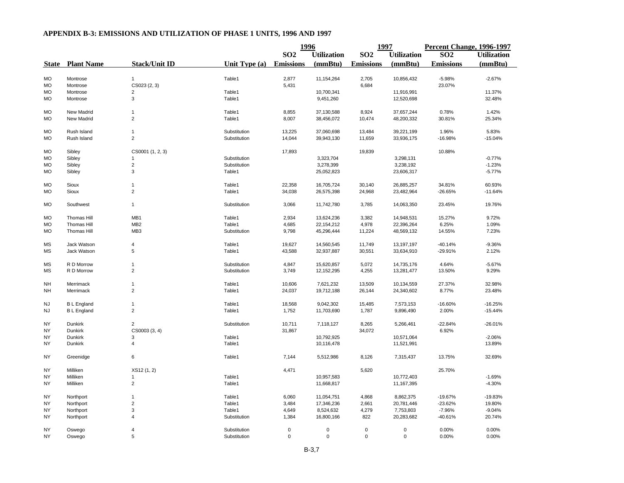|           |                         |                      |               | 1996             |                    | 1997             |                    | Percent Change, 1996-1997 |                    |
|-----------|-------------------------|----------------------|---------------|------------------|--------------------|------------------|--------------------|---------------------------|--------------------|
|           |                         |                      |               | SO <sub>2</sub>  | <b>Utilization</b> | <b>SO2</b>       | <b>Utilization</b> | SO <sub>2</sub>           | <b>Utilization</b> |
|           | <b>State</b> Plant Name | <b>Stack/Unit ID</b> | Unit Type (a) | <b>Emissions</b> | (mmBtu)            | <b>Emissions</b> | (mmBtu)            | <b>Emissions</b>          | (mmBtu)            |
| <b>MO</b> | Montrose                | $\mathbf{1}$         | Table1        | 2,877            | 11,154,264         | 2,705            | 10,856,432         | $-5.98%$                  | $-2.67%$           |
| <b>MO</b> | Montrose                | CS023 (2, 3)         |               | 5,431            |                    | 6,684            |                    | 23.07%                    |                    |
| <b>MO</b> | Montrose                | $\overline{2}$       | Table1        |                  | 10,700,341         |                  | 11,916,991         |                           | 11.37%             |
| <b>MO</b> | Montrose                | 3                    | Table1        |                  | 9,451,260          |                  | 12,520,698         |                           | 32.48%             |
|           |                         |                      |               |                  |                    |                  |                    |                           |                    |
| MO        | New Madrid              | $\mathbf{1}$         | Table1        | 8,855            | 37,130,588         | 8,924            | 37,657,244         | 0.78%                     | 1.42%              |
| <b>MO</b> | New Madrid              | $\overline{c}$       | Table1        | 8,007            | 38,456,072         | 10,474           | 48,200,332         | 30.81%                    | 25.34%             |
| <b>MO</b> | Rush Island             | $\mathbf{1}$         | Substitution  | 13,225           | 37,060,698         | 13,484           | 39,221,199         | 1.96%                     | 5.83%              |
| <b>MO</b> | Rush Island             | $\overline{2}$       | Substitution  | 14,044           | 39,943,130         | 11,659           | 33,936,175         | $-16.98%$                 | $-15.04%$          |
|           |                         |                      |               |                  |                    |                  |                    |                           |                    |
| <b>MO</b> | Sibley                  | CS0001 (1, 2, 3)     |               | 17,893           |                    | 19,839           |                    | 10.88%                    |                    |
| MO        | Sibley                  | $\mathbf{1}$         | Substitution  |                  | 3,323,704          |                  | 3,298,131          |                           | $-0.77%$           |
| <b>MO</b> | Sibley                  | $\overline{c}$       | Substitution  |                  | 3,278,399          |                  | 3,238,192          |                           | $-1.23%$           |
| MO        | Sibley                  | 3                    | Table1        |                  | 25,052,823         |                  | 23,606,317         |                           | $-5.77%$           |
| MO        | Sioux                   | $\mathbf{1}$         | Table1        | 22,358           | 16,705,724         | 30,140           | 26,885,257         | 34.81%                    | 60.93%             |
| MO        | Sioux                   | $\overline{2}$       | Table1        | 34,038           | 26,575,398         | 24,968           | 23,482,964         | $-26.65%$                 | $-11.64%$          |
|           |                         |                      |               |                  |                    |                  |                    |                           |                    |
| <b>MO</b> | Southwest               | $\mathbf{1}$         | Substitution  | 3,066            | 11,742,780         | 3,785            | 14,063,350         | 23.45%                    | 19.76%             |
| MO        | <b>Thomas Hill</b>      | MB1                  | Table1        | 2,934            | 13,624,236         | 3,382            | 14,948,531         | 15.27%                    | 9.72%              |
| MO        | Thomas Hill             | MB <sub>2</sub>      | Table1        | 4,685            | 22, 154, 212       | 4,978            | 22,396,264         | 6.25%                     | 1.09%              |
| MO        | <b>Thomas Hill</b>      | MB <sub>3</sub>      | Substitution  | 9,798            | 45,296,444         | 11,224           | 48,569,132         | 14.55%                    | 7.23%              |
|           |                         |                      |               |                  |                    |                  |                    |                           |                    |
| <b>MS</b> | Jack Watson             | $\overline{4}$       | Table1        | 19,627           | 14,560,545         | 11,749           | 13,197,197         | $-40.14%$                 | $-9.36%$           |
| MS        | Jack Watson             | 5                    | Table1        | 43,588           | 32,937,887         | 30,551           | 33,634,910         | $-29.91%$                 | 2.12%              |
| <b>MS</b> | R D Morrow              | $\mathbf{1}$         | Substitution  | 4,847            | 15,620,857         | 5,072            | 14,735,176         | 4.64%                     | $-5.67%$           |
| <b>MS</b> | R D Morrow              | $\overline{2}$       | Substitution  | 3,749            | 12,152,295         | 4,255            | 13,281,477         | 13.50%                    | 9.29%              |
|           |                         |                      |               |                  |                    |                  |                    |                           |                    |
| NΗ        | Merrimack               | 1                    | Table1        | 10,606           | 7,621,232          | 13,509           | 10,134,559         | 27.37%                    | 32.98%             |
| <b>NH</b> | Merrimack               | $\overline{2}$       | Table1        | 24,037           | 19,712,188         | 26,144           | 24,340,602         | 8.77%                     | 23.48%             |
| <b>NJ</b> | <b>BL</b> England       | $\mathbf{1}$         | Table1        | 18,568           | 9,042,302          | 15,485           | 7,573,153          | $-16.60%$                 | $-16.25%$          |
| NJ        | <b>BL</b> England       | $\overline{2}$       | Table1        | 1,752            | 11,703,690         | 1,787            | 9,896,490          | 2.00%                     | $-15.44%$          |
| <b>NY</b> | Dunkirk                 | $\overline{a}$       | Substitution  | 10,711           | 7,118,127          | 8,265            | 5,266,461          | $-22.84%$                 | $-26.01%$          |
| NY.       | <b>Dunkirk</b>          | CS0003 (3, 4)        |               | 31,867           |                    | 34,072           |                    | 6.92%                     |                    |
| NY        | <b>Dunkirk</b>          | 3                    | Table1        |                  | 10,792,925         |                  | 10,571,064         |                           | $-2.06%$           |
| NY        | Dunkirk                 | $\overline{4}$       | Table1        |                  | 10,116,478         |                  | 11,521,991         |                           | 13.89%             |
|           |                         |                      |               |                  |                    |                  |                    |                           |                    |
| NY.       | Greenidge               | 6                    | Table1        | 7,144            | 5,512,986          | 8,126            | 7,315,437          | 13.75%                    | 32.69%             |
| NY.       | Milliken                | XS12 (1, 2)          |               | 4,471            |                    | 5,620            |                    | 25.70%                    |                    |
| <b>NY</b> | Milliken                | -1                   | Table1        |                  | 10,957,583         |                  | 10,772,403         |                           | $-1.69%$           |
| NY        | Milliken                | $\overline{2}$       | Table1        |                  | 11,668,817         |                  | 11,167,395         |                           | $-4.30%$           |
|           |                         |                      |               |                  |                    |                  |                    |                           |                    |
| NY        | Northport               | $\mathbf{1}$         | Table1        | 6,060            | 11,054,751         | 4,868            | 8,862,375          | $-19.67%$                 | $-19.83%$          |
| NY        | Northport               | $\overline{2}$       | Table1        | 3,484            | 17,346,236         | 2,661            | 20,781,446         | $-23.62%$                 | 19.80%             |
| <b>NY</b> | Northport               | 3                    | Table1        | 4,649            | 8,524,632          | 4,279            | 7,753,803          | $-7.96%$                  | $-9.04%$           |
| NY.       | Northport               | $\overline{4}$       | Substitution  | 1,384            | 16,800,166         | 822              | 20,283,682         | $-40.61%$                 | 20.74%             |
|           |                         |                      |               |                  |                    |                  |                    |                           |                    |
| NY        | Oswego                  | $\overline{4}$       | Substitution  | 0                | $\mathbf 0$        | $\mathsf 0$      | 0                  | 0.00%                     | 0.00%              |
| <b>NY</b> | Oswego                  | 5                    | Substitution  | 0                | 0                  | $\mathbf 0$      | 0                  | 0.00%                     | 0.00%              |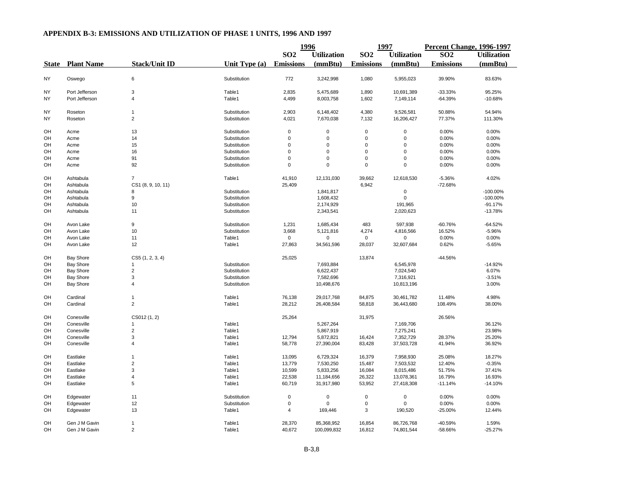|           |                         |                      |               | 1996             |                    | 1997                |                     | <b>Percent Change, 1996-1997</b> |                    |
|-----------|-------------------------|----------------------|---------------|------------------|--------------------|---------------------|---------------------|----------------------------------|--------------------|
|           |                         |                      |               | SO <sub>2</sub>  | <b>Utilization</b> | SO <sub>2</sub>     | <b>Utilization</b>  | SO <sub>2</sub>                  | <b>Utilization</b> |
|           | <b>State</b> Plant Name | <b>Stack/Unit ID</b> | Unit Type (a) | <b>Emissions</b> | (mmBtu)            | <b>Emissions</b>    | (mmBtu)             | <b>Emissions</b>                 | (mmBtu)            |
| <b>NY</b> | Oswego                  | 6                    | Substitution  | 772              | 3,242,998          | 1,080               | 5,955,023           | 39.90%                           | 83.63%             |
|           |                         |                      |               |                  |                    |                     |                     |                                  |                    |
| NY        | Port Jefferson          | 3                    | Table1        | 2,835            | 5,475,689          | 1,890               | 10,691,389          | $-33.33%$                        | 95.25%             |
| NY        | Port Jefferson          | $\overline{4}$       | Table1        | 4,499            | 8,003,758          | 1,602               | 7,149,114           | $-64.39%$                        | $-10.68%$          |
| <b>NY</b> | Roseton                 | $\mathbf{1}$         | Substitution  | 2,903            | 6,148,402          | 4,380               | 9,526,581           | 50.88%                           | 54.94%             |
| <b>NY</b> | Roseton                 | $\overline{2}$       | Substitution  | 4,021            | 7,670,038          | 7,132               | 16,206,427          | 77.37%                           | 111.30%            |
| OH        | Acme                    | 13                   | Substitution  | $\mathbf 0$      | $\mathbf 0$        | 0                   | $\mathsf 0$         | 0.00%                            | 0.00%              |
| OH        | Acme                    | 14                   | Substitution  | 0                | 0                  | 0                   | 0                   | 0.00%                            | 0.00%              |
| OH        | Acme                    | 15                   | Substitution  | $\Omega$         | $\mathbf 0$        | $\mathbf 0$         | 0                   | 0.00%                            | 0.00%              |
| OH        | Acme                    | 16                   | Substitution  | $\Omega$         | $\mathbf 0$        | $\mathbf 0$         | $\mathbf 0$         | 0.00%                            | 0.00%              |
| OH        | Acme                    | 91                   | Substitution  | $\Omega$         | $\mathbf 0$        | $\mathbf 0$         | $\mathbf 0$         | 0.00%                            | 0.00%              |
| OH        | Acme                    | 92                   | Substitution  | $\Omega$         | $\Omega$           | $\mathbf 0$         | $\mathbf 0$         | 0.00%                            | 0.00%              |
| OH        | Ashtabula               | $\overline{7}$       | Table1        | 41,910           | 12,131,030         | 39,662              | 12,618,530          | $-5.36%$                         | 4.02%              |
| OH        | Ashtabula               | CS1 (8, 9, 10, 11)   |               | 25,409           |                    | 6,942               |                     | -72.68%                          |                    |
| OH        | Ashtabula               | 8                    | Substitution  |                  | 1,841,817          |                     | $\mathsf{O}\xspace$ |                                  | $-100.00%$         |
| OH        | Ashtabula               | 9                    | Substitution  |                  | 1,608,432          |                     | $\mathbf 0$         |                                  | $-100.00%$         |
| OH        | Ashtabula               | 10                   | Substitution  |                  | 2,174,929          |                     | 191,965             |                                  | $-91.17%$          |
| OH        | Ashtabula               | 11                   | Substitution  |                  | 2,343,541          |                     | 2,020,623           |                                  | $-13.78%$          |
|           |                         |                      |               |                  |                    |                     |                     |                                  |                    |
| OH        | Avon Lake               | 9                    | Substitution  | 1,231            | 1,685,434          | 483                 | 597,938             | $-60.76%$                        | $-64.52%$          |
| OH        | Avon Lake               | 10                   | Substitution  | 3,668            | 5,121,816          | 4,274               | 4,816,566           | 16.52%                           | $-5.96%$           |
| OH        | Avon Lake               | 11                   | Table1        | 0                | $\mathbf 0$        | $\mathbf 0$         | 0                   | 0.00%                            | 0.00%              |
| OH        | Avon Lake               | 12                   | Table1        | 27,863           | 34,561,596         | 28,037              | 32,607,684          | 0.62%                            | $-5.65%$           |
| OH        | <b>Bay Shore</b>        | CS5 (1, 2, 3, 4)     |               | 25,025           |                    | 13,874              |                     | -44.56%                          |                    |
| OH        | <b>Bay Shore</b>        | $\mathbf{1}$         | Substitution  |                  | 7,693,884          |                     | 6,545,978           |                                  | $-14.92%$          |
| OH        | <b>Bay Shore</b>        | $\overline{2}$       | Substitution  |                  | 6,622,437          |                     | 7,024,540           |                                  | 6.07%              |
| OH        | <b>Bay Shore</b>        | 3                    | Substitution  |                  | 7,582,696          |                     | 7,316,921           |                                  | $-3.51%$           |
| OH        | <b>Bay Shore</b>        | 4                    | Substitution  |                  | 10,498,676         |                     | 10,813,196          |                                  | 3.00%              |
| OH        | Cardinal                | $\mathbf{1}$         | Table1        | 76,138           | 29,017,768         | 84,875              | 30,461,782          | 11.48%                           | 4.98%              |
| OH        | Cardinal                | $\overline{2}$       | Table1        | 28,212           | 26,408,584         | 58,818              | 36,443,680          | 108.49%                          | 38.00%             |
|           |                         |                      |               |                  |                    |                     |                     |                                  |                    |
| OH        | Conesville              | CS012 (1, 2)         |               | 25,264           |                    | 31,975              |                     | 26.56%                           |                    |
| OH        | Conesville              | $\mathbf{1}$         | Table1        |                  | 5,267,264          |                     | 7,169,706           |                                  | 36.12%             |
| OH        | Conesville              | 2                    | Table1        |                  | 5,867,919          |                     | 7,275,241           |                                  | 23.98%             |
| OH        | Conesville              | 3                    | Table1        | 12,794           | 5,872,821          | 16,424              | 7,352,729           | 28.37%                           | 25.20%             |
| OH        | Conesville              | $\overline{4}$       | Table1        | 58,778           | 27,390,004         | 83,428              | 37,503,728          | 41.94%                           | 36.92%             |
| OH        | Eastlake                | $\mathbf{1}$         | Table1        | 13,095           | 6,729,324          | 16,379              | 7,958,930           | 25.08%                           | 18.27%             |
| OH        | Eastlake                | $\overline{c}$       | Table1        | 13,779           | 7,530,250          | 15,487              | 7,503,532           | 12.40%                           | $-0.35%$           |
| OH        | Eastlake                | 3                    | Table1        | 10,599           | 5,833,256          | 16,084              | 8,015,486           | 51.75%                           | 37.41%             |
|           |                         |                      |               |                  |                    |                     |                     |                                  |                    |
| OH        | Eastlake                | 4                    | Table1        | 22,538           | 11,184,656         | 26,322              | 13,078,361          | 16.79%                           | 16.93%             |
| OH        | Eastlake                | 5                    | Table1        | 60,719           | 31,917,980         | 53,952              | 27,418,308          | $-11.14%$                        | $-14.10%$          |
| OH        | Edgewater               | 11                   | Substitution  | $\mathbf 0$      | $\mathbf 0$        | $\mathsf 0$         | 0                   | 0.00%                            | 0.00%              |
| OH        | Edgewater               | 12                   | Substitution  | $\mathbf 0$      | $\mathbf 0$        | $\mathsf{O}\xspace$ | $\mathbf 0$         | 0.00%                            | 0.00%              |
| OH        | Edgewater               | 13                   | Table1        | 4                | 169,446            | 3                   | 190,520             | $-25.00%$                        | 12.44%             |
| OH        | Gen J M Gavin           | $\mathbf{1}$         | Table1        | 28,370           | 85,368,952         | 16,854              | 86,726,768          | -40.59%                          | 1.59%              |
| <b>OH</b> | Gen J M Gavin           | $\overline{2}$       | Table1        | 40,672           | 100,099,832        | 16,812              | 74,801,544          | -58.66%                          | $-25.27%$          |
|           |                         |                      |               |                  |                    |                     |                     |                                  |                    |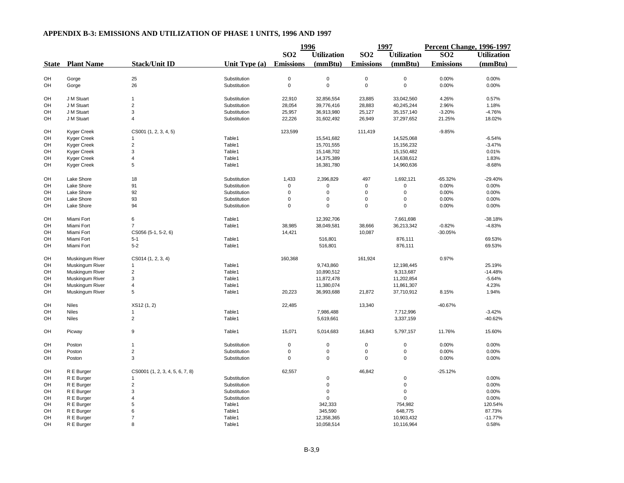|              |                    |                                 |                 | 1996             |                    | 1997             |                    | Percent Change, 1996-1997 |                    |
|--------------|--------------------|---------------------------------|-----------------|------------------|--------------------|------------------|--------------------|---------------------------|--------------------|
|              |                    |                                 |                 | SO <sub>2</sub>  | <b>Utilization</b> | SO <sub>2</sub>  | <b>Utilization</b> | $\overline{SO2}$          | <b>Utilization</b> |
| <b>State</b> | <b>Plant Name</b>  | <b>Stack/Unit ID</b>            | Unit Type $(a)$ | <b>Emissions</b> | (mmBtu)            | <b>Emissions</b> | (mmBtu)            | <b>Emissions</b>          | (mmBtu)            |
|              |                    |                                 |                 |                  |                    |                  |                    |                           |                    |
| OH           | Gorge              | 25                              | Substitution    | $\pmb{0}$        | $\pmb{0}$          | $\mathsf 0$      | $\mathsf 0$        | 0.00%                     | 0.00%              |
| OH           | Gorge              | 26                              | Substitution    | $\pmb{0}$        | $\mathbf 0$        | $\mathsf 0$      | $\mathsf 0$        | 0.00%                     | 0.00%              |
| OH           | J M Stuart         | $\mathbf{1}$                    | Substitution    | 22,910           | 32,856,554         | 23,885           | 33,042,560         | 4.26%                     | 0.57%              |
| OH           | J M Stuart         | $\mathbf 2$                     | Substitution    | 28,054           | 39,776,416         | 28,883           | 40,245,244         | 2.96%                     | 1.18%              |
| OH           | J M Stuart         | 3                               | Substitution    | 25,957           | 36,913,980         | 25,127           | 35, 157, 140       | $-3.20%$                  | $-4.76%$           |
| OH           | J M Stuart         | $\overline{4}$                  | Substitution    | 22,226           | 31,602,492         | 26,949           | 37,297,652         | 21.25%                    | 18.02%             |
| OH           | <b>Kyger Creek</b> | CS001 (1, 2, 3, 4, 5)           |                 | 123,599          |                    | 111,419          |                    | $-9.85%$                  |                    |
| OH           | Kyger Creek        | $\mathbf{1}$                    | Table1          |                  | 15,541,682         |                  | 14,525,068         |                           | $-6.54%$           |
| OH           | Kyger Creek        | $\overline{2}$                  | Table1          |                  | 15,701,555         |                  | 15,156,232         |                           | $-3.47%$           |
| OH           | Kyger Creek        | 3                               | Table1          |                  | 15,148,702         |                  | 15,150,482         |                           | 0.01%              |
| OH           | Kyger Creek        | $\overline{4}$                  | Table1          |                  | 14,375,389         |                  | 14,638,612         |                           | 1.83%              |
| OH           | Kyger Creek        | 5                               | Table1          |                  | 16,381,780         |                  | 14,960,636         |                           | $-8.68%$           |
| OH           | Lake Shore         | 18                              | Substitution    | 1,433            | 2,396,829          | 497              | 1,692,121          | $-65.32%$                 | $-29.40%$          |
| OH           | Lake Shore         | 91                              | Substitution    | 0                | 0                  | $\pmb{0}$        | 0                  | 0.00%                     | 0.00%              |
| OH           | Lake Shore         | 92                              | Substitution    | $\Omega$         | $\mathbf 0$        | $\pmb{0}$        | $\mathsf 0$        | 0.00%                     | 0.00%              |
| OH           | Lake Shore         | 93                              | Substitution    | $\mathbf 0$      | $\mathbf 0$        | $\mathbf 0$      | $\mathbf 0$        | 0.00%                     | 0.00%              |
| OH           | Lake Shore         | 94                              | Substitution    | $\Omega$         | $\mathbf 0$        | $\pmb{0}$        | $\mathbf 0$        | 0.00%                     | 0.00%              |
| OH           | Miami Fort         | 6                               | Table1          |                  | 12,392,706         |                  | 7,661,698          |                           | $-38.18%$          |
| OH           | Miami Fort         | $\overline{7}$                  | Table1          | 38,985           | 38,049,581         | 38,666           | 36,213,342         | $-0.82%$                  | $-4.83%$           |
| OH           | Miami Fort         | CS056 (5-1, 5-2, 6)             |                 | 14,421           |                    | 10,087           |                    | $-30.05%$                 |                    |
| OH           | Miami Fort         | $5-1$                           | Table1          |                  | 516,801            |                  | 876,111            |                           | 69.53%             |
| OH           | Miami Fort         | $5-2$                           | Table1          |                  | 516,801            |                  | 876,111            |                           | 69.53%             |
| OH           | Muskingum River    | CS014 (1, 2, 3, 4)              |                 | 160,368          |                    | 161,924          |                    | 0.97%                     |                    |
| OH           | Muskingum River    | $\mathbf{1}$                    | Table1          |                  | 9,743,860          |                  | 12,198,445         |                           | 25.19%             |
| OH           | Muskingum River    | $\overline{2}$                  | Table1          |                  | 10,890,512         |                  | 9,313,687          |                           | $-14.48%$          |
| OH           | Muskingum River    | 3                               | Table1          |                  | 11,872,478         |                  | 11,202,854         |                           | $-5.64%$           |
| OH           | Muskingum River    | 4                               | Table1          |                  | 11,380,074         |                  | 11,861,307         |                           | 4.23%              |
| OH           | Muskingum River    | 5                               | Table1          | 20,223           | 36,993,688         | 21,872           | 37,710,912         | 8.15%                     | 1.94%              |
| OH           | <b>Niles</b>       | XS12 (1, 2)                     |                 | 22,485           |                    | 13,340           |                    | -40.67%                   |                    |
| OH           | <b>Niles</b>       |                                 | Table1          |                  | 7,986,488          |                  | 7,712,996          |                           | $-3.42%$           |
| OH           | <b>Niles</b>       | $\overline{2}$                  | Table1          |                  | 5,619,661          |                  | 3,337,159          |                           | $-40.62%$          |
| OH           | Picway             | $\boldsymbol{9}$                | Table1          | 15,071           | 5,014,683          | 16,843           | 5,797,157          | 11.76%                    | 15.60%             |
| OH           | Poston             | $\overline{1}$                  | Substitution    | $\mathbf 0$      | $\mathsf 0$        | $\mathbf 0$      | $\mathsf 0$        | 0.00%                     | 0.00%              |
| OH           | Poston             | $\overline{2}$                  | Substitution    | $\mathbf 0$      | $\pmb{0}$          | $\mathbf 0$      | 0                  | 0.00%                     | 0.00%              |
| OH           | Poston             | 3                               | Substitution    | $\Omega$         | $\mathbf 0$        | $\mathbf 0$      | 0                  | 0.00%                     | 0.00%              |
| OH           | R E Burger         | CS0001 (1, 2, 3, 4, 5, 6, 7, 8) |                 | 62,557           |                    | 46,842           |                    | $-25.12%$                 |                    |
| OH           | R E Burger         | $\mathbf{1}$                    | Substitution    |                  | $\mathsf 0$        |                  | $\mathsf 0$        |                           | 0.00%              |
| OH           | R E Burger         | $\overline{2}$                  | Substitution    |                  | $\mathbf 0$        |                  | $\mathsf 0$        |                           | 0.00%              |
| OH           | R E Burger         | 3                               | Substitution    |                  | $\pmb{0}$          |                  | 0                  |                           | 0.00%              |
| OH           | R E Burger         | $\overline{4}$                  | Substitution    |                  | $\mathbf 0$        |                  | 0                  |                           | 0.00%              |
| OH           | R E Burger         | 5                               | Table1          |                  | 342,333            |                  | 754,982            |                           | 120.54%            |
| OH           | R E Burger         | 6                               | Table1          |                  | 345,590            |                  | 648,775            |                           | 87.73%             |
| OH           | R E Burger         | $\overline{7}$                  | Table1          |                  | 12,358,365         |                  | 10,903,432         |                           | $-11.77%$          |
| OH           | R E Burger         | 8                               | Table1          |                  | 10,058,514         |                  | 10,116,964         |                           | 0.58%              |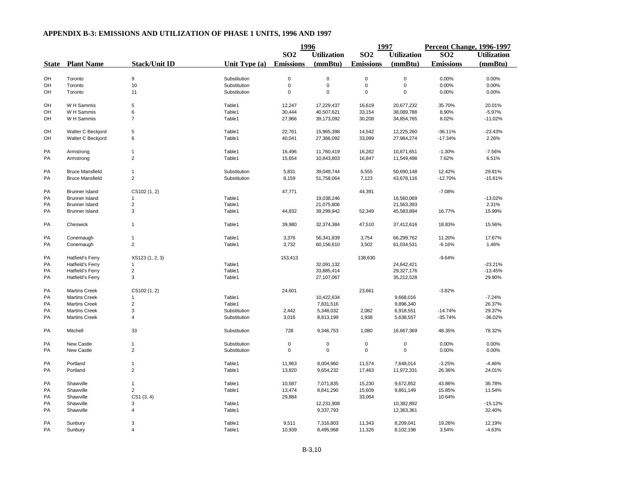|              |                         |                      |               | 1996             |                    | 1997             |                    | <b>Percent Change, 1996-1997</b> |                    |
|--------------|-------------------------|----------------------|---------------|------------------|--------------------|------------------|--------------------|----------------------------------|--------------------|
|              |                         |                      |               | SO <sub>2</sub>  | <b>Utilization</b> | SO <sub>2</sub>  | <b>Utilization</b> | SO <sub>2</sub>                  | <b>Utilization</b> |
| <b>State</b> | <b>Plant Name</b>       | <b>Stack/Unit ID</b> | Unit Type (a) | <b>Emissions</b> | (mmBtu)            | <b>Emissions</b> | (mmBtu)            | <b>Emissions</b>                 | (mmBtu)            |
|              |                         |                      |               |                  |                    |                  |                    |                                  |                    |
| OH           | Toronto                 | $\mathsf g$          | Substitution  | $\mathbf 0$      | $\mathbf 0$        | $\pmb{0}$        | $\mathsf 0$        | 0.00%                            | 0.00%              |
| OH           | Toronto                 | 10                   | Substitution  | 0                | $\mathsf 0$        | $\pmb{0}$        | $\mathsf 0$        | 0.00%                            | 0.00%              |
| OH           | Toronto                 | 11                   | Substitution  | $\mathbf 0$      | $\mathbf 0$        | $\pmb{0}$        | $\mathbf 0$        | 0.00%                            | 0.00%              |
| OH           | W H Sammis              | 5                    | Table1        | 12,247           | 17,229,437         | 16,619           | 20,677,232         | 35.70%                           | 20.01%             |
| OH           | W H Sammis              | 6                    | Table1        | 30,444           | 40,507,621         | 33,154           | 38,089,788         | 8.90%                            | $-5.97%$           |
| OH           | W H Sammis              | $\overline{7}$       | Table1        | 27,966           | 39,173,092         | 30,208           | 34,854,765         | 8.02%                            | $-11.02%$          |
| OH           | Walter C Beckjord       | 5                    | Table1        | 22,761           | 15,965,398         | 14,542           | 12,225,260         | $-36.11%$                        | $-23.43%$          |
| OH           | Walter C Beckjord       | 6                    | Table1        | 40,041           | 27,366,092         | 33,099           | 27,984,274         | $-17.34%$                        | 2.26%              |
| <b>PA</b>    | Armstrong               | $\overline{1}$       | Table1        | 16,496           | 11,760,419         | 16,282           | 10,871,651         | $-1.30%$                         | $-7.56%$           |
| PA           | Armstrong               | $\mathbf 2$          | Table1        | 15,654           | 10,843,803         | 16,847           | 11,549,498         | 7.62%                            | 6.51%              |
|              |                         |                      |               |                  |                    |                  |                    |                                  |                    |
| PA           | <b>Bruce Mansfield</b>  | $\mathbf{1}$         | Substitution  | 5,831            | 39,049,744         | 6,555            | 50,690,148         | 12.42%                           | 29.81%             |
| PA           | <b>Bruce Mansfield</b>  | $\overline{2}$       | Substitution  | 8,159            | 51,758,064         | 7,123            | 43,678,116         | $-12.70%$                        | $-15.61%$          |
| PA           | <b>Brunner Island</b>   | CS102 (1, 2)         |               | 47,771           |                    | 44,391           |                    | $-7.08%$                         |                    |
| PA           | <b>Brunner Island</b>   | $\mathbf{1}$         | Table1        |                  | 19,038,246         |                  | 16,560,069         |                                  | $-13.02%$          |
| PA           | <b>Brunner Island</b>   | $\overline{2}$       | Table1        |                  | 21,075,806         |                  | 21,563,393         |                                  | 2.31%              |
| PA           | <b>Brunner Island</b>   | 3                    | Table1        | 44,832           | 39,299,942         | 52,349           | 45,583,894         | 16.77%                           | 15.99%             |
| PA           | Cheswick                | $\mathbf{1}$         | Table1        | 39,980           | 32,374,384         | 47,510           | 37,412,616         | 18.83%                           | 15.56%             |
| PA           | Conemaugh               | $\mathbf{1}$         | Table1        | 3,376            | 56,341,839         | 3,754            | 66,299,762         | 11.20%                           | 17.67%             |
| PA           | Conemaugh               | $\overline{2}$       | Table1        | 3,732            | 60,156,610         | 3,502            | 61,034,531         | $-6.16%$                         | 1.46%              |
| PA           | <b>Hatfield's Ferry</b> | XS123 (1, 2, 3)      |               | 153,413          |                    | 138,630          |                    | $-9.64%$                         |                    |
| PA           | Hatfield's Ferry        |                      | Table1        |                  |                    |                  | 24,642,421         |                                  | $-23.21%$          |
|              |                         |                      | Table1        |                  | 32,091,132         |                  |                    |                                  |                    |
| PA           | <b>Hatfield's Ferry</b> | $\overline{2}$       |               |                  | 33,885,414         |                  | 29,327,176         |                                  | $-13.45%$          |
| PA           | Hatfield's Ferry        | 3                    | Table1        |                  | 27,107,067         |                  | 35,212,528         |                                  | 29.90%             |
| PA           | <b>Martins Creek</b>    | CS102 (1, 2)         |               | 24,601           |                    | 23,661           |                    | $-3.82%$                         |                    |
| PA           | <b>Martins Creek</b>    | $\mathbf{1}$         | Table1        |                  | 10,422,634         |                  | 9,668,016          |                                  | $-7.24%$           |
| PA           | <b>Martins Creek</b>    | $\overline{2}$       | Table1        |                  | 7,831,516          |                  | 9,896,340          |                                  | 26.37%             |
| PA           | <b>Martins Creek</b>    | 3                    | Substitution  | 2,442            | 5,348,032          | 2,082            | 6,918,551          | $-14.74%$                        | 29.37%             |
| PA           | <b>Martins Creek</b>    | $\overline{4}$       | Substitution  | 3,016            | 8,813,199          | 1,938            | 5,638,557          | $-35.74%$                        | $-36.02%$          |
| PA           | Mitchell                | 33                   | Substitution  | 728              | 9,346,753          | 1,080            | 16,667,369         | 48.35%                           | 78.32%             |
| PA           | <b>New Castle</b>       | $\mathbf{1}$         | Substitution  | 0                | 0                  | 0                | 0                  | 0.00%                            | 0.00%              |
| PA           | New Castle              | $\overline{2}$       | Substitution  | 0                | 0                  | $\mathbf 0$      | $\mathsf 0$        | 0.00%                            | 0.00%              |
| PA           | Portland                | $\mathbf{1}$         | Table1        | 11,963           | 8,004,960          | 11,574           | 7,648,014          | $-3.25%$                         | $-4.46%$           |
| PA           | Portland                | $\overline{2}$       | Table1        | 13,820           | 9,654,232          | 17,463           | 11,972,331         | 26.36%                           | 24.01%             |
| PA           | Shawville               | $\mathbf{1}$         | Table1        | 10,587           | 7,071,835          | 15,230           | 9,672,852          | 43.86%                           | 36.78%             |
| PA           | Shawville               | $\overline{2}$       | Table1        | 13,474           | 8,841,290          | 15,609           | 9,861,149          | 15.85%                           | 11.54%             |
| PA           | Shawville               |                      |               | 29,884           |                    | 33,064           |                    | 10.64%                           |                    |
|              |                         | CS1(3, 4)            |               |                  |                    |                  |                    |                                  | $-15.12%$          |
| PA           | Shawville               | 3                    | Table1        |                  | 12,231,908         |                  | 10,382,892         |                                  |                    |
| PA           | Shawville               | 4                    | Table1        |                  | 9,337,793          |                  | 12,363,361         |                                  | 32.40%             |
| PA           | Sunbury                 | 3                    | Table1        | 9,511            | 7,316,803          | 11,343           | 8,209,041          | 19.26%                           | 12.19%             |
| PA           | Sunbury                 | $\overline{4}$       | Table1        | 10,939           | 8,495,968          | 11,326           | 8,102,198          | 3.54%                            | $-4.63%$           |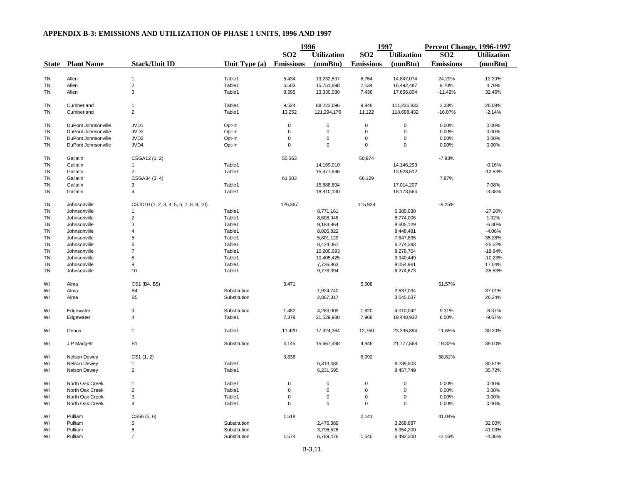|           |                         |                                        |                 | 1996             |                    | 1997             |                    | <b>Percent Change, 1996-1997</b> |                    |
|-----------|-------------------------|----------------------------------------|-----------------|------------------|--------------------|------------------|--------------------|----------------------------------|--------------------|
|           |                         |                                        |                 | SO <sub>2</sub>  | <b>Utilization</b> | SO <sub>2</sub>  | <b>Utilization</b> | SO <sub>2</sub>                  | <b>Utilization</b> |
|           | <b>State</b> Plant Name | <b>Stack/Unit ID</b>                   | Unit Type $(a)$ | <b>Emissions</b> | (mmBtu)            | <b>Emissions</b> | (mmBtu)            | <b>Emissions</b>                 | (mmBtu)            |
|           |                         |                                        |                 |                  |                    |                  |                    |                                  |                    |
| <b>TN</b> | Allen                   | $\mathbf{1}$                           | Table1          | 5,434            | 13,232,597         | 6,754            | 14,847,074         | 24.29%                           | 12.20%             |
| TN        | Allen                   | $\overline{2}$                         | Table1          | 6,503            | 15,751,898         | 7,134            | 16,492,487         | 9.70%                            | 4.70%              |
| <b>TN</b> | Allen                   | 3                                      | Table1          | 8,395            | 13,330,030         | 7,436            | 17,656,804         | $-11.42%$                        | 32.46%             |
| TN        | Cumberland              | $\mathbf{1}$                           | Table1          | 9,524            | 88,223,696         | 9,846            | 111,236,832        | 3.38%                            | 26.08%             |
| TN        | Cumberland              | $\overline{2}$                         | Table1          | 13,252           | 121,294,176        | 11,122           | 118,698,432        | $-16.07%$                        | $-2.14%$           |
| TN        | DuPont Johnsonville     | JVD1                                   | Opt-In          | $\mathbf 0$      | $\mathbf 0$        | 0                | 0                  | 0.00%                            | 0.00%              |
| <b>TN</b> | DuPont Johnsonville     | JVD <sub>2</sub>                       | Opt-In          | $\mathbf 0$      | $\mathsf 0$        | $\mathbf 0$      | $\mathsf 0$        | 0.00%                            | 0.00%              |
| TN        | DuPont Johnsonville     | JVD3                                   | Opt-In          | 0                | 0                  | 0                | 0                  | 0.00%                            | 0.00%              |
| TN        | DuPont Johnsonville     | JVD4                                   | Opt-In          | $\mathbf 0$      | $\Omega$           | $\mathbf 0$      | 0                  | 0.00%                            | 0.00%              |
| TN        | Gallatin                | CSGA12 (1, 2)                          |                 | 55,363           |                    | 50,974           |                    | $-7.93%$                         |                    |
| TN        | Gallatin                |                                        | Table1          |                  | 14,169,010         |                  | 14,146,293         |                                  | $-0.16%$           |
|           |                         |                                        | Table1          |                  | 15,977,846         |                  | 13,928,512         |                                  | $-12.83%$          |
| TN        | Gallatin                | $\overline{c}$                         |                 |                  |                    |                  |                    |                                  |                    |
| ΤN        | Gallatin                | CSGA34 (3, 4)                          |                 | 61,303           |                    | 66,129           |                    | 7.87%                            |                    |
| TN        | Gallatin                | 3                                      | Table1          |                  | 15,888,894         |                  | 17,014,207         |                                  | 7.08%              |
| <b>TN</b> | Gallatin                | $\overline{4}$                         | Table1          |                  | 18,810,130         |                  | 18,173,564         |                                  | $-3.38%$           |
| <b>TN</b> | Johnsonville            | CSJO10 (1, 2, 3, 4, 5, 6, 7, 8, 9, 10) |                 | 126,367          |                    | 115,938          |                    | $-8.25%$                         |                    |
| TN        | Johnsonville            | 1                                      | Table1          |                  | 8,771,161          |                  | 6,385,030          |                                  | $-27.20%$          |
| TN        | Johnsonville            | $\overline{2}$                         | Table1          |                  | 8,608,948          |                  | 8,774,006          |                                  | 1.92%              |
| TN        | Johnsonville            | 3                                      | Table1          |                  | 9,183,864          |                  | 8,605,129          |                                  | $-6.30%$           |
| TN        | Johnsonville            | $\overline{4}$                         | Table1          |                  | 8,805,822          |                  | 8,448,481          |                                  | $-4.06%$           |
| TN        | Johnsonville            | 5                                      | Table1          |                  | 5,801,129          |                  | 7,847,835          |                                  | 35.28%             |
| TN        | Johnsonville            | 6                                      | Table1          |                  | 8,424,067          |                  | 6,274,393          |                                  | $-25.52%$          |
| <b>TN</b> | Johnsonville            | $\overline{7}$                         | Table1          |                  | 10,200,693         |                  | 8,278,704          |                                  | $-18.84%$          |
| TN        | Johnsonville            | 8                                      | Table1          |                  | 10,405,425         |                  | 9,340,449          |                                  | $-10.23%$          |
|           |                         |                                        |                 |                  |                    |                  |                    |                                  |                    |
| <b>TN</b> | Johnsonville            | 9                                      | Table1          |                  | 7,736,863          |                  | 9,054,961          |                                  | 17.04%             |
| <b>TN</b> | Johnsonville            | 10                                     | Table1          |                  | 9,778,394          |                  | 6,274,673          |                                  | $-35.83%$          |
| WI        | Alma                    | CS1 (B4, B5)                           |                 | 3,471            |                    | 5,608            |                    | 61.57%                           |                    |
| WI        | Alma                    | <b>B4</b>                              | Substitution    |                  | 1,924,740          |                  | 2,637,034          |                                  | 37.01%             |
| WI        | Alma                    | B <sub>5</sub>                         | Substitution    |                  | 2,887,317          |                  | 3,645,037          |                                  | 26.24%             |
| WI        | Edgewater               | 3                                      | Substitution    | 1,482            | 4,283,009          | 1,620            | 4,010,042          | 9.31%                            | $-6.37%$           |
| WI        | Edgewater               | $\overline{4}$                         | Table1          | 7,378            | 21,529,980         | 7,968            | 19,448,932         | 8.00%                            | $-9.67%$           |
| WI        | Genoa                   | $\overline{1}$                         | Table1          | 11,420           | 17,924,364         | 12,750           | 23,336,894         | 11.65%                           | 30.20%             |
| WI        | J P Madgett             | B <sub>1</sub>                         | Substitution    | 4,145            | 15,667,498         | 4,946            | 21,777,568         | 19.32%                           | 39.00%             |
| WI        | <b>Nelson Dewey</b>     | CS1(1, 2)                              |                 | 3,836            |                    | 6,092            |                    | 58.81%                           |                    |
| WI        | Nelson Dewey            | $\mathbf{1}$                           | Table1          |                  | 6,313,485          |                  | 8,239,503          |                                  | 30.51%             |
| WI        | <b>Nelson Dewey</b>     | $\overline{2}$                         | Table1          |                  | 6,231,595          |                  | 8,457,749          |                                  | 35.72%             |
| WI        | North Oak Creek         | $\mathbf{1}$                           | Table1          | $\mathbf 0$      | $\mathbf 0$        | 0                | $\mathsf 0$        | 0.00%                            | 0.00%              |
| WI        | North Oak Creek         | $\overline{c}$                         | Table1          | $\Omega$         | $\mathsf 0$        | $\mathbf 0$      | $\mathsf 0$        | 0.00%                            | 0.00%              |
| WI        | North Oak Creek         | 3                                      | Table1          | $\mathbf 0$      | 0                  | $\mathbf 0$      | 0                  | 0.00%                            | 0.00%              |
| WI        | North Oak Creek         | 4                                      | Table1          | $\mathbf 0$      | 0                  | $\mathbf 0$      | 0                  | 0.00%                            | 0.00%              |
| WI        | Pulliam                 | CS56(5, 6)                             |                 | 1,518            |                    | 2,141            |                    | 41.04%                           |                    |
| WI        | Pulliam                 | 5                                      | Substitution    |                  | 2,476,389          |                  | 3,268,887          |                                  | 32.00%             |
| WI        | Pulliam                 | 6                                      | Substitution    |                  | 3,796,526          |                  | 5,354,200          |                                  | 41.03%             |
| WI        | Pulliam                 | $\overline{7}$                         | Substitution    | 1,574            | 6,789,476          | 1,540            | 6,492,200          | $-2.16%$                         | $-4.38%$           |
|           |                         |                                        |                 |                  |                    |                  |                    |                                  |                    |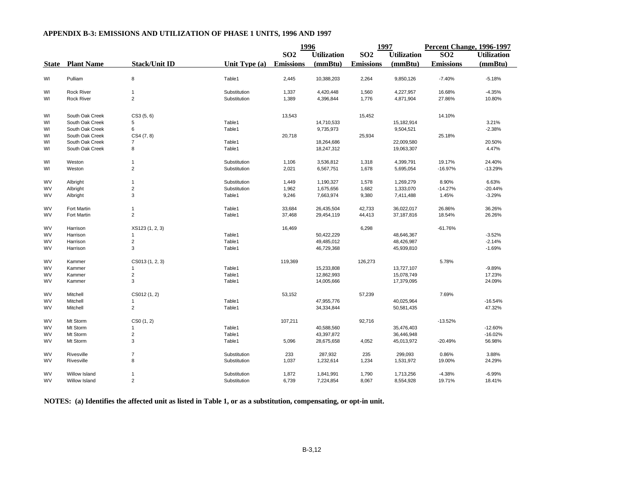|              |                      |                         |                 | 1996                             |            | 1997             |                    | Percent Change, 1996-1997 |                    |
|--------------|----------------------|-------------------------|-----------------|----------------------------------|------------|------------------|--------------------|---------------------------|--------------------|
|              |                      |                         |                 | <b>SO2</b><br><b>Utilization</b> |            | SO <sub>2</sub>  | <b>Utilization</b> | SO <sub>2</sub>           | <b>Utilization</b> |
| <b>State</b> | <b>Plant Name</b>    | <b>Stack/Unit ID</b>    | Unit Type $(a)$ | <b>Emissions</b>                 | (mmBtu)    | <b>Emissions</b> | (mmBtu)            | <b>Emissions</b>          | (mmBtu)            |
| WI           | Pulliam              | 8                       | Table1          | 2,445                            | 10,388,203 | 2,264            | 9,850,126          | $-7.40%$                  | $-5.18%$           |
| WI           | <b>Rock River</b>    | $\mathbf{1}$            | Substitution    | 1,337                            | 4,420,448  | 1,560            | 4,227,957          | 16.68%                    | $-4.35%$           |
| WI           | <b>Rock River</b>    | $\overline{2}$          | Substitution    | 1,389                            | 4,396,844  | 1,776            | 4,871,904          | 27.86%                    | 10.80%             |
| WI           | South Oak Creek      | CS3(5, 6)               |                 | 13,543                           |            | 15,452           |                    | 14.10%                    |                    |
| WI           | South Oak Creek      | 5                       | Table1          |                                  | 14,710,533 |                  | 15,182,914         |                           | 3.21%              |
| WI           | South Oak Creek      | 6                       | Table1          |                                  | 9,735,973  |                  | 9,504,521          |                           | $-2.38%$           |
| WI           | South Oak Creek      | CS4 (7, 8)              |                 | 20,718                           |            | 25,934           |                    | 25.18%                    |                    |
| WI           | South Oak Creek      | 7                       | Table1          |                                  | 18,264,686 |                  | 22,009,580         |                           | 20.50%             |
| WI           | South Oak Creek      | 8                       | Table1          |                                  | 18,247,312 |                  | 19,063,307         |                           | 4.47%              |
| WI           | Weston               | $\mathbf{1}$            | Substitution    | 1,106                            | 3,536,812  | 1,318            | 4,399,791          | 19.17%                    | 24.40%             |
| WI           | Weston               | $\overline{2}$          | Substitution    | 2,021                            | 6,567,751  | 1,678            | 5,695,054          | $-16.97%$                 | $-13.29%$          |
| <b>WV</b>    | Albright             | $\overline{1}$          | Substitution    | 1,449                            | 1,190,327  | 1,578            | 1,269,279          | 8.90%                     | 6.63%              |
| <b>WV</b>    | Albright             | $\overline{c}$          | Substitution    | 1,962                            | 1,675,656  | 1,682            | 1,333,070          | $-14.27%$                 | $-20.44%$          |
| <b>WV</b>    | Albright             | 3                       | Table1          | 9,246                            | 7,663,974  | 9,380            | 7,411,488          | 1.45%                     | $-3.29%$           |
| <b>WV</b>    | Fort Martin          | $\overline{1}$          | Table1          | 33,684                           | 26,435,504 | 42,733           | 36,022,017         | 26.86%                    | 36.26%             |
| <b>WV</b>    | Fort Martin          | $\overline{2}$          | Table1          | 37,468                           | 29,454,119 | 44,413           | 37,187,816         | 18.54%                    | 26.26%             |
| <b>WV</b>    | Harrison             | XS123 (1, 2, 3)         |                 | 16,469                           |            | 6,298            |                    | $-61.76%$                 |                    |
| WV           | Harrison             |                         | Table1          |                                  | 50,422,229 |                  | 48,646,367         |                           | $-3.52%$           |
| <b>WV</b>    | Harrison             | $\overline{c}$          | Table1          |                                  | 49,485,012 |                  | 48,426,987         |                           | $-2.14%$           |
| <b>WV</b>    | Harrison             | 3                       | Table1          |                                  | 46,729,368 |                  | 45,939,810         |                           | $-1.69%$           |
| <b>WV</b>    | Kammer               | CS013(1, 2, 3)          |                 | 119,369                          |            | 126,273          |                    | 5.78%                     |                    |
| <b>WV</b>    | Kammer               | -1                      | Table1          |                                  | 15,233,808 |                  | 13,727,107         |                           | $-9.89%$           |
| <b>WV</b>    | Kammer               | $\overline{c}$          | Table1          |                                  | 12,862,993 |                  | 15,078,749         |                           | 17.23%             |
| WV           | Kammer               | 3                       | Table1          |                                  | 14,005,666 |                  | 17,379,095         |                           | 24.09%             |
| <b>WV</b>    | Mitchell             | CS012 (1, 2)            |                 | 53,152                           |            | 57,239           |                    | 7.69%                     |                    |
| <b>WV</b>    | Mitchell             | 1                       | Table1          |                                  | 47,955,776 |                  | 40,025,964         |                           | $-16.54%$          |
| <b>WV</b>    | Mitchell             | $\overline{2}$          | Table1          |                                  | 34,334,844 |                  | 50,581,435         |                           | 47.32%             |
| <b>WV</b>    | Mt Storm             | CS0(1, 2)               |                 | 107,211                          |            | 92,716           |                    | $-13.52%$                 |                    |
| <b>WV</b>    | Mt Storm             | -1                      | Table1          |                                  | 40,588,560 |                  | 35,476,403         |                           | $-12.60%$          |
| <b>WV</b>    | Mt Storm             | $\overline{\mathbf{c}}$ | Table1          |                                  | 43,397,872 |                  | 36,446,948         |                           | $-16.02%$          |
| WV           | Mt Storm             | 3                       | Table1          | 5,096                            | 28,675,658 | 4,052            | 45,013,972         | $-20.49%$                 | 56.98%             |
| <b>WV</b>    | Rivesville           | $\overline{7}$          | Substitution    | 233                              | 287,932    | 235              | 299,093            | 0.86%                     | 3.88%              |
| <b>WV</b>    | Rivesville           | 8                       | Substitution    | 1,037                            | 1,232,614  | 1,234            | 1,531,972          | 19.00%                    | 24.29%             |
| <b>WV</b>    | <b>Willow Island</b> |                         | Substitution    | 1,872                            | 1,841,991  | 1,790            | 1,713,256          | $-4.38%$                  | $-6.99%$           |
| <b>WV</b>    | Willow Island        | $\overline{2}$          | Substitution    | 6,739                            | 7,224,854  | 8,067            | 8,554,928          | 19.71%                    | 18.41%             |

**NOTES: (a) Identifies the affected unit as listed in Table 1, or as a substitution, compensating, or opt-in unit.**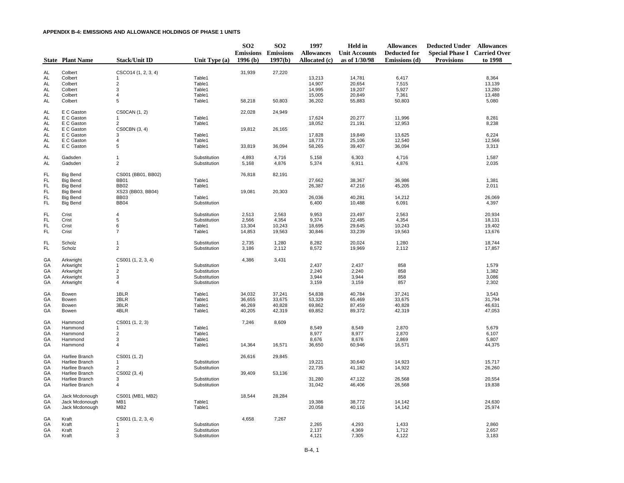|                        | <b>State Plant Name</b>            | <b>Stack/Unit ID</b>             | Unit Type (a)                | SO <sub>2</sub><br>1996(b) | SO <sub>2</sub><br><b>Emissions Emissions</b><br>1997(b) | 1997<br><b>Allowances</b><br>Allocated (c) | Held in<br><b>Unit Accounts</b><br>as of 1/30/98 | <b>Allowances</b><br><b>Deducted for</b><br>Emissions (d) | <b>Deducted Under Allowances</b><br><b>Special Phase I Carried Over</b><br><b>Provisions</b> | to 1998          |
|------------------------|------------------------------------|----------------------------------|------------------------------|----------------------------|----------------------------------------------------------|--------------------------------------------|--------------------------------------------------|-----------------------------------------------------------|----------------------------------------------------------------------------------------------|------------------|
|                        |                                    |                                  |                              |                            |                                                          |                                            |                                                  |                                                           |                                                                                              |                  |
| AL<br>AL               | Colbert<br>Colbert                 | CSCO14 (1, 2, 3, 4)<br>1         | Table1                       | 31,939                     | 27,220                                                   | 13,213                                     | 14,781                                           | 6,417                                                     |                                                                                              | 8,364            |
| AL                     | Colbert                            | $\overline{\mathbf{c}}$          | Table1                       |                            |                                                          | 14,907                                     | 20,654                                           | 7,515                                                     |                                                                                              | 13,139           |
| AL                     | Colbert                            | $\mathsf 3$                      | Table1                       |                            |                                                          | 14,995                                     | 19,207                                           | 5,927                                                     |                                                                                              | 13,280           |
| AL                     | Colbert                            | $\overline{4}$                   | Table1                       |                            |                                                          | 15,005                                     | 20,849                                           | 7,361                                                     |                                                                                              | 13,488           |
| AL                     | Colbert                            | 5                                | Table1                       | 58,218                     | 50,803                                                   | 36,202                                     | 55,883                                           | 50,803                                                    |                                                                                              | 5,080            |
| AL                     | E C Gaston                         | <b>CS0CAN (1, 2)</b>             |                              | 22,028                     | 24,949                                                   |                                            |                                                  |                                                           |                                                                                              |                  |
| AL                     | E C Gaston                         | 1                                | Table1                       |                            |                                                          | 17,624                                     | 20,277                                           | 11,996                                                    |                                                                                              | 8,281            |
| AL                     | E C Gaston                         | $\overline{2}$                   | Table1                       |                            |                                                          | 18,052                                     | 21,191                                           | 12,953                                                    |                                                                                              | 8,238            |
| AL<br>AL               | E C Gaston<br>E C Gaston           | CS0CBN (3, 4)<br>3               | Table1                       | 19,812                     | 26,165                                                   | 17,828                                     | 19,849                                           | 13,625                                                    |                                                                                              | 6,224            |
| AL                     | E C Gaston                         | $\overline{4}$                   | Table1                       |                            |                                                          | 18,773                                     | 25,106                                           | 12,540                                                    |                                                                                              | 12,566           |
| AL                     | E C Gaston                         | $\sqrt{5}$                       | Table1                       | 33,819                     | 36,094                                                   | 58,265                                     | 39,407                                           | 36,094                                                    |                                                                                              | 3,313            |
| AL                     | Gadsden                            | 1                                | Substitution                 | 4,893                      | 4,716                                                    | 5,158                                      | 6,303                                            | 4,716                                                     |                                                                                              | 1,587            |
| AL                     | Gadsden                            | $\overline{2}$                   | Substitution                 | 5,168                      | 4,876                                                    | 5,374                                      | 6,911                                            | 4,876                                                     |                                                                                              | 2,035            |
| <b>FL</b>              | <b>Big Bend</b>                    | CS001 (BB01, BB02)               |                              | 76,818                     | 82,191                                                   |                                            |                                                  |                                                           |                                                                                              |                  |
| <b>FL</b>              | <b>Big Bend</b>                    | <b>BB01</b>                      | Table1                       |                            |                                                          | 27,662                                     | 38,367                                           | 36,986                                                    |                                                                                              | 1,381            |
| <b>FL</b>              | <b>Big Bend</b>                    | <b>BB02</b>                      | Table1                       |                            |                                                          | 26,387                                     | 47,216                                           | 45,205                                                    |                                                                                              | 2,011            |
| <b>FL</b><br><b>FL</b> | <b>Big Bend</b><br><b>Big Bend</b> | XS23 (BB03, BB04)<br><b>BB03</b> | Table1                       | 19,081                     | 20,303                                                   | 26,036                                     | 40,281                                           | 14,212                                                    |                                                                                              | 26,069           |
| <b>FL</b>              | <b>Big Bend</b>                    | <b>BB04</b>                      | Substitution                 |                            |                                                          | 6,400                                      | 10,488                                           | 6,091                                                     |                                                                                              | 4,397            |
|                        |                                    |                                  |                              |                            |                                                          |                                            |                                                  |                                                           |                                                                                              |                  |
| <b>FL</b>              | Crist                              | 4                                | Substitution                 | 2,513                      | 2,563                                                    | 9,953                                      | 23,497                                           | 2,563                                                     |                                                                                              | 20,934           |
| <b>FL</b>              | Crist                              | $\,$ 5 $\,$                      | Substitution                 | 2,566                      | 4,354                                                    | 9,374                                      | 22,485                                           | 4,354                                                     |                                                                                              | 18,131           |
| <b>FL</b>              | Crist                              | 6                                | Table1                       | 13,304                     | 10,243                                                   | 18,695                                     | 29,645                                           | 10,243                                                    |                                                                                              | 19,402           |
| <b>FL</b>              | Crist                              | $\overline{7}$                   | Table1                       | 14,853                     | 19,563                                                   | 30,846                                     | 33,239                                           | 19,563                                                    |                                                                                              | 13,676           |
| <b>FL</b><br><b>FL</b> | Scholz<br>Scholz                   | $\mathbf{1}$<br>$\overline{2}$   | Substitution<br>Substitution | 2,735<br>3,186             | 1,280<br>2,112                                           | 8,282<br>8,572                             | 20,024<br>19,969                                 | 1,280<br>2,112                                            |                                                                                              | 18,744<br>17,857 |
|                        |                                    |                                  |                              |                            |                                                          |                                            |                                                  |                                                           |                                                                                              |                  |
| GA                     | Arkwright                          | CS001 (1, 2, 3, 4)               |                              | 4,386                      | 3,431                                                    |                                            |                                                  |                                                           |                                                                                              |                  |
| GA                     | Arkwright                          | $\mathbf{1}$                     | Substitution                 |                            |                                                          | 2,437                                      | 2,437                                            | 858                                                       |                                                                                              | 1,579            |
| GA                     | Arkwright                          | $\sqrt{2}$<br>$\mathsf 3$        | Substitution                 |                            |                                                          | 2,240<br>3,944                             | 2,240                                            | 858<br>858                                                |                                                                                              | 1,382<br>3,086   |
| GA<br>GA               | Arkwright<br>Arkwright             | 4                                | Substitution<br>Substitution |                            |                                                          | 3,159                                      | 3,944<br>3,159                                   | 857                                                       |                                                                                              | 2,302            |
|                        |                                    |                                  |                              |                            |                                                          |                                            |                                                  |                                                           |                                                                                              |                  |
| GA                     | Bowen                              | 1BLR                             | Table1                       | 34,032                     | 37,241                                                   | 54,838                                     | 40,784                                           | 37,241                                                    |                                                                                              | 3,543            |
| GA<br>GA               | Bowen<br>Bowen                     | 2BLR<br>3BLR                     | Table1<br>Table1             | 36,655<br>46,269           | 33,675<br>40,828                                         | 53,329<br>69,862                           | 65,469<br>87,459                                 | 33,675<br>40,828                                          |                                                                                              | 31,794<br>46,631 |
| GA                     | Bowen                              | 4BLR                             | Table1                       | 40,205                     | 42,319                                                   | 69,852                                     | 89,372                                           | 42,319                                                    |                                                                                              | 47,053           |
|                        |                                    |                                  |                              |                            |                                                          |                                            |                                                  |                                                           |                                                                                              |                  |
| GA<br>GA               | Hammond<br>Hammond                 | CS001 (1, 2, 3)<br>$\mathbf{1}$  | Table1                       | 7,246                      | 8,609                                                    | 8,549                                      | 8,549                                            | 2,870                                                     |                                                                                              | 5,679            |
| GA                     | Hammond                            | $\overline{\mathbf{c}}$          | Table1                       |                            |                                                          | 8,977                                      | 8,977                                            | 2,870                                                     |                                                                                              | 6,107            |
| GA                     | Hammond                            | $\mathsf 3$                      | Table1                       |                            |                                                          | 8,676                                      | 8,676                                            | 2,869                                                     |                                                                                              | 5,807            |
| GA                     | Hammond                            | 4                                | Table1                       | 14,364                     | 16,571                                                   | 36,650                                     | 60,946                                           | 16,571                                                    |                                                                                              | 44,375           |
| GA                     | Harllee Branch                     | CS001 (1, 2)                     |                              | 26,616                     | 29,845                                                   |                                            |                                                  |                                                           |                                                                                              |                  |
| GA                     | Harllee Branch                     | $\mathbf{1}$                     | Substitution                 |                            |                                                          | 19,221                                     | 30,640                                           | 14,923                                                    |                                                                                              | 15,717           |
| GA                     | Harllee Branch                     | $\overline{2}$                   | Substitution                 |                            |                                                          | 22,735                                     | 41,182                                           | 14,922                                                    |                                                                                              | 26,260           |
| GA                     | Harllee Branch                     | CS002 (3, 4)                     |                              | 39,409                     | 53,136                                                   |                                            |                                                  |                                                           |                                                                                              |                  |
| GA<br>GA               | Harllee Branch<br>Harllee Branch   | 3<br>4                           | Substitution<br>Substitution |                            |                                                          | 31,280<br>31,042                           | 47,122<br>46,406                                 | 26,568<br>26,568                                          |                                                                                              | 20,554<br>19,838 |
|                        |                                    |                                  |                              |                            |                                                          |                                            |                                                  |                                                           |                                                                                              |                  |
| GA                     | Jack Mcdonough                     | CS001 (MB1, MB2)                 |                              | 18,544                     | 28,284                                                   |                                            |                                                  |                                                           |                                                                                              |                  |
| GA                     | Jack Mcdonough                     | MB1                              | Table1                       |                            |                                                          | 19,386                                     | 38,772                                           | 14,142                                                    |                                                                                              | 24,630           |
| GA                     | Jack Mcdonough                     | MB <sub>2</sub>                  | Table1                       |                            |                                                          | 20,058                                     | 40,116                                           | 14,142                                                    |                                                                                              | 25,974           |
| GA                     | Kraft                              | CS001 (1, 2, 3, 4)               |                              | 4,658                      | 7,267                                                    |                                            |                                                  |                                                           |                                                                                              |                  |
| GA                     | Kraft                              | 1                                | Substitution                 |                            |                                                          | 2,265                                      | 4,293                                            | 1,433                                                     |                                                                                              | 2,860            |
| GA<br>GA               | Kraft<br>Kraft                     | $\overline{2}$<br>3              | Substitution<br>Substitution |                            |                                                          | 2,137<br>4,121                             | 4,369<br>7,305                                   | 1,712<br>4,122                                            |                                                                                              | 2,657<br>3,183   |
|                        |                                    |                                  |                              |                            |                                                          |                                            |                                                  |                                                           |                                                                                              |                  |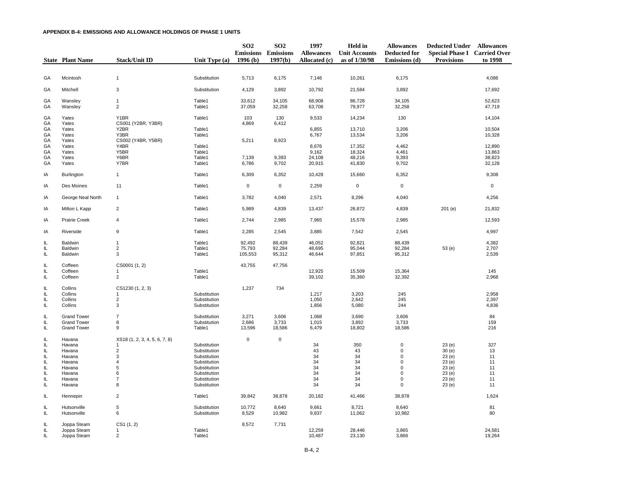|                | <b>State Plant Name</b>    | <b>Stack/Unit ID</b>               | Unit Type $(a)$              | SO <sub>2</sub><br>1996(b) | SO <sub>2</sub><br><b>Emissions Emissions</b><br>1997(b) | 1997<br><b>Allowances</b><br>Allocated (c) | Held in<br><b>Unit Accounts</b><br>as of 1/30/98 | <b>Allowances</b><br><b>Deducted for</b><br>Emissions (d) | <b>Deducted Under Allowances</b><br><b>Special Phase I Carried Over</b><br><b>Provisions</b> | to 1998          |
|----------------|----------------------------|------------------------------------|------------------------------|----------------------------|----------------------------------------------------------|--------------------------------------------|--------------------------------------------------|-----------------------------------------------------------|----------------------------------------------------------------------------------------------|------------------|
|                |                            |                                    |                              |                            |                                                          |                                            |                                                  |                                                           |                                                                                              |                  |
| GA             | Mcintosh                   | $\mathbf{1}$                       | Substitution                 | 5,713                      | 6,175                                                    | 7,146                                      | 10,261                                           | 6,175                                                     |                                                                                              | 4,086            |
| GA             | Mitchell                   | 3                                  | Substitution                 | 4,129                      | 3,892                                                    | 10,792                                     | 21,584                                           | 3,892                                                     |                                                                                              | 17,692           |
| GA<br>GA       | Wansley<br>Wansley         | 1<br>$\overline{c}$                | Table1<br>Table1             | 33,612<br>37,059           | 34,105<br>32,258                                         | 68,908<br>63,708                           | 86,728<br>79,977                                 | 34,105<br>32,258                                          |                                                                                              | 52,623<br>47,719 |
| GA<br>GA       | Yates<br>Yates             | Y1BR<br>CS001 (Y2BR, Y3BR)         | Table1                       | 103<br>4,869               | 130<br>6,412                                             | 9,533                                      | 14,234                                           | 130                                                       |                                                                                              | 14,104           |
| GA<br>GA<br>GA | Yates<br>Yates<br>Yates    | Y2BR<br>Y3BR<br>CS002 (Y4BR, Y5BR) | Table1<br>Table1             | 5,211                      | 8,923                                                    | 6,855<br>6,767                             | 13,710<br>13,534                                 | 3,206<br>3,206                                            |                                                                                              | 10,504<br>10,328 |
| GA<br>GA       | Yates<br>Yates             | Y4BR<br>Y5BR                       | Table1<br>Table1             |                            |                                                          | 8,676<br>9,162                             | 17,352<br>18,324                                 | 4,462<br>4,461                                            |                                                                                              | 12,890<br>13,863 |
| GA             | Yates                      | Y6BR                               | Table1                       | 7,139                      | 9,393                                                    | 24,108                                     | 48,216                                           | 9,393                                                     |                                                                                              | 38,823           |
| GA             | Yates                      | Y7BR                               | Table1                       | 6,786                      | 9,702                                                    | 20,915                                     | 41,830                                           | 9,702                                                     |                                                                                              | 32,128           |
| IA             | Burlington                 | $\mathbf{1}$                       | Table1                       | 6,309                      | 6,352                                                    | 10,428                                     | 15,660                                           | 6,352                                                     |                                                                                              | 9,308            |
| IA             | Des Moines                 | 11                                 | Table1                       | $\mathbf 0$                | $\mathbf 0$                                              | 2,259                                      | $\mathbf 0$                                      | $\mathsf 0$                                               |                                                                                              | $\mathsf 0$      |
| IA             | George Neal North          | $\mathbf{1}$                       | Table1                       | 3,782                      | 4,040                                                    | 2,571                                      | 8,296                                            | 4,040                                                     |                                                                                              | 4,256            |
| IA             | Milton L Kapp              | $\overline{2}$                     | Table1                       | 5,989                      | 4,839                                                    | 13,437                                     | 26,872                                           | 4,839                                                     | 201(e)                                                                                       | 21,832           |
| IA             | Prairie Creek              | $\overline{4}$                     | Table1                       | 2,744                      | 2,985                                                    | 7,965                                      | 15,578                                           | 2,985                                                     |                                                                                              | 12,593           |
| IA             | Riverside                  | 9                                  | Table1                       | 2,285                      | 2,545                                                    | 3,885                                      | 7,542                                            | 2,545                                                     |                                                                                              | 4,997            |
| IL.            | <b>Baldwin</b>             | 1                                  | Table1                       | 92,492                     | 88,439                                                   | 46,052                                     | 92,821                                           | 88,439                                                    |                                                                                              | 4,382            |
| IL             | Baldwin                    | $\overline{\mathbf{c}}$            | Table1                       | 75,793                     | 92,284                                                   | 48,695                                     | 95,044                                           | 92,284                                                    | 53 (e)                                                                                       | 2,707            |
| IL             | Baldwin                    | $\mathsf 3$                        | Table1                       | 105,553                    | 95,312                                                   | 46,644                                     | 97,851                                           | 95,312                                                    |                                                                                              | 2,539            |
| IL             | Coffeen                    | CS0001 (1, 2)                      |                              | 43,755                     | 47,756                                                   |                                            |                                                  |                                                           |                                                                                              |                  |
| IL<br>IL       | Coffeen<br>Coffeen         | 1<br>$\overline{2}$                | Table1<br>Table1             |                            |                                                          | 12,925<br>39,102                           | 15,509<br>35,360                                 | 15,364<br>32,392                                          |                                                                                              | 145<br>2,968     |
|                |                            |                                    |                              |                            |                                                          |                                            |                                                  |                                                           |                                                                                              |                  |
| IL<br>IL       | Collins<br>Collins         | CS1230 (1, 2, 3)<br>$\mathbf{1}$   | Substitution                 | 1,237                      | 734                                                      | 1,217                                      | 3,203                                            | 245                                                       |                                                                                              | 2,958            |
| IL.            | Collins                    | $\sqrt{2}$                         | Substitution                 |                            |                                                          | 1,050                                      | 2,642                                            | 245                                                       |                                                                                              | 2,397            |
| IL.            | Collins                    | 3                                  | Substitution                 |                            |                                                          | 1,856                                      | 5,080                                            | 244                                                       |                                                                                              | 4,836            |
| IL             | <b>Grand Tower</b>         | $\overline{7}$                     | Substitution                 | 3,271                      | 3,606                                                    | 1,068                                      | 3,690                                            | 3,606                                                     |                                                                                              | 84               |
| IL             | <b>Grand Tower</b>         | 8                                  | Substitution                 | 2,686                      | 3,733                                                    | 1,015                                      | 3,892                                            | 3,733                                                     |                                                                                              | 159              |
| IL.            | <b>Grand Tower</b>         | $\boldsymbol{9}$                   | Table1                       | 13,596                     | 18,586                                                   | 6,479                                      | 18,802                                           | 18,586                                                    |                                                                                              | 216              |
| IL             | Havana                     | XS18 (1, 2, 3, 4, 5, 6, 7, 8)      |                              | $\mathbf 0$                | $\mathbf 0$                                              |                                            |                                                  |                                                           |                                                                                              |                  |
| IL             | Havana                     | 1                                  | Substitution                 |                            |                                                          | 34                                         | 350                                              | $\mathbf 0$                                               | 23(e)                                                                                        | 327              |
| IL             | Havana                     | $\sqrt{2}$                         | Substitution                 |                            |                                                          | 43                                         | 43                                               | $\mathsf{O}\xspace$                                       | 30(e)                                                                                        | 13               |
| IL             | Havana                     | $\mathsf 3$                        | Substitution                 |                            |                                                          | 34                                         | 34                                               | 0                                                         | 23(e)                                                                                        | 11               |
| IL             | Havana                     | 4                                  | Substitution                 |                            |                                                          | 34                                         | 34                                               | 0                                                         | 23(e)                                                                                        | 11               |
| IL             | Havana                     | 5                                  | Substitution                 |                            |                                                          | 34                                         | 34                                               | $\mathbf 0$<br>$\mathbf 0$                                | 23(e)                                                                                        | 11               |
| IL             | Havana                     | 6                                  | Substitution                 |                            |                                                          | 34                                         | 34                                               |                                                           | 23 (e)                                                                                       | 11               |
| IL<br>IL.      | Havana<br>Havana           | $\overline{7}$<br>8                | Substitution<br>Substitution |                            |                                                          | 34<br>34                                   | 34<br>34                                         | 0<br>$\mathbf 0$                                          | 23(e)<br>23(e)                                                                               | 11<br>11         |
|                |                            |                                    |                              |                            |                                                          |                                            |                                                  |                                                           |                                                                                              |                  |
| IL             | Hennepin                   | $\overline{2}$                     | Table1                       | 39,842                     | 38,878                                                   | 20,182                                     | 41,466                                           | 38,878                                                    |                                                                                              | 1,624            |
| IL<br>IL.      | Hutsonville<br>Hutsonville | $\sqrt{5}$<br>6                    | Substitution<br>Substitution | 10,772<br>8,529            | 8,640<br>10,982                                          | 9,661<br>9,837                             | 8,721<br>11,062                                  | 8,640<br>10,982                                           |                                                                                              | 81<br>80         |
| IL             | Joppa Steam                | CS1 (1, 2)                         |                              | 8,572                      | 7,731                                                    |                                            |                                                  |                                                           |                                                                                              |                  |
| IL.            | Joppa Steam                | 1                                  | Table1                       |                            |                                                          | 12,259                                     | 28,446                                           | 3,865                                                     |                                                                                              | 24,581           |
| IL             | Joppa Steam                | $\overline{2}$                     | Table1                       |                            |                                                          | 10,487                                     | 23,130                                           | 3,866                                                     |                                                                                              | 19,264           |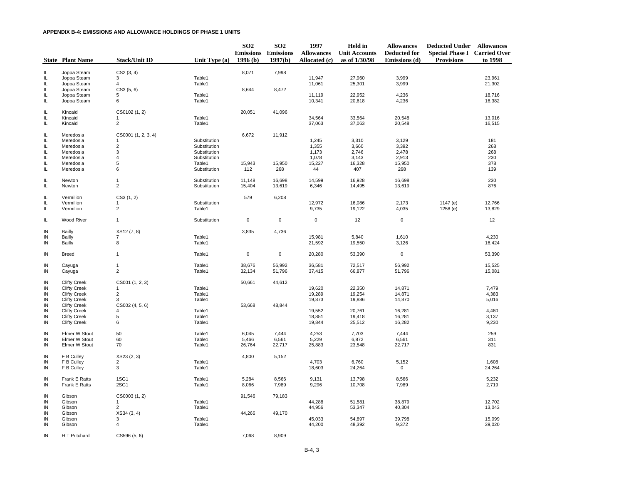|           | <b>State Plant Name</b> | <b>Stack/Unit ID</b> | Unit Type (a)    | SO <sub>2</sub><br>1996(b) | SO <sub>2</sub><br><b>Emissions Emissions</b><br>1997(b) | 1997<br><b>Allowances</b><br>Allocated (c) | Held in<br><b>Unit Accounts</b><br>as of 1/30/98 | <b>Allowances</b><br><b>Deducted for</b><br>Emissions (d) | <b>Deducted Under Allowances</b><br><b>Special Phase I Carried Over</b><br><b>Provisions</b> | to 1998 |
|-----------|-------------------------|----------------------|------------------|----------------------------|----------------------------------------------------------|--------------------------------------------|--------------------------------------------------|-----------------------------------------------------------|----------------------------------------------------------------------------------------------|---------|
|           | Joppa Steam             | CS2(3, 4)            |                  | 8,071                      |                                                          |                                            |                                                  |                                                           |                                                                                              |         |
| IL<br>IL. | Joppa Steam             | 3                    | Table1           |                            | 7,998                                                    | 11,947                                     | 27,960                                           | 3,999                                                     |                                                                                              | 23,961  |
| IL        | Joppa Steam             | Δ                    | Table1           |                            |                                                          | 11,061                                     | 25,301                                           | 3,999                                                     |                                                                                              | 21,302  |
| IL        | Joppa Steam             | CS3(5, 6)            |                  | 8,644                      | 8,472                                                    |                                            |                                                  |                                                           |                                                                                              |         |
| IL.       | Joppa Steam             | 5                    | Table1           |                            |                                                          | 11,119                                     | 22,952                                           | 4,236                                                     |                                                                                              | 18,716  |
| IL        | Joppa Steam             | 6                    | Table1           |                            |                                                          | 10,341                                     | 20,618                                           | 4,236                                                     |                                                                                              | 16,382  |
| IL        | Kincaid                 | CS0102 (1, 2)        |                  | 20,051                     | 41,096                                                   |                                            |                                                  |                                                           |                                                                                              |         |
| IL.       | Kincaid                 |                      | Table1           |                            |                                                          | 34,564                                     | 33,564                                           | 20,548                                                    |                                                                                              | 13,016  |
| IL.       | Kincaid                 | $\overline{2}$       | Table1           |                            |                                                          | 37,063                                     | 37,063                                           | 20,548                                                    |                                                                                              | 16,515  |
| IL.       | Meredosia               | CS0001 (1, 2, 3, 4)  |                  | 6,672                      | 11,912                                                   |                                            |                                                  |                                                           |                                                                                              |         |
| IL        | Meredosia               | -1                   | Substitution     |                            |                                                          | 1,245                                      | 3,310                                            | 3,129                                                     |                                                                                              | 181     |
| IL.       | Meredosia               | $\sqrt{2}$           | Substitution     |                            |                                                          | 1,355                                      | 3,660                                            | 3,392                                                     |                                                                                              | 268     |
| IL.       | Meredosia               | 3                    | Substitution     |                            |                                                          | 1,173                                      | 2,746                                            | 2,478                                                     |                                                                                              | 268     |
| IL        | Meredosia               | $\overline{4}$       | Substitution     |                            |                                                          | 1,078                                      | 3,143                                            | 2,913                                                     |                                                                                              | 230     |
| IL        | Meredosia               | $\sqrt{5}$           | Table1           | 15,943                     | 15,950                                                   | 15,227                                     | 16,328                                           | 15,950                                                    |                                                                                              | 378     |
| IL        | Meredosia               | 6                    | Substitution     | 112                        | 268                                                      | 44                                         | 407                                              | 268                                                       |                                                                                              | 139     |
| IL        | Newton                  | $\mathbf{1}$         | Substitution     | 11,148                     | 16,698                                                   | 14,599                                     | 16,928                                           | 16,698                                                    |                                                                                              | 230     |
| IL        | Newton                  | $\overline{2}$       | Substitution     | 15,404                     | 13,619                                                   | 6,346                                      | 14,495                                           | 13,619                                                    |                                                                                              | 876     |
| IL.       | Vermilion               | CS3(1, 2)            |                  | 579                        | 6,208                                                    |                                            |                                                  |                                                           |                                                                                              |         |
| IL.       | Vermilion               | -1                   | Substitution     |                            |                                                          | 12,972                                     | 16,086                                           | 2,173                                                     | 1147 (e)                                                                                     | 12,766  |
| IL        | Vermilion               | $\overline{2}$       | Table1           |                            |                                                          | 9,735                                      | 19,122                                           | 4,035                                                     | 1258(e)                                                                                      | 13,829  |
| IL        | Wood River              | $\mathbf{1}$         | Substitution     | $\mathbf 0$                | 0                                                        | $\mathsf 0$                                | 12                                               | $\pmb{0}$                                                 |                                                                                              | 12      |
| IN        | Bailly                  | XS12 (7, 8)          |                  | 3,835                      | 4,736                                                    |                                            |                                                  |                                                           |                                                                                              |         |
| IN        | <b>Bailly</b>           | 7                    | Table1           |                            |                                                          | 15,981                                     | 5,840                                            | 1,610                                                     |                                                                                              | 4,230   |
| IN        | Bailly                  | 8                    | Table1           |                            |                                                          | 21,592                                     | 19,550                                           | 3,126                                                     |                                                                                              | 16,424  |
| IN        | <b>Breed</b>            | $\mathbf{1}$         | Table1           | $\mathsf 0$                | $\pmb{0}$                                                | 20,280                                     | 53,390                                           | $\mathbf 0$                                               |                                                                                              | 53,390  |
| IN        | Cayuga                  | $\mathbf{1}$         | Table1           | 38,676                     | 56,992                                                   | 36,581                                     | 72,517                                           | 56,992                                                    |                                                                                              | 15,525  |
| IN        | Cayuga                  | $\overline{2}$       | Table1           | 32,134                     | 51,796                                                   | 37,415                                     | 66,877                                           | 51,796                                                    |                                                                                              | 15,081  |
| IN        | <b>Clifty Creek</b>     | CS001 (1, 2, 3)      |                  | 50,661                     | 44,612                                                   |                                            |                                                  |                                                           |                                                                                              |         |
| IN        | <b>Clifty Creek</b>     | 1                    | Table1           |                            |                                                          | 19,620                                     | 22,350                                           | 14,871                                                    |                                                                                              | 7,479   |
| IN        | <b>Clifty Creek</b>     | $\overline{c}$       | Table1           |                            |                                                          | 19,289                                     | 19,254                                           | 14,871                                                    |                                                                                              | 4,383   |
| IN        | <b>Clifty Creek</b>     | 3                    | Table1           |                            |                                                          | 19,873                                     | 19,886                                           | 14,870                                                    |                                                                                              | 5,016   |
| IN        | <b>Clifty Creek</b>     | CS002 (4, 5, 6)      |                  | 53,668                     | 48,844                                                   |                                            |                                                  |                                                           |                                                                                              |         |
| IN        | <b>Clifty Creek</b>     | 4                    | Table1           |                            |                                                          | 19,552                                     | 20,761                                           | 16,281                                                    |                                                                                              | 4,480   |
| IN        | <b>Clifty Creek</b>     | 5<br>6               | Table1<br>Table1 |                            |                                                          | 18,851                                     | 19,418                                           | 16,281                                                    |                                                                                              | 3,137   |
| IN        | <b>Clifty Creek</b>     |                      |                  |                            |                                                          | 19,844                                     | 25,512                                           | 16,282                                                    |                                                                                              | 9,230   |
| IN        | Elmer W Stout           | 50                   | Table1           | 6,045                      | 7,444                                                    | 4,253                                      | 7,703                                            | 7,444                                                     |                                                                                              | 259     |
| IN        | Elmer W Stout           | 60                   | Table1           | 5,466                      | 6,561                                                    | 5,229                                      | 6,872                                            | 6,561                                                     |                                                                                              | 311     |
| IN        | Elmer W Stout           | 70                   | Table1           | 26,764                     | 22,717                                                   | 25,883                                     | 23,548                                           | 22,717                                                    |                                                                                              | 831     |
| IN        | F B Culley              | XS23 (2, 3)          |                  | 4,800                      | 5,152                                                    |                                            |                                                  |                                                           |                                                                                              |         |
| IN        | F B Culley              | $\overline{2}$       | Table1           |                            |                                                          | 4,703                                      | 6,760                                            | 5,152                                                     |                                                                                              | 1,608   |
| IN        | F B Culley              | 3                    | Table1           |                            |                                                          | 18,603                                     | 24,264                                           | $\mathsf 0$                                               |                                                                                              | 24,264  |
| IN        | Frank E Ratts           | 1SG1                 | Table1           | 5,284                      | 8,566                                                    | 9,131                                      | 13,798                                           | 8,566                                                     |                                                                                              | 5,232   |
| IN        | Frank E Ratts           | 2SG1                 | Table1           | 8,066                      | 7,989                                                    | 9,296                                      | 10,708                                           | 7,989                                                     |                                                                                              | 2,719   |
| IN        | Gibson                  | CS0003 (1, 2)        |                  | 91,546                     | 79,183                                                   |                                            |                                                  |                                                           |                                                                                              |         |
| IN        | Gibson                  | $\mathbf 1$          | Table1           |                            |                                                          | 44,288                                     | 51,581                                           | 38,879                                                    |                                                                                              | 12,702  |
| IN        | Gibson                  | 2                    | Table1           |                            |                                                          | 44,956                                     | 53,347                                           | 40,304                                                    |                                                                                              | 13,043  |
| IN        | Gibson                  | XS34(3, 4)           |                  | 44,266                     | 49,170                                                   |                                            |                                                  |                                                           |                                                                                              |         |
| IN        | Gibson                  | 3                    | Table1           |                            |                                                          | 45,033                                     | 54,897                                           | 39,798                                                    |                                                                                              | 15,099  |
| IN        | Gibson                  | $\overline{4}$       | Table1           |                            |                                                          | 44,200                                     | 48,392                                           | 9,372                                                     |                                                                                              | 39,020  |
| IN        | H T Pritchard           | CS596 (5, 6)         |                  | 7.068                      | 8.909                                                    |                                            |                                                  |                                                           |                                                                                              |         |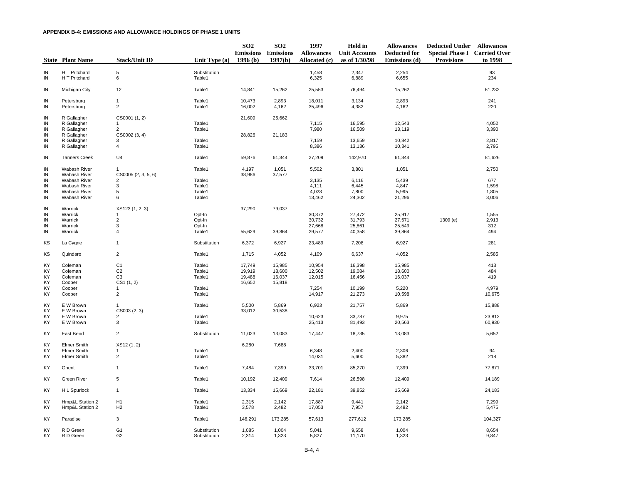|                 | <b>State Plant Name</b>        | <b>Stack/Unit ID</b>             | Unit Type $(a)$              | SO <sub>2</sub><br>1996(b) | SO <sub>2</sub><br><b>Emissions Emissions</b><br>1997(b) | 1997<br><b>Allowances</b><br>Allocated (c) | <b>Held</b> in<br><b>Unit Accounts</b><br>as of 1/30/98 | <b>Allowances</b><br><b>Deducted for</b><br>Emissions (d) | <b>Deducted Under Allowances</b><br><b>Special Phase I Carried Over</b><br><b>Provisions</b> | to 1998         |
|-----------------|--------------------------------|----------------------------------|------------------------------|----------------------------|----------------------------------------------------------|--------------------------------------------|---------------------------------------------------------|-----------------------------------------------------------|----------------------------------------------------------------------------------------------|-----------------|
|                 |                                |                                  |                              |                            |                                                          |                                            |                                                         |                                                           |                                                                                              |                 |
| IN<br>IN        | H T Pritchard<br>H T Pritchard | 5<br>6                           | Substitution<br>Table1       |                            |                                                          | 1,458<br>6,325                             | 2,347<br>6,889                                          | 2,254<br>6,655                                            |                                                                                              | 93<br>234       |
| IN              | Michigan City                  | 12                               | Table1                       | 14,841                     | 15,262                                                   | 25,553                                     | 76,494                                                  | 15,262                                                    |                                                                                              | 61,232          |
| IN              | Petersburg                     | $\mathbf{1}$                     | Table1                       | 10,473                     | 2,893                                                    | 18,011                                     | 3,134                                                   | 2,893                                                     |                                                                                              | 241             |
| IN              | Petersburg                     | $\overline{2}$                   | Table1                       | 16,002                     | 4,162                                                    | 35,496                                     | 4,382                                                   | 4,162                                                     |                                                                                              | 220             |
| IN              | R Gallagher                    | CS0001 (1, 2)                    |                              | 21,609                     | 25,662                                                   |                                            |                                                         |                                                           |                                                                                              |                 |
| IN              | R Gallagher                    | 1                                | Table1                       |                            |                                                          | 7,115                                      | 16,595                                                  | 12,543                                                    |                                                                                              | 4,052           |
| IN<br>IN        | R Gallagher<br>R Gallagher     | $\overline{2}$<br>CS0002 (3, 4)  | Table1                       | 28,826                     | 21,183                                                   | 7,980                                      | 16,509                                                  | 13,119                                                    |                                                                                              | 3,390           |
| IN              | R Gallagher                    | 3                                | Table1                       |                            |                                                          | 7,159                                      | 13,659                                                  | 10,842                                                    |                                                                                              | 2,817           |
| IN              | R Gallagher                    | $\sqrt{4}$                       | Table1                       |                            |                                                          | 8,386                                      | 13,136                                                  | 10,341                                                    |                                                                                              | 2,795           |
| IN              | <b>Tanners Creek</b>           | U <sub>4</sub>                   | Table1                       | 59,876                     | 61,344                                                   | 27,209                                     | 142,970                                                 | 61,344                                                    |                                                                                              | 81,626          |
| IN              | Wabash River                   | $\mathbf 1$                      | Table1                       | 4,197                      | 1,051                                                    | 5,502                                      | 3,801                                                   | 1,051                                                     |                                                                                              | 2,750           |
| IN              | Wabash River                   | CS0005 (2, 3, 5, 6)              |                              | 38,986                     | 37,577                                                   |                                            |                                                         |                                                           |                                                                                              |                 |
| IN              | <b>Wabash River</b>            | $\overline{2}$                   | Table1                       |                            |                                                          | 3,135                                      | 6,116                                                   | 5,439                                                     |                                                                                              | 677             |
| IN<br>IN        | Wabash River<br>Wabash River   | 3<br>5                           | Table1<br>Table1             |                            |                                                          | 4,111<br>4,023                             | 6,445<br>7,800                                          | 4,847<br>5,995                                            |                                                                                              | 1,598<br>1,805  |
| IN              | Wabash River                   | 6                                | Table1                       |                            |                                                          | 13,462                                     | 24,302                                                  | 21,296                                                    |                                                                                              | 3,006           |
|                 |                                |                                  |                              |                            |                                                          |                                            |                                                         |                                                           |                                                                                              |                 |
| IN              | Warrick                        | XS123 (1, 2, 3)                  |                              | 37,290                     | 79,037                                                   |                                            |                                                         |                                                           |                                                                                              |                 |
| IN<br>IN        | Warrick<br>Warrick             | 1<br>$\overline{2}$              | Opt-In<br>Opt-In             |                            |                                                          | 30,372<br>30,732                           | 27,472<br>31,793                                        | 25,917<br>27,571                                          | 1309(e)                                                                                      | 1,555<br>2,913  |
| IN              | Warrick                        | 3                                | Opt-In                       |                            |                                                          | 27,668                                     | 25,861                                                  | 25,549                                                    |                                                                                              | 312             |
| IN              | Warrick                        | $\sqrt{4}$                       | Table1                       | 55,629                     | 39,864                                                   | 29,577                                     | 40,358                                                  | 39,864                                                    |                                                                                              | 494             |
| ΚS              | La Cygne                       | $\mathbf{1}$                     | Substitution                 | 6,372                      | 6,927                                                    | 23,489                                     | 7,208                                                   | 6,927                                                     |                                                                                              | 281             |
| KS              | Quindaro                       | $\overline{c}$                   | Table1                       | 1,715                      | 4,052                                                    | 4,109                                      | 6,637                                                   | 4,052                                                     |                                                                                              | 2,585           |
| KY              | Coleman                        | C <sub>1</sub>                   | Table1                       | 17,749                     | 15,985                                                   | 10,954                                     | 16,398                                                  | 15,985                                                    |                                                                                              | 413             |
| KY              | Coleman                        | C <sub>2</sub>                   | Table1                       | 19,919                     | 18,600                                                   | 12,502                                     | 19,084                                                  | 18,600                                                    |                                                                                              | 484             |
| KY              | Coleman                        | C <sub>3</sub>                   | Table1                       | 19,488                     | 16,037                                                   | 12,015                                     | 16,456                                                  | 16,037                                                    |                                                                                              | 419             |
| KY              | Cooper                         | CS1(1, 2)                        |                              | 16,652                     | 15,818                                                   |                                            |                                                         |                                                           |                                                                                              |                 |
| KY<br>KY        | Cooper<br>Cooper               | 1<br>$\overline{c}$              | Table1<br>Table1             |                            |                                                          | 7,254<br>14,917                            | 10,199<br>21,273                                        | 5,220<br>10,598                                           |                                                                                              | 4,979<br>10,675 |
|                 |                                |                                  |                              |                            |                                                          |                                            |                                                         |                                                           |                                                                                              |                 |
| KY<br>KY        | E W Brown<br>E W Brown         | $\mathbf{1}$<br>CS003 (2, 3)     | Table1                       | 5,500<br>33,012            | 5,869<br>30,538                                          | 6,923                                      | 21,757                                                  | 5,869                                                     |                                                                                              | 15,888          |
| KY              | E W Brown                      | 2                                | Table1                       |                            |                                                          | 10,623                                     | 33,787                                                  | 9,975                                                     |                                                                                              | 23,812          |
| KY              | E W Brown                      | 3                                | Table1                       |                            |                                                          | 25,413                                     | 81,493                                                  | 20,563                                                    |                                                                                              | 60,930          |
| KY              | East Bend                      | $\overline{c}$                   | Substitution                 | 11,023                     | 13,083                                                   | 17,447                                     | 18,735                                                  | 13,083                                                    |                                                                                              | 5,652           |
| KY              | <b>Elmer Smith</b>             | XS12 (1, 2)                      |                              | 6,280                      | 7,688                                                    |                                            |                                                         |                                                           |                                                                                              |                 |
| KY              | <b>Elmer Smith</b>             | $\mathbf 1$                      | Table1                       |                            |                                                          | 6,348                                      | 2,400                                                   | 2,306                                                     |                                                                                              | 94              |
| KY              | Elmer Smith                    | $\sqrt{2}$                       | Table1                       |                            |                                                          | 14,031                                     | 5,600                                                   | 5,382                                                     |                                                                                              | 218             |
| KY              | Ghent                          | $\mathbf{1}$                     | Table1                       | 7,484                      | 7,399                                                    | 33,701                                     | 85,270                                                  | 7,399                                                     |                                                                                              | 77,871          |
| KY              | Green River                    | 5                                | Table1                       | 10,192                     | 12,409                                                   | 7,614                                      | 26,598                                                  | 12,409                                                    |                                                                                              | 14,189          |
| KY              | H L Spurlock                   | $\mathbf{1}$                     | Table1                       | 13,334                     | 15,669                                                   | 22,181                                     | 39,852                                                  | 15,669                                                    |                                                                                              | 24,183          |
| KY              | Hmp&L Station 2                | H1                               | Table1                       | 2,315                      | 2,142                                                    | 17,887                                     | 9,441                                                   | 2,142                                                     |                                                                                              | 7,299           |
| KY              | Hmp&L Station 2                | H <sub>2</sub>                   | Table1                       | 3,578                      | 2,482                                                    | 17,053                                     | 7,957                                                   | 2,482                                                     |                                                                                              | 5,475           |
| KY              | Paradise                       | 3                                | Table1                       | 146,291                    | 173,285                                                  | 57,613                                     | 277,612                                                 | 173,285                                                   |                                                                                              | 104,327         |
| KY<br><b>KY</b> | R D Green<br>R D Green         | G <sub>1</sub><br>G <sub>2</sub> | Substitution<br>Substitution | 1,085<br>2,314             | 1,004<br>1,323                                           | 5,041<br>5,827                             | 9,658<br>11,170                                         | 1,004<br>1,323                                            |                                                                                              | 8,654<br>9,847  |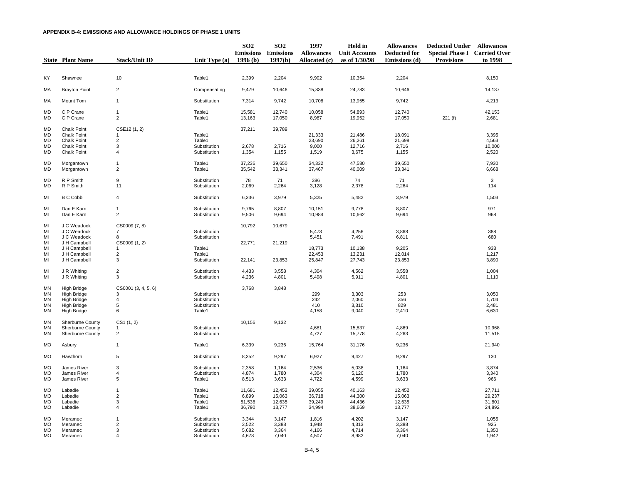|                                                 | <b>State Plant Name</b>                                                                      | <b>Stack/Unit ID</b>                                                  | Unit Type $(a)$                                              | SO <sub>2</sub><br>1996(b)          | SO <sub>2</sub><br><b>Emissions Emissions</b><br>1997(b) | 1997<br><b>Allowances</b><br>Allocated (c) | <b>Held</b> in<br><b>Unit Accounts</b><br>as of 1/30/98 | <b>Allowances</b><br><b>Deducted for</b><br>Emissions (d) | <b>Deducted Under Allowances</b><br><b>Special Phase I Carried Over</b><br><b>Provisions</b> | to 1998                              |
|-------------------------------------------------|----------------------------------------------------------------------------------------------|-----------------------------------------------------------------------|--------------------------------------------------------------|-------------------------------------|----------------------------------------------------------|--------------------------------------------|---------------------------------------------------------|-----------------------------------------------------------|----------------------------------------------------------------------------------------------|--------------------------------------|
|                                                 |                                                                                              |                                                                       |                                                              |                                     |                                                          |                                            |                                                         |                                                           |                                                                                              |                                      |
| KY                                              | Shawnee                                                                                      | 10                                                                    | Table1                                                       | 2,399                               | 2,204                                                    | 9,902                                      | 10,354                                                  | 2,204                                                     |                                                                                              | 8,150                                |
| MA                                              | <b>Brayton Point</b>                                                                         | $\overline{2}$                                                        | Compensating                                                 | 9,479                               | 10,646                                                   | 15,838                                     | 24,783                                                  | 10,646                                                    |                                                                                              | 14,137                               |
| МA                                              | Mount Tom                                                                                    | $\mathbf{1}$                                                          | Substitution                                                 | 7,314                               | 9,742                                                    | 10,708                                     | 13,955                                                  | 9,742                                                     |                                                                                              | 4,213                                |
| <b>MD</b><br><b>MD</b>                          | C P Crane<br>C P Crane                                                                       | $\mathbf{1}$<br>$\overline{2}$                                        | Table1<br>Table1                                             | 15,581<br>13,163                    | 12,740<br>17,050                                         | 10,058<br>8,987                            | 54,893<br>19,952                                        | 12,740<br>17,050                                          | 221(f)                                                                                       | 42,153<br>2,681                      |
| MD<br><b>MD</b><br><b>MD</b><br>MD<br><b>MD</b> | <b>Chalk Point</b><br><b>Chalk Point</b><br>Chalk Point<br>Chalk Point<br>Chalk Point        | CSE12 (1, 2)<br>$\mathbf{1}$<br>$\mathbf 2$<br>3<br>$\overline{4}$    | Table1<br>Table1<br>Substitution<br>Substitution             | 37,211<br>2,678<br>1,354            | 39,789<br>2,716<br>1,155                                 | 21,333<br>23,690<br>9,000<br>1,519         | 21,486<br>26,261<br>12,716<br>3,675                     | 18,091<br>21,698<br>2,716<br>1,155                        |                                                                                              | 3,395<br>4,563<br>10,000<br>2,520    |
| <b>MD</b><br><b>MD</b>                          | Morgantown<br>Morgantown                                                                     | $\mathbf{1}$<br>$\overline{2}$                                        | Table1<br>Table1                                             | 37,236<br>35,542                    | 39,650<br>33,341                                         | 34,332<br>37,467                           | 47,580<br>40,009                                        | 39,650<br>33,341                                          |                                                                                              | 7,930<br>6,668                       |
| MD<br>MD                                        | R P Smith<br>R P Smith                                                                       | 9<br>11                                                               | Substitution<br>Substitution                                 | 78<br>2,069                         | 71<br>2,264                                              | 386<br>3,128                               | 74<br>2,378                                             | 71<br>2,264                                               |                                                                                              | 3<br>114                             |
| MI                                              | <b>B C Cobb</b>                                                                              | $\overline{4}$                                                        | Substitution                                                 | 6,336                               | 3,979                                                    | 5,325                                      | 5,482                                                   | 3,979                                                     |                                                                                              | 1,503                                |
| MI<br>MI                                        | Dan E Karn<br>Dan E Karn                                                                     | $\mathbf{1}$<br>$\overline{2}$                                        | Substitution<br>Substitution                                 | 9,765<br>9,506                      | 8,807<br>9,694                                           | 10,151<br>10,984                           | 9,778<br>10,662                                         | 8,807<br>9,694                                            |                                                                                              | 971<br>968                           |
| MI<br>MI<br>MI<br>MI<br>MI<br>MI                | J C Weadock<br>J C Weadock<br>J C Weadock<br>J H Campbell<br>J H Campbell<br>J H Campbell    | CS0009 (7, 8)<br>7<br>8<br>CS0009 (1, 2)<br>$\mathbf 1$<br>$\sqrt{2}$ | Substitution<br>Substitution<br>Table1<br>Table1             | 10,792<br>22,771                    | 10,679<br>21,219                                         | 5,473<br>5,451<br>18,773<br>22,453         | 4,256<br>7,491<br>10,138<br>13,231                      | 3,868<br>6,811<br>9,205<br>12,014                         |                                                                                              | 388<br>680<br>933<br>1,217           |
| MI<br>MI                                        | J H Campbell<br>J R Whiting                                                                  | 3<br>$\overline{2}$                                                   | Substitution<br>Substitution                                 | 22,141<br>4,433                     | 23,853<br>3,558                                          | 25,847<br>4,304                            | 27,743<br>4,562                                         | 23,853<br>3,558                                           |                                                                                              | 3,890<br>1,004                       |
| MI                                              | J R Whiting                                                                                  | 3                                                                     | Substitution                                                 | 4,236                               | 4,801                                                    | 5,498                                      | 5,911                                                   | 4,801                                                     |                                                                                              | 1,110                                |
| ΜN<br>MN<br><b>MN</b><br><b>MN</b><br>MN        | High Bridge<br><b>High Bridge</b><br><b>High Bridge</b><br>High Bridge<br><b>High Bridge</b> | CS0001 (3, 4, 5, 6)<br>3<br>4<br>5<br>6                               | Substitution<br>Substitution<br>Substitution<br>Table1       | 3,768                               | 3,848                                                    | 299<br>242<br>410<br>4,158                 | 3,303<br>2,060<br>3,310<br>9,040                        | 253<br>356<br>829<br>2,410                                |                                                                                              | 3,050<br>1,704<br>2,481<br>6,630     |
| <b>MN</b><br>MN<br>ΜN                           | Sherburne County<br>Sherburne County<br><b>Sherburne County</b>                              | CS1 (1, 2)<br>-1<br>$\overline{2}$                                    | Substitution<br>Substitution                                 | 10,156                              | 9,132                                                    | 4,681<br>4,727                             | 15,837<br>15,778                                        | 4,869<br>4,263                                            |                                                                                              | 10,968<br>11,515                     |
| MO                                              | Asbury                                                                                       | $\mathbf{1}$                                                          | Table1                                                       | 6,339                               | 9,236                                                    | 15,764                                     | 31,176                                                  | 9,236                                                     |                                                                                              | 21,940                               |
| MO                                              | Hawthorn                                                                                     | 5                                                                     | Substitution                                                 | 8,352                               | 9,297                                                    | 6,927                                      | 9,427                                                   | 9,297                                                     |                                                                                              | 130                                  |
| <b>MO</b><br><b>MO</b><br>MO                    | James River<br>James River<br>James River                                                    | 3<br>$\overline{\mathbf{4}}$<br>5                                     | Substitution<br>Substitution<br>Table1                       | 2,358<br>4,874<br>8,513             | 1,164<br>1,780<br>3,633                                  | 2,536<br>4,304<br>4,722                    | 5,038<br>5,120<br>4,599                                 | 1,164<br>1,780<br>3,633                                   |                                                                                              | 3,874<br>3,340<br>966                |
| <b>MO</b><br>MO<br>MO<br><b>MO</b>              | Labadie<br>Labadie<br>Labadie<br>Labadie                                                     | $\mathbf{1}$<br>$\overline{2}$<br>3<br>$\overline{4}$                 | Table1<br>Table1<br>Table1<br>Table1                         | 11,681<br>6,899<br>51,536<br>36,790 | 12,452<br>15,063<br>12,635<br>13,777                     | 39,055<br>36,718<br>39,249<br>34,994       | 40,163<br>44,300<br>44,436<br>38,669                    | 12,452<br>15,063<br>12,635<br>13,777                      |                                                                                              | 27,711<br>29,237<br>31,801<br>24,892 |
| MO<br><b>MO</b><br><b>MO</b><br><b>MO</b>       | Meramec<br>Meramec<br>Meramec<br>Meramec                                                     | $\mathbf{1}$<br>$\overline{2}$<br>3<br>$\overline{4}$                 | Substitution<br>Substitution<br>Substitution<br>Substitution | 3,344<br>3,522<br>5,682<br>4,678    | 3,147<br>3,388<br>3,364<br>7,040                         | 1,816<br>1,948<br>4,166<br>4,507           | 4,202<br>4,313<br>4,714<br>8,982                        | 3,147<br>3,388<br>3,364<br>7,040                          |                                                                                              | 1,055<br>925<br>1,350<br>1,942       |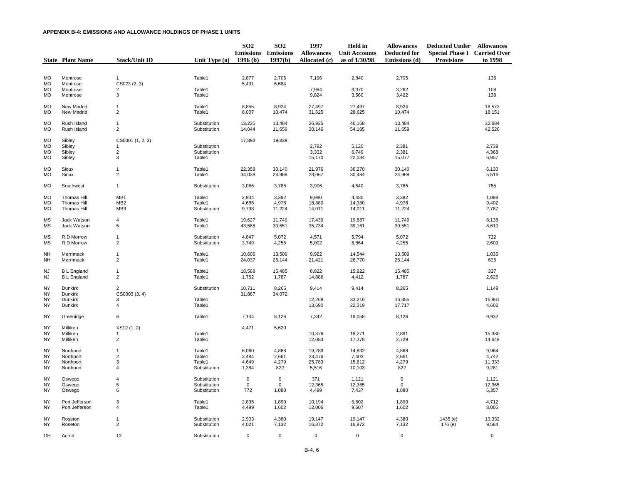|                        | <b>State Plant Name</b>    | <b>Stack/Unit ID</b>            | Unit Type (a)                | SO <sub>2</sub><br><b>Emissions Emissions</b><br>1996(b) | SO <sub>2</sub><br>1997(b) | 1997<br><b>Allowances</b><br>Allocated (c) | <b>Held</b> in<br><b>Unit Accounts</b><br>as of 1/30/98 | <b>Allowances</b><br><b>Deducted for</b><br>Emissions (d) | <b>Deducted Under Allowances</b><br><b>Special Phase I Carried Over</b><br><b>Provisions</b> | to 1998          |
|------------------------|----------------------------|---------------------------------|------------------------------|----------------------------------------------------------|----------------------------|--------------------------------------------|---------------------------------------------------------|-----------------------------------------------------------|----------------------------------------------------------------------------------------------|------------------|
|                        |                            |                                 |                              |                                                          |                            |                                            |                                                         |                                                           |                                                                                              |                  |
| <b>MO</b><br>MO        | Montrose<br>Montrose       | 1<br>CS023 (2, 3)               | Table1                       | 2,877<br>5,431                                           | 2,705<br>6,684             | 7,196                                      | 2,840                                                   | 2,705                                                     |                                                                                              | 135              |
| MO<br><b>MO</b>        | Montrose<br>Montrose       | 2<br>3                          | Table1<br>Table1             |                                                          |                            | 7,984<br>9,824                             | 3,370<br>3,560                                          | 3,262<br>3,422                                            |                                                                                              | 108<br>138       |
| <b>MO</b><br>MO        | New Madrid<br>New Madrid   | $\mathbf{1}$<br>$\overline{2}$  | Table1<br>Table1             | 8,855<br>8,007                                           | 8,924<br>10,474            | 27,497<br>31,625                           | 27,497<br>28,625                                        | 8,924<br>10,474                                           |                                                                                              | 18,573<br>18,151 |
| MO<br>MO               | Rush Island<br>Rush Island | $\mathbf{1}$<br>$\overline{c}$  | Substitution<br>Substitution | 13,225<br>14,044                                         | 13,484<br>11,659           | 26,935<br>30,146                           | 46,168<br>54,185                                        | 13,484<br>11,659                                          |                                                                                              | 32,684<br>42,526 |
| <b>MO</b>              | Sibley                     | CS0001 (1, 2, 3)                |                              | 17,893                                                   | 19,839                     |                                            |                                                         |                                                           |                                                                                              |                  |
| <b>MO</b>              | Sibley                     | $\mathbf 1$                     | Substitution                 |                                                          |                            | 2,782                                      | 5,120                                                   | 2,381                                                     |                                                                                              | 2,739            |
| <b>MO</b>              | Sibley                     | $\sqrt{2}$                      | Substitution                 |                                                          |                            | 3,332                                      | 6,749                                                   | 2,381                                                     |                                                                                              | 4,368            |
| <b>MO</b>              | Sibley                     | 3                               | Table1                       |                                                          |                            | 15,170                                     | 22,034                                                  | 15,077                                                    |                                                                                              | 6,957            |
| MO                     | Sioux                      | $\mathbf{1}$                    | Table1                       | 22,358                                                   | 30,140                     | 21,976                                     | 36,270                                                  | 30,140                                                    |                                                                                              | 6,130            |
| MO                     | Sioux                      | $\overline{2}$                  | Table1                       | 34,038                                                   | 24,968                     | 23,067                                     | 30,484                                                  | 24,968                                                    |                                                                                              | 5,516            |
| <b>MO</b>              | Southwest                  | $\mathbf{1}$                    | Substitution                 | 3,066                                                    | 3,785                      | 3,906                                      | 4,540                                                   | 3,785                                                     |                                                                                              | 755              |
| <b>MO</b>              | <b>Thomas Hill</b>         | MB1                             | Table1                       | 2,934                                                    | 3,382                      | 9,980                                      | 4,480                                                   | 3,382                                                     |                                                                                              | 1,098            |
| <b>MO</b>              | <b>Thomas Hill</b>         | MB <sub>2</sub>                 | Table1                       | 4,685                                                    | 4,978                      | 18,880                                     | 14,380                                                  | 4,978<br>11,224                                           |                                                                                              | 9,402<br>2,787   |
| MO                     | Thomas Hill                | MB <sub>3</sub>                 | Substitution                 | 9,798                                                    | 11,224                     | 14,011                                     | 14,011                                                  |                                                           |                                                                                              |                  |
| МS<br>MS               | Jack Watson<br>Jack Watson | $\overline{4}$<br>5             | Table1<br>Table1             | 19.627<br>43,588                                         | 11,749<br>30,551           | 17,439<br>35,734                           | 19,887<br>39,161                                        | 11.749<br>30,551                                          |                                                                                              | 8,138<br>8,610   |
| <b>MS</b>              | R D Morrow                 | $\mathbf{1}$                    | Substitution                 | 4,847                                                    | 5,072                      | 4,571                                      | 5,794                                                   | 5,072                                                     |                                                                                              | 722              |
| MS                     | R D Morrow                 | $\overline{2}$                  | Substitution                 | 3,749                                                    | 4,255                      | 5,002                                      | 6,864                                                   | 4,255                                                     |                                                                                              | 2,609            |
| NΗ<br><b>NH</b>        | Merrimack<br>Merrimack     | 1<br>$\overline{2}$             | Table1<br>Table1             | 10,606                                                   | 13,509<br>26,144           | 9,922                                      | 14,544<br>26,770                                        | 13,509<br>26,144                                          |                                                                                              | 1,035<br>626     |
|                        |                            |                                 |                              | 24,037                                                   |                            | 21,421                                     |                                                         |                                                           |                                                                                              |                  |
| <b>NJ</b>              | <b>BL</b> England          | $\mathbf{1}$                    | Table1                       | 18,568                                                   | 15,485                     | 8,822                                      | 15,822                                                  | 15,485                                                    |                                                                                              | 337              |
| <b>NJ</b>              | <b>BL</b> England          | $\overline{2}$                  | Table1                       | 1,752                                                    | 1,787                      | 14,886                                     | 4,412                                                   | 1,787                                                     |                                                                                              | 2,625            |
| <b>NY</b><br>NY        | Dunkirk<br>Dunkirk         | $\overline{2}$<br>CS0003 (3, 4) | Substitution                 | 10,711<br>31,867                                         | 8,265<br>34,072            | 9,414                                      | 9,414                                                   | 8,265                                                     |                                                                                              | 1,149            |
| NY                     | Dunkirk                    | 3                               | Table1                       |                                                          |                            | 12,268                                     | 33,216                                                  | 16,355                                                    |                                                                                              | 16,861           |
| <b>NY</b>              | Dunkirk                    | $\overline{4}$                  | Table1                       |                                                          |                            | 13,690                                     | 22,319                                                  | 17,717                                                    |                                                                                              | 4,602            |
| NY                     | Greenidge                  | 6                               | Table1                       | 7,144                                                    | 8,126                      | 7,342                                      | 18,058                                                  | 8,126                                                     |                                                                                              | 9,932            |
| <b>NY</b>              | Milliken                   | XS12 (1, 2)                     |                              | 4,471                                                    | 5,620                      |                                            |                                                         |                                                           |                                                                                              |                  |
| NY                     | Milliken                   | -1                              | Table1                       |                                                          |                            | 10,876                                     | 18,271                                                  | 2,891                                                     |                                                                                              | 15,380           |
| <b>NY</b>              | Milliken                   | $\overline{2}$                  | Table1                       |                                                          |                            | 12,083                                     | 17,378                                                  | 2,729                                                     |                                                                                              | 14,649           |
| <b>NY</b>              | Northport                  | $\mathbf{1}$                    | Table1                       | 6,060                                                    | 4,868                      | 19,289                                     | 14,832                                                  | 4,868                                                     |                                                                                              | 9,964            |
| NY                     | Northport                  | $\overline{2}$                  | Table1                       | 3,484                                                    | 2,661                      | 23,476                                     | 7,403                                                   | 2,661                                                     |                                                                                              | 4,742            |
| <b>NY</b><br><b>NY</b> | Northport<br>Northport     | 3<br>$\overline{4}$             | Table1<br>Substitution       | 4,649<br>1,384                                           | 4,279<br>822               | 25,783<br>5,516                            | 15,612<br>10,103                                        | 4,279<br>822                                              |                                                                                              | 11,333<br>9,281  |
|                        |                            |                                 |                              |                                                          |                            |                                            |                                                         |                                                           |                                                                                              |                  |
| NY                     | Oswego                     | $\overline{4}$                  | Substitution                 | $\pmb{0}$                                                | $\mathbf 0$                | 371                                        | 1,121                                                   | $\mathsf{O}\xspace$                                       |                                                                                              | 1,121            |
| <b>NY</b><br>NY        | Oswego<br>Oswego           | 5<br>6                          | Substitution<br>Substitution | $\mathbf 0$<br>772                                       | $\mathbf 0$<br>1,080       | 12,365<br>4,499                            | 12,365<br>7,437                                         | 0<br>1,080                                                |                                                                                              | 12,365<br>6,357  |
|                        |                            |                                 |                              |                                                          |                            |                                            |                                                         |                                                           |                                                                                              |                  |
| NY                     | Port Jefferson             | 3                               | Table1                       | 2,835                                                    | 1,890                      | 10,194                                     | 6,602                                                   | 1,890                                                     |                                                                                              | 4,712            |
| <b>NY</b>              | Port Jefferson             | $\overline{4}$                  | Table1                       | 4,499                                                    | 1,602                      | 12,006                                     | 9,607                                                   | 1,602                                                     |                                                                                              | 8,005            |
| NY                     | Roseton                    | $\mathbf{1}$                    | Substitution                 | 2,903                                                    | 4,380                      | 19,147                                     | 19,147                                                  | 4,380                                                     | 1435 (e)                                                                                     | 13,332           |
| NY                     | Roseton                    | $\overline{2}$                  | Substitution                 | 4,021                                                    | 7,132                      | 16,872                                     | 16,872                                                  | 7,132                                                     | 176 (e)                                                                                      | 9,564            |
| OH                     | Acme                       | 13                              | Substitution                 | $\mathbf 0$                                              | $\Omega$                   | $\mathbf 0$                                | $\mathbf 0$                                             | $\mathbf 0$                                               |                                                                                              | $\mathbf 0$      |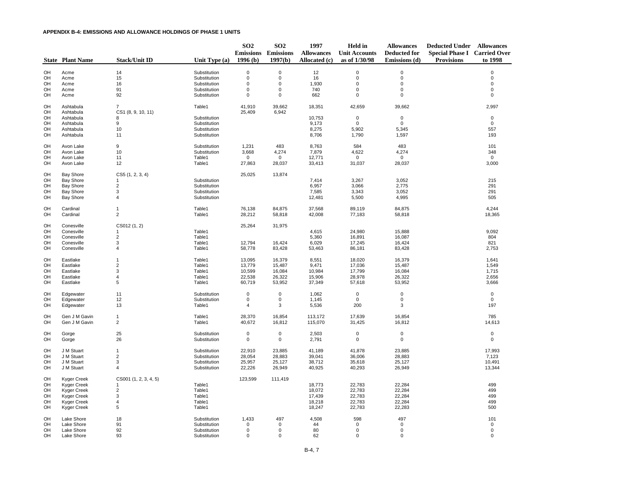|          | <b>State Plant Name</b> | <b>Stack/Unit ID</b>                 | Unit Type (a) | <b>SO2</b><br>1996(b) | SO <sub>2</sub><br><b>Emissions Emissions</b><br>1997(b) | 1997<br><b>Allowances</b><br>Allocated (c) | <b>Held</b> in<br><b>Unit Accounts</b><br>as of 1/30/98 | <b>Allowances</b><br><b>Deducted for</b><br>Emissions (d) | <b>Deducted Under Allowances</b><br><b>Special Phase I Carried Over</b><br><b>Provisions</b> | to 1998      |
|----------|-------------------------|--------------------------------------|---------------|-----------------------|----------------------------------------------------------|--------------------------------------------|---------------------------------------------------------|-----------------------------------------------------------|----------------------------------------------------------------------------------------------|--------------|
| OH       | Acme                    | 14                                   | Substitution  | $\mathbf 0$           | $\mathbf 0$                                              | 12                                         | $\mathbf 0$                                             | $\mathbf 0$                                               |                                                                                              | $\Omega$     |
| OH       | Acme                    | 15                                   | Substitution  | $\mathbf 0$           | $\mathbf 0$                                              | 16                                         | $\mathbf 0$                                             | $\mathbf 0$                                               |                                                                                              | $\mathbf 0$  |
| OH       | Acme                    | 16                                   | Substitution  | $\mathsf 0$           | $\Omega$                                                 | 1,930                                      | $\mathbf 0$                                             | 0                                                         |                                                                                              | $\Omega$     |
| OH       | Acme                    | 91                                   | Substitution  | $\mathbf 0$           | $\mathbf 0$                                              | 740                                        | 0                                                       | 0                                                         |                                                                                              | $\mathbf 0$  |
| OH       | Acme                    | 92                                   | Substitution  | $\mathbf 0$           | $\mathbf 0$                                              | 662                                        | 0                                                       | $\pmb{0}$                                                 |                                                                                              | $\mathbf 0$  |
| OH<br>OH | Ashtabula<br>Ashtabula  | $\overline{7}$<br>CS1 (8, 9, 10, 11) | Table1        | 41,910<br>25,409      | 39,662<br>6,942                                          | 18,351                                     | 42,659                                                  | 39,662                                                    |                                                                                              | 2,997        |
| OH       | Ashtabula               | 8                                    | Substitution  |                       |                                                          | 10,753                                     | $\mathbf 0$                                             | $\mathbf 0$                                               |                                                                                              | $\mathbf{0}$ |
| OH       | Ashtabula               | 9                                    | Substitution  |                       |                                                          | 9,173                                      | $\Omega$                                                | $\Omega$                                                  |                                                                                              | $\Omega$     |
| OH       | Ashtabula               | 10                                   | Substitution  |                       |                                                          | 8,275                                      | 5,902                                                   | 5,345                                                     |                                                                                              | 557          |
| OH       | Ashtabula               | 11                                   | Substitution  |                       |                                                          | 8,706                                      | 1,790                                                   | 1,597                                                     |                                                                                              | 193          |
| OH       | Avon Lake               | 9                                    | Substitution  | 1,231                 | 483                                                      | 8,763                                      | 584                                                     | 483                                                       |                                                                                              | 101          |
| OH       | Avon Lake               | 10                                   | Substitution  | 3,668                 | 4,274                                                    | 7,879                                      | 4,622                                                   | 4,274                                                     |                                                                                              | 348          |
| OH       | Avon Lake               | 11                                   | Table1        | $\mathbf 0$           | $\mathbf 0$                                              | 12,771                                     | $\mathbf 0$                                             | $\mathbf{0}$                                              |                                                                                              | $\mathbf 0$  |
| OH       | Avon Lake               | 12                                   | Table1        | 27,863                | 28,037                                                   | 33,413                                     | 31,037                                                  | 28,037                                                    |                                                                                              | 3,000        |
| OH       | <b>Bay Shore</b>        | CS5(1, 2, 3, 4)                      |               | 25,025                | 13,874                                                   |                                            |                                                         |                                                           |                                                                                              |              |
| OH       | <b>Bay Shore</b>        | 1                                    | Substitution  |                       |                                                          | 7,414                                      | 3,267                                                   | 3,052                                                     |                                                                                              | 215          |
| OH       | <b>Bay Shore</b>        | $\sqrt{2}$                           | Substitution  |                       |                                                          | 6,957                                      | 3,066                                                   | 2,775                                                     |                                                                                              | 291          |
| OH       | <b>Bay Shore</b>        | 3                                    | Substitution  |                       |                                                          | 7,585                                      | 3,343                                                   | 3,052                                                     |                                                                                              | 291          |
| OH       | <b>Bay Shore</b>        | 4                                    | Substitution  |                       |                                                          | 12,481                                     | 5,500                                                   | 4,995                                                     |                                                                                              | 505          |
| OH       | Cardinal                | $\mathbf{1}$                         | Table1        | 76,138                | 84,875                                                   | 37,568                                     | 89,119                                                  | 84,875                                                    |                                                                                              | 4,244        |
| OH       | Cardinal                | $\overline{2}$                       | Table1        | 28,212                | 58,818                                                   | 42,008                                     | 77,183                                                  | 58,818                                                    |                                                                                              | 18,365       |
| OH       | Conesville              | CS012 (1, 2)                         |               | 25,264                | 31,975                                                   |                                            |                                                         |                                                           |                                                                                              |              |
| OH       | Conesville              | $\mathbf 1$                          | Table1        |                       |                                                          | 4,615                                      | 24,980                                                  | 15,888                                                    |                                                                                              | 9,092        |
| OH       | Conesville              | $\overline{2}$                       | Table1        |                       |                                                          | 5,360                                      | 16,891                                                  | 16,087                                                    |                                                                                              | 804          |
| OH       | Conesville              | 3                                    | Table1        | 12,794                | 16,424                                                   | 6,029                                      | 17,245                                                  | 16,424                                                    |                                                                                              | 821          |
| OH       | Conesville              | $\overline{4}$                       | Table1        | 58,778                | 83,428                                                   | 53,463                                     | 86,181                                                  | 83,428                                                    |                                                                                              | 2,753        |
| OH       | Eastlake                | $\mathbf{1}$                         | Table1        | 13,095                | 16,379                                                   | 8,551                                      | 18,020                                                  | 16,379                                                    |                                                                                              | 1,641        |
| OH       | Eastlake                | $\overline{2}$                       | Table1        | 13,779                | 15,487                                                   | 9,471                                      | 17,036                                                  | 15,487                                                    |                                                                                              | 1,549        |
| OH       | Eastlake                | 3                                    | Table1        | 10,599                | 16,084                                                   | 10,984                                     | 17,799                                                  | 16,084                                                    |                                                                                              | 1,715        |
| OH       | Eastlake                | 4                                    | Table1        | 22,538                | 26,322                                                   | 15,906                                     | 28,978                                                  | 26,322                                                    |                                                                                              | 2,656        |
| OH       | Eastlake                | 5                                    | Table1        | 60,719                | 53,952                                                   | 37,349                                     | 57,618                                                  | 53,952                                                    |                                                                                              | 3,666        |
| OH       | Edgewater               | 11                                   | Substitution  | $\mathbf 0$           | $\mathbf 0$                                              | 1,062                                      | $\mathbf 0$                                             | $\mathsf{O}\xspace$                                       |                                                                                              | $\mathbf 0$  |
| OH       | Edgewater               | 12                                   | Substitution  | $\mathsf 0$           | $\mathbf 0$                                              | 1,145                                      | $\mathsf 0$                                             | $\mathsf 0$                                               |                                                                                              | $\mathsf 0$  |
| OH       | Edgewater               | 13                                   | Table1        | $\overline{4}$        | 3                                                        | 5,536                                      | 200                                                     | 3                                                         |                                                                                              | 197          |
| OH       | Gen J M Gavin           | $\mathbf{1}$                         | Table1        | 28,370                | 16,854                                                   | 113,172                                    | 17,639                                                  | 16,854                                                    |                                                                                              | 785          |
| OH       | Gen J M Gavin           | $\overline{2}$                       | Table1        | 40,672                | 16,812                                                   | 115,070                                    | 31,425                                                  | 16,812                                                    |                                                                                              | 14,613       |
| OH       | Gorge                   | 25                                   | Substitution  | $\mathbf 0$           | $\mathbf{0}$                                             | 2,503                                      | $\mathbf 0$                                             | $\mathbf 0$                                               |                                                                                              | $\mathbf 0$  |
| OH       | Gorge                   | 26                                   | Substitution  | $\mathsf 0$           | $\mathsf 0$                                              | 2,791                                      | $\mathbf 0$                                             | $\mathsf{O}\xspace$                                       |                                                                                              | $\mathsf 0$  |
| OH       | J M Stuart              | $\mathbf{1}$                         | Substitution  | 22,910                | 23,885                                                   | 41,189                                     | 41,878                                                  | 23,885                                                    |                                                                                              | 17,993       |
| OH       | J M Stuart              | $\sqrt{2}$                           | Substitution  | 28,054                | 28,883                                                   | 39,041                                     | 36,006                                                  | 28,883                                                    |                                                                                              | 7,123        |
| OH       | J M Stuart              | 3                                    | Substitution  | 25,957                | 25,127                                                   | 38,712                                     | 35,618                                                  | 25,127                                                    |                                                                                              | 10,491       |
| OH       | J M Stuart              | 4                                    | Substitution  | 22,226                | 26,949                                                   | 40,925                                     | 40,293                                                  | 26,949                                                    |                                                                                              | 13,344       |
| OH       | <b>Kyger Creek</b>      | CS001 (1, 2, 3, 4, 5)                |               | 123,599               | 111,419                                                  |                                            |                                                         |                                                           |                                                                                              |              |
| OH       | <b>Kyger Creek</b>      | 1                                    | Table1        |                       |                                                          | 18,773                                     | 22,783                                                  | 22,284                                                    |                                                                                              | 499          |
| OH       | <b>Kyger Creek</b>      | $\overline{2}$                       | Table1        |                       |                                                          | 18,072                                     | 22,783                                                  | 22,284                                                    |                                                                                              | 499          |
| OH       | Kyger Creek             | 3                                    | Table1        |                       |                                                          | 17,439                                     | 22,783                                                  | 22,284                                                    |                                                                                              | 499          |
| OH       | Kyger Creek             | $\sqrt{4}$                           | Table1        |                       |                                                          | 18,218                                     | 22,783                                                  | 22,284                                                    |                                                                                              | 499          |
| OH       | <b>Kyger Creek</b>      | 5                                    | Table1        |                       |                                                          | 18,247                                     | 22,783                                                  | 22,283                                                    |                                                                                              | 500          |
| OH       | Lake Shore              | 18                                   | Substitution  | 1,433                 | 497                                                      | 4,508                                      | 598                                                     | 497                                                       |                                                                                              | 101          |
| OH       | Lake Shore              | 91                                   | Substitution  | $\mathbf 0$           | $\mathbf 0$                                              | 44                                         | $\Omega$                                                | $\mathsf 0$                                               |                                                                                              | $\mathsf 0$  |
| OH       | Lake Shore              | 92                                   | Substitution  | $\mathbf 0$           | $\mathbf 0$                                              | 80                                         | 0                                                       | 0                                                         |                                                                                              | $\mathsf 0$  |
| OH       | Lake Shore              | 93                                   | Substitution  | $\mathbf 0$           | $\mathbf 0$                                              | 62                                         | $\mathbf 0$                                             | $\mathbf 0$                                               |                                                                                              | $\mathbf 0$  |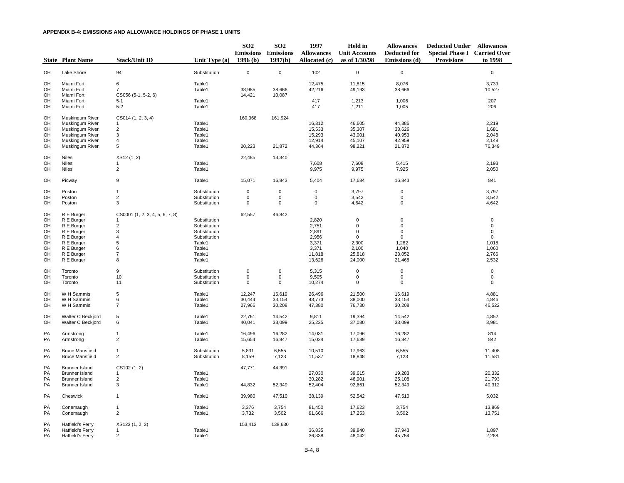|                                                    | <b>State Plant Name</b>                                                                                                                    | <b>Stack/Unit ID</b>                                                                                                           | Unit Type $(a)$                                                                                      | SO <sub>2</sub><br>1996(b)                | SO <sub>2</sub><br><b>Emissions Emissions</b><br>1997(b) | 1997<br><b>Allowances</b><br>Allocated (c)                             | Held in<br><b>Unit Accounts</b><br>as of 1/30/98                                               | <b>Allowances</b><br><b>Deducted for</b><br>Emissions (d)                                              | <b>Deducted Under Allowances</b><br><b>Special Phase I Carried Over</b><br><b>Provisions</b> | to 1998                                                                                      |
|----------------------------------------------------|--------------------------------------------------------------------------------------------------------------------------------------------|--------------------------------------------------------------------------------------------------------------------------------|------------------------------------------------------------------------------------------------------|-------------------------------------------|----------------------------------------------------------|------------------------------------------------------------------------|------------------------------------------------------------------------------------------------|--------------------------------------------------------------------------------------------------------|----------------------------------------------------------------------------------------------|----------------------------------------------------------------------------------------------|
| OH                                                 | Lake Shore                                                                                                                                 | 94                                                                                                                             | Substitution                                                                                         | $\mathbf 0$                               | $\mathbf 0$                                              | 102                                                                    | $\mathsf 0$                                                                                    | $\mathbf 0$                                                                                            |                                                                                              | $\mathsf 0$                                                                                  |
| OH<br>OH<br>OH<br>OH<br>OH                         | Miami Fort<br>Miami Fort<br>Miami Fort<br>Miami Fort<br>Miami Fort                                                                         | 6<br>$\overline{7}$<br>CS056 (5-1, 5-2, 6)<br>$5 - 1$<br>$5-2$                                                                 | Table1<br>Table1<br>Table1<br>Table1                                                                 | 38,985<br>14,421                          | 38,666<br>10,087                                         | 12,475<br>42,216<br>417<br>417                                         | 11,815<br>49,193<br>1,213<br>1,211                                                             | 8,076<br>38,666<br>1,006<br>1,005                                                                      |                                                                                              | 3,739<br>10,527<br>207<br>206                                                                |
| OH<br>OH<br>OH<br>OH<br>OH<br>OH                   | Muskingum River<br><b>Muskingum River</b><br><b>Muskingum River</b><br>Muskingum River<br><b>Muskingum River</b><br><b>Muskingum River</b> | CS014 (1, 2, 3, 4)<br>$\mathbf{1}$<br>$\overline{c}$<br>$\mathsf 3$<br>4<br>$\sqrt{5}$                                         | Table1<br>Table1<br>Table1<br>Table1<br>Table1                                                       | 160,368<br>20,223                         | 161,924<br>21,872                                        | 16,312<br>15,533<br>15,293<br>12,914<br>44,364                         | 46,605<br>35,307<br>43,001<br>45,107<br>98,221                                                 | 44,386<br>33,626<br>40,953<br>42,959<br>21,872                                                         |                                                                                              | 2,219<br>1,681<br>2,048<br>2,148<br>76,349                                                   |
| OH                                                 | <b>Niles</b>                                                                                                                               | XS12 (1, 2)                                                                                                                    |                                                                                                      | 22,485                                    | 13,340                                                   |                                                                        |                                                                                                |                                                                                                        |                                                                                              |                                                                                              |
| OH<br>OH                                           | Niles<br>Niles                                                                                                                             | 1<br>$\overline{2}$                                                                                                            | Table1<br>Table1                                                                                     |                                           |                                                          | 7,608<br>9,975                                                         | 7,608<br>9,975                                                                                 | 5,415<br>7,925                                                                                         |                                                                                              | 2,193<br>2,050                                                                               |
| OH                                                 | Picway                                                                                                                                     | 9                                                                                                                              | Table1                                                                                               | 15,071                                    | 16,843                                                   | 5,404                                                                  | 17,684                                                                                         | 16,843                                                                                                 |                                                                                              | 841                                                                                          |
| OH<br>OH<br>OH                                     | Poston<br>Poston<br>Poston                                                                                                                 | $\mathbf{1}$<br>$\overline{2}$<br>3                                                                                            | Substitution<br>Substitution<br>Substitution                                                         | $\pmb{0}$<br>$\mathbf 0$<br>$\mathbf 0$   | $\pmb{0}$<br>$\mathsf 0$<br>$\mathbf 0$                  | $\pmb{0}$<br>$\mathbf 0$<br>$\mathbf 0$                                | 3,797<br>3,542<br>4,642                                                                        | $\pmb{0}$<br>$\mathbf 0$<br>0                                                                          |                                                                                              | 3,797<br>3,542<br>4,642                                                                      |
| OH<br>OH<br>OH<br>OH<br>OH<br>OH<br>OH<br>OH<br>OH | R E Burger<br>R E Burger<br>R E Burger<br>R E Burger<br>R E Burger<br>R E Burger<br>R E Burger<br>R E Burger<br>R E Burger                 | CS0001 (1, 2, 3, 4, 5, 6, 7, 8)<br>1<br>$\sqrt{2}$<br>$\ensuremath{\mathsf{3}}$<br>$\sqrt{4}$<br>5<br>6<br>$\overline{7}$<br>8 | Substitution<br>Substitution<br>Substitution<br>Substitution<br>Table1<br>Table1<br>Table1<br>Table1 | 62,557                                    | 46,842                                                   | 2,820<br>2,751<br>2,891<br>2,956<br>3,371<br>3,371<br>11,818<br>13,626 | $\mathbf 0$<br>$\mathbf 0$<br>$\mathsf 0$<br>$\mathbf 0$<br>2,300<br>2,100<br>25,818<br>24,000 | $\mathbf 0$<br>$\mathbf 0$<br>$\mathsf{O}\xspace$<br>$\mathsf 0$<br>1,282<br>1,040<br>23,052<br>21,468 |                                                                                              | $\mathbf 0$<br>$\mathbf 0$<br>$\mathbf 0$<br>$\mathsf 0$<br>1,018<br>1,060<br>2,766<br>2,532 |
| OH<br>OH<br>OH                                     | Toronto<br>Toronto<br>Toronto                                                                                                              | 9<br>10<br>11                                                                                                                  | Substitution<br>Substitution<br>Substitution                                                         | $\mathbf 0$<br>$\mathsf 0$<br>$\mathbf 0$ | $\mathbf 0$<br>$\mathbf 0$<br>$\mathbf 0$                | 5,315<br>9,505<br>10,274                                               | $\mathbf 0$<br>$\mathsf 0$<br>0                                                                | $\mathbf 0$<br>$\mathsf{O}\xspace$<br>$\mathbf 0$                                                      |                                                                                              | $\mathbf 0$<br>$\pmb{0}$<br>$\mathbf 0$                                                      |
| OH<br>OH<br>OH                                     | W H Sammis<br>W H Sammis<br>W H Sammis                                                                                                     | $\sqrt{5}$<br>6<br>$\overline{7}$                                                                                              | Table1<br>Table1<br>Table1                                                                           | 12,247<br>30,444<br>27,966                | 16,619<br>33,154<br>30,208                               | 26,496<br>43,773<br>47,380                                             | 21,500<br>38,000<br>76,730                                                                     | 16,619<br>33,154<br>30,208                                                                             |                                                                                              | 4,881<br>4,846<br>46,522                                                                     |
| OH<br>OH                                           | Walter C Beckjord<br>Walter C Beckjord                                                                                                     | $\sqrt{5}$<br>6                                                                                                                | Table1<br>Table1                                                                                     | 22,761<br>40,041                          | 14,542<br>33,099                                         | 9,811<br>25,235                                                        | 19,394<br>37,080                                                                               | 14,542<br>33,099                                                                                       |                                                                                              | 4,852<br>3,981                                                                               |
| PA<br>PA                                           | Armstrong<br>Armstrong                                                                                                                     | $\mathbf{1}$<br>$\overline{2}$                                                                                                 | Table1<br>Table1                                                                                     | 16,496<br>15,654                          | 16,282<br>16,847                                         | 14,031<br>15,024                                                       | 17,096<br>17,689                                                                               | 16,282<br>16,847                                                                                       |                                                                                              | 814<br>842                                                                                   |
| <b>PA</b><br>PA                                    | <b>Bruce Mansfield</b><br><b>Bruce Mansfield</b>                                                                                           | $\mathbf{1}$<br>$\overline{2}$                                                                                                 | Substitution<br>Substitution                                                                         | 5,831<br>8,159                            | 6,555<br>7,123                                           | 10,510<br>11,537                                                       | 17,963<br>18,848                                                                               | 6,555<br>7,123                                                                                         |                                                                                              | 11,408<br>11,581                                                                             |
| <b>PA</b><br>PA<br>PA<br>PA                        | Brunner Island<br><b>Brunner Island</b><br><b>Brunner Island</b><br><b>Brunner Island</b>                                                  | CS102 (1, 2)<br>$\mathbf{1}$<br>$\sqrt{2}$<br>$\mathbf{3}$                                                                     | Table1<br>Table1<br>Table1                                                                           | 47,771<br>44,832                          | 44,391<br>52,349                                         | 27,030<br>30,282<br>52,404                                             | 39.615<br>46,901<br>92,661                                                                     | 19,283<br>25,108<br>52,349                                                                             |                                                                                              | 20,332<br>21,793<br>40,312                                                                   |
| PA                                                 | Cheswick                                                                                                                                   | $\mathbf{1}$                                                                                                                   | Table1                                                                                               | 39,980                                    | 47,510                                                   | 38,139                                                                 | 52,542                                                                                         | 47,510                                                                                                 |                                                                                              | 5,032                                                                                        |
| PA<br>PA                                           | Conemaugh<br>Conemaugh                                                                                                                     | 1<br>$\overline{2}$                                                                                                            | Table1<br>Table1                                                                                     | 3,376<br>3,732                            | 3,754<br>3,502                                           | 81,450<br>91,666                                                       | 17,623<br>17,253                                                                               | 3,754<br>3,502                                                                                         |                                                                                              | 13,869<br>13,751                                                                             |
| PA<br>PA<br>PA                                     | <b>Hatfield's Ferry</b><br>Hatfield's Ferry<br>Hatfield's Ferry                                                                            | XS123 (1, 2, 3)<br>1<br>$\overline{2}$                                                                                         | Table1<br>Table1                                                                                     | 153,413                                   | 138,630                                                  | 36,835<br>36,338                                                       | 39,840<br>48,042                                                                               | 37,943<br>45,754                                                                                       |                                                                                              | 1,897<br>2,288                                                                               |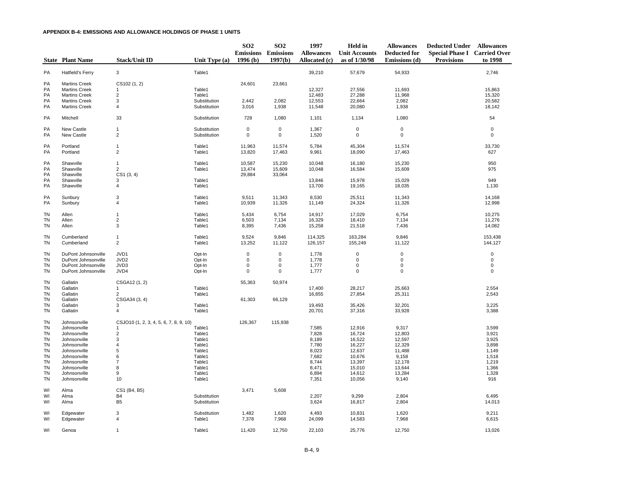|                                                                                                                         | <b>State Plant Name</b>                                                                                                                                      | <b>Stack/Unit ID</b>                                                                              | Unit Type (a)                                                                                    | SO <sub>2</sub><br>1996(b)                             | SO <sub>2</sub><br><b>Emissions</b> Emissions<br>1997(b) | 1997<br><b>Allowances</b><br>Allocated (c)                                             | Held in<br><b>Unit Accounts</b><br>as of 1/30/98                                                 | <b>Allowances</b><br><b>Deducted for</b><br>Emissions (d)                                     | <b>Deducted Under Allowances</b><br><b>Special Phase I Carried Over</b><br><b>Provisions</b> | to 1998                                                                              |
|-------------------------------------------------------------------------------------------------------------------------|--------------------------------------------------------------------------------------------------------------------------------------------------------------|---------------------------------------------------------------------------------------------------|--------------------------------------------------------------------------------------------------|--------------------------------------------------------|----------------------------------------------------------|----------------------------------------------------------------------------------------|--------------------------------------------------------------------------------------------------|-----------------------------------------------------------------------------------------------|----------------------------------------------------------------------------------------------|--------------------------------------------------------------------------------------|
| PA                                                                                                                      | Hatfield's Ferry                                                                                                                                             | 3                                                                                                 | Table1                                                                                           |                                                        |                                                          | 39,210                                                                                 | 57,679                                                                                           | 54,933                                                                                        |                                                                                              | 2,746                                                                                |
| PA<br>PA<br>PA<br>PA<br>PA                                                                                              | <b>Martins Creek</b><br><b>Martins Creek</b><br><b>Martins Creek</b><br><b>Martins Creek</b><br><b>Martins Creek</b>                                         | CS102 (1, 2)<br>$\sqrt{2}$<br>3<br>$\overline{4}$                                                 | Table1<br>Table1<br>Substitution<br>Substitution                                                 | 24,601<br>2.442<br>3,016                               | 23,661<br>2,082<br>1,938                                 | 12,327<br>12,483<br>12,553<br>11,548                                                   | 27,556<br>27,288<br>22,664<br>20,080                                                             | 11,693<br>11,968<br>2,082<br>1,938                                                            |                                                                                              | 15,863<br>15,320<br>20,582<br>18,142                                                 |
| PA                                                                                                                      | Mitchell                                                                                                                                                     | 33                                                                                                | Substitution                                                                                     | 728                                                    | 1,080                                                    | 1,101                                                                                  | 1,134                                                                                            | 1,080                                                                                         |                                                                                              | 54                                                                                   |
| PA<br>PA                                                                                                                | New Castle<br>New Castle                                                                                                                                     | $\mathbf{1}$<br>$\overline{2}$                                                                    | Substitution<br>Substitution                                                                     | $\mathsf 0$<br>0                                       | $\mathbf 0$<br>$\mathbf 0$                               | 1,367<br>1,520                                                                         | $\mathbf 0$<br>$\mathbf 0$                                                                       | $\mathbf 0$<br>$\mathsf 0$                                                                    |                                                                                              | $\mathsf 0$<br>$\mathsf 0$                                                           |
| PA<br>PA                                                                                                                | Portland<br>Portland                                                                                                                                         | $\mathbf{1}$<br>$\overline{2}$                                                                    | Table1<br>Table1                                                                                 | 11,963<br>13,820                                       | 11,574<br>17,463                                         | 5,784<br>9,961                                                                         | 45,304<br>18,090                                                                                 | 11,574<br>17,463                                                                              |                                                                                              | 33,730<br>627                                                                        |
| <b>PA</b><br><b>PA</b><br><b>PA</b><br>PA<br>PA                                                                         | Shawville<br>Shawville<br>Shawville<br>Shawville<br>Shawville                                                                                                | $\mathbf{1}$<br>$\overline{2}$<br>CS1(3, 4)<br>3<br>4                                             | Table1<br>Table1<br>Table1<br>Table1                                                             | 10,587<br>13,474<br>29,884                             | 15,230<br>15,609<br>33,064                               | 10,048<br>10,048<br>13,846<br>13,700                                                   | 16,180<br>16,584<br>15,978<br>19,165                                                             | 15,230<br>15,609<br>15,029<br>18,035                                                          |                                                                                              | 950<br>975<br>949<br>1,130                                                           |
| PA<br>PA                                                                                                                | Sunbury<br>Sunbury                                                                                                                                           | 3<br>4                                                                                            | Table1<br>Table1                                                                                 | 9,511<br>10,939                                        | 11,343<br>11,326                                         | 8,530<br>11,149                                                                        | 25,511<br>24,324                                                                                 | 11,343<br>11,326                                                                              |                                                                                              | 14,168<br>12,998                                                                     |
| TN<br><b>TN</b><br><b>TN</b>                                                                                            | Allen<br>Allen<br>Allen                                                                                                                                      | $\mathbf{1}$<br>$\overline{2}$<br>3                                                               | Table1<br>Table1<br>Table1                                                                       | 5,434<br>6,503<br>8,395                                | 6,754<br>7,134<br>7,436                                  | 14,917<br>16,329<br>15,258                                                             | 17,029<br>18,410<br>21,518                                                                       | 6,754<br>7,134<br>7,436                                                                       |                                                                                              | 10,275<br>11,276<br>14,082                                                           |
| TN<br><b>TN</b>                                                                                                         | Cumberland<br>Cumberland                                                                                                                                     | $\mathbf{1}$<br>2                                                                                 | Table1<br>Table1                                                                                 | 9,524<br>13,252                                        | 9,846<br>11,122                                          | 114,325<br>126,157                                                                     | 163,284<br>155,249                                                                               | 9,846<br>11,122                                                                               |                                                                                              | 153,438<br>144,127                                                                   |
| <b>TN</b><br><b>TN</b><br><b>TN</b><br><b>TN</b>                                                                        | DuPont Johnsonville<br>DuPont Johnsonville<br>DuPont Johnsonville<br>DuPont Johnsonville                                                                     | JVD1<br>JVD <sub>2</sub><br>JVD3<br>JVD4                                                          | Opt-In<br>Opt-In<br>Opt-In<br>Opt-In                                                             | $\mathsf 0$<br>$\mathbf 0$<br>$\pmb{0}$<br>$\mathbf 0$ | $\mathbf 0$<br>$\mathbf 0$<br>$\mathbf 0$<br>$\mathbf 0$ | 1,778<br>1,778<br>1,777<br>1,777                                                       | 0<br>$\mathbf 0$<br>$\mathbf 0$<br>$\mathbf 0$                                                   | $\pmb{0}$<br>0<br>$\mathsf{O}\xspace$<br>$\mathbf 0$                                          |                                                                                              | $\mathbf 0$<br>$\mathbf 0$<br>$\pmb{0}$<br>$\mathbf 0$                               |
| <b>TN</b><br><b>TN</b><br><b>TN</b><br><b>TN</b><br>TN                                                                  | Gallatin<br>Gallatin<br>Gallatin<br>Gallatin<br>Gallatin                                                                                                     | CSGA12 (1, 2)<br>1<br>2<br>CSGA34 (3, 4)<br>3                                                     | Table1<br>Table1<br>Table1                                                                       | 55,363<br>61,303                                       | 50,974<br>66,129                                         | 17,400<br>16,855<br>19,493                                                             | 28,217<br>27,854<br>35,426                                                                       | 25,663<br>25,311<br>32,201                                                                    |                                                                                              | 2,554<br>2,543<br>3,225                                                              |
| <b>TN</b><br><b>TN</b>                                                                                                  | Gallatin<br>Johnsonville                                                                                                                                     | $\overline{4}$<br>CSJO10 (1, 2, 3, 4, 5, 6, 7, 8, 9, 10)                                          | Table1                                                                                           | 126,367                                                | 115,938                                                  | 20,701                                                                                 | 37,316                                                                                           | 33,928                                                                                        |                                                                                              | 3,388                                                                                |
| <b>TN</b><br>TN<br><b>TN</b><br><b>TN</b><br><b>TN</b><br><b>TN</b><br><b>TN</b><br><b>TN</b><br><b>TN</b><br><b>TN</b> | Johnsonville<br>Johnsonville<br>Johnsonville<br>Johnsonville<br>Johnsonville<br>Johnsonville<br>Johnsonville<br>Johnsonville<br>Johnsonville<br>Johnsonville | $\mathbf{1}$<br>$\overline{c}$<br>3<br>$\overline{4}$<br>5<br>6<br>$\overline{7}$<br>8<br>9<br>10 | Table1<br>Table1<br>Table1<br>Table1<br>Table1<br>Table1<br>Table1<br>Table1<br>Table1<br>Table1 |                                                        |                                                          | 7,585<br>7,828<br>8,189<br>7,780<br>8,023<br>7,682<br>8,744<br>8,471<br>6,894<br>7,351 | 12,916<br>16,724<br>16,522<br>16,227<br>12,637<br>10,676<br>13,397<br>15,010<br>14,612<br>10,056 | 9,317<br>12,803<br>12,597<br>12,329<br>11,488<br>9,158<br>12,178<br>13,644<br>13,284<br>9,140 |                                                                                              | 3,599<br>3,921<br>3,925<br>3,898<br>1,149<br>1,518<br>1,219<br>1,366<br>1,328<br>916 |
| WI<br>WI<br>WI                                                                                                          | Alma<br>Alma<br>Alma                                                                                                                                         | CS1 (B4, B5)<br><b>B4</b><br>B <sub>5</sub>                                                       | Substitution<br>Substitution                                                                     | 3,471                                                  | 5,608                                                    | 2,207<br>3,624                                                                         | 9,299<br>16,817                                                                                  | 2,804<br>2,804                                                                                |                                                                                              | 6,495<br>14,013                                                                      |
| WI<br>WI                                                                                                                | Edgewater<br>Edgewater                                                                                                                                       | 3<br>$\overline{4}$                                                                               | Substitution<br>Table1                                                                           | 1,482<br>7,378                                         | 1,620<br>7,968                                           | 4,493<br>24,099                                                                        | 10,831<br>14,583                                                                                 | 1,620<br>7,968                                                                                |                                                                                              | 9,211<br>6,615                                                                       |
| WI                                                                                                                      | Genoa                                                                                                                                                        | $\mathbf{1}$                                                                                      | Table1                                                                                           | 11,420                                                 | 12,750                                                   | 22,103                                                                                 | 25,776                                                                                           | 12,750                                                                                        |                                                                                              | 13,026                                                                               |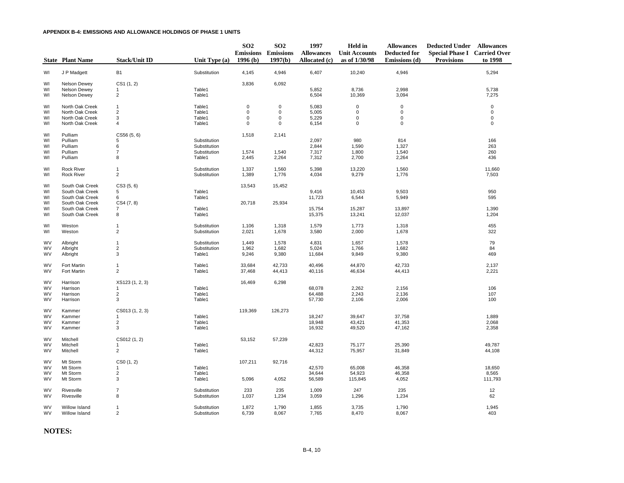|                        | <b>State Plant Name</b>            | <b>Stack/Unit ID</b>           | Unit Type $(a)$              | SO <sub>2</sub><br>1996(b) | SO <sub>2</sub><br><b>Emissions</b> Emissions<br>1997(b) | 1997<br><b>Allowances</b><br>Allocated (c) | Held in<br><b>Unit Accounts</b><br>as of 1/30/98 | <b>Allowances</b><br><b>Deducted for</b><br>Emissions (d) | <b>Deducted Under Allowances</b><br><b>Special Phase I Carried Over</b><br><b>Provisions</b> | to 1998          |
|------------------------|------------------------------------|--------------------------------|------------------------------|----------------------------|----------------------------------------------------------|--------------------------------------------|--------------------------------------------------|-----------------------------------------------------------|----------------------------------------------------------------------------------------------|------------------|
| WI                     | J P Madgett                        | <b>B1</b>                      | Substitution                 | 4,145                      | 4,946                                                    | 6,407                                      | 10,240                                           | 4,946                                                     |                                                                                              | 5,294            |
| WI                     | Nelson Dewey                       | CS1(1, 2)                      |                              | 3,836                      | 6,092                                                    |                                            |                                                  |                                                           |                                                                                              |                  |
| WI                     | Nelson Dewey                       | $\mathbf{1}$                   | Table1                       |                            |                                                          | 5,852                                      | 8,736                                            | 2,998                                                     |                                                                                              | 5,738            |
| WI                     | Nelson Dewey                       | $\overline{2}$                 | Table1                       |                            |                                                          | 6,504<br>10,369<br>3,094                   |                                                  |                                                           | 7,275                                                                                        |                  |
| WI                     | North Oak Creek                    | $\mathbf{1}$                   | Table1                       | $\mathbf 0$                | $\pmb{0}$                                                | 5,083                                      | $\mathbf 0$                                      | $\mathbf 0$                                               |                                                                                              | 0                |
| WI                     | North Oak Creek                    | $\sqrt{2}$                     | Table1                       | 0                          | $\pmb{0}$                                                | 5,005                                      | $\mathbf 0$                                      | $\mathbf 0$                                               |                                                                                              | 0                |
| WI<br>WI               | North Oak Creek<br>North Oak Creek | 3<br>$\sqrt{4}$                | Table1<br>Table1             | $\mathbf 0$<br>$\mathbf 0$ | $\mathbf 0$<br>$\mathbf 0$                               | 5,229<br>6,154                             | $\Omega$<br>$\Omega$                             | $\mathbf 0$<br>$\Omega$                                   |                                                                                              | 0<br>$\mathbf 0$ |
|                        |                                    |                                |                              |                            |                                                          |                                            |                                                  |                                                           |                                                                                              |                  |
| WI                     | Pulliam                            | CS56(5, 6)                     |                              | 1,518                      | 2,141                                                    | 2,097                                      | 980                                              |                                                           |                                                                                              |                  |
| WI<br>WI               | Pulliam<br>Pulliam                 | 5<br>6                         | Substitution<br>Substitution |                            |                                                          | 2,844                                      | 1,590                                            | 814<br>1,327                                              |                                                                                              | 166<br>263       |
| WI                     | Pulliam                            | $\overline{7}$                 | Substitution                 | 1,574                      | 1,540                                                    | 7,317                                      | 1,800                                            | 1,540                                                     |                                                                                              | 260              |
| WI                     | Pulliam                            | 8                              | Table1                       | 2,445                      | 2,264                                                    | 7,312                                      | 2,700                                            | 2,264                                                     |                                                                                              | 436              |
| WI                     | <b>Rock River</b>                  | $\mathbf{1}$                   | Substitution                 | 1,337                      | 1,560                                                    | 5,398                                      | 13,220                                           | 1,560                                                     |                                                                                              | 11,660           |
| WI                     | <b>Rock River</b>                  | $\overline{2}$                 | Substitution                 | 1,389                      | 1,776                                                    | 4,034                                      | 9,279                                            | 1,776                                                     |                                                                                              | 7,503            |
| WI                     | South Oak Creek                    | CS3 (5, 6)                     |                              | 13,543                     | 15,452                                                   |                                            |                                                  |                                                           |                                                                                              |                  |
| WI                     | South Oak Creek                    | 5                              | Table1                       |                            |                                                          | 9,416                                      | 10,453                                           | 9,503                                                     |                                                                                              | 950              |
| WI                     | South Oak Creek                    | 6                              | Table1                       |                            |                                                          | 11,723                                     | 6,544                                            | 5,949                                                     |                                                                                              | 595              |
| WI                     | South Oak Creek                    | CS4(7, 8)                      |                              | 20,718                     | 25,934                                                   |                                            |                                                  |                                                           |                                                                                              |                  |
| WI<br>WI               | South Oak Creek<br>South Oak Creek | $\overline{7}$<br>8            | Table1<br>Table1             |                            |                                                          | 15,754<br>15,375                           | 15,287<br>13,241                                 | 13,897<br>12,037                                          |                                                                                              | 1,390<br>1,204   |
|                        |                                    |                                |                              |                            |                                                          |                                            |                                                  |                                                           |                                                                                              |                  |
| WI<br>WI               | Weston<br>Weston                   | $\mathbf{1}$<br>$\overline{2}$ | Substitution<br>Substitution | 1,106<br>2,021             | 1,318<br>1,678                                           | 1,579<br>3,580                             | 1,773<br>2,000                                   | 1,318<br>1,678                                            |                                                                                              | 455<br>322       |
|                        |                                    |                                |                              |                            |                                                          |                                            |                                                  |                                                           |                                                                                              |                  |
| <b>WV</b>              | Albright                           | $\mathbf{1}$                   | Substitution                 | 1,449                      | 1,578                                                    | 4,831                                      | 1,657                                            | 1,578                                                     |                                                                                              | 79               |
| <b>WV</b>              | Albright                           | $\overline{2}$                 | Substitution                 | 1,962                      | 1,682                                                    | 5,024                                      | 1,766                                            | 1,682                                                     |                                                                                              | 84               |
| <b>WV</b>              | Albright                           | 3                              | Table1                       | 9,246                      | 9,380                                                    | 11,684                                     | 9,849                                            | 9,380                                                     |                                                                                              | 469              |
| <b>WV</b>              | <b>Fort Martin</b>                 | $\mathbf{1}$                   | Table1                       | 33,684                     | 42,733                                                   | 40,496                                     | 44,870                                           | 42,733                                                    |                                                                                              | 2,137            |
| <b>WV</b>              | <b>Fort Martin</b>                 | $\overline{2}$                 | Table1                       | 37,468                     | 44,413                                                   | 40,116                                     | 46,634                                           | 44,413                                                    |                                                                                              | 2,221            |
| <b>WV</b>              | Harrison                           | XS123 (1, 2, 3)                |                              | 16,469                     | 6,298                                                    |                                            |                                                  |                                                           |                                                                                              |                  |
| <b>WV</b>              | Harrison                           | 1                              | Table1                       |                            |                                                          | 68,078                                     | 2,262                                            | 2,156                                                     |                                                                                              | 106              |
| <b>WV</b>              | Harrison                           | $\sqrt{2}$                     | Table1                       |                            |                                                          | 64,488                                     | 2,243                                            | 2,136                                                     |                                                                                              | 107              |
| WV                     | Harrison                           | 3                              | Table1                       |                            |                                                          | 57,730                                     | 2,106                                            | 2,006                                                     |                                                                                              | 100              |
| <b>WV</b>              | Kammer                             | CS013 (1, 2, 3)                |                              | 119,369                    | 126,273                                                  |                                            |                                                  |                                                           |                                                                                              |                  |
| <b>WV</b>              | Kammer                             | 1                              | Table1                       |                            |                                                          | 18,247                                     | 39,647                                           | 37,758                                                    |                                                                                              | 1,889            |
| <b>WV</b>              | Kammer                             | $\overline{\mathbf{c}}$<br>3   | Table1                       |                            |                                                          | 18,948                                     | 43,421                                           | 41,353                                                    |                                                                                              | 2,068            |
| <b>WV</b>              | Kammer                             |                                | Table1                       |                            |                                                          | 16,932                                     | 49,520                                           | 47,162                                                    |                                                                                              | 2,358            |
| WV                     | Mitchell                           | CS012 (1, 2)                   |                              | 53,152                     | 57,239                                                   |                                            |                                                  |                                                           |                                                                                              |                  |
| <b>WV</b>              | Mitchell                           | $\mathbf{1}$                   | Table1                       |                            |                                                          | 42,823                                     | 75,177                                           | 25,390                                                    |                                                                                              | 49,787           |
| <b>WV</b>              | Mitchell                           | $\overline{2}$                 | Table1                       |                            |                                                          | 44,312                                     | 75,957                                           | 31,849                                                    |                                                                                              | 44,108           |
| <b>WV</b>              | Mt Storm                           | CS0(1, 2)                      |                              | 107,211                    | 92,716                                                   |                                            |                                                  |                                                           |                                                                                              |                  |
| WV                     | Mt Storm                           | 1                              | Table1                       |                            |                                                          | 42,570                                     | 65,008                                           | 46,358                                                    |                                                                                              | 18,650           |
| <b>WV</b><br><b>WV</b> | Mt Storm<br>Mt Storm               | $\overline{2}$<br>$\mathbf{3}$ | Table1<br>Table1             | 5,096                      | 4,052                                                    | 34,644<br>56,589                           | 54,923<br>115,845                                | 46,358<br>4,052                                           |                                                                                              | 8,565<br>111,793 |
|                        |                                    |                                |                              |                            |                                                          |                                            |                                                  |                                                           |                                                                                              |                  |
| <b>WV</b>              | Rivesville                         | $\overline{7}$                 | Substitution                 | 233                        | 235                                                      | 1,009                                      | 247                                              | 235                                                       |                                                                                              | 12               |
| <b>WV</b>              | Rivesville                         | 8                              | Substitution                 | 1,037                      | 1,234                                                    | 3,059                                      | 1,296                                            | 1,234                                                     |                                                                                              | 62               |
| <b>WV</b>              | Willow Island                      | 1                              | Substitution                 | 1,872                      | 1,790                                                    | 1,855                                      | 3,735                                            | 1,790                                                     |                                                                                              | 1,945            |
| <b>WV</b>              | Willow Island                      | $\overline{2}$                 | Substitution                 | 6,739                      | 8,067                                                    | 7,765                                      | 8.470                                            | 8,067                                                     |                                                                                              | 403              |

**NOTES:**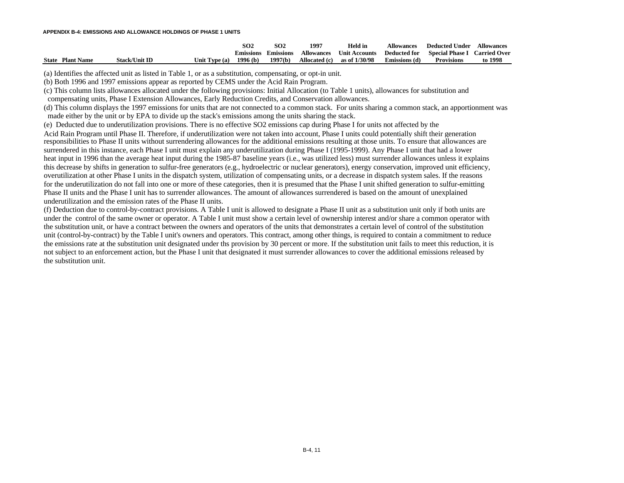|                         |                      |               | SO2              | SO <sub>2</sub>  | 1997              | Held in              | Allowances           | Deducted Under         | <b>Allowances</b>   |
|-------------------------|----------------------|---------------|------------------|------------------|-------------------|----------------------|----------------------|------------------------|---------------------|
|                         |                      |               | <b>Emissions</b> | <b>Emissions</b> | <b>Allowances</b> | <b>Unit Accounts</b> | Deducted for         | <b>Special Phase I</b> | <b>Carried Over</b> |
| <b>State Plant Name</b> | Stack/Unit <b>ID</b> | Unit Type (a) | 1996(b)          | 1997(b)          | Allocated (c)     | as of 1/30/98        | <b>Emissions</b> (d) | <b>Provisions</b>      | to 1998             |

(a) Identifies the affected unit as listed in Table 1, or as a substitution, compensating, or opt-in unit.

(b) Both 1996 and 1997 emissions appear as reported by CEMS under the Acid Rain Program.

(c) This column lists allowances allocated under the following provisions: Initial Allocation (to Table 1 units), allowances for substitution and

compensating units, Phase I Extension Allowances, Early Reduction Credits, and Conservation allowances.

(d) This column displays the 1997 emissions for units that are not connected to a common stack. For units sharing a common stack, an apportionment was made either by the unit or by EPA to divide up the stack's emissions among the units sharing the stack.

(e) Deducted due to underutilization provisions. There is no effective SO2 emissions cap during Phase I for units not affected by the

Acid Rain Program until Phase II. Therefore, if underutilization were not taken into account, Phase I units could potentially shift their generation responsibilities to Phase II units without surrendering allowances for the additional emissions resulting at those units. To ensure that allowances are surrendered in this instance, each Phase I unit must explain any underutilization during Phase I (1995-1999). Any Phase I unit that had a lower heat input in 1996 than the average heat input during the 1985-87 baseline years (i.e., was utilized less) must surrender allowances unless it explains this decrease by shifts in generation to sulfur-free generators (e.g., hydroelectric or nuclear generators), energy conservation, improved unit efficiency, overutilization at other Phase I units in the dispatch system, utilization of compensating units, or a decrease in dispatch system sales. If the reasons for the underutilization do not fall into one or more of these categories, then it is presumed that the Phase I unit shifted generation to sulfur-emitting Phase II units and the Phase I unit has to surrender allowances. The amount of allowances surrendered is based on the amount of unexplained underutilization and the emission rates of the Phase II units.

(f) Deduction due to control-by-contract provisions. A Table I unit is allowed to designate a Phase II unit as a substitution unit only if both units are under the control of the same owner or operator. A Table I unit must show a certain level of ownership interest and/or share a common operator with the substitution unit, or have a contract between the owners and operators of the units that demonstrates a certain level of control of the substitution unit (control-by-contract) by the Table I unit's owners and operators. This contract, among other things, is required to contain a commitment to reduce the emissions rate at the substitution unit designated under ths provision by 30 percent or more. If the substitution unit fails to meet this reduction, it is not subject to an enforcement action, but the Phase I unit that designated it must surrender allowances to cover the additional emissions released by the substitution unit.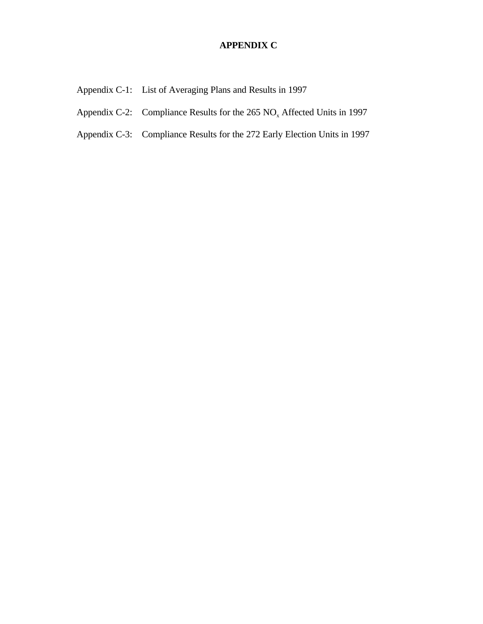## **APPENDIX C**

- Appendix C-1: List of Averaging Plans and Results in 1997
- Appendix C-2: Compliance Results for the  $265 \text{ NO}_x$  Affected Units in 1997
- Appendix C-3: Compliance Results for the 272 Early Election Units in 1997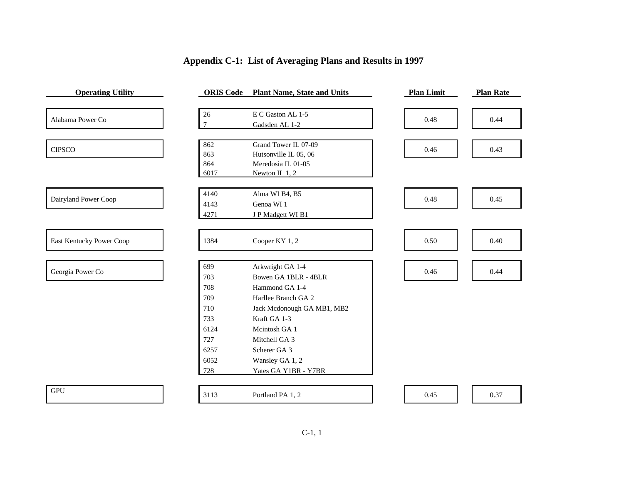| <b>Operating Utility</b> | <b>ORIS</b> Code | <b>Plant Name, State and Units</b> | <b>Plan Limit</b> | <b>Plan Rate</b> |
|--------------------------|------------------|------------------------------------|-------------------|------------------|
|                          | 26               | E C Gaston AL 1-5                  |                   |                  |
| Alabama Power Co         | $\tau$           |                                    | 0.48              | 0.44             |
|                          |                  | Gadsden AL 1-2                     |                   |                  |
| <b>CIPSCO</b>            | 862              | Grand Tower IL 07-09               | 0.46              | 0.43             |
|                          | 863              | Hutsonville IL 05, 06              |                   |                  |
|                          | 864              | Meredosia IL 01-05                 |                   |                  |
|                          | 6017             | Newton IL 1, 2                     |                   |                  |
|                          | 4140             | Alma WI B4, B5                     |                   |                  |
| Dairyland Power Coop     | 4143             | Genoa WI 1                         | 0.48              | 0.45             |
|                          | 4271             | J P Madgett WI B1                  |                   |                  |
|                          |                  |                                    |                   |                  |
| East Kentucky Power Coop | 1384             | Cooper KY 1, 2                     | 0.50              | 0.40             |
|                          |                  |                                    |                   |                  |
| Georgia Power Co         | 699              | Arkwright GA 1-4                   | 0.46              | 0.44             |
|                          | 703              | Bowen GA 1BLR - 4BLR               |                   |                  |
|                          | 708              | Hammond GA 1-4                     |                   |                  |
|                          | 709              | Harllee Branch GA 2                |                   |                  |
|                          | 710              | Jack Mcdonough GA MB1, MB2         |                   |                  |
|                          | 733              | Kraft GA 1-3                       |                   |                  |
|                          | 6124             | Meintosh GA 1                      |                   |                  |
|                          | 727              | Mitchell GA 3                      |                   |                  |
|                          | 6257             | Scherer GA 3                       |                   |                  |
|                          | 6052             | Wansley GA 1, 2                    |                   |                  |
|                          | 728              | Yates GA Y1BR - Y7BR               |                   |                  |
|                          |                  |                                    |                   |                  |
| <b>GPU</b>               | 3113             | Portland PA 1, 2                   | 0.45              | 0.37             |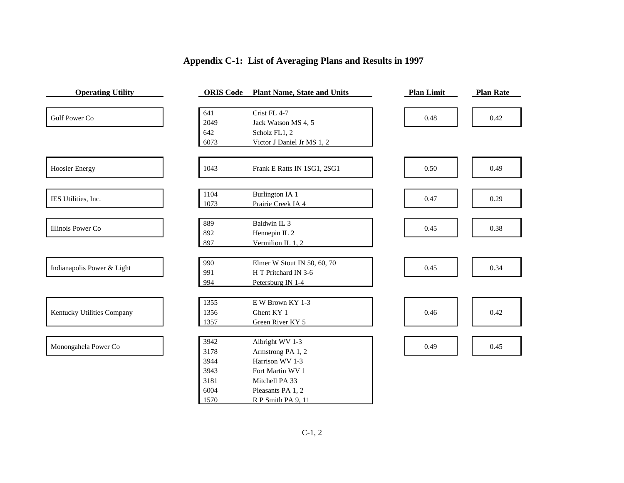| <b>Operating Utility</b>   | <b>ORIS</b> Code | <b>Plant Name, State and Units</b> | <b>Plan Limit</b> | <b>Plan Rate</b> |
|----------------------------|------------------|------------------------------------|-------------------|------------------|
|                            | 641              | Crist FL 4-7                       |                   |                  |
| <b>Gulf Power Co</b>       | 2049             | Jack Watson MS 4, 5                | 0.48              | 0.42             |
|                            | 642              | Scholz FL1, 2                      |                   |                  |
|                            | 6073             | Victor J Daniel Jr MS 1, 2         |                   |                  |
| <b>Hoosier Energy</b>      | 1043             | Frank E Ratts IN 1SG1, 2SG1        | 0.50              | 0.49             |
| IES Utilities, Inc.        | 1104             | <b>Burlington IA 1</b>             | 0.47              | 0.29             |
|                            | 1073             | Prairie Creek IA 4                 |                   |                  |
| Illinois Power Co          | 889              | Baldwin IL 3                       | 0.45              | 0.38             |
|                            | 892              | Hennepin IL <sub>2</sub>           |                   |                  |
|                            | 897              | Vermilion IL 1, 2                  |                   |                  |
| Indianapolis Power & Light | 990              | Elmer W Stout IN 50, 60, 70        | 0.45              | 0.34             |
|                            | 991              | H T Pritchard IN 3-6               |                   |                  |
|                            | 994              | Petersburg IN 1-4                  |                   |                  |
|                            | 1355             | E W Brown KY 1-3                   |                   |                  |
| Kentucky Utilities Company | 1356             | Ghent KY 1                         | 0.46              | 0.42             |
|                            | 1357             | Green River KY 5                   |                   |                  |
|                            | 3942             | Albright WV 1-3                    |                   |                  |
| Monongahela Power Co       | 3178             | Armstrong PA 1, 2                  | 0.49              | 0.45             |
|                            | 3944             | Harrison WV 1-3                    |                   |                  |
|                            | 3943             | Fort Martin WV 1                   |                   |                  |
|                            | 3181             | Mitchell PA 33                     |                   |                  |
|                            | 6004             | Pleasants PA 1, 2                  |                   |                  |
|                            | 1570             | R P Smith PA 9, 11                 |                   |                  |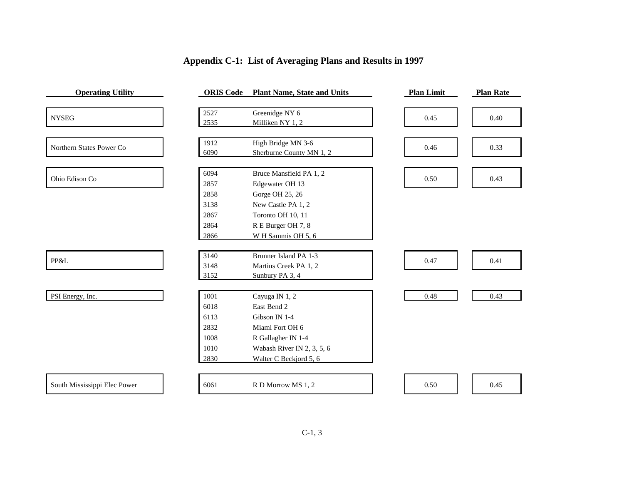## **Operating Utility ORIS Code Plant Name, State and Units Plan Limit Plan Rate** NYSEG Greenidge NY 6 0.45 0.40 Milliken NY 1, 2 Northern States Power Co High Bridge MN 3-6 0.46 0.33 Sherburne County MN 1, 2 Ohio Edison Co Bruce Mansfield PA 1, 2 0.50 | 0.43 Edgewater OH 13 Gorge OH 25, 26 New Castle PA 1, 2 Toronto OH 10, 11 R E Burger OH 7, 8 W H Sammis OH 5, 6 PP&L Brunner Island PA 1-3 0.47 | 0.41 Martins Creek PA 1, 2 Sunbury PA 3, 4 PSI Energy, Inc. 1001 Cayuga IN 1, 2 0.48 0.43 East Bend 2 Gibson IN 1-4 Miami Fort OH 6 R Gallagher IN 1-4 Wabash River IN 2, 3, 5, 6 Walter C Beckjord 5, 6 South Mississippi Elec Power 6061 R D Morrow MS 1, 2 0.50 0.50 0.45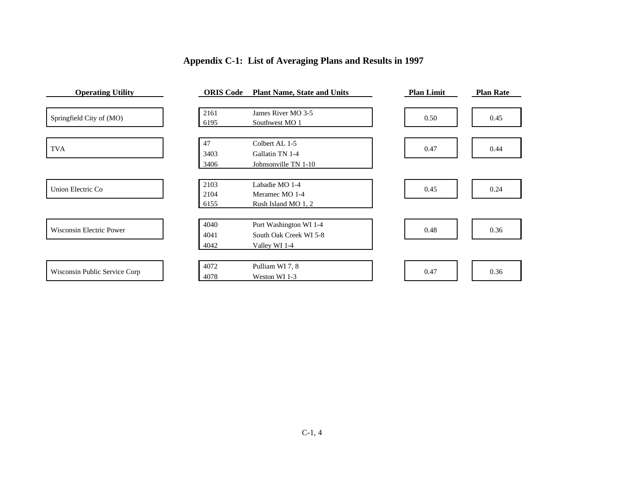| <b>Operating Utility</b>        | <b>ORIS</b> Code | <b>Plant Name, State and Units</b> | <b>Plan Limit</b> | <b>Plan Rate</b> |
|---------------------------------|------------------|------------------------------------|-------------------|------------------|
|                                 |                  |                                    |                   |                  |
| Springfield City of (MO)        | 2161             | James River MO 3-5                 | 0.50              | 0.45             |
|                                 | 6195             | Southwest MO 1                     |                   |                  |
|                                 | 47               | Colbert AL 1-5                     |                   |                  |
| <b>TVA</b>                      | 3403             | Gallatin TN 1-4                    | 0.47              | 0.44             |
|                                 | 3406             | Johnsonville TN 1-10               |                   |                  |
|                                 | 2103             | Labadie MO 1-4                     |                   |                  |
| Union Electric Co               | 2104             | Meramec MO 1-4                     | 0.45              | 0.24             |
|                                 | 6155             | Rush Island MO 1, 2                |                   |                  |
|                                 | 4040             | Port Washington WI 1-4             |                   |                  |
| <b>Wisconsin Electric Power</b> | 4041             | South Oak Creek WI 5-8             | 0.48              | 0.36             |
|                                 | 4042             | Valley WI 1-4                      |                   |                  |
|                                 |                  |                                    |                   |                  |
|                                 | 4072             | Pulliam WI 7, 8                    |                   |                  |
| Wisconsin Public Service Corp   | 4078             | Weston WI 1-3                      | 0.47              | 0.36             |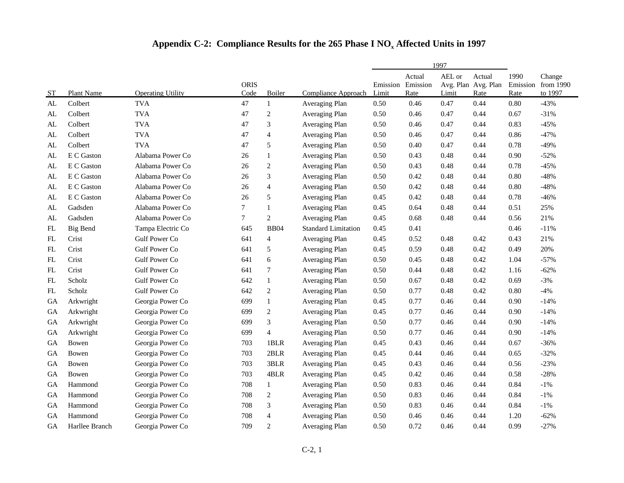|            |                 |                          |                     |                          | 1997                       |                   |                            |                 |                                       |                          |                                |
|------------|-----------------|--------------------------|---------------------|--------------------------|----------------------------|-------------------|----------------------------|-----------------|---------------------------------------|--------------------------|--------------------------------|
| <b>ST</b>  | Plant Name      | <b>Operating Utility</b> | <b>ORIS</b><br>Code | Boiler                   | Compliance Approach        | Emission<br>Limit | Actual<br>Emission<br>Rate | AEL or<br>Limit | Actual<br>Avg. Plan Avg. Plan<br>Rate | 1990<br>Emission<br>Rate | Change<br>from 1990<br>to 1997 |
| AL         | Colbert         | <b>TVA</b>               | 47                  | $\mathbf{1}$             | Averaging Plan             | 0.50              | 0.46                       | 0.47            | 0.44                                  | 0.80                     | $-43%$                         |
| AL         | Colbert         | <b>TVA</b>               | 47                  | $\boldsymbol{2}$         | Averaging Plan             | 0.50              | 0.46                       | 0.47            | 0.44                                  | 0.67                     | $-31%$                         |
| AL         | Colbert         | <b>TVA</b>               | 47                  | 3                        | Averaging Plan             | 0.50              | 0.46                       | 0.47            | 0.44                                  | 0.83                     | $-45%$                         |
| AL         | Colbert         | <b>TVA</b>               | 47                  | $\overline{\mathcal{L}}$ | Averaging Plan             | 0.50              | 0.46                       | 0.47            | 0.44                                  | 0.86                     | $-47%$                         |
| AL         | Colbert         | <b>TVA</b>               | 47                  | 5                        | Averaging Plan             | 0.50              | 0.40                       | 0.47            | 0.44                                  | 0.78                     | $-49%$                         |
| AL         | E C Gaston      | Alabama Power Co         | 26                  | $\mathbf{1}$             | Averaging Plan             | 0.50              | 0.43                       | 0.48            | 0.44                                  | 0.90                     | $-52%$                         |
| AL         | E C Gaston      | Alabama Power Co         | 26                  | $\overline{c}$           | Averaging Plan             | 0.50              | 0.43                       | 0.48            | 0.44                                  | 0.78                     | $-45%$                         |
| AL         | E C Gaston      | Alabama Power Co         | 26                  | 3                        | Averaging Plan             | 0.50              | 0.42                       | 0.48            | 0.44                                  | 0.80                     | $-48%$                         |
| AL         | E C Gaston      | Alabama Power Co         | 26                  | $\overline{4}$           | Averaging Plan             | 0.50              | 0.42                       | 0.48            | 0.44                                  | 0.80                     | $-48%$                         |
| AL         | E C Gaston      | Alabama Power Co         | 26                  | 5                        | Averaging Plan             | 0.45              | 0.42                       | 0.48            | 0.44                                  | 0.78                     | $-46%$                         |
| AL         | Gadsden         | Alabama Power Co         | $\overline{7}$      | $\mathbf{1}$             | Averaging Plan             | 0.45              | 0.64                       | 0.48            | 0.44                                  | 0.51                     | 25%                            |
| AL         | Gadsden         | Alabama Power Co         | 7                   | $\overline{c}$           | Averaging Plan             | 0.45              | 0.68                       | 0.48            | 0.44                                  | 0.56                     | 21%                            |
| ${\rm FL}$ | <b>Big Bend</b> | Tampa Electric Co        | 645                 | <b>BB04</b>              | <b>Standard Limitation</b> | 0.45              | 0.41                       |                 |                                       | 0.46                     | $-11%$                         |
| ${\rm FL}$ | Crist           | <b>Gulf Power Co</b>     | 641                 | $\overline{4}$           | Averaging Plan             | 0.45              | 0.52                       | 0.48            | 0.42                                  | 0.43                     | 21%                            |
| ${\rm FL}$ | Crist           | <b>Gulf Power Co</b>     | 641                 | $\sqrt{5}$               | Averaging Plan             | 0.45              | 0.59                       | 0.48            | 0.42                                  | 0.49                     | 20%                            |
| FL         | Crist           | <b>Gulf Power Co</b>     | 641                 | 6                        | Averaging Plan             | 0.50              | 0.45                       | 0.48            | 0.42                                  | 1.04                     | $-57%$                         |
| FL         | Crist           | <b>Gulf Power Co</b>     | 641                 | $\tau$                   | Averaging Plan             | 0.50              | 0.44                       | 0.48            | 0.42                                  | 1.16                     | $-62%$                         |
| FL         | Scholz          | <b>Gulf Power Co</b>     | 642                 | $\mathbf{1}$             | Averaging Plan             | 0.50              | 0.67                       | 0.48            | 0.42                                  | 0.69                     | $-3%$                          |
| FL         | Scholz          | <b>Gulf Power Co</b>     | 642                 | $\overline{c}$           | Averaging Plan             | 0.50              | 0.77                       | 0.48            | 0.42                                  | 0.80                     | $-4%$                          |
| GA         | Arkwright       | Georgia Power Co         | 699                 | $\mathbf{1}$             | Averaging Plan             | 0.45              | 0.77                       | 0.46            | 0.44                                  | 0.90                     | $-14%$                         |
| GA         | Arkwright       | Georgia Power Co         | 699                 | $\overline{c}$           | Averaging Plan             | 0.45              | 0.77                       | 0.46            | 0.44                                  | 0.90                     | $-14%$                         |
| <b>GA</b>  | Arkwright       | Georgia Power Co         | 699                 | 3                        | Averaging Plan             | 0.50              | 0.77                       | 0.46            | 0.44                                  | 0.90                     | $-14%$                         |
| GA         | Arkwright       | Georgia Power Co         | 699                 | $\overline{4}$           | Averaging Plan             | 0.50              | 0.77                       | 0.46            | 0.44                                  | 0.90                     | $-14%$                         |
| GA         | Bowen           | Georgia Power Co         | 703                 | 1BLR                     | Averaging Plan             | 0.45              | 0.43                       | 0.46            | 0.44                                  | 0.67                     | $-36%$                         |
| GA         | Bowen           | Georgia Power Co         | 703                 | 2BLR                     | Averaging Plan             | 0.45              | 0.44                       | 0.46            | 0.44                                  | 0.65                     | $-32%$                         |
| GA         | Bowen           | Georgia Power Co         | 703                 | 3BLR                     | Averaging Plan             | 0.45              | 0.43                       | 0.46            | 0.44                                  | 0.56                     | $-23%$                         |
| GA         | Bowen           | Georgia Power Co         | 703                 | 4BLR                     | Averaging Plan             | 0.45              | 0.42                       | 0.46            | 0.44                                  | 0.58                     | $-28%$                         |
| GA         | Hammond         | Georgia Power Co         | 708                 | $\mathbf{1}$             | Averaging Plan             | 0.50              | 0.83                       | 0.46            | 0.44                                  | 0.84                     | $-1%$                          |
| <b>GA</b>  | Hammond         | Georgia Power Co         | 708                 | $\overline{c}$           | Averaging Plan             | 0.50              | 0.83                       | 0.46            | 0.44                                  | 0.84                     | $-1%$                          |
| ${\rm GA}$ | Hammond         | Georgia Power Co         | 708                 | 3                        | Averaging Plan             | 0.50              | 0.83                       | 0.46            | 0.44                                  | 0.84                     | $-1\%$                         |
| GA         | Hammond         | Georgia Power Co         | 708                 | $\overline{\mathcal{L}}$ | Averaging Plan             | 0.50              | 0.46                       | 0.46            | 0.44                                  | 1.20                     | $-62%$                         |
| <b>GA</b>  | Harllee Branch  | Georgia Power Co         | 709                 | $\overline{2}$           | Averaging Plan             | 0.50              | 0.72                       | 0.46            | 0.44                                  | 0.99                     | $-27%$                         |

## **Appendix C-2: Compliance Results for the 265 Phase I NO<sup>x</sup> Affected Units in 1997**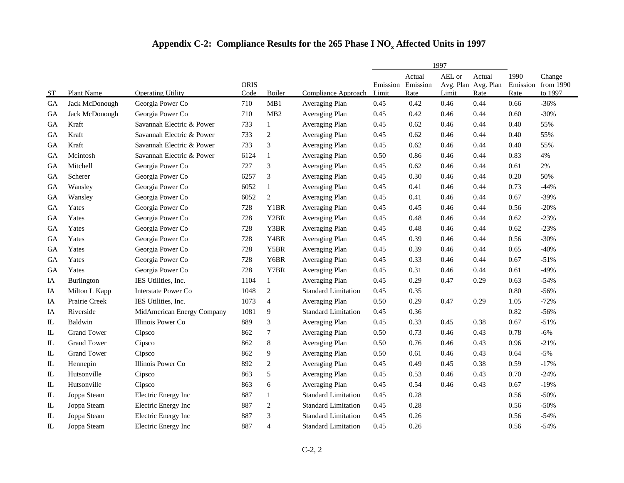## **Appendix C-2: Compliance Results for the 265 Phase I NO<sup>x</sup> Affected Units in 1997**

|               |                    |                            |                     |                  |                            |       | 1997                                |                 |                                       |              |                                         |
|---------------|--------------------|----------------------------|---------------------|------------------|----------------------------|-------|-------------------------------------|-----------------|---------------------------------------|--------------|-----------------------------------------|
| <b>ST</b>     | Plant Name         | <b>Operating Utility</b>   | <b>ORIS</b><br>Code | Boiler           | <b>Compliance Approach</b> | Limit | Actual<br>Emission Emission<br>Rate | AEL or<br>Limit | Actual<br>Avg. Plan Avg. Plan<br>Rate | 1990<br>Rate | Change<br>Emission from 1990<br>to 1997 |
| GA            | Jack McDonough     | Georgia Power Co           | 710                 | MB1              | Averaging Plan             | 0.45  | 0.42                                | 0.46            | 0.44                                  | 0.66         | $-36%$                                  |
| <b>GA</b>     | Jack McDonough     | Georgia Power Co           | 710                 | MB2              | Averaging Plan             | 0.45  | 0.42                                | 0.46            | 0.44                                  | 0.60         | $-30%$                                  |
| GA            | Kraft              | Savannah Electric & Power  | 733                 | $\mathbf{1}$     | Averaging Plan             | 0.45  | 0.62                                | 0.46            | 0.44                                  | 0.40         | 55%                                     |
| GA            | Kraft              | Savannah Electric & Power  | 733                 | $\overline{c}$   | Averaging Plan             | 0.45  | 0.62                                | 0.46            | 0.44                                  | 0.40         | 55%                                     |
| GA            | Kraft              | Savannah Electric & Power  | 733                 | 3                | Averaging Plan             | 0.45  | 0.62                                | 0.46            | 0.44                                  | 0.40         | 55%                                     |
| GA            | Mcintosh           | Savannah Electric & Power  | 6124                | $\mathbf{1}$     | Averaging Plan             | 0.50  | 0.86                                | 0.46            | 0.44                                  | 0.83         | 4%                                      |
| GA            | Mitchell           | Georgia Power Co           | 727                 | $\mathfrak{Z}$   | Averaging Plan             | 0.45  | 0.62                                | 0.46            | 0.44                                  | 0.61         | $2\%$                                   |
| GA            | Scherer            | Georgia Power Co           | 6257                | 3                | Averaging Plan             | 0.45  | 0.30                                | 0.46            | 0.44                                  | 0.20         | 50%                                     |
| <b>GA</b>     | Wansley            | Georgia Power Co           | 6052                | $\mathbf{1}$     | Averaging Plan             | 0.45  | 0.41                                | 0.46            | 0.44                                  | 0.73         | $-44%$                                  |
| GA            | Wansley            | Georgia Power Co           | 6052                | $\overline{c}$   | Averaging Plan             | 0.45  | 0.41                                | 0.46            | 0.44                                  | 0.67         | $-39%$                                  |
| GA            | Yates              | Georgia Power Co           | 728                 | Y1BR             | Averaging Plan             | 0.45  | 0.45                                | 0.46            | 0.44                                  | 0.56         | $-20%$                                  |
| <b>GA</b>     | Yates              | Georgia Power Co           | 728                 | Y2BR             | Averaging Plan             | 0.45  | 0.48                                | 0.46            | 0.44                                  | 0.62         | $-23%$                                  |
| GA            | Yates              | Georgia Power Co           | 728                 | Y3BR             | Averaging Plan             | 0.45  | 0.48                                | 0.46            | 0.44                                  | 0.62         | $-23%$                                  |
| GA            | Yates              | Georgia Power Co           | 728                 | Y4BR             | Averaging Plan             | 0.45  | 0.39                                | 0.46            | 0.44                                  | 0.56         | $-30%$                                  |
| GA            | Yates              | Georgia Power Co           | 728                 | Y5BR             | Averaging Plan             | 0.45  | 0.39                                | 0.46            | 0.44                                  | 0.65         | $-40%$                                  |
| <b>GA</b>     | Yates              | Georgia Power Co           | 728                 | Y6BR             | Averaging Plan             | 0.45  | 0.33                                | 0.46            | 0.44                                  | 0.67         | $-51%$                                  |
| GA            | Yates              | Georgia Power Co           | 728                 | Y7BR             | Averaging Plan             | 0.45  | 0.31                                | 0.46            | 0.44                                  | 0.61         | $-49%$                                  |
| IA            | Burlington         | IES Utilities, Inc.        | 1104                | $\mathbf{1}$     | Averaging Plan             | 0.45  | 0.29                                | 0.47            | 0.29                                  | 0.63         | $-54%$                                  |
| IA            | Milton L Kapp      | <b>Interstate Power Co</b> | 1048                | $\overline{c}$   | <b>Standard Limitation</b> | 0.45  | 0.35                                |                 |                                       | 0.80         | $-56%$                                  |
| IA            | Prairie Creek      | IES Utilities, Inc.        | 1073                | $\overline{4}$   | Averaging Plan             | 0.50  | 0.29                                | 0.47            | 0.29                                  | 1.05         | $-72%$                                  |
| IA            | Riverside          | MidAmerican Energy Company | 1081                | 9                | <b>Standard Limitation</b> | 0.45  | 0.36                                |                 |                                       | 0.82         | $-56%$                                  |
| $\rm IL$      | Baldwin            | Illinois Power Co          | 889                 | 3                | Averaging Plan             | 0.45  | 0.33                                | 0.45            | 0.38                                  | 0.67         | $-51%$                                  |
| $\rm IL$      | <b>Grand Tower</b> | Cipsco                     | 862                 | $\boldsymbol{7}$ | Averaging Plan             | 0.50  | 0.73                                | 0.46            | 0.43                                  | 0.78         | $-6%$                                   |
| $\mathbb L$   | <b>Grand Tower</b> | Cipsco                     | 862                 | $\,8\,$          | Averaging Plan             | 0.50  | 0.76                                | 0.46            | 0.43                                  | 0.96         | $-21%$                                  |
| ${\rm I\!L}$  | <b>Grand Tower</b> | Cipsco                     | 862                 | 9                | Averaging Plan             | 0.50  | 0.61                                | 0.46            | 0.43                                  | 0.64         | $-5%$                                   |
| IL            | Hennepin           | Illinois Power Co          | 892                 | $\overline{c}$   | Averaging Plan             | 0.45  | 0.49                                | 0.45            | 0.38                                  | 0.59         | $-17%$                                  |
| $\mathbb L$   | Hutsonville        | Cipsco                     | 863                 | 5                | Averaging Plan             | 0.45  | 0.53                                | 0.46            | 0.43                                  | 0.70         | $-24%$                                  |
| $\mathbb L$   | Hutsonville        | Cipsco                     | 863                 | 6                | Averaging Plan             | 0.45  | 0.54                                | 0.46            | 0.43                                  | 0.67         | $-19%$                                  |
| IL            | Joppa Steam        | Electric Energy Inc        | 887                 | 1                | <b>Standard Limitation</b> | 0.45  | 0.28                                |                 |                                       | 0.56         | $-50%$                                  |
| ${\rm I\!L}$  | Joppa Steam        | Electric Energy Inc        | 887                 | $\sqrt{2}$       | <b>Standard Limitation</b> | 0.45  | 0.28                                |                 |                                       | 0.56         | $-50%$                                  |
| $\rm IL$      | Joppa Steam        | Electric Energy Inc        | 887                 | 3                | <b>Standard Limitation</b> | 0.45  | 0.26                                |                 |                                       | 0.56         | $-54%$                                  |
| $\mathbbm{L}$ | Joppa Steam        | Electric Energy Inc        | 887                 | $\overline{4}$   | <b>Standard Limitation</b> | 0.45  | 0.26                                |                 |                                       | 0.56         | $-54%$                                  |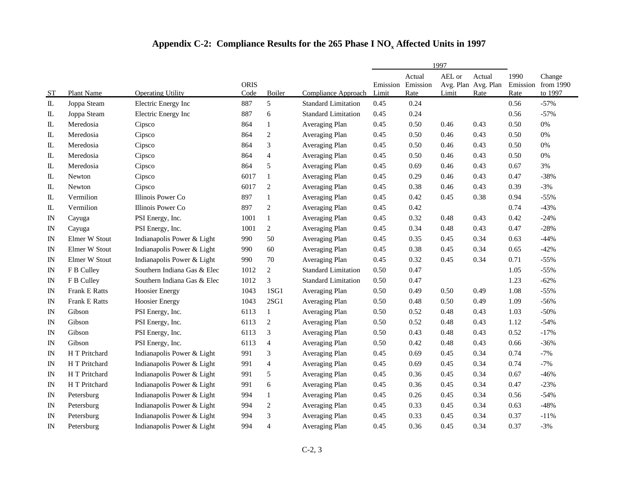## **Appendix C-2: Compliance Results for the 265 Phase I NO<sup>x</sup> Affected Units in 1997**

|               |                      |                             |                     |                             |                            | 1997                       |                |                 |                                       |              |                                         |
|---------------|----------------------|-----------------------------|---------------------|-----------------------------|----------------------------|----------------------------|----------------|-----------------|---------------------------------------|--------------|-----------------------------------------|
| <b>ST</b>     | Plant Name           | <b>Operating Utility</b>    | <b>ORIS</b><br>Code | Boiler                      | <b>Compliance Approach</b> | Emission Emission<br>Limit | Actual<br>Rate | AEL or<br>Limit | Actual<br>Avg. Plan Avg. Plan<br>Rate | 1990<br>Rate | Change<br>Emission from 1990<br>to 1997 |
| $\mathbb L$   | Joppa Steam          | Electric Energy Inc         | 887                 | 5                           | <b>Standard Limitation</b> | 0.45                       | 0.24           |                 |                                       | 0.56         | $-57%$                                  |
| IL            | Joppa Steam          | Electric Energy Inc         | 887                 | 6                           | <b>Standard Limitation</b> | 0.45                       | 0.24           |                 |                                       | 0.56         | $-57%$                                  |
| $\mathbbm{L}$ | Meredosia            | Cipsco                      | 864                 | 1                           | Averaging Plan             | 0.45                       | 0.50           | 0.46            | 0.43                                  | 0.50         | $0\%$                                   |
| ${\rm I\!L}$  | Meredosia            | Cipsco                      | 864                 | $\sqrt{2}$                  | Averaging Plan             | 0.45                       | 0.50           | 0.46            | 0.43                                  | 0.50         | 0%                                      |
| ${\rm I\!L}$  | Meredosia            | Cipsco                      | 864                 | 3                           | Averaging Plan             | 0.45                       | 0.50           | 0.46            | 0.43                                  | 0.50         | 0%                                      |
| $\mathbbm{L}$ | Meredosia            | Cipsco                      | 864                 | $\overline{4}$              | Averaging Plan             | 0.45                       | 0.50           | 0.46            | 0.43                                  | 0.50         | 0%                                      |
| ${\rm I\!L}$  | Meredosia            | Cipsco                      | 864                 | 5                           | Averaging Plan             | 0.45                       | 0.69           | 0.46            | 0.43                                  | 0.67         | 3%                                      |
| $\mathbbm{L}$ | Newton               | Cipsco                      | 6017                | $\mathbf{1}$                | Averaging Plan             | 0.45                       | 0.29           | 0.46            | 0.43                                  | 0.47         | $-38%$                                  |
| $\mathbb{L}$  | Newton               | Cipsco                      | 6017                | $\overline{c}$              | Averaging Plan             | 0.45                       | 0.38           | 0.46            | 0.43                                  | 0.39         | $-3%$                                   |
| $\mathbbm{L}$ | Vermilion            | Illinois Power Co           | 897                 | $\mathbf{1}$                | Averaging Plan             | 0.45                       | 0.42           | 0.45            | 0.38                                  | 0.94         | $-55%$                                  |
| $\mathbbm{L}$ | Vermilion            | Illinois Power Co           | 897                 | $\overline{c}$              | Averaging Plan             | 0.45                       | 0.42           |                 |                                       | 0.74         | $-43%$                                  |
| IN            | Cayuga               | PSI Energy, Inc.            | 1001                | $\mathbf{1}$                | Averaging Plan             | 0.45                       | 0.32           | 0.48            | 0.43                                  | 0.42         | $-24%$                                  |
| $_{\rm IN}$   | Cayuga               | PSI Energy, Inc.            | 1001                | $\overline{c}$              | Averaging Plan             | 0.45                       | 0.34           | 0.48            | 0.43                                  | 0.47         | $-28%$                                  |
| IN            | Elmer W Stout        | Indianapolis Power & Light  | 990                 | 50                          | Averaging Plan             | 0.45                       | 0.35           | 0.45            | 0.34                                  | 0.63         | $-44%$                                  |
| IN            | Elmer W Stout        | Indianapolis Power & Light  | 990                 | 60                          | Averaging Plan             | 0.45                       | 0.38           | 0.45            | 0.34                                  | 0.65         | $-42%$                                  |
| IN            | Elmer W Stout        | Indianapolis Power & Light  | 990                 | 70                          | Averaging Plan             | 0.45                       | 0.32           | 0.45            | 0.34                                  | 0.71         | $-55%$                                  |
| IN            | F B Culley           | Southern Indiana Gas & Elec | 1012                | $\boldsymbol{2}$            | <b>Standard Limitation</b> | 0.50                       | 0.47           |                 |                                       | 1.05         | $-55%$                                  |
| IN            | F B Culley           | Southern Indiana Gas & Elec | 1012                | 3                           | <b>Standard Limitation</b> | 0.50                       | 0.47           |                 |                                       | 1.23         | $-62%$                                  |
| IN            | <b>Frank E Ratts</b> | <b>Hoosier Energy</b>       | 1043                | 1SG1                        | Averaging Plan             | 0.50                       | 0.49           | 0.50            | 0.49                                  | 1.08         | $-55%$                                  |
| IN            | <b>Frank E Ratts</b> | <b>Hoosier Energy</b>       | 1043                | 2SG1                        | Averaging Plan             | 0.50                       | 0.48           | 0.50            | 0.49                                  | 1.09         | $-56%$                                  |
| IN            | Gibson               | PSI Energy, Inc.            | 6113                | $\mathbf{1}$                | Averaging Plan             | 0.50                       | 0.52           | 0.48            | 0.43                                  | 1.03         | $-50%$                                  |
| IN            | Gibson               | PSI Energy, Inc.            | 6113                | $\overline{c}$              | Averaging Plan             | 0.50                       | 0.52           | 0.48            | 0.43                                  | 1.12         | $-54%$                                  |
| $_{\rm IN}$   | Gibson               | PSI Energy, Inc.            | 6113                | $\ensuremath{\mathfrak{Z}}$ | Averaging Plan             | 0.50                       | 0.43           | 0.48            | 0.43                                  | 0.52         | $-17%$                                  |
| IN            | Gibson               | PSI Energy, Inc.            | 6113                | $\overline{4}$              | Averaging Plan             | 0.50                       | 0.42           | 0.48            | 0.43                                  | 0.66         | $-36%$                                  |
| IN            | H T Pritchard        | Indianapolis Power & Light  | 991                 | $\mathfrak{Z}$              | Averaging Plan             | 0.45                       | 0.69           | 0.45            | 0.34                                  | 0.74         | $-7%$                                   |
| IN            | H T Pritchard        | Indianapolis Power & Light  | 991                 | $\overline{4}$              | Averaging Plan             | 0.45                       | 0.69           | 0.45            | 0.34                                  | 0.74         | $-7%$                                   |
| IN            | H T Pritchard        | Indianapolis Power & Light  | 991                 | 5                           | Averaging Plan             | 0.45                       | 0.36           | 0.45            | 0.34                                  | 0.67         | $-46%$                                  |
| IN            | H T Pritchard        | Indianapolis Power & Light  | 991                 | 6                           | Averaging Plan             | 0.45                       | 0.36           | 0.45            | 0.34                                  | 0.47         | $-23%$                                  |
| $_{\rm IN}$   | Petersburg           | Indianapolis Power & Light  | 994                 | $\mathbf{1}$                | Averaging Plan             | 0.45                       | 0.26           | 0.45            | 0.34                                  | 0.56         | $-54%$                                  |
| IN            | Petersburg           | Indianapolis Power & Light  | 994                 | 2                           | Averaging Plan             | 0.45                       | 0.33           | 0.45            | 0.34                                  | 0.63         | $-48%$                                  |
| $_{\rm IN}$   | Petersburg           | Indianapolis Power & Light  | 994                 | 3                           | Averaging Plan             | 0.45                       | 0.33           | 0.45            | 0.34                                  | 0.37         | $-11%$                                  |
| IN            | Petersburg           | Indianapolis Power & Light  | 994                 | $\overline{4}$              | Averaging Plan             | 0.45                       | 0.36           | 0.45            | 0.34                                  | 0.37         | $-3%$                                   |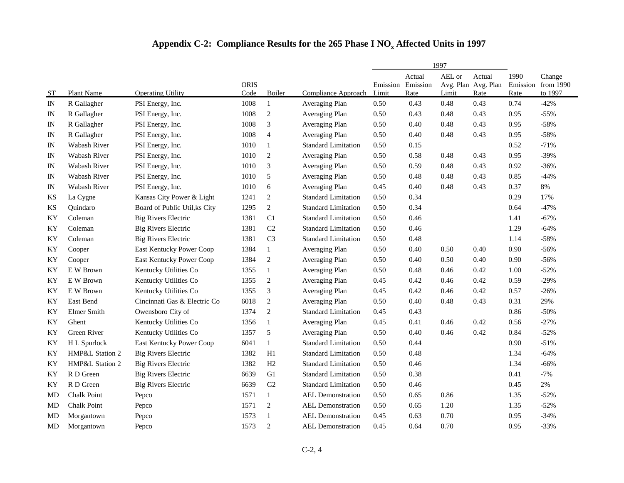|             |                    |                               |                     |                             |                            |                            |                | 1997            |                                       |              |                                         |
|-------------|--------------------|-------------------------------|---------------------|-----------------------------|----------------------------|----------------------------|----------------|-----------------|---------------------------------------|--------------|-----------------------------------------|
| <b>ST</b>   | Plant Name         | <b>Operating Utility</b>      | <b>ORIS</b><br>Code | Boiler                      | Compliance Approach        | Emission Emission<br>Limit | Actual<br>Rate | AEL or<br>Limit | Actual<br>Avg. Plan Avg. Plan<br>Rate | 1990<br>Rate | Change<br>Emission from 1990<br>to 1997 |
| IN          | R Gallagher        | PSI Energy, Inc.              | 1008                | $\mathbf{1}$                | Averaging Plan             | 0.50                       | 0.43           | 0.48            | 0.43                                  | 0.74         | $-42%$                                  |
| IN          | R Gallagher        | PSI Energy, Inc.              | 1008                | $\sqrt{2}$                  | Averaging Plan             | 0.50                       | 0.43           | 0.48            | 0.43                                  | 0.95         | $-55%$                                  |
| $_{\rm IN}$ | R Gallagher        | PSI Energy, Inc.              | 1008                | 3                           | Averaging Plan             | 0.50                       | 0.40           | 0.48            | 0.43                                  | 0.95         | $-58%$                                  |
| IN          | R Gallagher        | PSI Energy, Inc.              | 1008                | $\overline{4}$              | Averaging Plan             | 0.50                       | 0.40           | 0.48            | 0.43                                  | 0.95         | $-58%$                                  |
| IN          | Wabash River       | PSI Energy, Inc.              | 1010                | $\mathbf{1}$                | <b>Standard Limitation</b> | 0.50                       | 0.15           |                 |                                       | 0.52         | $-71%$                                  |
| IN          | Wabash River       | PSI Energy, Inc.              | 1010                | $\sqrt{2}$                  | Averaging Plan             | 0.50                       | 0.58           | 0.48            | 0.43                                  | 0.95         | $-39%$                                  |
| IN          | Wabash River       | PSI Energy, Inc.              | 1010                | 3                           | Averaging Plan             | 0.50                       | 0.59           | 0.48            | 0.43                                  | 0.92         | $-36%$                                  |
| IN          | Wabash River       | PSI Energy, Inc.              | 1010                | 5                           | Averaging Plan             | 0.50                       | 0.48           | 0.48            | 0.43                                  | 0.85         | $-44%$                                  |
| IN          | Wabash River       | PSI Energy, Inc.              | 1010                | 6                           | Averaging Plan             | 0.45                       | 0.40           | 0.48            | 0.43                                  | 0.37         | $8\%$                                   |
| <b>KS</b>   | La Cygne           | Kansas City Power & Light     | 1241                | $\overline{c}$              | <b>Standard Limitation</b> | 0.50                       | 0.34           |                 |                                       | 0.29         | 17%                                     |
| <b>KS</b>   | Quindaro           | Board of Public Util, ks City | 1295                | $\overline{c}$              | <b>Standard Limitation</b> | 0.50                       | 0.34           |                 |                                       | 0.64         | $-47%$                                  |
| ΚY          | Coleman            | <b>Big Rivers Electric</b>    | 1381                | C1                          | <b>Standard Limitation</b> | 0.50                       | 0.46           |                 |                                       | 1.41         | $-67%$                                  |
| KY          | Coleman            | <b>Big Rivers Electric</b>    | 1381                | $\rm C2$                    | <b>Standard Limitation</b> | 0.50                       | 0.46           |                 |                                       | 1.29         | $-64%$                                  |
| KY          | Coleman            | <b>Big Rivers Electric</b>    | 1381                | C <sub>3</sub>              | <b>Standard Limitation</b> | 0.50                       | 0.48           |                 |                                       | 1.14         | $-58%$                                  |
| ΚY          | Cooper             | East Kentucky Power Coop      | 1384                | $\mathbf{1}$                | Averaging Plan             | 0.50                       | 0.40           | 0.50            | 0.40                                  | 0.90         | $-56%$                                  |
| KY          | Cooper             | East Kentucky Power Coop      | 1384                | $\sqrt{2}$                  | Averaging Plan             | 0.50                       | 0.40           | 0.50            | 0.40                                  | 0.90         | $-56%$                                  |
| KY          | E W Brown          | Kentucky Utilities Co         | 1355                | $\mathbf{1}$                | Averaging Plan             | 0.50                       | 0.48           | 0.46            | 0.42                                  | 1.00         | $-52%$                                  |
| ΚY          | E W Brown          | Kentucky Utilities Co         | 1355                | $\sqrt{2}$                  | Averaging Plan             | 0.45                       | 0.42           | 0.46            | 0.42                                  | 0.59         | $-29%$                                  |
| KY          | E W Brown          | Kentucky Utilities Co         | 1355                | $\ensuremath{\mathfrak{Z}}$ | Averaging Plan             | 0.45                       | 0.42           | 0.46            | 0.42                                  | 0.57         | $-26%$                                  |
| KY          | <b>East Bend</b>   | Cincinnati Gas & Electric Co  | 6018                | $\sqrt{2}$                  | Averaging Plan             | 0.50                       | 0.40           | 0.48            | 0.43                                  | 0.31         | 29%                                     |
| KY          | Elmer Smith        | Owensboro City of             | 1374                | $\mathfrak{2}$              | <b>Standard Limitation</b> | 0.45                       | 0.43           |                 |                                       | 0.86         | $-50%$                                  |
| KY          | Ghent              | Kentucky Utilities Co         | 1356                | $\mathbf{1}$                | Averaging Plan             | 0.45                       | 0.41           | 0.46            | 0.42                                  | 0.56         | $-27%$                                  |
| KY          | Green River        | Kentucky Utilities Co         | 1357                | 5                           | Averaging Plan             | 0.50                       | 0.40           | 0.46            | 0.42                                  | 0.84         | $-52%$                                  |
| ΚY          | H L Spurlock       | East Kentucky Power Coop      | 6041                | $\mathbf{1}$                | <b>Standard Limitation</b> | 0.50                       | 0.44           |                 |                                       | 0.90         | $-51%$                                  |
| KY          | HMP&L Station 2    | <b>Big Rivers Electric</b>    | 1382                | H1                          | <b>Standard Limitation</b> | 0.50                       | 0.48           |                 |                                       | 1.34         | $-64%$                                  |
| KY          | HMP&L Station 2    | <b>Big Rivers Electric</b>    | 1382                | H2                          | <b>Standard Limitation</b> | 0.50                       | 0.46           |                 |                                       | 1.34         | $-66%$                                  |
| KY          | R D Green          | <b>Big Rivers Electric</b>    | 6639                | G1                          | <b>Standard Limitation</b> | 0.50                       | 0.38           |                 |                                       | 0.41         | $-7%$                                   |
| KY          | R D Green          | <b>Big Rivers Electric</b>    | 6639                | G2                          | <b>Standard Limitation</b> | 0.50                       | 0.46           |                 |                                       | 0.45         | 2%                                      |
| MD          | <b>Chalk Point</b> | Pepco                         | 1571                | 1                           | <b>AEL Demonstration</b>   | 0.50                       | 0.65           | 0.86            |                                       | 1.35         | $-52%$                                  |
| MD          | Chalk Point        | Pepco                         | 1571                | $\overline{c}$              | <b>AEL Demonstration</b>   | 0.50                       | 0.65           | 1.20            |                                       | 1.35         | $-52%$                                  |
| MD          | Morgantown         | Pepco                         | 1573                | $\mathbf{1}$                | <b>AEL</b> Demonstration   | 0.45                       | 0.63           | 0.70            |                                       | 0.95         | $-34%$                                  |
| MD          | Morgantown         | Pepco                         | 1573                | $\overline{2}$              | <b>AEL Demonstration</b>   | 0.45                       | 0.64           | 0.70            |                                       | 0.95         | $-33%$                                  |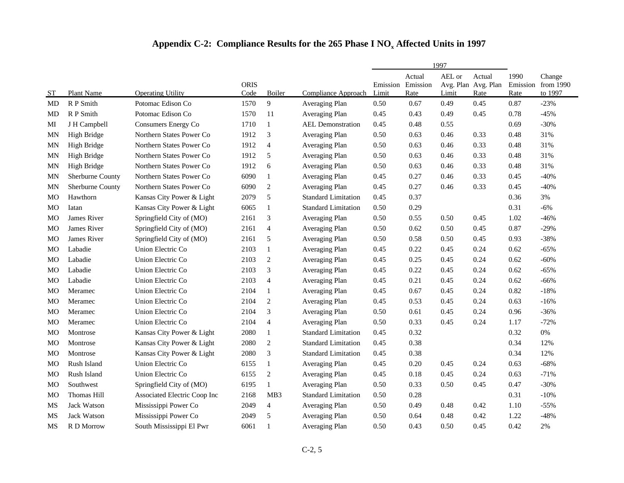|           |                    |                              |                     |                         |                            |                            |                | 1997                                   |                |                          |                                |
|-----------|--------------------|------------------------------|---------------------|-------------------------|----------------------------|----------------------------|----------------|----------------------------------------|----------------|--------------------------|--------------------------------|
| ST        | Plant Name         | <b>Operating Utility</b>     | <b>ORIS</b><br>Code | Boiler                  | Compliance Approach        | Emission Emission<br>Limit | Actual<br>Rate | AEL or<br>Avg. Plan Avg. Plan<br>Limit | Actual<br>Rate | 1990<br>Emission<br>Rate | Change<br>from 1990<br>to 1997 |
| MD        | R P Smith          | Potomac Edison Co            | 1570                | 9                       | Averaging Plan             | 0.50                       | 0.67           | 0.49                                   | 0.45           | 0.87                     | $-23%$                         |
| MD        | R P Smith          | Potomac Edison Co            | 1570                | 11                      | Averaging Plan             | 0.45                       | 0.43           | 0.49                                   | 0.45           | 0.78                     | $-45%$                         |
| MI        | J H Campbell       | Consumers Energy Co          | 1710                | $\mathbf{1}$            | <b>AEL Demonstration</b>   | 0.45                       | 0.48           | 0.55                                   |                | 0.69                     | $-30%$                         |
| MN        | High Bridge        | Northern States Power Co     | 1912                | 3                       | Averaging Plan             | 0.50                       | 0.63           | 0.46                                   | 0.33           | 0.48                     | 31%                            |
| MN        | <b>High Bridge</b> | Northern States Power Co     | 1912                | $\overline{4}$          | Averaging Plan             | 0.50                       | 0.63           | 0.46                                   | 0.33           | 0.48                     | 31%                            |
| MN        | High Bridge        | Northern States Power Co     | 1912                | 5                       | Averaging Plan             | 0.50                       | 0.63           | 0.46                                   | 0.33           | 0.48                     | 31%                            |
| ΜN        | High Bridge        | Northern States Power Co     | 1912                | 6                       | Averaging Plan             | 0.50                       | 0.63           | 0.46                                   | 0.33           | 0.48                     | 31%                            |
| MN        | Sherburne County   | Northern States Power Co     | 6090                | $\mathbf{1}$            | Averaging Plan             | 0.45                       | 0.27           | 0.46                                   | 0.33           | 0.45                     | $-40%$                         |
| <b>MN</b> | Sherburne County   | Northern States Power Co     | 6090                | $\mathbf{2}$            | Averaging Plan             | 0.45                       | 0.27           | 0.46                                   | 0.33           | 0.45                     | $-40%$                         |
| МO        | Hawthorn           | Kansas City Power & Light    | 2079                | 5                       | <b>Standard Limitation</b> | 0.45                       | 0.37           |                                        |                | 0.36                     | 3%                             |
| МO        | Iatan              | Kansas City Power & Light    | 6065                | $\mathbf{1}$            | <b>Standard Limitation</b> | 0.50                       | 0.29           |                                        |                | 0.31                     | $-6%$                          |
| МO        | James River        | Springfield City of (MO)     | 2161                | 3                       | Averaging Plan             | 0.50                       | 0.55           | 0.50                                   | 0.45           | 1.02                     | $-46%$                         |
| MO        | James River        | Springfield City of (MO)     | 2161                | $\overline{4}$          | Averaging Plan             | 0.50                       | 0.62           | 0.50                                   | 0.45           | 0.87                     | $-29%$                         |
| МO        | James River        | Springfield City of (MO)     | 2161                | 5                       | Averaging Plan             | 0.50                       | 0.58           | 0.50                                   | 0.45           | 0.93                     | $-38%$                         |
| MO        | Labadie            | Union Electric Co            | 2103                | $\mathbf{1}$            | Averaging Plan             | 0.45                       | 0.22           | 0.45                                   | 0.24           | 0.62                     | $-65%$                         |
| MO        | Labadie            | Union Electric Co            | 2103                | $\sqrt{2}$              | Averaging Plan             | 0.45                       | 0.25           | 0.45                                   | 0.24           | 0.62                     | $-60%$                         |
| MO        | Labadie            | Union Electric Co            | 2103                | 3                       | Averaging Plan             | 0.45                       | 0.22           | 0.45                                   | 0.24           | 0.62                     | $-65%$                         |
| MO        | Labadie            | Union Electric Co            | 2103                | $\overline{\mathbf{4}}$ | Averaging Plan             | 0.45                       | 0.21           | 0.45                                   | 0.24           | 0.62                     | $-66%$                         |
| MО        | Meramec            | Union Electric Co            | 2104                | $\mathbf{1}$            | Averaging Plan             | 0.45                       | 0.67           | 0.45                                   | 0.24           | 0.82                     | $-18%$                         |
| MO        | Meramec            | Union Electric Co            | 2104                | $\sqrt{2}$              | Averaging Plan             | 0.45                       | 0.53           | 0.45                                   | 0.24           | 0.63                     | $-16%$                         |
| MO        | Meramec            | Union Electric Co            | 2104                | 3                       | Averaging Plan             | 0.50                       | 0.61           | 0.45                                   | 0.24           | 0.96                     | $-36%$                         |
| MO        | Meramec            | Union Electric Co            | 2104                | $\overline{4}$          | Averaging Plan             | 0.50                       | 0.33           | 0.45                                   | 0.24           | 1.17                     | $-72%$                         |
| MO        | Montrose           | Kansas City Power & Light    | 2080                | $\mathbf{1}$            | <b>Standard Limitation</b> | 0.45                       | 0.32           |                                        |                | 0.32                     | $0\%$                          |
| MO        | Montrose           | Kansas City Power & Light    | 2080                | $\mathfrak{2}$          | <b>Standard Limitation</b> | 0.45                       | 0.38           |                                        |                | 0.34                     | 12%                            |
| MO        | Montrose           | Kansas City Power & Light    | 2080                | 3                       | <b>Standard Limitation</b> | 0.45                       | 0.38           |                                        |                | 0.34                     | 12%                            |
| МO        | Rush Island        | Union Electric Co            | 6155                | 1                       | Averaging Plan             | 0.45                       | 0.20           | 0.45                                   | 0.24           | 0.63                     | $-68%$                         |
| MО        | Rush Island        | Union Electric Co            | 6155                | $\overline{c}$          | Averaging Plan             | 0.45                       | 0.18           | 0.45                                   | 0.24           | 0.63                     | $-71%$                         |
| MO        | Southwest          | Springfield City of (MO)     | 6195                | $\mathbf{1}$            | Averaging Plan             | 0.50                       | 0.33           | 0.50                                   | 0.45           | 0.47                     | $-30%$                         |
| MO        | Thomas Hill        | Associated Electric Coop Inc | 2168                | MB3                     | <b>Standard Limitation</b> | 0.50                       | 0.28           |                                        |                | 0.31                     | $-10%$                         |
| MS        | <b>Jack Watson</b> | Mississippi Power Co         | 2049                | $\overline{4}$          | Averaging Plan             | 0.50                       | 0.49           | 0.48                                   | 0.42           | 1.10                     | $-55%$                         |
| MS        | Jack Watson        | Mississippi Power Co         | 2049                | 5                       | Averaging Plan             | 0.50                       | 0.64           | 0.48                                   | 0.42           | 1.22                     | $-48%$                         |
| MS        | R D Morrow         | South Mississippi El Pwr     | 6061                | $\mathbf{1}$            | Averaging Plan             | 0.50                       | 0.43           | 0.50                                   | 0.45           | 0.42                     | 2%                             |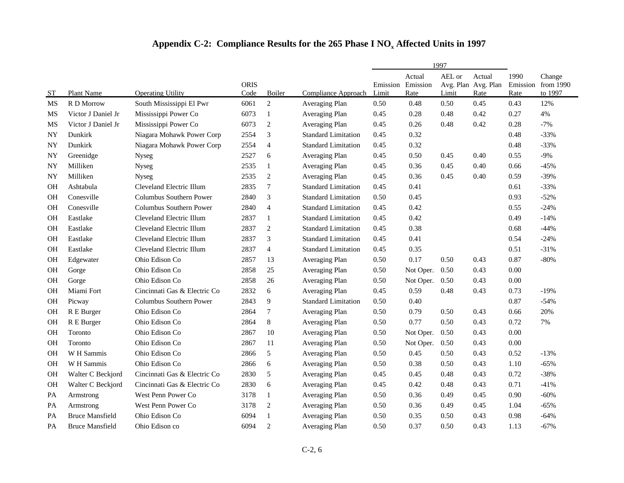|           |                        |                              |                     |                |                            | 1997                       |                |                 |                                              |              |                                         |
|-----------|------------------------|------------------------------|---------------------|----------------|----------------------------|----------------------------|----------------|-----------------|----------------------------------------------|--------------|-----------------------------------------|
| ST        | <b>Plant Name</b>      | <b>Operating Utility</b>     | <b>ORIS</b><br>Code | Boiler         | Compliance Approach        | Emission Emission<br>Limit | Actual<br>Rate | AEL or<br>Limit | Actual<br>Avg. Plan Avg. Plan<br><b>Rate</b> | 1990<br>Rate | Change<br>Emission from 1990<br>to 1997 |
| MS        | R D Morrow             | South Mississippi El Pwr     | 6061                | $\overline{c}$ | Averaging Plan             | 0.50                       | 0.48           | 0.50            | 0.45                                         | 0.43         | 12%                                     |
| MS        | Victor J Daniel Jr     | Mississippi Power Co         | 6073                | $\mathbf{1}$   | Averaging Plan             | 0.45                       | 0.28           | 0.48            | 0.42                                         | 0.27         | 4%                                      |
| MS        | Victor J Daniel Jr     | Mississippi Power Co         | 6073                | $\sqrt{2}$     | Averaging Plan             | 0.45                       | 0.26           | 0.48            | 0.42                                         | 0.28         | $-7%$                                   |
| NY        | Dunkirk                | Niagara Mohawk Power Corp    | 2554                | 3              | <b>Standard Limitation</b> | 0.45                       | 0.32           |                 |                                              | 0.48         | $-33%$                                  |
| NY        | Dunkirk                | Niagara Mohawk Power Corp    | 2554                | $\overline{4}$ | <b>Standard Limitation</b> | 0.45                       | 0.32           |                 |                                              | 0.48         | $-33%$                                  |
| NY        | Greenidge              | <b>Nyseg</b>                 | 2527                | 6              | Averaging Plan             | 0.45                       | 0.50           | 0.45            | 0.40                                         | 0.55         | $-9%$                                   |
| NY        | Milliken               | Nyseg                        | 2535                | 1              | Averaging Plan             | 0.45                       | 0.36           | 0.45            | 0.40                                         | 0.66         | $-45%$                                  |
| NY        | Milliken               | <b>Nyseg</b>                 | 2535                | $\mathfrak{2}$ | Averaging Plan             | 0.45                       | 0.36           | 0.45            | 0.40                                         | 0.59         | $-39%$                                  |
| <b>OH</b> | Ashtabula              | Cleveland Electric Illum     | 2835                | $\tau$         | <b>Standard Limitation</b> | 0.45                       | 0.41           |                 |                                              | 0.61         | $-33%$                                  |
| <b>OH</b> | Conesville             | Columbus Southern Power      | 2840                | 3              | <b>Standard Limitation</b> | 0.50                       | 0.45           |                 |                                              | 0.93         | $-52%$                                  |
| OН        | Conesville             | Columbus Southern Power      | 2840                | $\overline{4}$ | <b>Standard Limitation</b> | 0.45                       | 0.42           |                 |                                              | 0.55         | $-24%$                                  |
| <b>OH</b> | Eastlake               | Cleveland Electric Illum     | 2837                | 1              | <b>Standard Limitation</b> | 0.45                       | 0.42           |                 |                                              | 0.49         | $-14%$                                  |
| OН        | Eastlake               | Cleveland Electric Illum     | 2837                | $\overline{c}$ | <b>Standard Limitation</b> | 0.45                       | 0.38           |                 |                                              | 0.68         | $-44%$                                  |
| OН        | Eastlake               | Cleveland Electric Illum     | 2837                | 3              | <b>Standard Limitation</b> | 0.45                       | 0.41           |                 |                                              | 0.54         | $-24%$                                  |
| OН        | Eastlake               | Cleveland Electric Illum     | 2837                | $\overline{4}$ | <b>Standard Limitation</b> | 0.45                       | 0.35           |                 |                                              | 0.51         | $-31%$                                  |
| <b>OH</b> | Edgewater              | Ohio Edison Co               | 2857                | 13             | Averaging Plan             | 0.50                       | 0.17           | 0.50            | 0.43                                         | 0.87         | $-80%$                                  |
| <b>OH</b> | Gorge                  | Ohio Edison Co               | 2858                | 25             | Averaging Plan             | 0.50                       | Not Oper.      | 0.50            | 0.43                                         | 0.00         |                                         |
| OН        | Gorge                  | Ohio Edison Co               | 2858                | 26             | Averaging Plan             | 0.50                       | Not Oper.      | 0.50            | 0.43                                         | 0.00         |                                         |
| OН        | Miami Fort             | Cincinnati Gas & Electric Co | 2832                | 6              | Averaging Plan             | 0.45                       | 0.59           | 0.48            | 0.43                                         | 0.73         | $-19%$                                  |
| OН        | Picway                 | Columbus Southern Power      | 2843                | 9              | <b>Standard Limitation</b> | 0.50                       | 0.40           |                 |                                              | 0.87         | $-54%$                                  |
| <b>OH</b> | R E Burger             | Ohio Edison Co               | 2864                | $\overline{7}$ | Averaging Plan             | 0.50                       | 0.79           | 0.50            | 0.43                                         | 0.66         | 20%                                     |
| <b>OH</b> | R E Burger             | Ohio Edison Co               | 2864                | $8\,$          | Averaging Plan             | 0.50                       | 0.77           | 0.50            | 0.43                                         | 0.72         | 7%                                      |
| OН        | Toronto                | Ohio Edison Co               | 2867                | 10             | Averaging Plan             | 0.50                       | Not Oper.      | 0.50            | 0.43                                         | 0.00         |                                         |
| OН        | Toronto                | Ohio Edison Co               | 2867                | 11             | Averaging Plan             | 0.50                       | Not Oper.      | 0.50            | 0.43                                         | 0.00         |                                         |
| <b>OH</b> | W H Sammis             | Ohio Edison Co               | 2866                | 5              | Averaging Plan             | 0.50                       | 0.45           | 0.50            | 0.43                                         | 0.52         | $-13%$                                  |
| <b>OH</b> | W H Sammis             | Ohio Edison Co               | 2866                | $6\,$          | Averaging Plan             | 0.50                       | 0.38           | 0.50            | 0.43                                         | 1.10         | $-65%$                                  |
| <b>OH</b> | Walter C Beckjord      | Cincinnati Gas & Electric Co | 2830                | 5              | Averaging Plan             | 0.45                       | 0.45           | 0.48            | 0.43                                         | 0.72         | $-38%$                                  |
| OН        | Walter C Beckjord      | Cincinnati Gas & Electric Co | 2830                | 6              | Averaging Plan             | 0.45                       | 0.42           | 0.48            | 0.43                                         | 0.71         | $-41%$                                  |
| PА        | Armstrong              | West Penn Power Co           | 3178                | 1              | Averaging Plan             | 0.50                       | 0.36           | 0.49            | 0.45                                         | 0.90         | $-60%$                                  |
| PA        | Armstrong              | West Penn Power Co           | 3178                | $\overline{c}$ | Averaging Plan             | 0.50                       | 0.36           | 0.49            | 0.45                                         | 1.04         | $-65%$                                  |
| PA        | <b>Bruce Mansfield</b> | Ohio Edison Co               | 6094                | $\mathbf{1}$   | Averaging Plan             | 0.50                       | 0.35           | 0.50            | 0.43                                         | 0.98         | $-64%$                                  |
| PА        | <b>Bruce Mansfield</b> | Ohio Edison co               | 6094                | $\overline{2}$ | Averaging Plan             | 0.50                       | 0.37           | 0.50            | 0.43                                         | 1.13         | $-67%$                                  |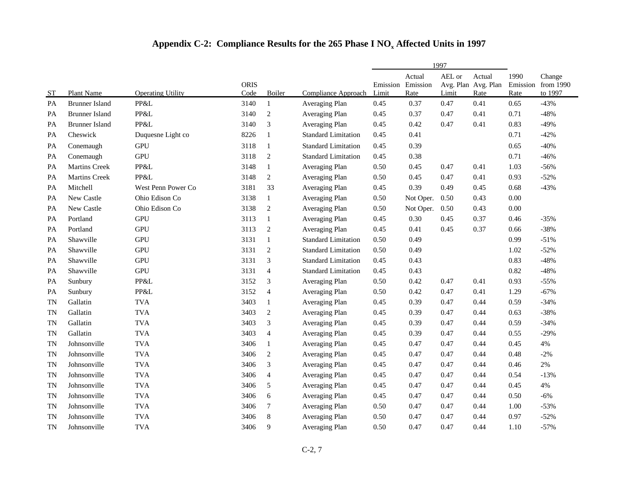|           |                       |                          |                     |                  |                            | 1997                       |                |                 |                                       |                          |                                |
|-----------|-----------------------|--------------------------|---------------------|------------------|----------------------------|----------------------------|----------------|-----------------|---------------------------------------|--------------------------|--------------------------------|
| <b>ST</b> | Plant Name            | <b>Operating Utility</b> | <b>ORIS</b><br>Code | Boiler           | Compliance Approach        | Emission Emission<br>Limit | Actual<br>Rate | AEL or<br>Limit | Actual<br>Avg. Plan Avg. Plan<br>Rate | 1990<br>Emission<br>Rate | Change<br>from 1990<br>to 1997 |
| PA        | <b>Brunner Island</b> | PP&L                     | 3140                | $\mathbf{1}$     | Averaging Plan             | 0.45                       | 0.37           | 0.47            | 0.41                                  | 0.65                     | $-43%$                         |
| PA        | <b>Brunner Island</b> | PP&L                     | 3140                | $\overline{c}$   | Averaging Plan             | 0.45                       | 0.37           | 0.47            | 0.41                                  | 0.71                     | $-48%$                         |
| PA        | <b>Brunner Island</b> | PP&L                     | 3140                | 3                | Averaging Plan             | 0.45                       | 0.42           | 0.47            | 0.41                                  | 0.83                     | $-49%$                         |
| PA        | Cheswick              | Duquesne Light co        | 8226                | $\mathbf{1}$     | <b>Standard Limitation</b> | 0.45                       | 0.41           |                 |                                       | 0.71                     | $-42%$                         |
| <b>PA</b> | Conemaugh             | <b>GPU</b>               | 3118                | $\mathbf{1}$     | <b>Standard Limitation</b> | 0.45                       | 0.39           |                 |                                       | 0.65                     | $-40%$                         |
| PA        | Conemaugh             | <b>GPU</b>               | 3118                | $\overline{2}$   | <b>Standard Limitation</b> | 0.45                       | 0.38           |                 |                                       | 0.71                     | $-46%$                         |
| PA        | Martins Creek         | PP&L                     | 3148                | $\mathbf{1}$     | Averaging Plan             | 0.50                       | 0.45           | 0.47            | 0.41                                  | 1.03                     | $-56%$                         |
| PA        | <b>Martins Creek</b>  | PP&L                     | 3148                | $\sqrt{2}$       | Averaging Plan             | 0.50                       | 0.45           | 0.47            | 0.41                                  | 0.93                     | $-52%$                         |
| PA        | Mitchell              | West Penn Power Co       | 3181                | 33               | Averaging Plan             | 0.45                       | 0.39           | 0.49            | 0.45                                  | 0.68                     | $-43%$                         |
| PA        | New Castle            | Ohio Edison Co           | 3138                | $\mathbf{1}$     | Averaging Plan             | 0.50                       | Not Oper.      | 0.50            | 0.43                                  | 0.00                     |                                |
| PA        | New Castle            | Ohio Edison Co           | 3138                | $\sqrt{2}$       | Averaging Plan             | 0.50                       | Not Oper.      | 0.50            | 0.43                                  | 0.00                     |                                |
| PA        | Portland              | <b>GPU</b>               | 3113                | $\mathbf{1}$     | Averaging Plan             | 0.45                       | 0.30           | 0.45            | 0.37                                  | 0.46                     | $-35%$                         |
| PA        | Portland              | <b>GPU</b>               | 3113                | $\sqrt{2}$       | Averaging Plan             | 0.45                       | 0.41           | 0.45            | 0.37                                  | 0.66                     | $-38%$                         |
| PA        | Shawville             | <b>GPU</b>               | 3131                | $\mathbf{1}$     | <b>Standard Limitation</b> | 0.50                       | 0.49           |                 |                                       | 0.99                     | $-51%$                         |
| PA        | Shawville             | <b>GPU</b>               | 3131                | $\sqrt{2}$       | <b>Standard Limitation</b> | 0.50                       | 0.49           |                 |                                       | 1.02                     | $-52%$                         |
| PA        | Shawville             | <b>GPU</b>               | 3131                | $\mathfrak{Z}$   | <b>Standard Limitation</b> | 0.45                       | 0.43           |                 |                                       | 0.83                     | $-48%$                         |
| PA        | Shawville             | <b>GPU</b>               | 3131                | $\overline{4}$   | <b>Standard Limitation</b> | 0.45                       | 0.43           |                 |                                       | 0.82                     | $-48%$                         |
| PA        | Sunbury               | PP&L                     | 3152                | $\mathfrak{Z}$   | Averaging Plan             | 0.50                       | 0.42           | 0.47            | 0.41                                  | 0.93                     | $-55%$                         |
| PA        | Sunbury               | PP&L                     | 3152                | $\overline{4}$   | Averaging Plan             | 0.50                       | 0.42           | 0.47            | 0.41                                  | 1.29                     | $-67%$                         |
| TN        | Gallatin              | <b>TVA</b>               | 3403                | $\mathbf{1}$     | Averaging Plan             | 0.45                       | 0.39           | 0.47            | 0.44                                  | 0.59                     | $-34%$                         |
| TN        | Gallatin              | <b>TVA</b>               | 3403                | $\overline{c}$   | Averaging Plan             | 0.45                       | 0.39           | 0.47            | 0.44                                  | 0.63                     | $-38%$                         |
| TN        | Gallatin              | <b>TVA</b>               | 3403                | $\mathfrak{Z}$   | Averaging Plan             | 0.45                       | 0.39           | 0.47            | 0.44                                  | 0.59                     | $-34%$                         |
| TN        | Gallatin              | <b>TVA</b>               | 3403                | $\overline{4}$   | Averaging Plan             | 0.45                       | 0.39           | 0.47            | 0.44                                  | 0.55                     | $-29%$                         |
| TN        | Johnsonville          | <b>TVA</b>               | 3406                | $\mathbf{1}$     | Averaging Plan             | 0.45                       | 0.47           | 0.47            | 0.44                                  | 0.45                     | 4%                             |
| TN        | Johnsonville          | <b>TVA</b>               | 3406                | $\overline{2}$   | Averaging Plan             | 0.45                       | 0.47           | 0.47            | 0.44                                  | 0.48                     | $-2%$                          |
| <b>TN</b> | Johnsonville          | <b>TVA</b>               | 3406                | $\mathfrak{Z}$   | Averaging Plan             | 0.45                       | 0.47           | 0.47            | 0.44                                  | 0.46                     | $2\%$                          |
| TN        | Johnsonville          | <b>TVA</b>               | 3406                | $\overline{4}$   | Averaging Plan             | 0.45                       | 0.47           | 0.47            | 0.44                                  | 0.54                     | $-13%$                         |
| TN        | Johnsonville          | <b>TVA</b>               | 3406                | 5                | Averaging Plan             | 0.45                       | 0.47           | 0.47            | 0.44                                  | 0.45                     | 4%                             |
| TN        | Johnsonville          | <b>TVA</b>               | 3406                | $\sqrt{6}$       | Averaging Plan             | 0.45                       | 0.47           | 0.47            | 0.44                                  | 0.50                     | $-6%$                          |
| TN        | Johnsonville          | <b>TVA</b>               | 3406                | $\boldsymbol{7}$ | Averaging Plan             | 0.50                       | 0.47           | 0.47            | 0.44                                  | 1.00                     | $-53%$                         |
| <b>TN</b> | Johnsonville          | <b>TVA</b>               | 3406                | $\,8\,$          | Averaging Plan             | 0.50                       | 0.47           | 0.47            | 0.44                                  | 0.97                     | $-52%$                         |
| <b>TN</b> | Johnsonville          | <b>TVA</b>               | 3406                | 9                | Averaging Plan             | 0.50                       | 0.47           | 0.47            | 0.44                                  | 1.10                     | $-57%$                         |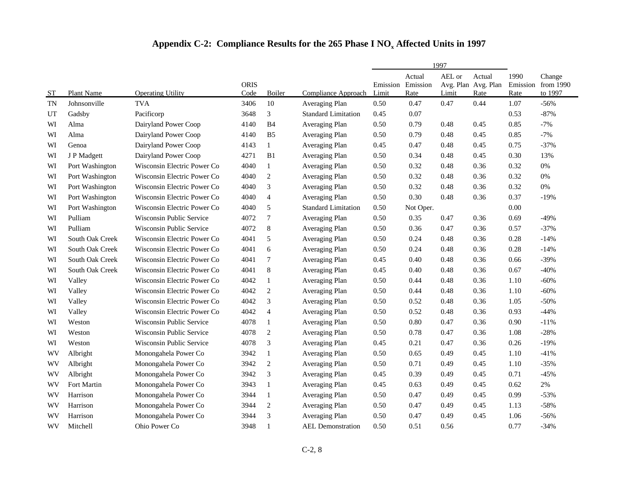|           |                 |                                 |                     |                  |                            |                            |                | 1997            |                                       |              |                                         |
|-----------|-----------------|---------------------------------|---------------------|------------------|----------------------------|----------------------------|----------------|-----------------|---------------------------------------|--------------|-----------------------------------------|
| <b>ST</b> | Plant Name      | <b>Operating Utility</b>        | <b>ORIS</b><br>Code | Boiler           | Compliance Approach        | Emission Emission<br>Limit | Actual<br>Rate | AEL or<br>Limit | Actual<br>Avg. Plan Avg. Plan<br>Rate | 1990<br>Rate | Change<br>Emission from 1990<br>to 1997 |
| <b>TN</b> | Johnsonville    | <b>TVA</b>                      | 3406                | 10               | Averaging Plan             | 0.50                       | 0.47           | 0.47            | 0.44                                  | 1.07         | $-56%$                                  |
| UT        | Gadsby          | Pacificorp                      | 3648                | 3                | <b>Standard Limitation</b> | 0.45                       | 0.07           |                 |                                       | 0.53         | $-87%$                                  |
| WI        | Alma            | Dairyland Power Coop            | 4140                | B4               | Averaging Plan             | 0.50                       | 0.79           | 0.48            | 0.45                                  | 0.85         | $-7%$                                   |
| WI        | Alma            | Dairyland Power Coop            | 4140                | B <sub>5</sub>   | Averaging Plan             | 0.50                       | 0.79           | 0.48            | 0.45                                  | 0.85         | $-7%$                                   |
| WI        | Genoa           | Dairyland Power Coop            | 4143                | $\mathbf{1}$     | Averaging Plan             | 0.45                       | 0.47           | 0.48            | 0.45                                  | 0.75         | $-37%$                                  |
| WI        | J P Madgett     | Dairyland Power Coop            | 4271                | B1               | Averaging Plan             | 0.50                       | 0.34           | 0.48            | 0.45                                  | 0.30         | 13%                                     |
| WI        | Port Washington | Wisconsin Electric Power Co     | 4040                | $\mathbf{1}$     | Averaging Plan             | 0.50                       | 0.32           | 0.48            | 0.36                                  | 0.32         | $0\%$                                   |
| WI        | Port Washington | Wisconsin Electric Power Co     | 4040                | $\overline{c}$   | Averaging Plan             | 0.50                       | 0.32           | 0.48            | 0.36                                  | 0.32         | $0\%$                                   |
| WI        | Port Washington | Wisconsin Electric Power Co     | 4040                | 3                | Averaging Plan             | 0.50                       | 0.32           | 0.48            | 0.36                                  | 0.32         | $0\%$                                   |
| WI        | Port Washington | Wisconsin Electric Power Co     | 4040                | $\overline{4}$   | Averaging Plan             | 0.50                       | 0.30           | 0.48            | 0.36                                  | 0.37         | $-19%$                                  |
| WI        | Port Washington | Wisconsin Electric Power Co     | 4040                | 5                | <b>Standard Limitation</b> | 0.50                       | Not Oper.      |                 |                                       | 0.00         |                                         |
| WI        | Pulliam         | Wisconsin Public Service        | 4072                | $\boldsymbol{7}$ | Averaging Plan             | 0.50                       | 0.35           | 0.47            | 0.36                                  | 0.69         | $-49%$                                  |
| WI        | Pulliam         | Wisconsin Public Service        | 4072                | $\,$ 8 $\,$      | Averaging Plan             | 0.50                       | 0.36           | 0.47            | 0.36                                  | 0.57         | $-37%$                                  |
| WI        | South Oak Creek | Wisconsin Electric Power Co     | 4041                | 5                | Averaging Plan             | 0.50                       | 0.24           | 0.48            | 0.36                                  | 0.28         | $-14%$                                  |
| WI        | South Oak Creek | Wisconsin Electric Power Co     | 4041                | 6                | Averaging Plan             | 0.50                       | 0.24           | 0.48            | 0.36                                  | 0.28         | $-14%$                                  |
| WI        | South Oak Creek | Wisconsin Electric Power Co     | 4041                | $\boldsymbol{7}$ | Averaging Plan             | 0.45                       | 0.40           | 0.48            | 0.36                                  | 0.66         | $-39%$                                  |
| WI        | South Oak Creek | Wisconsin Electric Power Co     | 4041                | $\,8\,$          | Averaging Plan             | 0.45                       | 0.40           | 0.48            | 0.36                                  | 0.67         | $-40%$                                  |
| WI        | Valley          | Wisconsin Electric Power Co     | 4042                | $\mathbf{1}$     | Averaging Plan             | 0.50                       | 0.44           | 0.48            | 0.36                                  | 1.10         | $-60%$                                  |
| WI        | Valley          | Wisconsin Electric Power Co     | 4042                | $\sqrt{2}$       | Averaging Plan             | 0.50                       | 0.44           | 0.48            | 0.36                                  | 1.10         | $-60%$                                  |
| WI        | Valley          | Wisconsin Electric Power Co     | 4042                | 3                | Averaging Plan             | 0.50                       | 0.52           | 0.48            | 0.36                                  | 1.05         | $-50%$                                  |
| WI        | Valley          | Wisconsin Electric Power Co     | 4042                | $\overline{4}$   | Averaging Plan             | 0.50                       | 0.52           | 0.48            | 0.36                                  | 0.93         | $-44%$                                  |
| WI        | Weston          | Wisconsin Public Service        | 4078                | $\mathbf{1}$     | Averaging Plan             | 0.50                       | 0.80           | 0.47            | 0.36                                  | 0.90         | $-11%$                                  |
| WI        | Weston          | <b>Wisconsin Public Service</b> | 4078                | $\mathbf{2}$     | Averaging Plan             | 0.50                       | 0.78           | 0.47            | 0.36                                  | 1.08         | $-28%$                                  |
| WI        | Weston          | Wisconsin Public Service        | 4078                | $\mathfrak{Z}$   | Averaging Plan             | 0.45                       | 0.21           | 0.47            | 0.36                                  | 0.26         | $-19%$                                  |
| WV        | Albright        | Monongahela Power Co            | 3942                | $\mathbf{1}$     | Averaging Plan             | 0.50                       | 0.65           | 0.49            | 0.45                                  | 1.10         | $-41%$                                  |
| WV        | Albright        | Monongahela Power Co            | 3942                | $\overline{c}$   | Averaging Plan             | 0.50                       | 0.71           | 0.49            | 0.45                                  | 1.10         | $-35%$                                  |
| WV        | Albright        | Monongahela Power Co            | 3942                | $\mathfrak{Z}$   | Averaging Plan             | 0.45                       | 0.39           | 0.49            | 0.45                                  | 0.71         | $-45%$                                  |
| WV        | Fort Martin     | Monongahela Power Co            | 3943                | 1                | Averaging Plan             | 0.45                       | 0.63           | 0.49            | 0.45                                  | 0.62         | 2%                                      |
| WV        | Harrison        | Monongahela Power Co            | 3944                | 1                | Averaging Plan             | 0.50                       | 0.47           | 0.49            | 0.45                                  | 0.99         | $-53%$                                  |
| WV        | Harrison        | Monongahela Power Co            | 3944                | $\sqrt{2}$       | Averaging Plan             | 0.50                       | 0.47           | 0.49            | 0.45                                  | 1.13         | $-58%$                                  |
| WV        | Harrison        | Monongahela Power Co            | 3944                | 3                | Averaging Plan             | 0.50                       | 0.47           | 0.49            | 0.45                                  | 1.06         | $-56%$                                  |
| WV        | Mitchell        | Ohio Power Co                   | 3948                | $\mathbf{1}$     | <b>AEL Demonstration</b>   | 0.50                       | 0.51           | 0.56            |                                       | 0.77         | $-34%$                                  |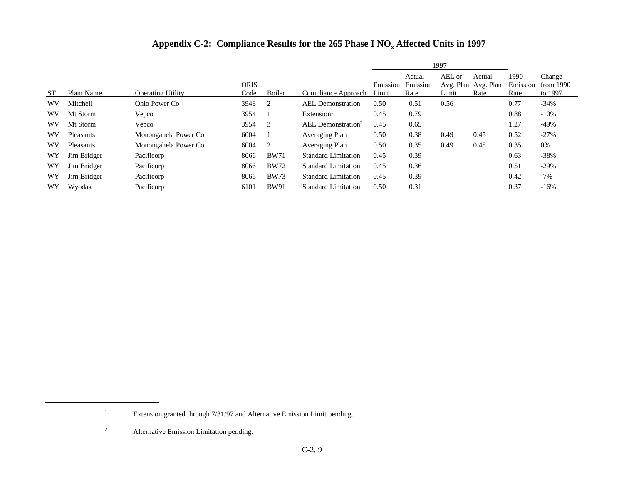|           |             |                          |                     |             |                                |                   | 1997                       |                 |                                       |                          |                                |
|-----------|-------------|--------------------------|---------------------|-------------|--------------------------------|-------------------|----------------------------|-----------------|---------------------------------------|--------------------------|--------------------------------|
| <b>ST</b> | Plant Name  | <b>Operating Utility</b> | <b>ORIS</b><br>Code | Boiler      | Compliance Approach            | Emission<br>Limit | Actual<br>Emission<br>Rate | AEL or<br>Limit | Actual<br>Avg. Plan Avg. Plan<br>Rate | 1990<br>Emission<br>Rate | Change<br>from 1990<br>to 1997 |
| WV        | Mitchell    | Ohio Power Co            | 3948                | 2           | <b>AEL</b> Demonstration       | 0.50              | 0.51                       | 0.56            |                                       | 0.77                     | $-34\%$                        |
| WV        | Mt Storm    | Vepco                    | 3954                |             | Extension <sup>1</sup>         | 0.45              | 0.79                       |                 |                                       | 0.88                     | $-10%$                         |
| WV        | Mt Storm    | Vepco                    | 3954                | 3           | AEL Demonstration <sup>2</sup> | 0.45              | 0.65                       |                 |                                       | 1.27                     | $-49%$                         |
| WV        | Pleasants   | Monongahela Power Co     | 6004                |             | Averaging Plan                 | 0.50              | 0.38                       | 0.49            | 0.45                                  | 0.52                     | $-27%$                         |
| WV        | Pleasants   | Monongahela Power Co     | 6004                | 2           | Averaging Plan                 | 0.50              | 0.35                       | 0.49            | 0.45                                  | 0.35                     | 0%                             |
| WY        | Jim Bridger | Pacificorp               | 8066                | <b>BW71</b> | <b>Standard Limitation</b>     | 0.45              | 0.39                       |                 |                                       | 0.63                     | $-38%$                         |
| WY        | Jim Bridger | Pacificorp               | 8066                | <b>BW72</b> | <b>Standard Limitation</b>     | 0.45              | 0.36                       |                 |                                       | 0.51                     | $-29%$                         |
| WY        | Jim Bridger | Pacificorp               | 8066                | <b>BW73</b> | <b>Standard Limitation</b>     | 0.45              | 0.39                       |                 |                                       | 0.42                     | $-7\%$                         |
| WY        | Wyodak      | Pacificorp               | 6101                | <b>BW91</b> | <b>Standard Limitation</b>     | 0.50              | 0.31                       |                 |                                       | 0.37                     | $-16%$                         |

<sup>1</sup> Extension granted through 7/31/97 and Alternative Emission Limit pending.

<sup>2</sup> Alternative Emission Limitation pending.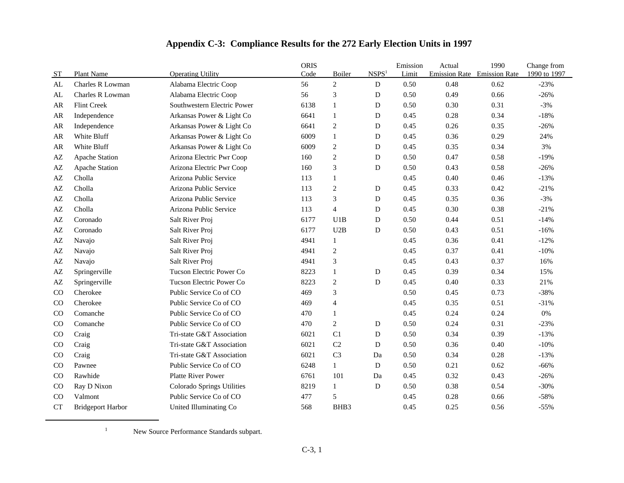| <b>ST</b>   | Plant Name               | <b>Operating Utility</b>    | <b>ORIS</b><br>Code | Boiler         | NSPS <sup>1</sup> | Emission<br>Limit | Actual | 1990<br>Emission Rate Emission Rate | Change from<br>1990 to 1997 |
|-------------|--------------------------|-----------------------------|---------------------|----------------|-------------------|-------------------|--------|-------------------------------------|-----------------------------|
| AL          | Charles R Lowman         | Alabama Electric Coop       | 56                  | $\overline{c}$ | D                 | 0.50              | 0.48   | 0.62                                | $-23%$                      |
| AL          | Charles R Lowman         | Alabama Electric Coop       | 56                  | $\mathfrak{Z}$ | D                 | 0.50              | 0.49   | 0.66                                | $-26%$                      |
| AR          | Flint Creek              | Southwestern Electric Power | 6138                | $\mathbf{1}$   | D                 | 0.50              | 0.30   | 0.31                                | $-3%$                       |
| AR          | Independence             | Arkansas Power & Light Co   | 6641                | $\mathbf{1}$   | D                 | 0.45              | 0.28   | 0.34                                | $-18%$                      |
| AR          | Independence             | Arkansas Power & Light Co   | 6641                | $\overline{2}$ | D                 | 0.45              | 0.26   | 0.35                                | $-26%$                      |
| AR          | White Bluff              | Arkansas Power & Light Co   | 6009                | $\mathbf{1}$   | D                 | 0.45              | 0.36   | 0.29                                | 24%                         |
| AR          | White Bluff              | Arkansas Power & Light Co   | 6009                | $\sqrt{2}$     | D                 | 0.45              | 0.35   | 0.34                                | 3%                          |
| AZ          | Apache Station           | Arizona Electric Pwr Coop   | 160                 | $\mathbf{2}$   | D                 | 0.50              | 0.47   | 0.58                                | $-19%$                      |
| AZ          | Apache Station           | Arizona Electric Pwr Coop   | 160                 | 3              | D                 | 0.50              | 0.43   | 0.58                                | $-26%$                      |
| AZ          | Cholla                   | Arizona Public Service      | 113                 | $\mathbf{1}$   |                   | 0.45              | 0.40   | 0.46                                | $-13%$                      |
| AZ          | Cholla                   | Arizona Public Service      | 113                 | $\mathbf{2}$   | D                 | 0.45              | 0.33   | 0.42                                | $-21%$                      |
| AZ          | Cholla                   | Arizona Public Service      | 113                 | 3              | D                 | 0.45              | 0.35   | 0.36                                | $-3%$                       |
| AZ          | Cholla                   | Arizona Public Service      | 113                 | $\overline{4}$ | D                 | 0.45              | 0.30   | 0.38                                | $-21%$                      |
| AZ          | Coronado                 | Salt River Proj             | 6177                | U1B            | D                 | 0.50              | 0.44   | 0.51                                | $-14%$                      |
| AZ          | Coronado                 | Salt River Proj             | 6177                | U2B            | D                 | 0.50              | 0.43   | 0.51                                | $-16%$                      |
| AZ          | Navajo                   | Salt River Proj             | 4941                | $\mathbf{1}$   |                   | 0.45              | 0.36   | 0.41                                | $-12%$                      |
| AZ          | Navajo                   | Salt River Proj             | 4941                | $\sqrt{2}$     |                   | 0.45              | 0.37   | 0.41                                | $-10%$                      |
| AZ          | Navajo                   | Salt River Proj             | 4941                | 3              |                   | 0.45              | 0.43   | 0.37                                | 16%                         |
| AZ          | Springerville            | Tucson Electric Power Co    | 8223                | $\mathbf{1}$   | D                 | 0.45              | 0.39   | 0.34                                | 15%                         |
| AZ          | Springerville            | Tucson Electric Power Co    | 8223                | $\mathbf{2}$   | D                 | 0.45              | 0.40   | 0.33                                | 21%                         |
| CO          | Cherokee                 | Public Service Co of CO     | 469                 | 3              |                   | 0.50              | 0.45   | 0.73                                | $-38%$                      |
| CO          | Cherokee                 | Public Service Co of CO     | 469                 | $\overline{4}$ |                   | 0.45              | 0.35   | 0.51                                | $-31%$                      |
| $_{\rm CO}$ | Comanche                 | Public Service Co of CO     | 470                 | $\mathbf{1}$   |                   | 0.45              | 0.24   | 0.24                                | 0%                          |
| CO          | Comanche                 | Public Service Co of CO     | 470                 | $\overline{c}$ | D                 | 0.50              | 0.24   | 0.31                                | $-23%$                      |
| $_{\rm CO}$ | Craig                    | Tri-state G&T Association   | 6021                | C <sub>1</sub> | D                 | 0.50              | 0.34   | 0.39                                | $-13%$                      |
| CO          | Craig                    | Tri-state G&T Association   | 6021                | C <sub>2</sub> | D                 | 0.50              | 0.36   | 0.40                                | $-10%$                      |
| CO          | Craig                    | Tri-state G&T Association   | 6021                | C <sub>3</sub> | Da                | 0.50              | 0.34   | 0.28                                | $-13%$                      |
| CO          | Pawnee                   | Public Service Co of CO     | 6248                | $\mathbf{1}$   | D                 | 0.50              | 0.21   | 0.62                                | $-66%$                      |
| CO          | Rawhide                  | <b>Platte River Power</b>   | 6761                | 101            | Da                | 0.45              | 0.32   | 0.43                                | $-26%$                      |
| CO          | Ray D Nixon              | Colorado Springs Utilities  | 8219                | $\mathbf{1}$   | ${\bf D}$         | 0.50              | 0.38   | 0.54                                | $-30%$                      |
| CO          | Valmont                  | Public Service Co of CO     | 477                 | 5              |                   | 0.45              | 0.28   | 0.66                                | $-58%$                      |
| <b>CT</b>   | <b>Bridgeport Harbor</b> | United Illuminating Co      | 568                 | BHB3           |                   | 0.45              | 0.25   | 0.56                                | $-55%$                      |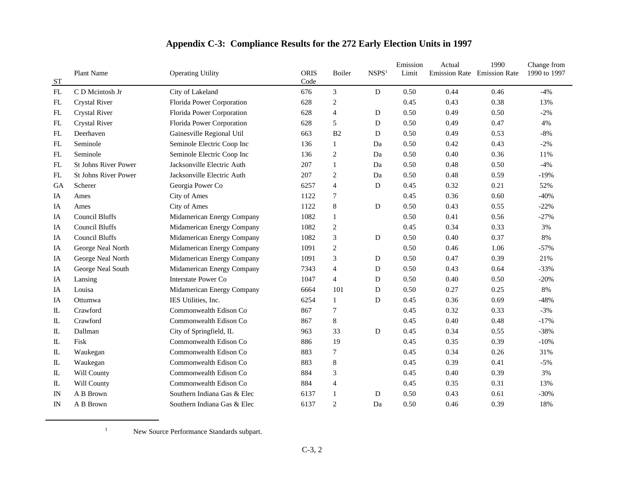|               | Plant Name                  | <b>Operating Utility</b>    | <b>ORIS</b> | Boiler         | NSPS <sup>1</sup> | Emission<br>Limit | Actual | 1990<br>Emission Rate Emission Rate | Change from<br>1990 to 1997 |
|---------------|-----------------------------|-----------------------------|-------------|----------------|-------------------|-------------------|--------|-------------------------------------|-----------------------------|
| ST<br>FL      | C D Meintosh Jr             | City of Lakeland            | Code<br>676 | 3              | D                 | 0.50              | 0.44   | 0.46                                | $-4%$                       |
| FL            | <b>Crystal River</b>        | Florida Power Corporation   | 628         | $\overline{2}$ |                   | 0.45              | 0.43   | 0.38                                | 13%                         |
| FL            | <b>Crystal River</b>        | Florida Power Corporation   | 628         | $\overline{4}$ | D                 | 0.50              | 0.49   | 0.50                                | $-2%$                       |
| ${\rm FL}$    | <b>Crystal River</b>        | Florida Power Corporation   | 628         | 5              | D                 | 0.50              | 0.49   | 0.47                                | 4%                          |
| FL            | Deerhaven                   | Gainesville Regional Util   | 663         | B2             | D                 | 0.50              | 0.49   | 0.53                                | $-8%$                       |
| ${\rm FL}$    | Seminole                    | Seminole Electric Coop Inc  | 136         | 1              | Da                | 0.50              | 0.42   | 0.43                                | $-2%$                       |
| ${\rm FL}$    | Seminole                    | Seminole Electric Coop Inc  | 136         | $\overline{c}$ | Da                | 0.50              | 0.40   | 0.36                                | 11%                         |
| FL            | <b>St Johns River Power</b> | Jacksonville Electric Auth  | 207         | 1              | Da                | 0.50              | 0.48   | 0.50                                | $-4%$                       |
| FL            | <b>St Johns River Power</b> | Jacksonville Electric Auth  | 207         | $\overline{2}$ | Da                | 0.50              | 0.48   | 0.59                                | $-19%$                      |
| GA            | Scherer                     | Georgia Power Co            | 6257        | $\overline{4}$ | D                 | 0.45              | 0.32   | 0.21                                | 52%                         |
| IA            | Ames                        | City of Ames                | 1122        | 7              |                   | 0.45              | 0.36   | 0.60                                | $-40%$                      |
| IA            | Ames                        | City of Ames                | 1122        | 8              | D                 | 0.50              | 0.43   | 0.55                                | $-22%$                      |
| IA            | <b>Council Bluffs</b>       | Midamerican Energy Company  | 1082        | 1              |                   | 0.50              | 0.41   | 0.56                                | $-27%$                      |
| IA            | <b>Council Bluffs</b>       | Midamerican Energy Company  | 1082        | $\overline{2}$ |                   | 0.45              | 0.34   | 0.33                                | 3%                          |
| IA            | <b>Council Bluffs</b>       | Midamerican Energy Company  | 1082        | 3              | D                 | 0.50              | 0.40   | 0.37                                | 8%                          |
| IA            | George Neal North           | Midamerican Energy Company  | 1091        | $\overline{2}$ |                   | 0.50              | 0.46   | 1.06                                | $-57%$                      |
| IA            | George Neal North           | Midamerican Energy Company  | 1091        | 3              | D                 | 0.50              | 0.47   | 0.39                                | 21%                         |
| IA            | George Neal South           | Midamerican Energy Company  | 7343        | $\overline{4}$ | D                 | 0.50              | 0.43   | 0.64                                | $-33%$                      |
| IA            | Lansing                     | <b>Interstate Power Co</b>  | 1047        | $\overline{4}$ | D                 | 0.50              | 0.40   | 0.50                                | $-20%$                      |
| IA            | Louisa                      | Midamerican Energy Company  | 6664        | 101            | D                 | 0.50              | 0.27   | 0.25                                | 8%                          |
| IA            | Ottumwa                     | IES Utilities, Inc.         | 6254        | $\mathbf{1}$   | D                 | 0.45              | 0.36   | 0.69                                | $-48%$                      |
| IL            | Crawford                    | Commonwealth Edison Co      | 867         | 7              |                   | 0.45              | 0.32   | 0.33                                | $-3%$                       |
| $\mathbbm{L}$ | Crawford                    | Commonwealth Edison Co      | 867         | 8              |                   | 0.45              | 0.40   | 0.48                                | $-17%$                      |
| $\mathbbm{L}$ | Dallman                     | City of Springfield, IL     | 963         | 33             | D                 | 0.45              | 0.34   | 0.55                                | $-38%$                      |
| ${\rm I\!L}$  | Fisk                        | Commonwealth Edison Co      | 886         | 19             |                   | 0.45              | 0.35   | 0.39                                | $-10%$                      |
| IL            | Waukegan                    | Commonwealth Edison Co      | 883         | 7              |                   | 0.45              | 0.34   | 0.26                                | 31%                         |
| $\mathbbm{L}$ | Waukegan                    | Commonwealth Edison Co      | 883         | 8              |                   | 0.45              | 0.39   | 0.41                                | $-5%$                       |
| $\mathbbm{L}$ | Will County                 | Commonwealth Edison Co      | 884         | 3              |                   | 0.45              | 0.40   | 0.39                                | 3%                          |
| $\mathbbm{L}$ | Will County                 | Commonwealth Edison Co      | 884         | $\overline{4}$ |                   | 0.45              | 0.35   | 0.31                                | 13%                         |
| IN            | A B Brown                   | Southern Indiana Gas & Elec | 6137        | 1              | D                 | 0.50              | 0.43   | 0.61                                | $-30%$                      |
| $_{\rm IN}$   | A B Brown                   | Southern Indiana Gas & Elec | 6137        | $\overline{2}$ | Da                | 0.50              | 0.46   | 0.39                                | 18%                         |

<sup>1</sup> New Source Performance Standards subpart.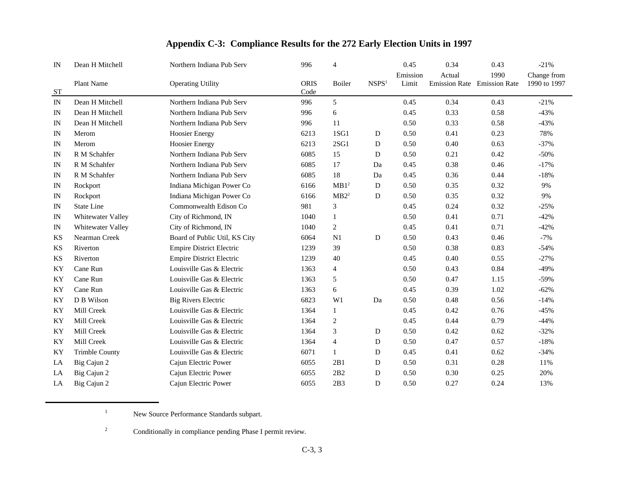| IN          | Dean H Mitchell       | Northern Indiana Pub Serv       | 996                 | $\overline{4}$   |                   | 0.45              | 0.34                           | 0.43                         | $-21%$                      |
|-------------|-----------------------|---------------------------------|---------------------|------------------|-------------------|-------------------|--------------------------------|------------------------------|-----------------------------|
| ST          | Plant Name            | <b>Operating Utility</b>        | <b>ORIS</b><br>Code | Boiler           | NSPS <sup>1</sup> | Emission<br>Limit | Actual<br><b>Emission Rate</b> | 1990<br><b>Emission Rate</b> | Change from<br>1990 to 1997 |
| IN          | Dean H Mitchell       | Northern Indiana Pub Serv       | 996                 | 5                |                   | 0.45              | 0.34                           | 0.43                         | $-21%$                      |
| IN          | Dean H Mitchell       | Northern Indiana Pub Serv       | 996                 | 6                |                   | 0.45              | 0.33                           | 0.58                         | $-43%$                      |
| IN          | Dean H Mitchell       | Northern Indiana Pub Serv       | 996                 | 11               |                   | 0.50              | 0.33                           | 0.58                         | $-43%$                      |
| $_{\rm IN}$ | Merom                 | <b>Hoosier Energy</b>           | 6213                | 1SG1             | D                 | 0.50              | 0.41                           | 0.23                         | 78%                         |
| IN          | Merom                 | <b>Hoosier Energy</b>           | 6213                | 2SG1             | D                 | 0.50              | 0.40                           | 0.63                         | $-37%$                      |
| $_{\rm IN}$ | R M Schahfer          | Northern Indiana Pub Serv       | 6085                | 15               | D                 | 0.50              | 0.21                           | 0.42                         | $-50%$                      |
| IN          | R M Schahfer          | Northern Indiana Pub Serv       | 6085                | 17               | Da                | 0.45              | 0.38                           | 0.46                         | $-17%$                      |
| IN          | R M Schahfer          | Northern Indiana Pub Serv       | 6085                | 18               | Da                | 0.45              | 0.36                           | 0.44                         | $-18%$                      |
| IN          | Rockport              | Indiana Michigan Power Co       | 6166                | MB1 <sup>2</sup> | D                 | 0.50              | 0.35                           | 0.32                         | 9%                          |
| IN          | Rockport              | Indiana Michigan Power Co       | 6166                | MB2 <sup>2</sup> | D                 | 0.50              | 0.35                           | 0.32                         | 9%                          |
| IN          | <b>State Line</b>     | Commonwealth Edison Co          | 981                 | 3                |                   | 0.45              | 0.24                           | 0.32                         | $-25%$                      |
| IN          | Whitewater Valley     | City of Richmond, IN            | 1040                | $\mathbf{1}$     |                   | 0.50              | 0.41                           | 0.71                         | $-42%$                      |
| $_{\rm IN}$ | Whitewater Valley     | City of Richmond, IN            | 1040                | $\overline{c}$   |                   | 0.45              | 0.41                           | 0.71                         | $-42%$                      |
| KS          | Nearman Creek         | Board of Public Util, KS City   | 6064                | N1               | D                 | 0.50              | 0.43                           | 0.46                         | $-7%$                       |
| KS          | Riverton              | <b>Empire District Electric</b> | 1239                | 39               |                   | 0.50              | 0.38                           | 0.83                         | $-54%$                      |
| <b>KS</b>   | Riverton              | <b>Empire District Electric</b> | 1239                | 40               |                   | 0.45              | 0.40                           | 0.55                         | $-27%$                      |
| KY          | Cane Run              | Louisville Gas & Electric       | 1363                | $\overline{4}$   |                   | 0.50              | 0.43                           | 0.84                         | $-49%$                      |
| KY          | Cane Run              | Louisville Gas & Electric       | 1363                | 5                |                   | 0.50              | 0.47                           | 1.15                         | $-59%$                      |
| KY          | Cane Run              | Louisville Gas & Electric       | 1363                | 6                |                   | 0.45              | 0.39                           | 1.02                         | $-62%$                      |
| KY          | D B Wilson            | <b>Big Rivers Electric</b>      | 6823                | W1               | Da                | 0.50              | 0.48                           | 0.56                         | $-14%$                      |
| <b>KY</b>   | Mill Creek            | Louisville Gas & Electric       | 1364                | 1                |                   | 0.45              | 0.42                           | 0.76                         | $-45%$                      |
| <b>KY</b>   | Mill Creek            | Louisville Gas & Electric       | 1364                | $\overline{c}$   |                   | 0.45              | 0.44                           | 0.79                         | $-44%$                      |
| KY          | Mill Creek            | Louisville Gas & Electric       | 1364                | 3                | D                 | 0.50              | 0.42                           | 0.62                         | $-32%$                      |
| KY          | Mill Creek            | Louisville Gas & Electric       | 1364                | $\overline{4}$   | D                 | 0.50              | 0.47                           | 0.57                         | $-18%$                      |
| <b>KY</b>   | <b>Trimble County</b> | Louisville Gas & Electric       | 6071                | 1                | D                 | 0.45              | 0.41                           | 0.62                         | $-34%$                      |
| LA          | Big Cajun 2           | Cajun Electric Power            | 6055                | 2B1              | D                 | 0.50              | 0.31                           | 0.28                         | 11%                         |
| LA          | Big Cajun 2           | Cajun Electric Power            | 6055                | 2B2              | D                 | 0.50              | 0.30                           | 0.25                         | 20%                         |
| LA          | Big Cajun 2           | Cajun Electric Power            | 6055                | 2B3              | D                 | 0.50              | 0.27                           | 0.24                         | 13%                         |

<sup>1</sup> New Source Performance Standards subpart.

<sup>2</sup> Conditionally in compliance pending Phase I permit review.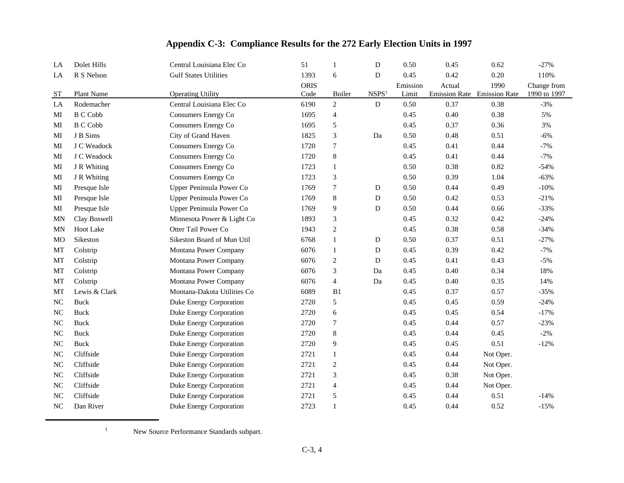| LA             | Dolet Hills     | Central Louisiana Elec Co    | 51          | $\mathbf{1}$   | D                 | 0.50     | 0.45   | 0.62                        | $-27%$       |
|----------------|-----------------|------------------------------|-------------|----------------|-------------------|----------|--------|-----------------------------|--------------|
| LA             | R S Nelson      | <b>Gulf States Utilities</b> | 1393        | 6              | $\mathbf D$       | 0.45     | 0.42   | 0.20                        | 110%         |
|                |                 |                              | <b>ORIS</b> |                |                   | Emission | Actual | 1990                        | Change from  |
| <b>ST</b>      | Plant Name      | <b>Operating Utility</b>     | Code        | Boiler         | NSPS <sup>1</sup> | Limit    |        | Emission Rate Emission Rate | 1990 to 1997 |
| LA             | Rodemacher      | Central Louisiana Elec Co    | 6190        | $\overline{2}$ | ${\bf D}$         | 0.50     | 0.37   | 0.38                        | $-3%$        |
| MI             | <b>B C Cobb</b> | Consumers Energy Co          | 1695        | 4              |                   | 0.45     | 0.40   | 0.38                        | 5%           |
| MI             | <b>B</b> C Cobb | Consumers Energy Co          | 1695        | 5              |                   | 0.45     | 0.37   | 0.36                        | 3%           |
| MI             | J B Sims        | City of Grand Haven          | 1825        | 3              | Da                | 0.50     | 0.48   | 0.51                        | $-6%$        |
| MI             | J C Weadock     | Consumers Energy Co          | 1720        | 7              |                   | 0.45     | 0.41   | 0.44                        | $-7%$        |
| MI             | J C Weadock     | Consumers Energy Co          | 1720        | $\,8\,$        |                   | 0.45     | 0.41   | 0.44                        | $-7%$        |
| MI             | J R Whiting     | Consumers Energy Co          | 1723        | $\mathbf{1}$   |                   | 0.50     | 0.38   | 0.82                        | $-54%$       |
| MI             | J R Whiting     | Consumers Energy Co          | 1723        | 3              |                   | 0.50     | 0.39   | 1.04                        | $-63%$       |
| MI             | Presque Isle    | Upper Peninsula Power Co     | 1769        | $\tau$         | D                 | 0.50     | 0.44   | 0.49                        | $-10%$       |
| MI             | Presque Isle    | Upper Peninsula Power Co     | 1769        | $\,8\,$        | D                 | 0.50     | 0.42   | 0.53                        | $-21%$       |
| MI             | Presque Isle    | Upper Peninsula Power Co     | 1769        | 9              | D                 | 0.50     | 0.44   | 0.66                        | $-33%$       |
| <b>MN</b>      | Clay Boswell    | Minnesota Power & Light Co   | 1893        | 3              |                   | 0.45     | 0.32   | 0.42                        | $-24%$       |
| MN             | Hoot Lake       | Otter Tail Power Co          | 1943        | $\sqrt{2}$     |                   | 0.45     | 0.38   | 0.58                        | $-34%$       |
| <b>MO</b>      | Sikeston        | Sikeston Board of Mun Util   | 6768        | $\mathbf{1}$   | D                 | 0.50     | 0.37   | 0.51                        | $-27%$       |
| MT             | Colstrip        | Montana Power Company        | 6076        | $\mathbf{1}$   | D                 | 0.45     | 0.39   | 0.42                        | $-7%$        |
| MT             | Colstrip        | Montana Power Company        | 6076        | $\sqrt{2}$     | D                 | 0.45     | 0.41   | 0.43                        | $-5%$        |
| MT             | Colstrip        | Montana Power Company        | 6076        | 3              | Da                | 0.45     | 0.40   | 0.34                        | 18%          |
| MT             | Colstrip        | Montana Power Company        | 6076        | $\overline{4}$ | Da                | 0.45     | 0.40   | 0.35                        | 14%          |
| MT             | Lewis & Clark   | Montana-Dakota Utilities Co  | 6089        | B1             |                   | 0.45     | 0.37   | 0.57                        | $-35%$       |
| N <sub>C</sub> | <b>Buck</b>     | Duke Energy Corporation      | 2720        | 5              |                   | 0.45     | 0.45   | 0.59                        | $-24%$       |
| NC             | <b>Buck</b>     | Duke Energy Corporation      | 2720        | 6              |                   | 0.45     | 0.45   | 0.54                        | $-17%$       |
| N <sub>C</sub> | <b>Buck</b>     | Duke Energy Corporation      | 2720        | $\tau$         |                   | 0.45     | 0.44   | 0.57                        | $-23%$       |
| N <sub>C</sub> | <b>Buck</b>     | Duke Energy Corporation      | 2720        | $\,$ 8 $\,$    |                   | 0.45     | 0.44   | 0.45                        | $-2%$        |
| NC             | <b>Buck</b>     | Duke Energy Corporation      | 2720        | 9              |                   | 0.45     | 0.45   | 0.51                        | $-12%$       |
| N <sub>C</sub> | Cliffside       | Duke Energy Corporation      | 2721        | $\mathbf{1}$   |                   | 0.45     | 0.44   | Not Oper.                   |              |
| NC             | Cliffside       | Duke Energy Corporation      | 2721        | $\mathfrak{2}$ |                   | 0.45     | 0.44   | Not Oper.                   |              |
| NC             | Cliffside       | Duke Energy Corporation      | 2721        | 3              |                   | 0.45     | 0.38   | Not Oper.                   |              |
| NC             | Cliffside       | Duke Energy Corporation      | 2721        | $\overline{4}$ |                   | 0.45     | 0.44   | Not Oper.                   |              |
| N <sub>C</sub> | Cliffside       | Duke Energy Corporation      | 2721        | 5              |                   | 0.45     | 0.44   | 0.51                        | $-14%$       |
| NC             | Dan River       | Duke Energy Corporation      | 2723        | 1              |                   | 0.45     | 0.44   | 0.52                        | $-15%$       |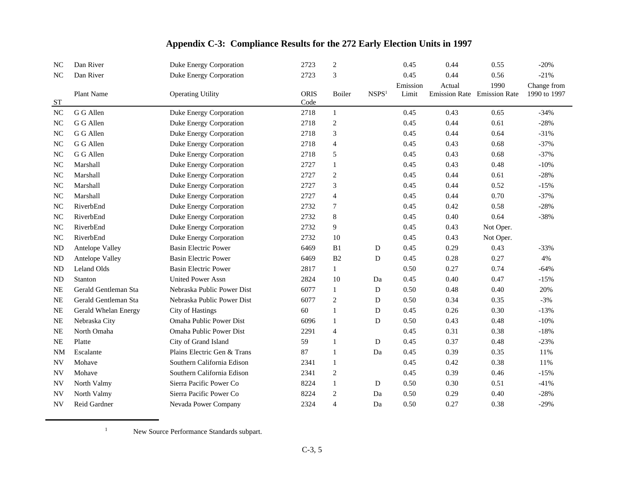| NC             | Dan River            | Duke Energy Corporation     | 2723         | $\mathfrak{2}$ |                   | 0.45              | 0.44                                  | 0.55      | $-20%$                      |
|----------------|----------------------|-----------------------------|--------------|----------------|-------------------|-------------------|---------------------------------------|-----------|-----------------------------|
| NC             | Dan River            | Duke Energy Corporation     | 2723         | 3              |                   | 0.45              | 0.44                                  | 0.56      | $-21%$                      |
| <b>ST</b>      | Plant Name           | <b>Operating Utility</b>    | ORIS<br>Code | Boiler         | NSPS <sup>1</sup> | Emission<br>Limit | Actual<br>Emission Rate Emission Rate | 1990      | Change from<br>1990 to 1997 |
| NC             | G G Allen            | Duke Energy Corporation     | 2718         | 1              |                   | 0.45              | 0.43                                  | 0.65      | $-34%$                      |
| N <sub>C</sub> | G G Allen            | Duke Energy Corporation     | 2718         | $\sqrt{2}$     |                   | 0.45              | 0.44                                  | 0.61      | $-28%$                      |
| N <sub>C</sub> | G G Allen            | Duke Energy Corporation     | 2718         | 3              |                   | 0.45              | 0.44                                  | 0.64      | $-31%$                      |
| $\rm NC$       | G G Allen            | Duke Energy Corporation     | 2718         | $\overline{4}$ |                   | 0.45              | 0.43                                  | 0.68      | $-37%$                      |
| N <sub>C</sub> | G G Allen            | Duke Energy Corporation     | 2718         | 5              |                   | 0.45              | 0.43                                  | 0.68      | $-37%$                      |
| N <sub>C</sub> | Marshall             | Duke Energy Corporation     | 2727         | 1              |                   | 0.45              | 0.43                                  | 0.48      | $-10%$                      |
| NC             | Marshall             | Duke Energy Corporation     | 2727         | $\overline{2}$ |                   | 0.45              | 0.44                                  | 0.61      | $-28%$                      |
| NC             | Marshall             | Duke Energy Corporation     | 2727         | 3              |                   | 0.45              | 0.44                                  | 0.52      | $-15%$                      |
| NC             | Marshall             | Duke Energy Corporation     | 2727         | $\overline{4}$ |                   | 0.45              | 0.44                                  | 0.70      | $-37%$                      |
| N <sub>C</sub> | RiverbEnd            | Duke Energy Corporation     | 2732         | $\overline{7}$ |                   | 0.45              | 0.42                                  | 0.58      | $-28%$                      |
| NC             | RiverbEnd            | Duke Energy Corporation     | 2732         | $\,8\,$        |                   | 0.45              | 0.40                                  | 0.64      | $-38%$                      |
| N <sub>C</sub> | RiverbEnd            | Duke Energy Corporation     | 2732         | 9              |                   | 0.45              | 0.43                                  | Not Oper. |                             |
| NC             | RiverbEnd            | Duke Energy Corporation     | 2732         | 10             |                   | 0.45              | 0.43                                  | Not Oper. |                             |
| ND             | Antelope Valley      | <b>Basin Electric Power</b> | 6469         | B1             | D                 | 0.45              | 0.29                                  | 0.43      | $-33%$                      |
| <b>ND</b>      | Antelope Valley      | <b>Basin Electric Power</b> | 6469         | B2             | D                 | 0.45              | 0.28                                  | 0.27      | 4%                          |
| ND             | Leland Olds          | <b>Basin Electric Power</b> | 2817         | $\mathbf{1}$   |                   | 0.50              | 0.27                                  | 0.74      | $-64%$                      |
| <b>ND</b>      | Stanton              | <b>United Power Assn</b>    | 2824         | 10             | Da                | 0.45              | 0.40                                  | 0.47      | $-15%$                      |
| <b>NE</b>      | Gerald Gentleman Sta | Nebraska Public Power Dist  | 6077         | 1              | ${\rm D}$         | 0.50              | 0.48                                  | 0.40      | 20%                         |
| <b>NE</b>      | Gerald Gentleman Sta | Nebraska Public Power Dist  | 6077         | 2              | D                 | 0.50              | 0.34                                  | 0.35      | $-3%$                       |
| <b>NE</b>      | Gerald Whelan Energy | <b>City of Hastings</b>     | 60           | $\mathbf{1}$   | D                 | 0.45              | 0.26                                  | 0.30      | $-13%$                      |
| <b>NE</b>      | Nebraska City        | Omaha Public Power Dist     | 6096         | $\mathbf{1}$   | D                 | 0.50              | 0.43                                  | 0.48      | $-10%$                      |
| <b>NE</b>      | North Omaha          | Omaha Public Power Dist     | 2291         | $\overline{4}$ |                   | 0.45              | 0.31                                  | 0.38      | $-18%$                      |
| <b>NE</b>      | Platte               | City of Grand Island        | 59           | $\mathbf{1}$   | D                 | 0.45              | 0.37                                  | 0.48      | $-23%$                      |
| <b>NM</b>      | Escalante            | Plains Electric Gen & Trans | 87           | -1             | Da                | 0.45              | 0.39                                  | 0.35      | 11%                         |
| <b>NV</b>      | Mohave               | Southern California Edison  | 2341         | 1              |                   | 0.45              | 0.42                                  | 0.38      | 11%                         |
| <b>NV</b>      | Mohave               | Southern California Edison  | 2341         | 2              |                   | 0.45              | 0.39                                  | 0.46      | $-15%$                      |
| <b>NV</b>      | North Valmy          | Sierra Pacific Power Co     | 8224         | $\mathbf{1}$   | D                 | 0.50              | 0.30                                  | 0.51      | $-41%$                      |
| <b>NV</b>      | North Valmy          | Sierra Pacific Power Co     | 8224         | $\overline{c}$ | Da                | 0.50              | 0.29                                  | 0.40      | $-28%$                      |
| <b>NV</b>      | Reid Gardner         | Nevada Power Company        | 2324         | $\overline{4}$ | Da                | 0.50              | 0.27                                  | 0.38      | $-29%$                      |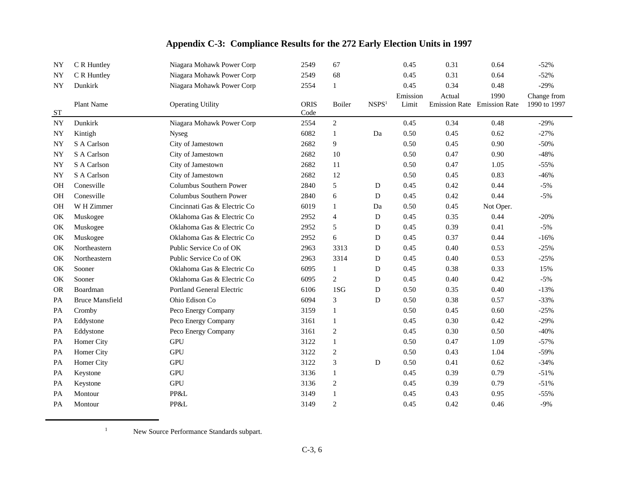| NY        | C R Huntley            | Niagara Mohawk Power Corp        | 2549                | 67             |                   | 0.45              | 0.31                                  | 0.64      | $-52%$                      |
|-----------|------------------------|----------------------------------|---------------------|----------------|-------------------|-------------------|---------------------------------------|-----------|-----------------------------|
| <b>NY</b> | C R Huntley            | Niagara Mohawk Power Corp        | 2549                | 68             |                   | 0.45              | 0.31                                  | 0.64      | $-52%$                      |
| <b>NY</b> | Dunkirk                | Niagara Mohawk Power Corp        | 2554                | 1              |                   | 0.45              | 0.34                                  | 0.48      | $-29%$                      |
| ST        | Plant Name             | <b>Operating Utility</b>         | <b>ORIS</b><br>Code | Boiler         | NSPS <sup>1</sup> | Emission<br>Limit | Actual<br>Emission Rate Emission Rate | 1990      | Change from<br>1990 to 1997 |
| <b>NY</b> | Dunkirk                | Niagara Mohawk Power Corp        | 2554                | $\overline{2}$ |                   | 0.45              | 0.34                                  | 0.48      | $-29%$                      |
| <b>NY</b> | Kintigh                | <b>Nyseg</b>                     | 6082                | -1             | Da                | 0.50              | 0.45                                  | 0.62      | $-27%$                      |
| <b>NY</b> | S A Carlson            | City of Jamestown                | 2682                | 9              |                   | 0.50              | 0.45                                  | 0.90      | $-50%$                      |
| <b>NY</b> | S A Carlson            | City of Jamestown                | 2682                | 10             |                   | 0.50              | 0.47                                  | 0.90      | $-48%$                      |
| <b>NY</b> | S A Carlson            | City of Jamestown                | 2682                | 11             |                   | 0.50              | 0.47                                  | 1.05      | $-55%$                      |
| <b>NY</b> | S A Carlson            | City of Jamestown                | 2682                | 12             |                   | 0.50              | 0.45                                  | 0.83      | $-46%$                      |
| OH        | Conesville             | Columbus Southern Power          | 2840                | 5              | ${\bf D}$         | 0.45              | 0.42                                  | 0.44      | $-5%$                       |
| <b>OH</b> | Conesville             | Columbus Southern Power          | 2840                | 6              | D                 | 0.45              | 0.42                                  | 0.44      | $-5%$                       |
| OH        | W H Zimmer             | Cincinnati Gas & Electric Co     | 6019                | 1              | Da                | 0.50              | 0.45                                  | Not Oper. |                             |
| OK        | Muskogee               | Oklahoma Gas & Electric Co       | 2952                | $\overline{4}$ | D                 | 0.45              | 0.35                                  | 0.44      | $-20%$                      |
| OK        | Muskogee               | Oklahoma Gas & Electric Co       | 2952                | 5              | D                 | 0.45              | 0.39                                  | 0.41      | $-5%$                       |
| OK        | Muskogee               | Oklahoma Gas & Electric Co       | 2952                | 6              | D                 | 0.45              | 0.37                                  | 0.44      | $-16%$                      |
| OK        | Northeastern           | Public Service Co of OK          | 2963                | 3313           | D                 | 0.45              | 0.40                                  | 0.53      | $-25%$                      |
| OK        | Northeastern           | Public Service Co of OK          | 2963                | 3314           | D                 | 0.45              | 0.40                                  | 0.53      | $-25%$                      |
| OK        | Sooner                 | Oklahoma Gas & Electric Co       | 6095                | 1              | D                 | 0.45              | 0.38                                  | 0.33      | 15%                         |
| OK        | Sooner                 | Oklahoma Gas & Electric Co       | 6095                | $\mathbf{2}$   | D                 | 0.45              | 0.40                                  | 0.42      | $-5%$                       |
| <b>OR</b> | Boardman               | <b>Portland General Electric</b> | 6106                | 1SG            | ${\bf D}$         | 0.50              | 0.35                                  | 0.40      | $-13%$                      |
| PA        | <b>Bruce Mansfield</b> | Ohio Edison Co                   | 6094                | 3              | D                 | 0.50              | 0.38                                  | 0.57      | $-33%$                      |
| PA        | Cromby                 | Peco Energy Company              | 3159                | 1              |                   | 0.50              | 0.45                                  | 0.60      | $-25%$                      |
| PA        | Eddystone              | Peco Energy Company              | 3161                | 1              |                   | 0.45              | 0.30                                  | 0.42      | $-29%$                      |
| PA        | Eddystone              | Peco Energy Company              | 3161                | $\overline{c}$ |                   | 0.45              | 0.30                                  | 0.50      | $-40%$                      |
| PA        | Homer City             | <b>GPU</b>                       | 3122                | 1              |                   | 0.50              | 0.47                                  | 1.09      | $-57%$                      |
| PA        | Homer City             | <b>GPU</b>                       | 3122                | $\overline{c}$ |                   | 0.50              | 0.43                                  | 1.04      | $-59%$                      |
| PA        | Homer City             | <b>GPU</b>                       | 3122                | 3              | ${\bf D}$         | 0.50              | 0.41                                  | 0.62      | $-34%$                      |
| PA        | Keystone               | <b>GPU</b>                       | 3136                | $\mathbf{1}$   |                   | 0.45              | 0.39                                  | 0.79      | $-51%$                      |
| PA        | Keystone               | $\mbox{GPU}$                     | 3136                | 2              |                   | 0.45              | 0.39                                  | 0.79      | $-51%$                      |
| PA        | Montour                | PP&L                             | 3149                | $\mathbf{1}$   |                   | 0.45              | 0.43                                  | 0.95      | $-55%$                      |
| PA        | Montour                | PP&L                             | 3149                | $\overline{c}$ |                   | 0.45              | 0.42                                  | 0.46      | $-9%$                       |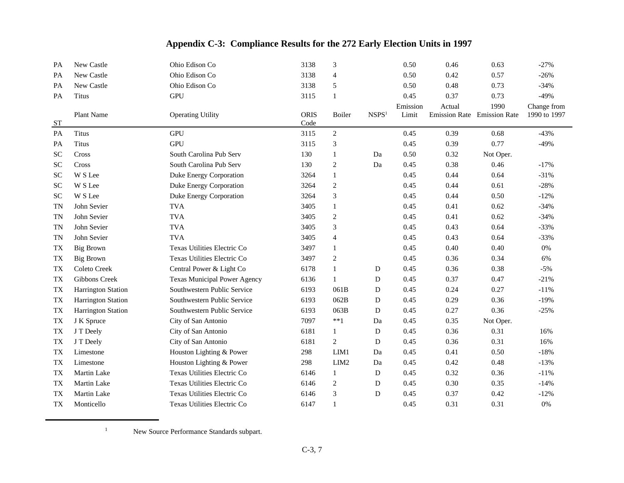| Appendix C-3: Compliance Results for the 272 Early Election Units in 1997 |  |  |  |  |  |  |
|---------------------------------------------------------------------------|--|--|--|--|--|--|
|---------------------------------------------------------------------------|--|--|--|--|--|--|

| PA        | New Castle                | Ohio Edison Co                      | 3138                | 3                |                   | 0.50     | 0.46                        | 0.63      | $-27%$       |
|-----------|---------------------------|-------------------------------------|---------------------|------------------|-------------------|----------|-----------------------------|-----------|--------------|
| PA        | New Castle                | Ohio Edison Co                      | 3138                | 4                |                   | 0.50     | 0.42                        | 0.57      | $-26%$       |
| PA        | New Castle                | Ohio Edison Co                      | 3138                | 5                |                   | 0.50     | 0.48                        | 0.73      | $-34%$       |
| PA        | Titus                     | <b>GPU</b>                          | 3115                | 1                |                   | 0.45     | 0.37                        | 0.73      | $-49%$       |
|           |                           |                                     |                     |                  |                   | Emission | Actual                      | 1990      | Change from  |
| ST        | Plant Name                | <b>Operating Utility</b>            | <b>ORIS</b><br>Code | Boiler           | NSPS <sup>1</sup> | Limit    | Emission Rate Emission Rate |           | 1990 to 1997 |
| PA        | <b>Titus</b>              | <b>GPU</b>                          | 3115                | $\sqrt{2}$       |                   | 0.45     | 0.39                        | 0.68      | $-43%$       |
| PA        | Titus                     | <b>GPU</b>                          | 3115                | 3                |                   | 0.45     | 0.39                        | 0.77      | $-49%$       |
| <b>SC</b> | Cross                     | South Carolina Pub Serv             | 130                 | 1                | Da                | 0.50     | 0.32                        | Not Oper. |              |
| <b>SC</b> | Cross                     | South Carolina Pub Serv             | 130                 | 2                | Da                | 0.45     | 0.38                        | 0.46      | $-17%$       |
| <b>SC</b> | W S Lee                   | Duke Energy Corporation             | 3264                | 1                |                   | 0.45     | 0.44                        | 0.64      | $-31%$       |
| <b>SC</b> | W S Lee                   | Duke Energy Corporation             | 3264                | $\mathfrak{2}$   |                   | 0.45     | 0.44                        | 0.61      | $-28%$       |
| <b>SC</b> | W S Lee                   | Duke Energy Corporation             | 3264                | 3                |                   | 0.45     | 0.44                        | 0.50      | $-12%$       |
| <b>TN</b> | John Sevier               | <b>TVA</b>                          | 3405                | 1                |                   | 0.45     | 0.41                        | 0.62      | $-34%$       |
|           | John Sevier               | <b>TVA</b>                          | 3405                |                  |                   | 0.45     | 0.41                        | 0.62      |              |
| <b>TN</b> |                           |                                     |                     | 2                |                   |          |                             |           | $-34%$       |
| <b>TN</b> | John Sevier               | <b>TVA</b>                          | 3405                | $\mathfrak{Z}$   |                   | 0.45     | 0.43                        | 0.64      | $-33%$       |
| <b>TN</b> | John Sevier               | <b>TVA</b>                          | 3405                | $\overline{4}$   |                   | 0.45     | 0.43                        | 0.64      | $-33%$       |
| <b>TX</b> | <b>Big Brown</b>          | Texas Utilities Electric Co         | 3497                | $\mathbf{1}$     |                   | 0.45     | 0.40                        | 0.40      | 0%           |
| TX        | <b>Big Brown</b>          | Texas Utilities Electric Co         | 3497                | 2                |                   | 0.45     | 0.36                        | 0.34      | 6%           |
| TX        | Coleto Creek              | Central Power & Light Co            | 6178                | $\mathbf{1}$     | D                 | 0.45     | 0.36                        | 0.38      | $-5%$        |
| <b>TX</b> | Gibbons Creek             | <b>Texas Municipal Power Agency</b> | 6136                | 1                | D                 | 0.45     | 0.37                        | 0.47      | $-21%$       |
| TX        | <b>Harrington Station</b> | Southwestern Public Service         | 6193                | 061B             | D                 | 0.45     | 0.24                        | 0.27      | $-11%$       |
| TX        | Harrington Station        | Southwestern Public Service         | 6193                | 062B             | D                 | 0.45     | 0.29                        | 0.36      | $-19%$       |
| <b>TX</b> | <b>Harrington Station</b> | Southwestern Public Service         | 6193                | 063B             | D                 | 0.45     | 0.27                        | 0.36      | $-25%$       |
| <b>TX</b> | J K Spruce                | City of San Antonio                 | 7097                | $***1$           | Da                | 0.45     | 0.35                        | Not Oper. |              |
| <b>TX</b> | J T Deely                 | City of San Antonio                 | 6181                | 1                | D                 | 0.45     | 0.36                        | 0.31      | 16%          |
| <b>TX</b> | J T Deely                 | City of San Antonio                 | 6181                | $\overline{c}$   | D                 | 0.45     | 0.36                        | 0.31      | 16%          |
| <b>TX</b> | Limestone                 | Houston Lighting & Power            | 298                 | LIM1             | Da                | 0.45     | 0.41                        | 0.50      | $-18%$       |
| <b>TX</b> | Limestone                 | Houston Lighting & Power            | 298                 | LIM <sub>2</sub> | Da                | 0.45     | 0.42                        | 0.48      | $-13%$       |
| <b>TX</b> | <b>Martin Lake</b>        | Texas Utilities Electric Co         | 6146                | 1                | D                 | 0.45     | 0.32                        | 0.36      | $-11%$       |
| <b>TX</b> | Martin Lake               | Texas Utilities Electric Co         | 6146                | 2                | D                 | 0.45     | 0.30                        | 0.35      | $-14%$       |
| <b>TX</b> | Martin Lake               | Texas Utilities Electric Co         | 6146                | 3                | D                 | 0.45     | 0.37                        | 0.42      | $-12%$       |
| TX        | Monticello                | Texas Utilities Electric Co         | 6147                | $\mathbf{1}$     |                   | 0.45     | 0.31                        | 0.31      | 0%           |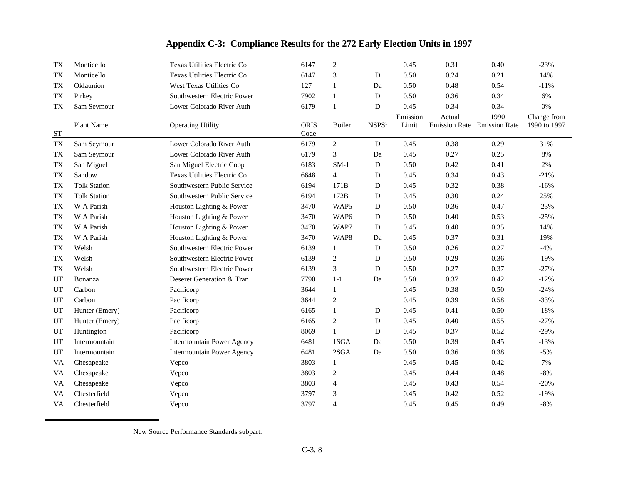| TX        | Monticello          | Texas Utilities Electric Co       | 6147                | $\mathfrak{2}$   |                   | 0.45     | 0.31                        | 0.40 | $-23%$       |
|-----------|---------------------|-----------------------------------|---------------------|------------------|-------------------|----------|-----------------------------|------|--------------|
| <b>TX</b> | Monticello          | Texas Utilities Electric Co       | 6147                | 3                | D                 | 0.50     | 0.24                        | 0.21 | 14%          |
| <b>TX</b> | Oklaunion           | West Texas Utilities Co           | 127                 | $\mathbf{1}$     | Da                | 0.50     | 0.48                        | 0.54 | $-11%$       |
| <b>TX</b> | Pirkey              | Southwestern Electric Power       | 7902                | 1                | D                 | 0.50     | 0.36                        | 0.34 | 6%           |
| <b>TX</b> | Sam Seymour         | Lower Colorado River Auth         | 6179                | $\mathbf{1}$     | D                 | 0.45     | 0.34                        | 0.34 | 0%           |
|           |                     |                                   |                     |                  |                   | Emission | Actual                      | 1990 | Change from  |
| ST        | Plant Name          | <b>Operating Utility</b>          | <b>ORIS</b><br>Code | Boiler           | NSPS <sup>1</sup> | Limit    | Emission Rate Emission Rate |      | 1990 to 1997 |
| <b>TX</b> | Sam Seymour         | Lower Colorado River Auth         | 6179                | 2                | $\mathbf{D}$      | 0.45     | 0.38                        | 0.29 | 31%          |
| TХ        | Sam Seymour         | Lower Colorado River Auth         | 6179                | 3                | Da                | 0.45     | 0.27                        | 0.25 | 8%           |
| <b>TX</b> | San Miguel          | San Miguel Electric Coop          | 6183                | $SM-1$           | ${\bf D}$         | 0.50     | 0.42                        | 0.41 | 2%           |
| <b>TX</b> | Sandow              | Texas Utilities Electric Co       | 6648                | $\overline{4}$   | D                 | 0.45     | 0.34                        | 0.43 | $-21%$       |
| <b>TX</b> | <b>Tolk Station</b> | Southwestern Public Service       | 6194                | 171B             | D                 | 0.45     | 0.32                        | 0.38 | $-16%$       |
| <b>TX</b> | <b>Tolk Station</b> | Southwestern Public Service       | 6194                | 172B             | ${\bf D}$         | 0.45     | 0.30                        | 0.24 | 25%          |
| <b>TX</b> | W A Parish          | Houston Lighting & Power          | 3470                | WAP <sub>5</sub> | D                 | 0.50     | 0.36                        | 0.47 | $-23%$       |
| <b>TX</b> | W A Parish          | Houston Lighting & Power          | 3470                | WAP6             | ${\bf D}$         | 0.50     | 0.40                        | 0.53 | $-25%$       |
| <b>TX</b> | W A Parish          | Houston Lighting & Power          | 3470                | WAP7             | D                 | 0.45     | 0.40                        | 0.35 | 14%          |
| <b>TX</b> | W A Parish          | Houston Lighting & Power          | 3470                | WAP8             | Da                | 0.45     | 0.37                        | 0.31 | 19%          |
| <b>TX</b> | Welsh               | Southwestern Electric Power       | 6139                | $\mathbf{1}$     | ${\bf D}$         | 0.50     | 0.26                        | 0.27 | $-4%$        |
| <b>TX</b> | Welsh               | Southwestern Electric Power       | 6139                | $\overline{c}$   | D                 | 0.50     | 0.29                        | 0.36 | $-19%$       |
| <b>TX</b> | Welsh               | Southwestern Electric Power       | 6139                | 3                | D                 | 0.50     | 0.27                        | 0.37 | $-27%$       |
| UT        | Bonanza             | Deseret Generation & Tran         | 7790                | $1 - 1$          | Da                | 0.50     | 0.37                        | 0.42 | $-12%$       |
| UT        | Carbon              | Pacificorp                        | 3644                | $\mathbf{1}$     |                   | 0.45     | 0.38                        | 0.50 | $-24%$       |
| UT        | Carbon              | Pacificorp                        | 3644                | $\mathfrak{2}$   |                   | 0.45     | 0.39                        | 0.58 | $-33%$       |
| UT        | Hunter (Emery)      | Pacificorp                        | 6165                | 1                | D                 | 0.45     | 0.41                        | 0.50 | $-18%$       |
| UT        | Hunter (Emery)      | Pacificorp                        | 6165                | $\mathfrak{2}$   | D                 | 0.45     | 0.40                        | 0.55 | $-27%$       |
| UT        | Huntington          | Pacificorp                        | 8069                | $\mathbf{1}$     | ${\bf D}$         | 0.45     | 0.37                        | 0.52 | $-29%$       |
| UT        | Intermountain       | <b>Intermountain Power Agency</b> | 6481                | 1SGA             | Da                | 0.50     | 0.39                        | 0.45 | $-13%$       |
| UT        | Intermountain       | <b>Intermountain Power Agency</b> | 6481                | 2SGA             | Da                | 0.50     | 0.36                        | 0.38 | $-5%$        |
| <b>VA</b> | Chesapeake          | Vepco                             | 3803                | 1                |                   | 0.45     | 0.45                        | 0.42 | 7%           |
| <b>VA</b> | Chesapeake          | Vepco                             | 3803                | $\overline{c}$   |                   | 0.45     | 0.44                        | 0.48 | $-8%$        |
| VA        | Chesapeake          | Vepco                             | 3803                | $\overline{4}$   |                   | 0.45     | 0.43                        | 0.54 | $-20%$       |
| VA        | Chesterfield        | Vepco                             | 3797                | 3                |                   | 0.45     | 0.42                        | 0.52 | $-19%$       |
| VA        | Chesterfield        | Vepco                             | 3797                | 4                |                   | 0.45     | 0.45                        | 0.49 | $-8%$        |

<sup>&</sup>lt;sup>1</sup> New Source Performance Standards subpart.